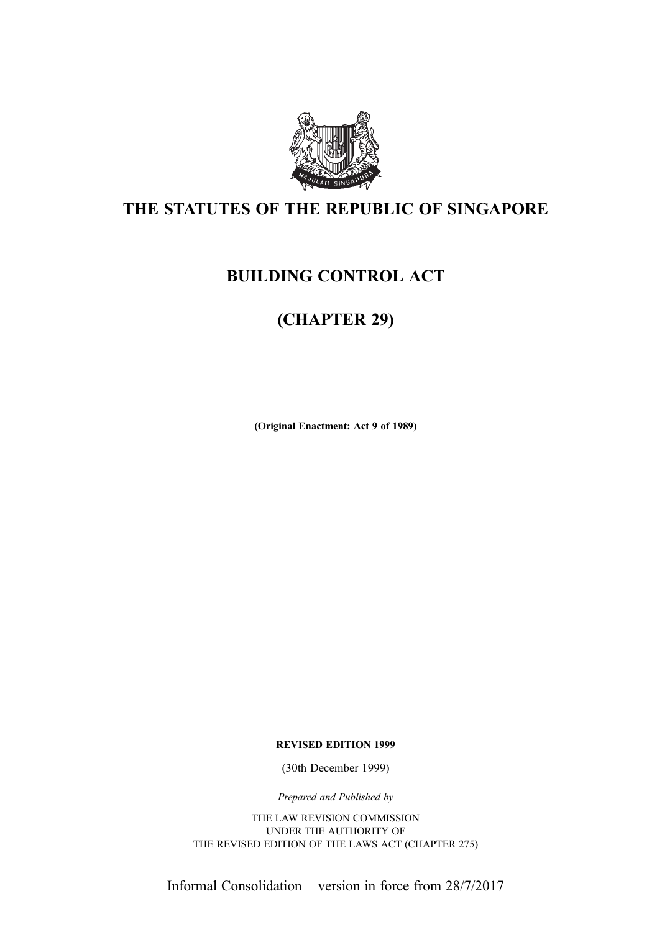

# THE STATUTES OF THE REPUBLIC OF SINGAPORE

# BUILDING CONTROL ACT

# (CHAPTER 29)

(Original Enactment: Act 9 of 1989)

REVISED EDITION 1999

(30th December 1999)

Prepared and Published by

THE LAW REVISION COMMISSION UNDER THE AUTHORITY OF THE REVISED EDITION OF THE LAWS ACT (CHAPTER 275)

Informal Consolidation – version in force from 28/7/2017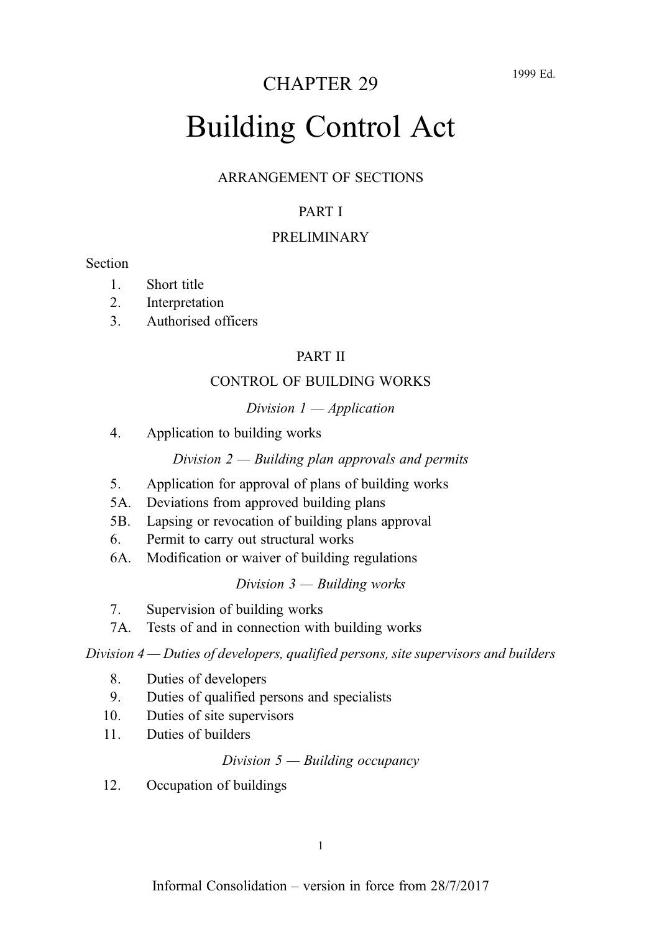# CHAPTER 29

# Building Control Act

#### ARRANGEMENT OF SECTIONS

# PART I

#### PRELIMINARY

#### **Section**

- 1. Short title
- 2. Interpretation
- 3. Authorised officers

# PART II

#### CONTROL OF BUILDING WORKS

#### Division  $1$  — Application

4. Application to building works

#### Division  $2 -$  Building plan approvals and permits

- 5. Application for approval of plans of building works
- 5A. Deviations from approved building plans
- 5B. Lapsing or revocation of building plans approval
- 6. Permit to carry out structural works
- 6A. Modification or waiver of building regulations

#### Division  $3$  — Building works

- 7. Supervision of building works
- 7A. Tests of and in connection with building works

Division 4 — Duties of developers, qualified persons, site supervisors and builders

- 8. Duties of developers
- 9. Duties of qualified persons and specialists
- 10. Duties of site supervisors
- 11. Duties of builders

#### Division  $5$  — Building occupancy

12. Occupation of buildings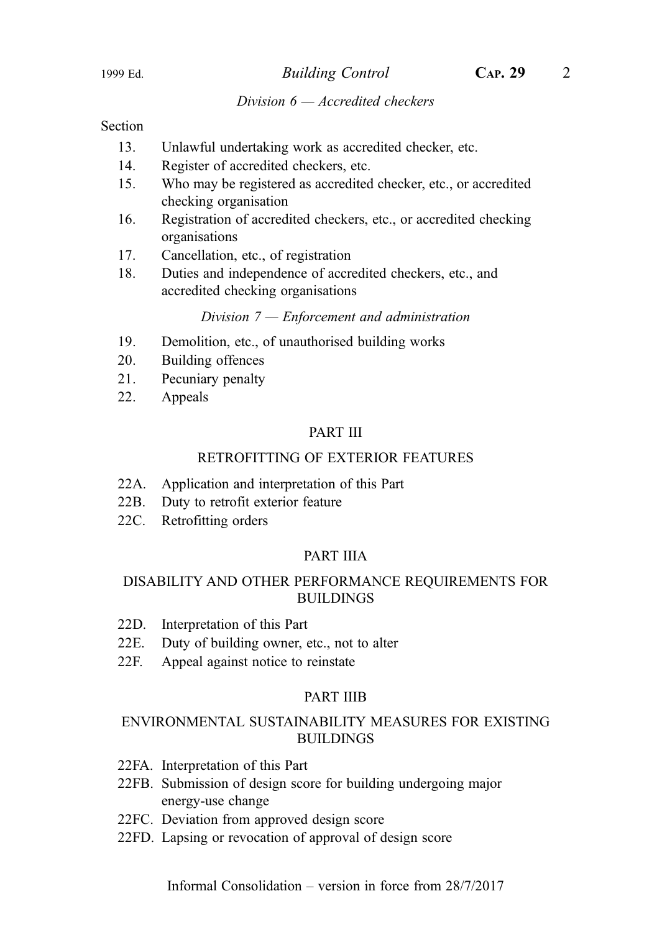#### Division  $6 - Accrelated$  checkers

#### Section

- 13. Unlawful undertaking work as accredited checker, etc.
- 14. Register of accredited checkers, etc.
- 15. Who may be registered as accredited checker, etc., or accredited checking organisation
- 16. Registration of accredited checkers, etc., or accredited checking organisations
- 17. Cancellation, etc., of registration
- 18. Duties and independence of accredited checkers, etc., and accredited checking organisations

Division 7 — Enforcement and administration

- 19. Demolition, etc., of unauthorised building works
- 20. Building offences
- 21. Pecuniary penalty
- 22. Appeals

#### PART III

#### RETROFITTING OF EXTERIOR FEATURES

- 22A. Application and interpretation of this Part
- 22B. Duty to retrofit exterior feature
- 22C. Retrofitting orders

#### PART IIIA

#### DISABILITY AND OTHER PERFORMANCE REQUIREMENTS FOR BUILDINGS

- 22D. Interpretation of this Part
- 22E. Duty of building owner, etc., not to alter
- 22F. Appeal against notice to reinstate

#### PART IIIB

#### ENVIRONMENTAL SUSTAINABILITY MEASURES FOR EXISTING BUILDINGS

- 22FA. Interpretation of this Part
- 22FB. Submission of design score for building undergoing major energy-use change
- 22FC. Deviation from approved design score
- 22FD. Lapsing or revocation of approval of design score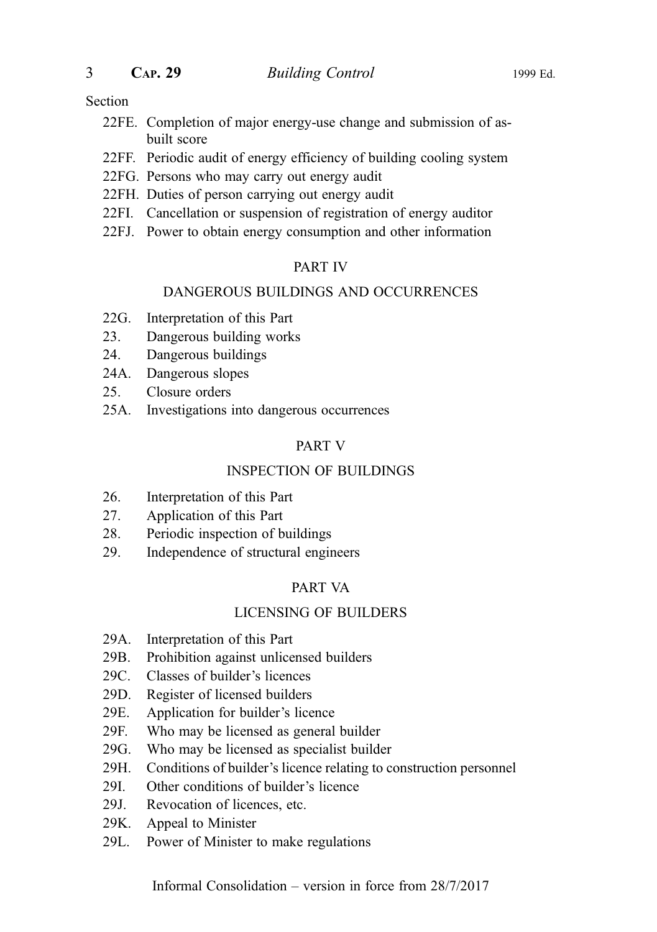#### Section

- 22FE. Completion of major energy-use change and submission of asbuilt score
- 22FF. Periodic audit of energy efficiency of building cooling system
- 22FG. Persons who may carry out energy audit
- 22FH. Duties of person carrying out energy audit
- 22FI. Cancellation or suspension of registration of energy auditor
- 22FJ. Power to obtain energy consumption and other information

#### PART IV

#### DANGEROUS BUILDINGS AND OCCURRENCES

- 22G. Interpretation of this Part
- 23. Dangerous building works
- 24. Dangerous buildings
- 24A. Dangerous slopes
- 25. Closure orders
- 25A. Investigations into dangerous occurrences

#### PART V

#### INSPECTION OF BUILDINGS

- 26. Interpretation of this Part
- 27. Application of this Part
- 28. Periodic inspection of buildings
- 29. Independence of structural engineers

#### PART VA

#### LICENSING OF BUILDERS

- 29A. Interpretation of this Part
- 29B. Prohibition against unlicensed builders
- 29C. Classes of builder's licences
- 29D. Register of licensed builders
- 29E. Application for builder's licence
- 29F. Who may be licensed as general builder
- 29G. Who may be licensed as specialist builder
- 29H. Conditions of builder's licence relating to construction personnel
- 29I. Other conditions of builder's licence
- 29J. Revocation of licences, etc.
- 29K. Appeal to Minister
- 29L. Power of Minister to make regulations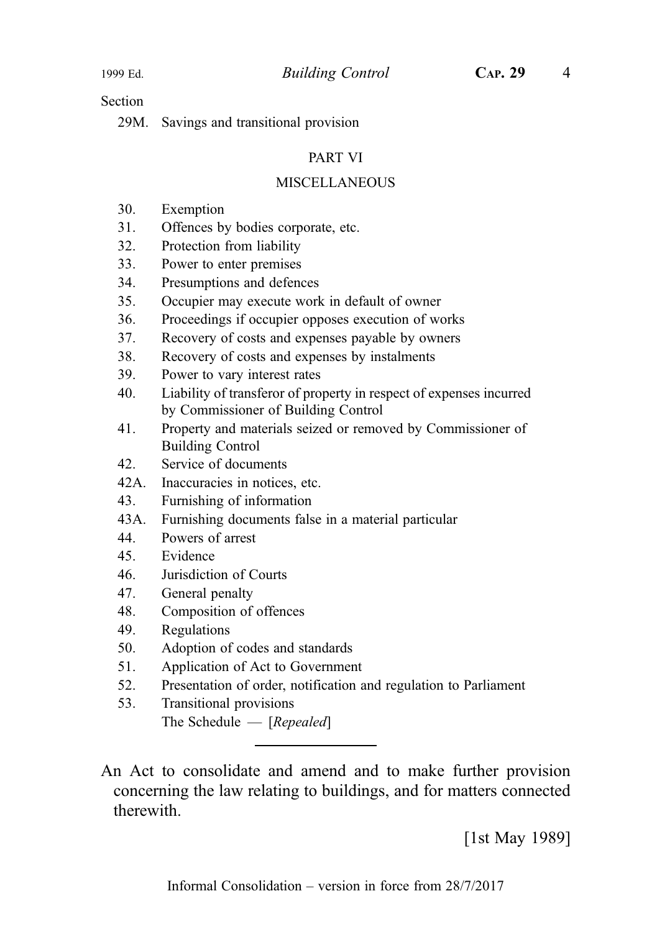Section

29M. Savings and transitional provision

#### PART VI

#### **MISCELLANEOUS**

- 30. Exemption
- 31. Offences by bodies corporate, etc.
- 32. Protection from liability
- 33. Power to enter premises
- 34. Presumptions and defences
- 35. Occupier may execute work in default of owner
- 36. Proceedings if occupier opposes execution of works
- 37. Recovery of costs and expenses payable by owners
- 38. Recovery of costs and expenses by instalments
- 39. Power to vary interest rates
- 40. Liability of transferor of property in respect of expenses incurred by Commissioner of Building Control
- 41. Property and materials seized or removed by Commissioner of Building Control
- 42. Service of documents
- 42A. Inaccuracies in notices, etc.
- 43. Furnishing of information
- 43A. Furnishing documents false in a material particular
- 44. Powers of arrest
- 45. Evidence
- 46. Jurisdiction of Courts
- 47. General penalty
- 48. Composition of offences
- 49. Regulations
- 50. Adoption of codes and standards
- 51. Application of Act to Government
- 52. Presentation of order, notification and regulation to Parliament
- 53. Transitional provisions The Schedule — [Repealed]

An Act to consolidate and amend and to make further provision concerning the law relating to buildings, and for matters connected therewith.

[1st May 1989]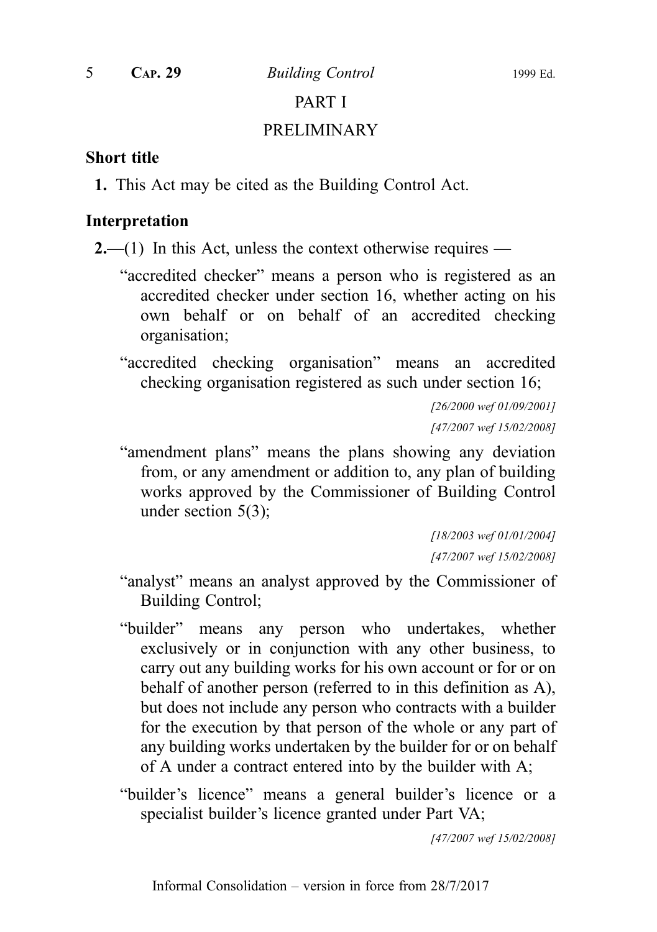5 CAP. 29 Building Control 1999 Ed.

# PART I

#### PRELIMINARY

#### Short title

1. This Act may be cited as the Building Control Act.

# Interpretation

**2.**—(1) In this Act, unless the context otherwise requires —

- "accredited checker" means a person who is registered as an accredited checker under section 16, whether acting on his own behalf or on behalf of an accredited checking organisation;
- "accredited checking organisation" means an accredited checking organisation registered as such under section 16;

[26/2000 wef 01/09/2001] [47/2007 wef 15/02/2008]

"amendment plans" means the plans showing any deviation from, or any amendment or addition to, any plan of building works approved by the Commissioner of Building Control under section 5(3);

> [18/2003 wef 01/01/2004] [47/2007 wef 15/02/2008]

- "analyst" means an analyst approved by the Commissioner of Building Control;
- "builder" means any person who undertakes, whether exclusively or in conjunction with any other business, to carry out any building works for his own account or for or on behalf of another person (referred to in this definition as A), but does not include any person who contracts with a builder for the execution by that person of the whole or any part of any building works undertaken by the builder for or on behalf of A under a contract entered into by the builder with A;
- "builder's licence" means a general builder's licence or a specialist builder's licence granted under Part VA;

[47/2007 wef 15/02/2008]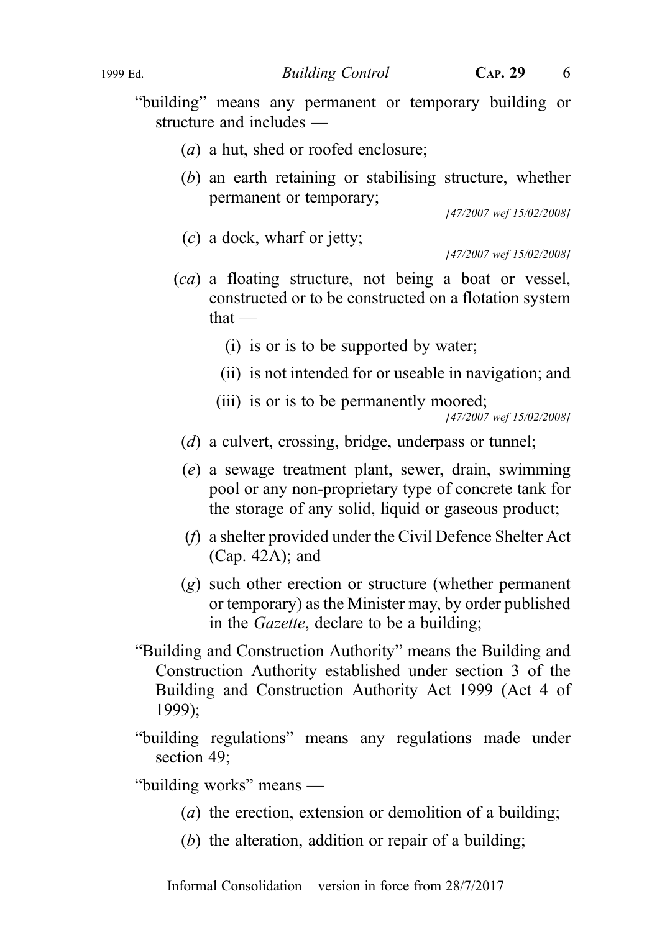#### 1999 Ed. Building Control CAP. 29 6

"building" means any permanent or temporary building or structure and includes —

- (a) a hut, shed or roofed enclosure;
- (b) an earth retaining or stabilising structure, whether permanent or temporary;

[47/2007 wef 15/02/2008]

(c) a dock, wharf or jetty;

[47/2007 wef 15/02/2008]

- (ca) a floating structure, not being a boat or vessel, constructed or to be constructed on a flotation system that —
	- (i) is or is to be supported by water;
	- (ii) is not intended for or useable in navigation; and
	- (iii) is or is to be permanently moored;

[47/2007 wef 15/02/2008]

- (d) a culvert, crossing, bridge, underpass or tunnel;
- (e) a sewage treatment plant, sewer, drain, swimming pool or any non-proprietary type of concrete tank for the storage of any solid, liquid or gaseous product;
- (f) a shelter provided under the Civil Defence Shelter Act (Cap. 42A); and
- (g) such other erection or structure (whether permanent or temporary) as the Minister may, by order published in the Gazette, declare to be a building;
- "Building and Construction Authority" means the Building and Construction Authority established under section 3 of the Building and Construction Authority Act 1999 (Act 4 of 1999);
- "building regulations" means any regulations made under section 49;

"building works" means —

- (a) the erection, extension or demolition of a building:
- (b) the alteration, addition or repair of a building;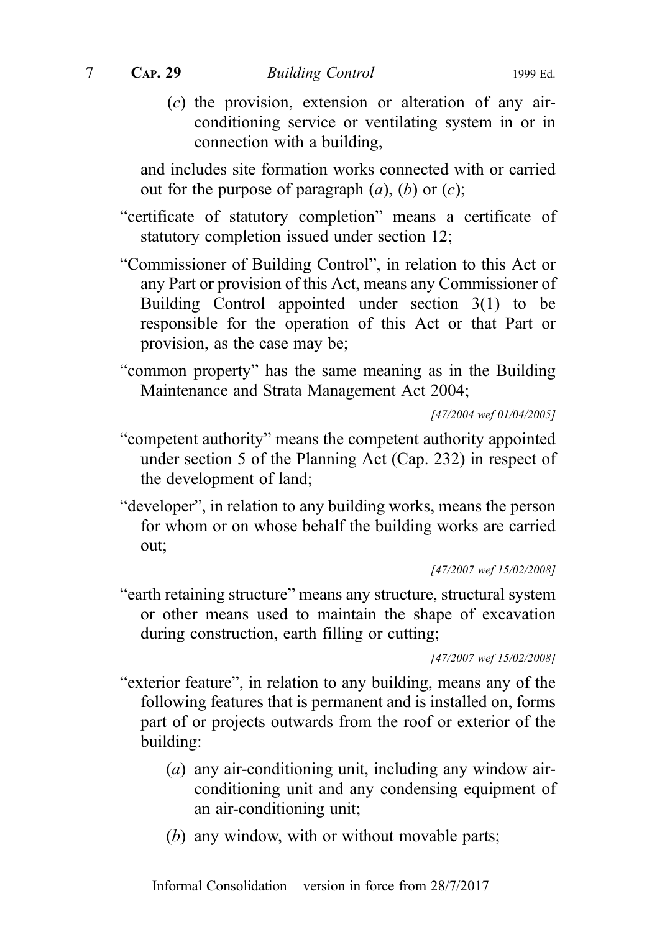$(c)$  the provision, extension or alteration of any airconditioning service or ventilating system in or in connection with a building,

and includes site formation works connected with or carried out for the purpose of paragraph  $(a)$ ,  $(b)$  or  $(c)$ ;

- "certificate of statutory completion" means a certificate of statutory completion issued under section 12;
- "Commissioner of Building Control", in relation to this Act or any Part or provision of this Act, means any Commissioner of Building Control appointed under section 3(1) to be responsible for the operation of this Act or that Part or provision, as the case may be;
- "common property" has the same meaning as in the Building Maintenance and Strata Management Act 2004;

[47/2004 wef 01/04/2005]

- "competent authority" means the competent authority appointed under section 5 of the Planning Act (Cap. 232) in respect of the development of land;
- "developer", in relation to any building works, means the person for whom or on whose behalf the building works are carried out;

[47/2007 wef 15/02/2008]

"earth retaining structure" means any structure, structural system or other means used to maintain the shape of excavation during construction, earth filling or cutting;

[47/2007 wef 15/02/2008]

- "exterior feature", in relation to any building, means any of the following features that is permanent and is installed on, forms part of or projects outwards from the roof or exterior of the building:
	- (a) any air-conditioning unit, including any window airconditioning unit and any condensing equipment of an air-conditioning unit;
	- (b) any window, with or without movable parts;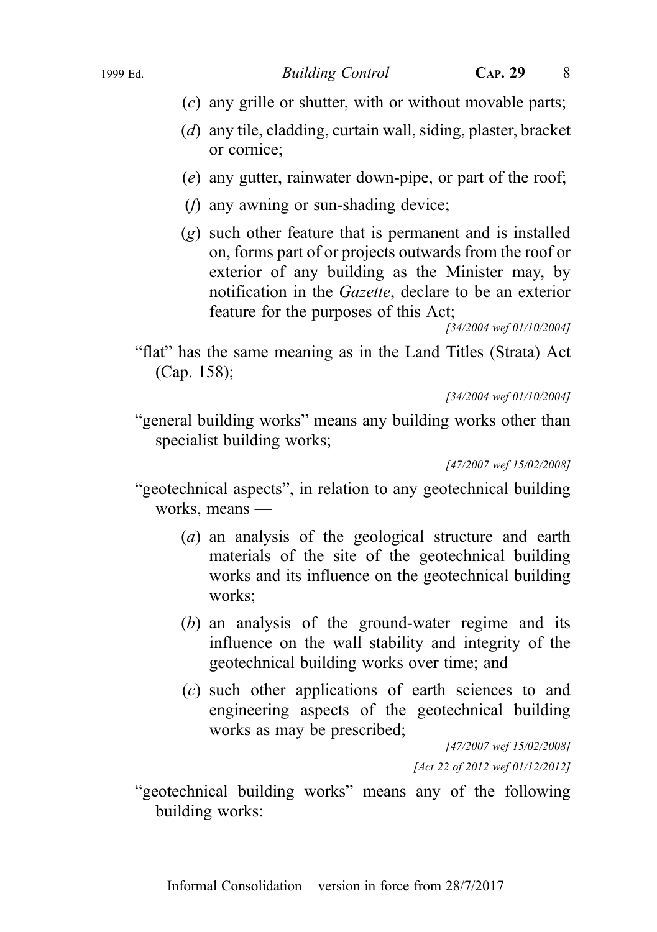- (c) any grille or shutter, with or without movable parts;
- (d) any tile, cladding, curtain wall, siding, plaster, bracket or cornice;
- (e) any gutter, rainwater down-pipe, or part of the roof;
- (f) any awning or sun-shading device;
- (g) such other feature that is permanent and is installed on, forms part of or projects outwards from the roof or exterior of any building as the Minister may, by notification in the Gazette, declare to be an exterior feature for the purposes of this Act;

[34/2004 wef 01/10/2004]

"flat" has the same meaning as in the Land Titles (Strata) Act (Cap. 158);

[34/2004 wef 01/10/2004]

"general building works" means any building works other than specialist building works;

[47/2007 wef 15/02/2008]

- "geotechnical aspects", in relation to any geotechnical building works, means —
	- (a) an analysis of the geological structure and earth materials of the site of the geotechnical building works and its influence on the geotechnical building works;
	- (b) an analysis of the ground-water regime and its influence on the wall stability and integrity of the geotechnical building works over time; and
	- (c) such other applications of earth sciences to and engineering aspects of the geotechnical building works as may be prescribed;

[47/2007 wef 15/02/2008] [Act 22 of 2012 wef 01/12/2012]

"geotechnical building works" means any of the following building works: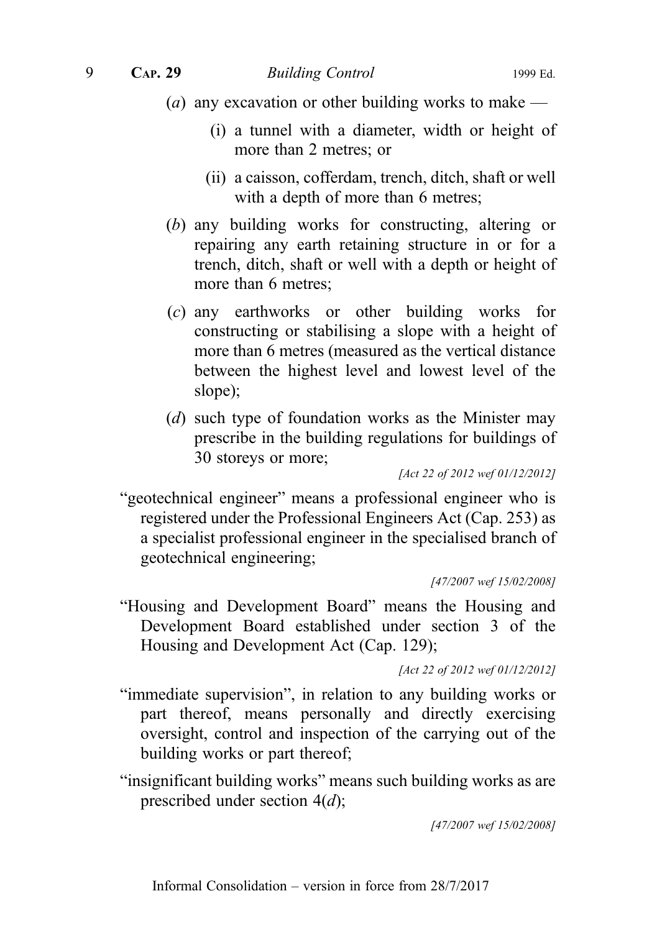- (*a*) any excavation or other building works to make
	- (i) a tunnel with a diameter, width or height of more than 2 metres; or
	- (ii) a caisson, cofferdam, trench, ditch, shaft or well with a depth of more than 6 metres;
- (b) any building works for constructing, altering or repairing any earth retaining structure in or for a trench, ditch, shaft or well with a depth or height of more than 6 metres;
- (c) any earthworks or other building works for constructing or stabilising a slope with a height of more than 6 metres (measured as the vertical distance between the highest level and lowest level of the slope);
- (d) such type of foundation works as the Minister may prescribe in the building regulations for buildings of 30 storeys or more;

[Act 22 of 2012 wef 01/12/2012]

"geotechnical engineer" means a professional engineer who is registered under the Professional Engineers Act (Cap. 253) as a specialist professional engineer in the specialised branch of geotechnical engineering;

[47/2007 wef 15/02/2008]

"Housing and Development Board" means the Housing and Development Board established under section 3 of the Housing and Development Act (Cap. 129);

[Act 22 of 2012 wef 01/12/2012]

- "immediate supervision", in relation to any building works or part thereof, means personally and directly exercising oversight, control and inspection of the carrying out of the building works or part thereof;
- "insignificant building works" means such building works as are prescribed under section  $4(d)$ ;

[47/2007 wef 15/02/2008]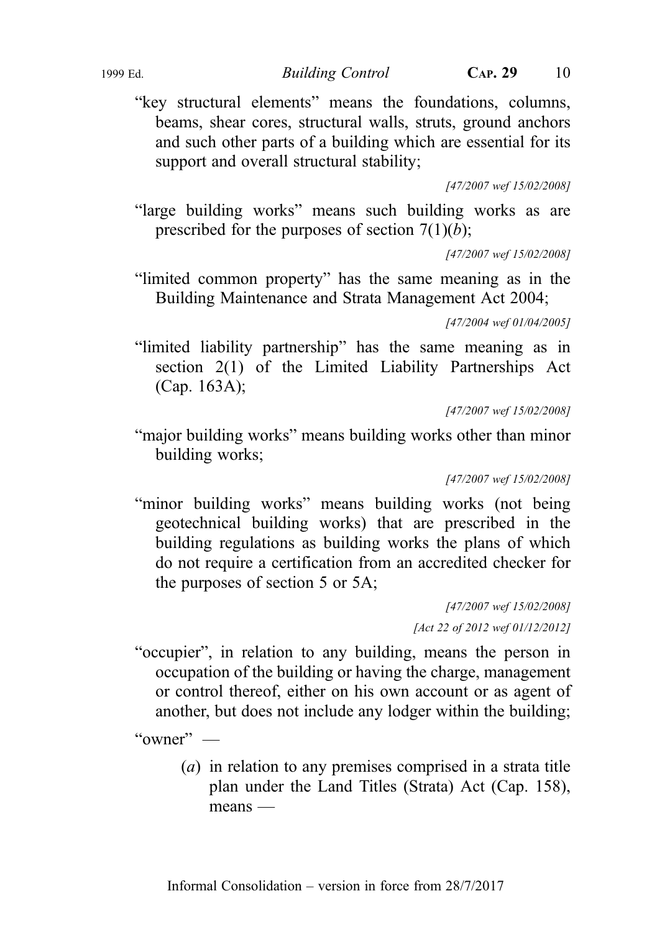"key structural elements" means the foundations, columns, beams, shear cores, structural walls, struts, ground anchors and such other parts of a building which are essential for its support and overall structural stability;

[47/2007 wef 15/02/2008]

"large building works" means such building works as are prescribed for the purposes of section  $7(1)(b)$ ;

[47/2007 wef 15/02/2008]

"limited common property" has the same meaning as in the Building Maintenance and Strata Management Act 2004;

[47/2004 wef 01/04/2005]

"limited liability partnership" has the same meaning as in section 2(1) of the Limited Liability Partnerships Act (Cap. 163A);

[47/2007 wef 15/02/2008]

"major building works" means building works other than minor building works;

[47/2007 wef 15/02/2008]

"minor building works" means building works (not being geotechnical building works) that are prescribed in the building regulations as building works the plans of which do not require a certification from an accredited checker for the purposes of section 5 or 5A;

> [47/2007 wef 15/02/2008] [Act 22 of 2012 wef 01/12/2012]

"occupier", in relation to any building, means the person in occupation of the building or having the charge, management or control thereof, either on his own account or as agent of another, but does not include any lodger within the building;

" $\alpha$ wner" —

(a) in relation to any premises comprised in a strata title plan under the Land Titles (Strata) Act (Cap. 158), means —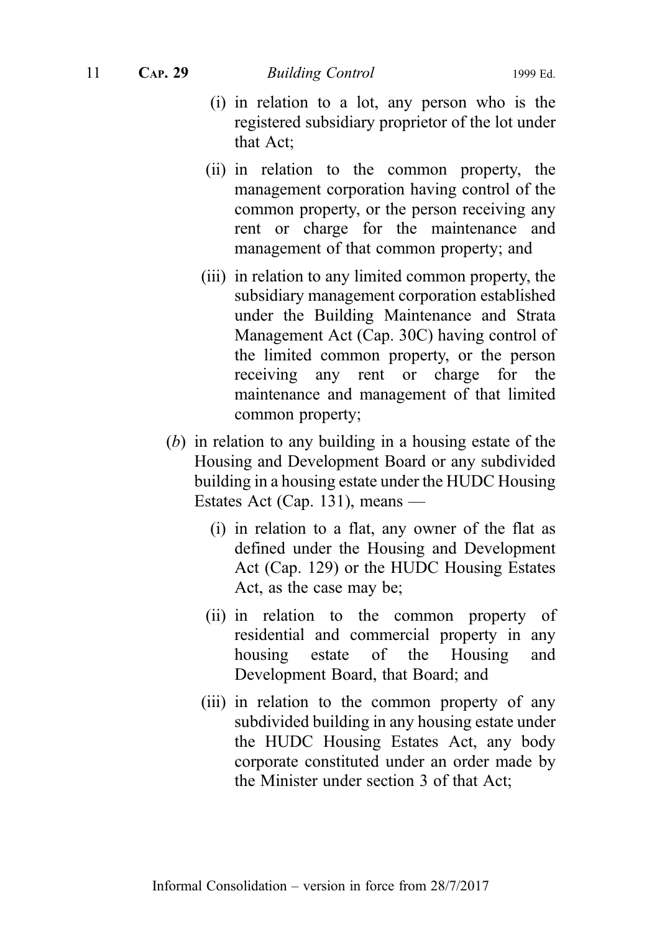- (i) in relation to a lot, any person who is the registered subsidiary proprietor of the lot under that Act;
- (ii) in relation to the common property, the management corporation having control of the common property, or the person receiving any rent or charge for the maintenance and management of that common property; and
- (iii) in relation to any limited common property, the subsidiary management corporation established under the Building Maintenance and Strata Management Act (Cap. 30C) having control of the limited common property, or the person receiving any rent or charge for the maintenance and management of that limited common property;
- (b) in relation to any building in a housing estate of the Housing and Development Board or any subdivided building in a housing estate under the HUDC Housing Estates Act (Cap. 131), means —
	- (i) in relation to a flat, any owner of the flat as defined under the Housing and Development Act (Cap. 129) or the HUDC Housing Estates Act, as the case may be;
	- (ii) in relation to the common property of residential and commercial property in any housing estate of the Housing and Development Board, that Board; and
	- (iii) in relation to the common property of any subdivided building in any housing estate under the HUDC Housing Estates Act, any body corporate constituted under an order made by the Minister under section 3 of that Act;

Informal Consolidation – version in force from 28/7/2017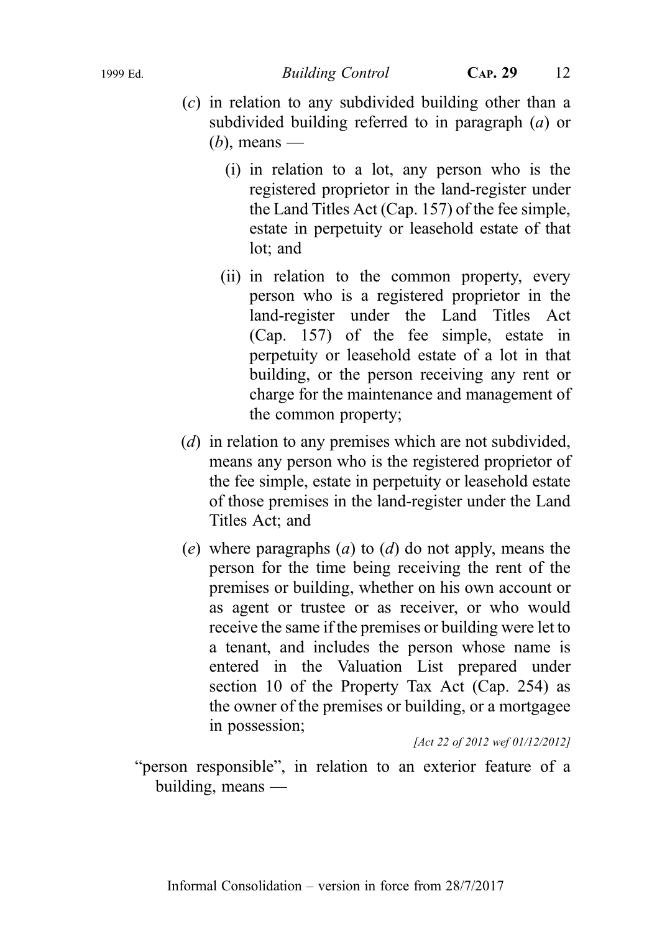- (c) in relation to any subdivided building other than a subdivided building referred to in paragraph  $(a)$  or  $(b)$ , means —
	- (i) in relation to a lot, any person who is the registered proprietor in the land-register under the Land Titles Act (Cap. 157) of the fee simple, estate in perpetuity or leasehold estate of that lot; and
	- (ii) in relation to the common property, every person who is a registered proprietor in the land-register under the Land Titles Act (Cap. 157) of the fee simple, estate in perpetuity or leasehold estate of a lot in that building, or the person receiving any rent or charge for the maintenance and management of the common property;
- (d) in relation to any premises which are not subdivided, means any person who is the registered proprietor of the fee simple, estate in perpetuity or leasehold estate of those premises in the land-register under the Land Titles Act; and
- (e) where paragraphs (a) to (d) do not apply, means the person for the time being receiving the rent of the premises or building, whether on his own account or as agent or trustee or as receiver, or who would receive the same if the premises or building were let to a tenant, and includes the person whose name is entered in the Valuation List prepared under section 10 of the Property Tax Act (Cap. 254) as the owner of the premises or building, or a mortgagee in possession;

[Act 22 of 2012 wef 01/12/2012]

"person responsible", in relation to an exterior feature of a building, means —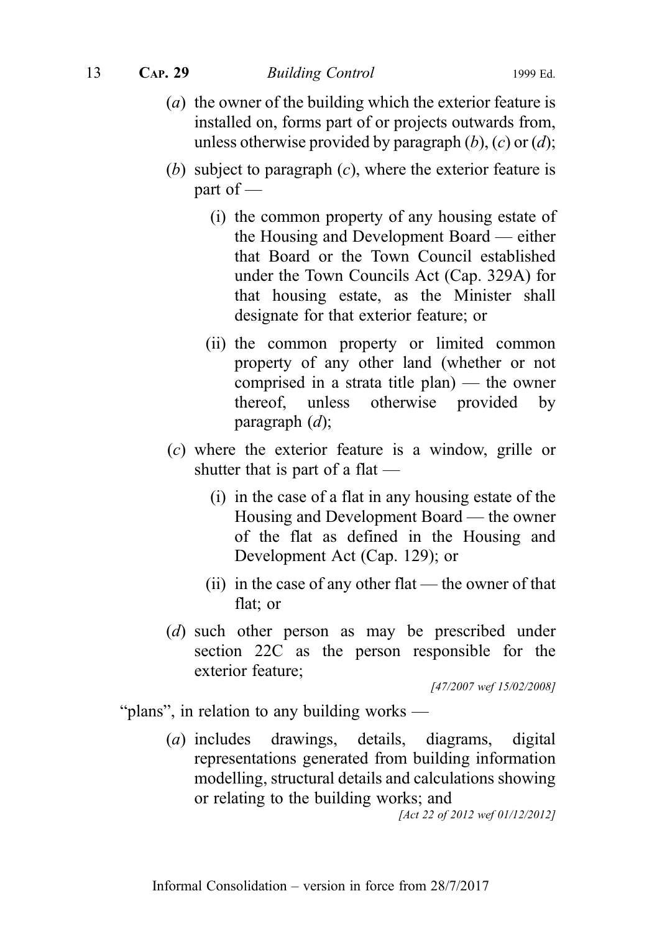#### 13 CAP. 29 Building Control 1999 Ed.

- (a) the owner of the building which the exterior feature is installed on, forms part of or projects outwards from, unless otherwise provided by paragraph  $(b)$ ,  $(c)$  or  $(d)$ ;
- (b) subject to paragraph  $(c)$ , where the exterior feature is part of  $-$ 
	- (i) the common property of any housing estate of the Housing and Development Board — either that Board or the Town Council established under the Town Councils Act (Cap. 329A) for that housing estate, as the Minister shall designate for that exterior feature; or
	- (ii) the common property or limited common property of any other land (whether or not comprised in a strata title plan) — the owner thereof, unless otherwise provided by paragraph  $(d)$ ;
- (c) where the exterior feature is a window, grille or shutter that is part of a flat —
	- (i) in the case of a flat in any housing estate of the Housing and Development Board — the owner of the flat as defined in the Housing and Development Act (Cap. 129); or
	- (ii) in the case of any other flat the owner of that flat; or
- (d) such other person as may be prescribed under section 22C as the person responsible for the exterior feature;

[47/2007 wef 15/02/2008]

"plans", in relation to any building works —

(a) includes drawings, details, diagrams, digital representations generated from building information modelling, structural details and calculations showing or relating to the building works; and

[Act 22 of 2012 wef 01/12/2012]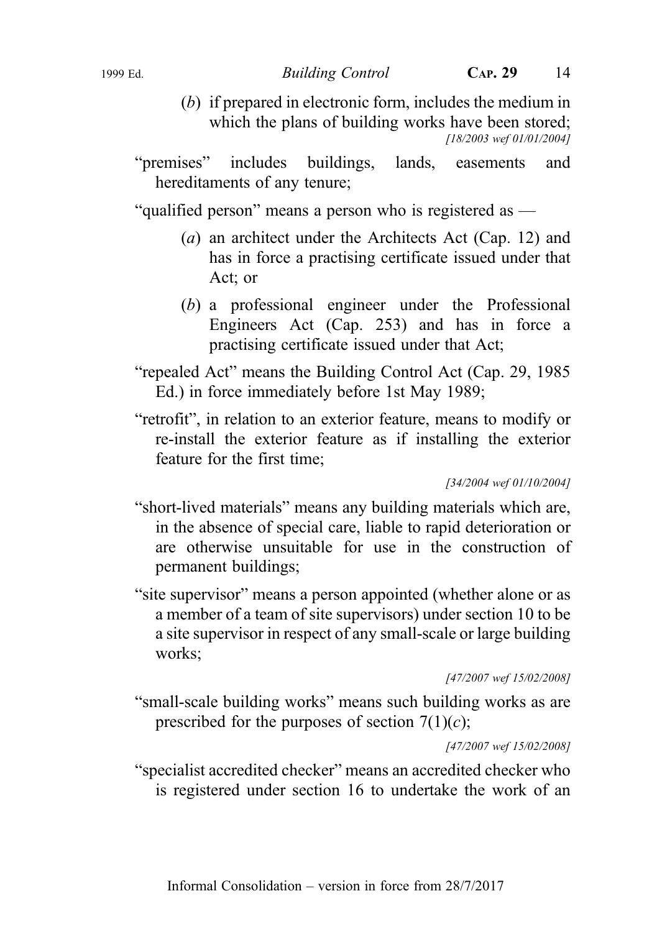(b) if prepared in electronic form, includes the medium in which the plans of building works have been stored; [18/2003 wef 01/01/2004]

"premises" includes buildings, lands, easements and hereditaments of any tenure;

"qualified person" means a person who is registered as —

- (a) an architect under the Architects Act (Cap. 12) and has in force a practising certificate issued under that Act; or
- (b) a professional engineer under the Professional Engineers Act (Cap. 253) and has in force a practising certificate issued under that Act;
- "repealed Act" means the Building Control Act (Cap. 29, 1985 Ed.) in force immediately before 1st May 1989;
- "retrofit", in relation to an exterior feature, means to modify or re-install the exterior feature as if installing the exterior feature for the first time;

[34/2004 wef 01/10/2004]

- "short-lived materials" means any building materials which are, in the absence of special care, liable to rapid deterioration or are otherwise unsuitable for use in the construction of permanent buildings;
- "site supervisor" means a person appointed (whether alone or as a member of a team of site supervisors) under section 10 to be a site supervisor in respect of any small-scale or large building works;

[47/2007 wef 15/02/2008]

"small-scale building works" means such building works as are prescribed for the purposes of section  $7(1)(c)$ ;

[47/2007 wef 15/02/2008]

"specialist accredited checker" means an accredited checker who is registered under section 16 to undertake the work of an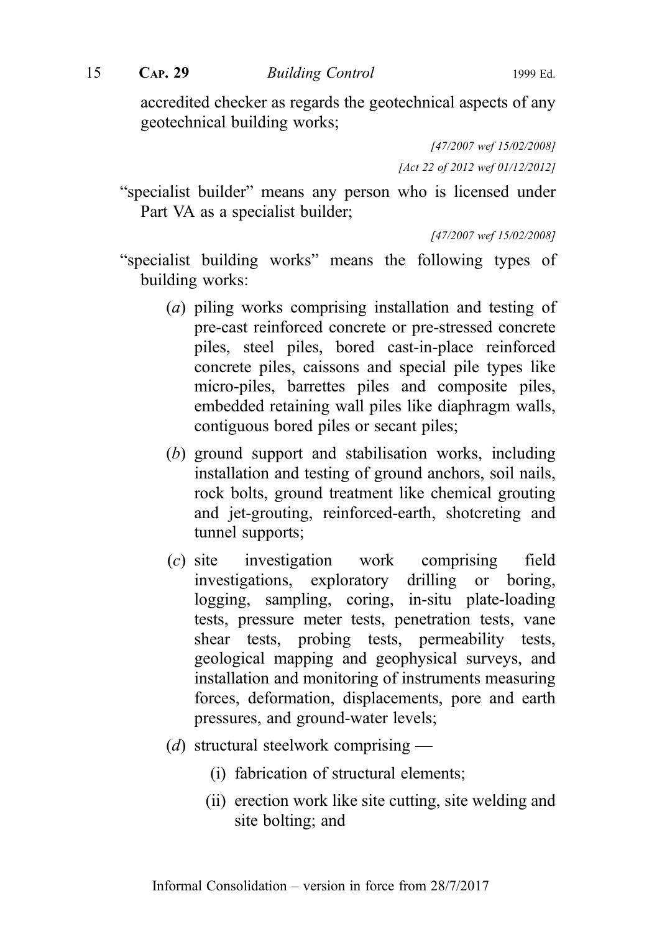accredited checker as regards the geotechnical aspects of any geotechnical building works;

> [47/2007 wef 15/02/2008] [Act 22 of 2012 wef 01/12/2012]

"specialist builder" means any person who is licensed under Part VA as a specialist builder;

[47/2007 wef 15/02/2008]

- "specialist building works" means the following types of building works:
	- (a) piling works comprising installation and testing of pre-cast reinforced concrete or pre-stressed concrete piles, steel piles, bored cast-in-place reinforced concrete piles, caissons and special pile types like micro-piles, barrettes piles and composite piles, embedded retaining wall piles like diaphragm walls, contiguous bored piles or secant piles;
	- (b) ground support and stabilisation works, including installation and testing of ground anchors, soil nails, rock bolts, ground treatment like chemical grouting and jet-grouting, reinforced-earth, shotcreting and tunnel supports;
	- (c) site investigation work comprising field investigations, exploratory drilling or boring, logging, sampling, coring, in-situ plate-loading tests, pressure meter tests, penetration tests, vane shear tests, probing tests, permeability tests, geological mapping and geophysical surveys, and installation and monitoring of instruments measuring forces, deformation, displacements, pore and earth pressures, and ground-water levels;
	- (d) structural steelwork comprising
		- (i) fabrication of structural elements;
		- (ii) erection work like site cutting, site welding and site bolting; and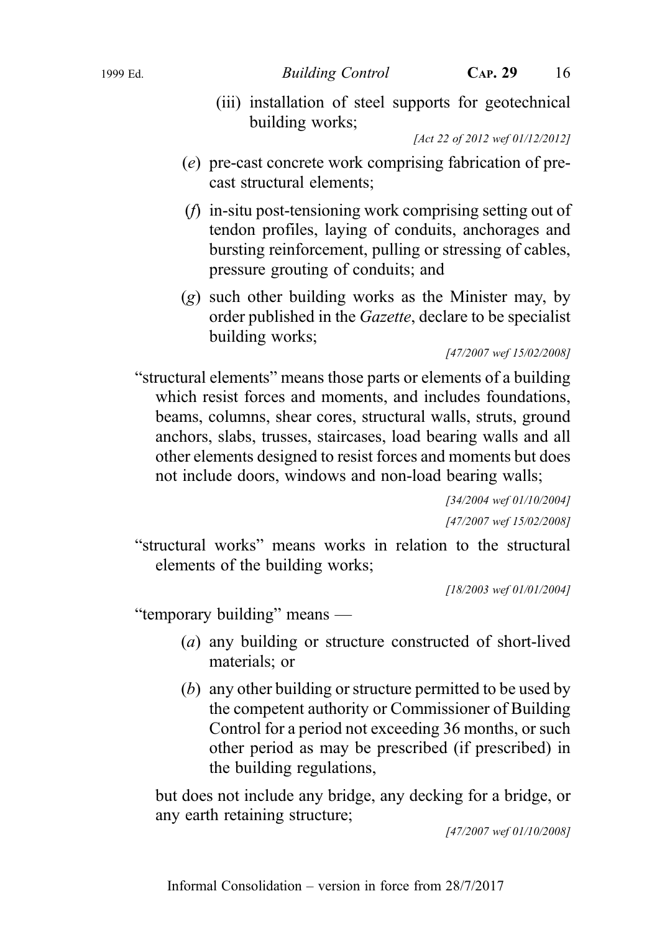[34/2004 wef 01/10/2004] [47/2007 wef 15/02/2008]

[18/2003 wef 01/01/2004]

"temporary building" means —

- (a) any building or structure constructed of short-lived materials; or
- (b) any other building or structure permitted to be used by the competent authority or Commissioner of Building Control for a period not exceeding 36 months, or such other period as may be prescribed (if prescribed) in the building regulations,

but does not include any bridge, any decking for a bridge, or any earth retaining structure;

Informal Consolidation – version in force from 28/7/2017

[47/2007 wef 01/10/2008]

- (e) pre-cast concrete work comprising fabrication of precast structural elements;
- (f) in-situ post-tensioning work comprising setting out of tendon profiles, laying of conduits, anchorages and bursting reinforcement, pulling or stressing of cables, pressure grouting of conduits; and
- (g) such other building works as the Minister may, by order published in the Gazette, declare to be specialist building works;

[47/2007 wef 15/02/2008]

"structural elements" means those parts or elements of a building which resist forces and moments, and includes foundations, beams, columns, shear cores, structural walls, struts, ground anchors, slabs, trusses, staircases, load bearing walls and all other elements designed to resist forces and moments but does not include doors, windows and non-load bearing walls;

(iii) installation of steel supports for geotechnical building works;

[Act 22 of 2012 wef 01/12/2012]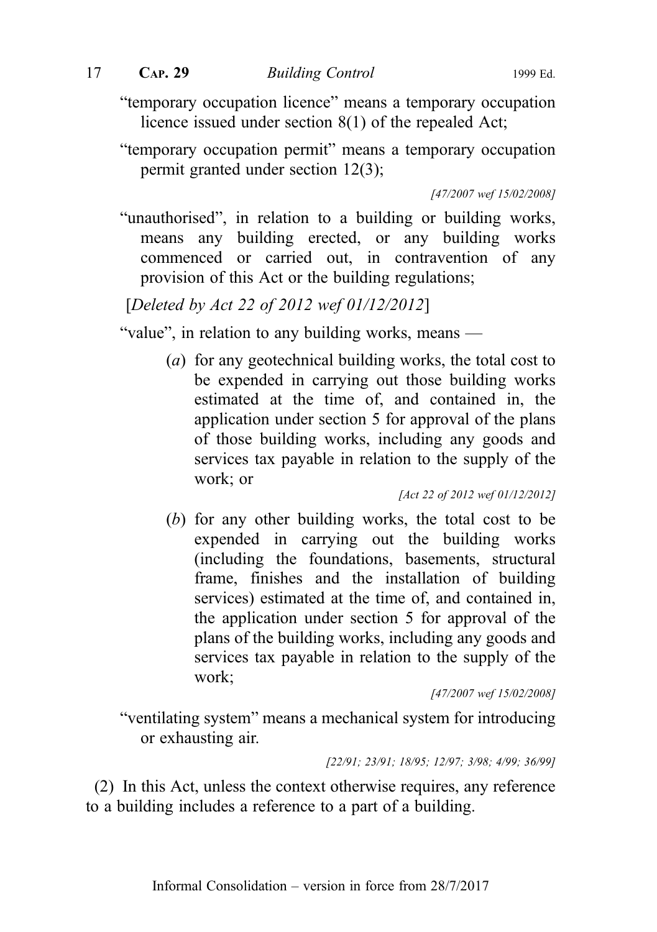"temporary occupation licence" means a temporary occupation licence issued under section 8(1) of the repealed Act;

"temporary occupation permit" means a temporary occupation permit granted under section 12(3);

[47/2007 wef 15/02/2008]

"unauthorised", in relation to a building or building works, means any building erected, or any building works commenced or carried out, in contravention of any provision of this Act or the building regulations;

[Deleted by Act 22 of 2012 wef 01/12/2012]

"value", in relation to any building works, means —

(a) for any geotechnical building works, the total cost to be expended in carrying out those building works estimated at the time of, and contained in, the application under section 5 for approval of the plans of those building works, including any goods and services tax payable in relation to the supply of the work; or

[Act 22 of 2012 wef 01/12/2012]

(b) for any other building works, the total cost to be expended in carrying out the building works (including the foundations, basements, structural frame, finishes and the installation of building services) estimated at the time of, and contained in, the application under section 5 for approval of the plans of the building works, including any goods and services tax payable in relation to the supply of the work;

[47/2007 wef 15/02/2008]

"ventilating system" means a mechanical system for introducing or exhausting air.

[22/91; 23/91; 18/95; 12/97; 3/98; 4/99; 36/99]

(2) In this Act, unless the context otherwise requires, any reference to a building includes a reference to a part of a building.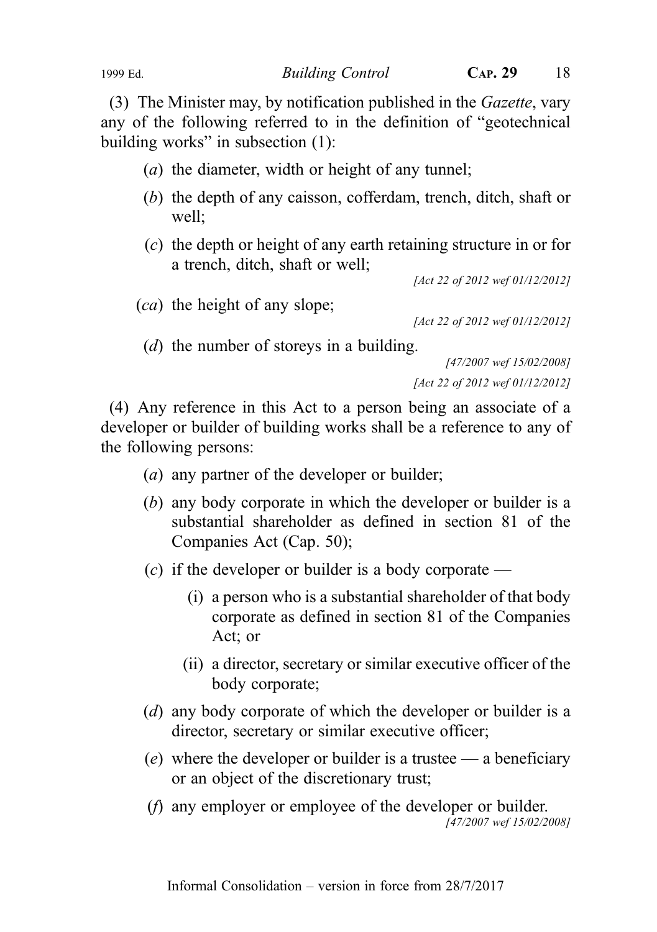(3) The Minister may, by notification published in the Gazette, vary any of the following referred to in the definition of "geotechnical building works" in subsection (1):

- (a) the diameter, width or height of any tunnel;
- (b) the depth of any caisson, cofferdam, trench, ditch, shaft or well;
- (c) the depth or height of any earth retaining structure in or for a trench, ditch, shaft or well;

[Act 22 of 2012 wef 01/12/2012]

(ca) the height of any slope;

[Act 22 of 2012 wef 01/12/2012]

(d) the number of storeys in a building.

[47/2007 wef 15/02/2008] [Act 22 of 2012 wef 01/12/2012]

(4) Any reference in this Act to a person being an associate of a developer or builder of building works shall be a reference to any of the following persons:

- (a) any partner of the developer or builder;
- (b) any body corporate in which the developer or builder is a substantial shareholder as defined in section 81 of the Companies Act (Cap. 50);
- (c) if the developer or builder is a body corporate
	- (i) a person who is a substantial shareholder of that body corporate as defined in section 81 of the Companies Act; or
	- (ii) a director, secretary or similar executive officer of the body corporate;
- (d) any body corporate of which the developer or builder is a director, secretary or similar executive officer;
- (e) where the developer or builder is a trustee a beneficiary or an object of the discretionary trust;
- (f) any employer or employee of the developer or builder. [47/2007 wef 15/02/2008]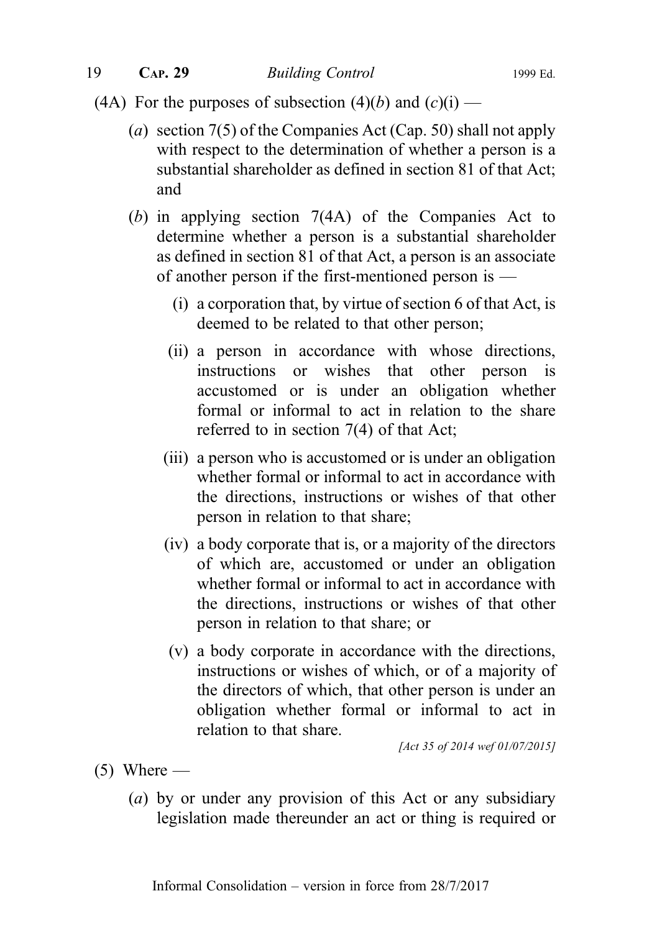- (4A) For the purposes of subsection (4)(b) and (c)(i)
	- (a) section 7(5) of the Companies Act (Cap. 50) shall not apply with respect to the determination of whether a person is a substantial shareholder as defined in section 81 of that Act; and
	- (b) in applying section 7(4A) of the Companies Act to determine whether a person is a substantial shareholder as defined in section 81 of that Act, a person is an associate of another person if the first-mentioned person is —
		- (i) a corporation that, by virtue of section 6 of that Act, is deemed to be related to that other person;
		- (ii) a person in accordance with whose directions, instructions or wishes that other person is accustomed or is under an obligation whether formal or informal to act in relation to the share referred to in section 7(4) of that Act;
		- (iii) a person who is accustomed or is under an obligation whether formal or informal to act in accordance with the directions, instructions or wishes of that other person in relation to that share;
		- (iv) a body corporate that is, or a majority of the directors of which are, accustomed or under an obligation whether formal or informal to act in accordance with the directions, instructions or wishes of that other person in relation to that share; or
		- (v) a body corporate in accordance with the directions, instructions or wishes of which, or of a majority of the directors of which, that other person is under an obligation whether formal or informal to act in relation to that share.

[Act 35 of 2014 wef 01/07/2015]

- $(5)$  Where
	- (a) by or under any provision of this Act or any subsidiary legislation made thereunder an act or thing is required or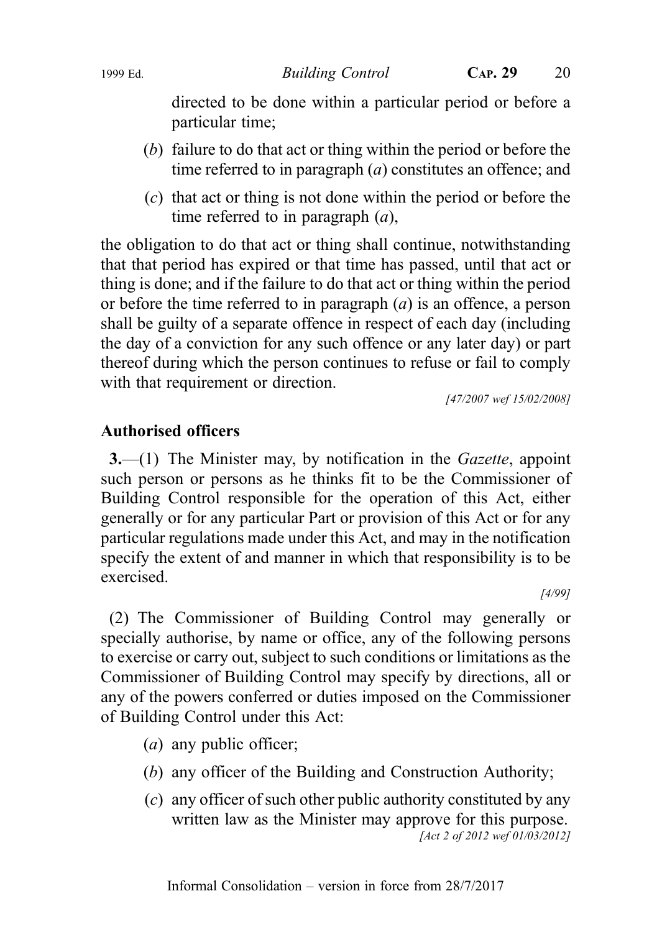directed to be done within a particular period or before a particular time;

- (b) failure to do that act or thing within the period or before the time referred to in paragraph (*a*) constitutes an offence; and
- (c) that act or thing is not done within the period or before the time referred to in paragraph  $(a)$ ,

the obligation to do that act or thing shall continue, notwithstanding that that period has expired or that time has passed, until that act or thing is done; and if the failure to do that act or thing within the period or before the time referred to in paragraph  $(a)$  is an offence, a person shall be guilty of a separate offence in respect of each day (including the day of a conviction for any such offence or any later day) or part thereof during which the person continues to refuse or fail to comply with that requirement or direction.

[47/2007 wef 15/02/2008]

# Authorised officers

3.—(1) The Minister may, by notification in the Gazette, appoint such person or persons as he thinks fit to be the Commissioner of Building Control responsible for the operation of this Act, either generally or for any particular Part or provision of this Act or for any particular regulations made under this Act, and may in the notification specify the extent of and manner in which that responsibility is to be exercised.

[4/99]

(2) The Commissioner of Building Control may generally or specially authorise, by name or office, any of the following persons to exercise or carry out, subject to such conditions or limitations as the Commissioner of Building Control may specify by directions, all or any of the powers conferred or duties imposed on the Commissioner of Building Control under this Act:

- (a) any public officer;
- (b) any officer of the Building and Construction Authority;
- (c) any officer of such other public authority constituted by any written law as the Minister may approve for this purpose. [Act 2 of 2012 wef 01/03/2012]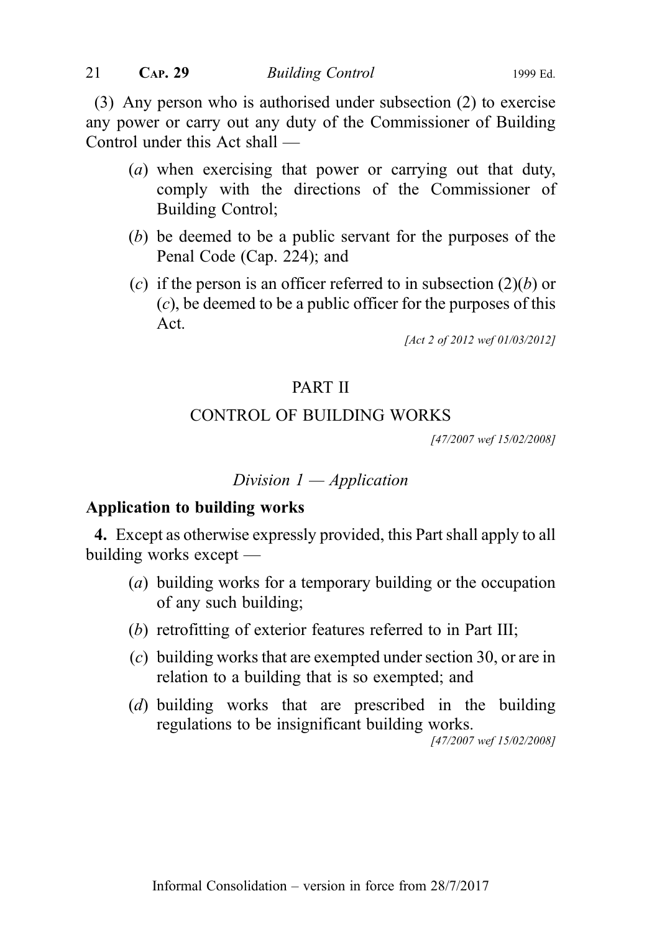(3) Any person who is authorised under subsection (2) to exercise any power or carry out any duty of the Commissioner of Building Control under this Act shall —

- (a) when exercising that power or carrying out that duty, comply with the directions of the Commissioner of Building Control;
- (b) be deemed to be a public servant for the purposes of the Penal Code (Cap. 224); and
- (c) if the person is an officer referred to in subsection  $(2)(b)$  or (c), be deemed to be a public officer for the purposes of this Act.

[Act 2 of 2012 wef 01/03/2012]

# PART II

# CONTROL OF BUILDING WORKS

[47/2007 wef 15/02/2008]

# Division  $1$  — Application

#### Application to building works

4. Except as otherwise expressly provided, this Part shall apply to all building works except —

- (a) building works for a temporary building or the occupation of any such building;
- (b) retrofitting of exterior features referred to in Part III;
- (c) building works that are exempted under section 30, or are in relation to a building that is so exempted; and
- (d) building works that are prescribed in the building regulations to be insignificant building works.

[47/2007 wef 15/02/2008]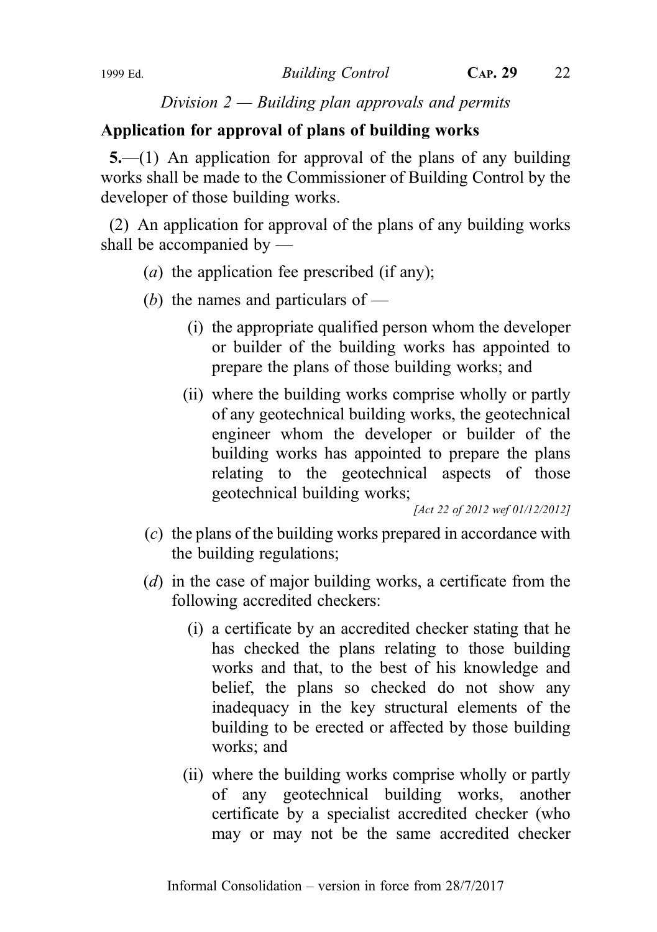Division  $2$  — Building plan approvals and permits

# Application for approval of plans of building works

5.—(1) An application for approval of the plans of any building works shall be made to the Commissioner of Building Control by the developer of those building works.

(2) An application for approval of the plans of any building works shall be accompanied by —

- (*a*) the application fee prescribed (if any);
- (b) the names and particulars of  $-$ 
	- (i) the appropriate qualified person whom the developer or builder of the building works has appointed to prepare the plans of those building works; and
	- (ii) where the building works comprise wholly or partly of any geotechnical building works, the geotechnical engineer whom the developer or builder of the building works has appointed to prepare the plans relating to the geotechnical aspects of those geotechnical building works;

[Act 22 of 2012 wef 01/12/2012]

- (c) the plans of the building works prepared in accordance with the building regulations;
- (d) in the case of major building works, a certificate from the following accredited checkers:
	- (i) a certificate by an accredited checker stating that he has checked the plans relating to those building works and that, to the best of his knowledge and belief, the plans so checked do not show any inadequacy in the key structural elements of the building to be erected or affected by those building works; and
	- (ii) where the building works comprise wholly or partly of any geotechnical building works, another certificate by a specialist accredited checker (who may or may not be the same accredited checker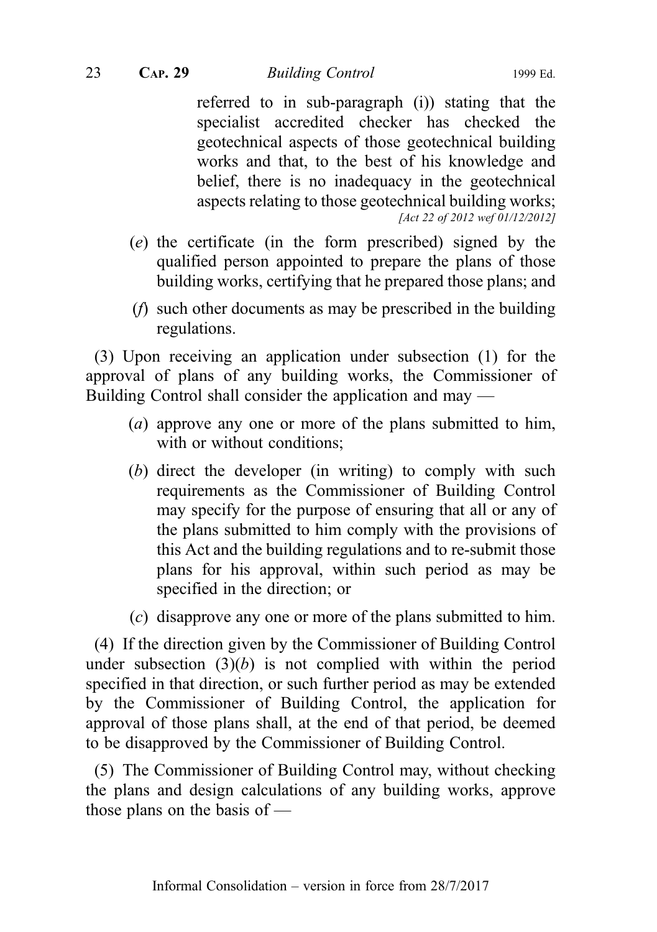referred to in sub-paragraph (i)) stating that the specialist accredited checker has checked the geotechnical aspects of those geotechnical building works and that, to the best of his knowledge and belief, there is no inadequacy in the geotechnical aspects relating to those geotechnical building works; [Act 22 of 2012 wef 01/12/2012]

- (e) the certificate (in the form prescribed) signed by the qualified person appointed to prepare the plans of those building works, certifying that he prepared those plans; and
- (f) such other documents as may be prescribed in the building regulations.

(3) Upon receiving an application under subsection (1) for the approval of plans of any building works, the Commissioner of Building Control shall consider the application and may —

- (a) approve any one or more of the plans submitted to him, with or without conditions;
- (b) direct the developer (in writing) to comply with such requirements as the Commissioner of Building Control may specify for the purpose of ensuring that all or any of the plans submitted to him comply with the provisions of this Act and the building regulations and to re-submit those plans for his approval, within such period as may be specified in the direction; or
- (c) disapprove any one or more of the plans submitted to him.

(4) If the direction given by the Commissioner of Building Control under subsection  $(3)(b)$  is not complied with within the period specified in that direction, or such further period as may be extended by the Commissioner of Building Control, the application for approval of those plans shall, at the end of that period, be deemed to be disapproved by the Commissioner of Building Control.

(5) The Commissioner of Building Control may, without checking the plans and design calculations of any building works, approve those plans on the basis of —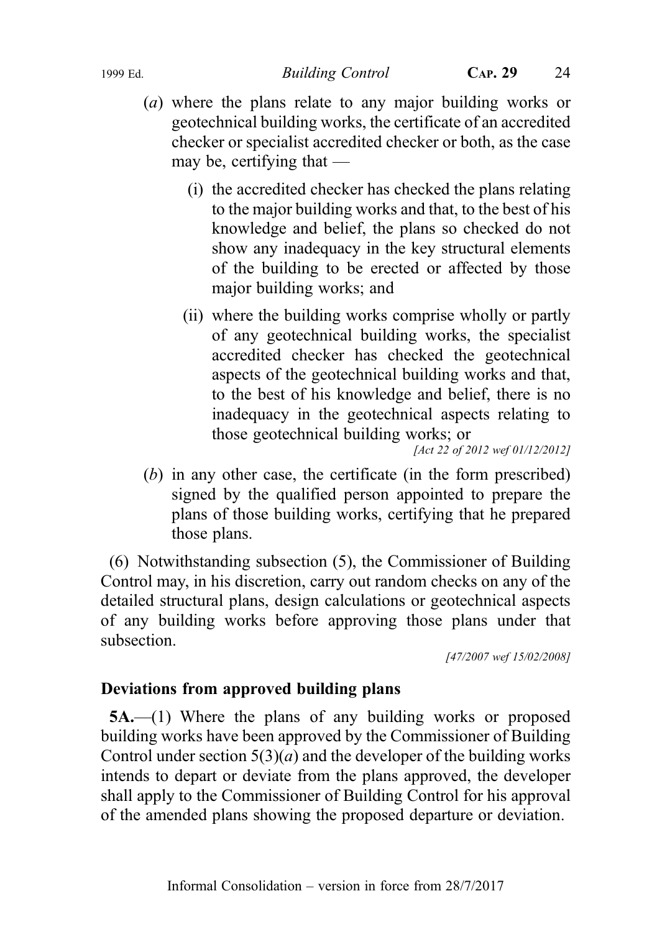- (a) where the plans relate to any major building works or geotechnical building works, the certificate of an accredited checker or specialist accredited checker or both, as the case may be, certifying that —
	- (i) the accredited checker has checked the plans relating to the major building works and that, to the best of his knowledge and belief, the plans so checked do not show any inadequacy in the key structural elements of the building to be erected or affected by those major building works; and
	- (ii) where the building works comprise wholly or partly of any geotechnical building works, the specialist accredited checker has checked the geotechnical aspects of the geotechnical building works and that, to the best of his knowledge and belief, there is no inadequacy in the geotechnical aspects relating to those geotechnical building works; or

[Act 22 of 2012 wef 01/12/2012]

(b) in any other case, the certificate (in the form prescribed) signed by the qualified person appointed to prepare the plans of those building works, certifying that he prepared those plans.

(6) Notwithstanding subsection (5), the Commissioner of Building Control may, in his discretion, carry out random checks on any of the detailed structural plans, design calculations or geotechnical aspects of any building works before approving those plans under that subsection.

[47/2007 wef 15/02/2008]

# Deviations from approved building plans

5A.—(1) Where the plans of any building works or proposed building works have been approved by the Commissioner of Building Control under section  $5(3)(a)$  and the developer of the building works intends to depart or deviate from the plans approved, the developer shall apply to the Commissioner of Building Control for his approval of the amended plans showing the proposed departure or deviation.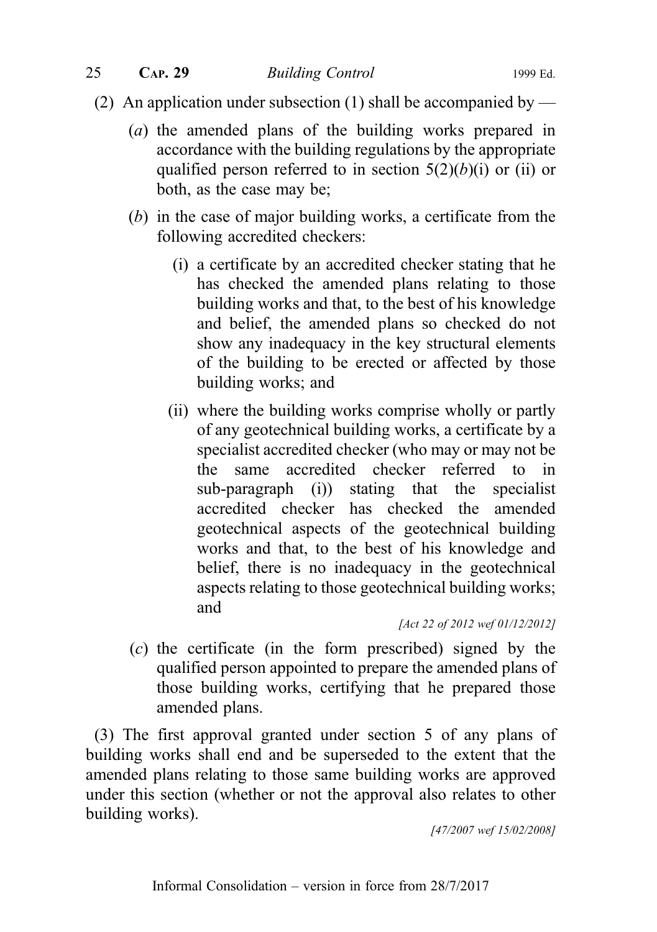- (2) An application under subsection (1) shall be accompanied by
	- (a) the amended plans of the building works prepared in accordance with the building regulations by the appropriate qualified person referred to in section  $5(2)(b)(i)$  or (ii) or both, as the case may be;
	- (b) in the case of major building works, a certificate from the following accredited checkers:
		- (i) a certificate by an accredited checker stating that he has checked the amended plans relating to those building works and that, to the best of his knowledge and belief, the amended plans so checked do not show any inadequacy in the key structural elements of the building to be erected or affected by those building works; and
		- (ii) where the building works comprise wholly or partly of any geotechnical building works, a certificate by a specialist accredited checker (who may or may not be the same accredited checker referred to in sub-paragraph (i)) stating that the specialist accredited checker has checked the amended geotechnical aspects of the geotechnical building works and that, to the best of his knowledge and belief, there is no inadequacy in the geotechnical aspects relating to those geotechnical building works; and

[Act 22 of 2012 wef 01/12/2012]

(c) the certificate (in the form prescribed) signed by the qualified person appointed to prepare the amended plans of those building works, certifying that he prepared those amended plans.

(3) The first approval granted under section 5 of any plans of building works shall end and be superseded to the extent that the amended plans relating to those same building works are approved under this section (whether or not the approval also relates to other building works).

[47/2007 wef 15/02/2008]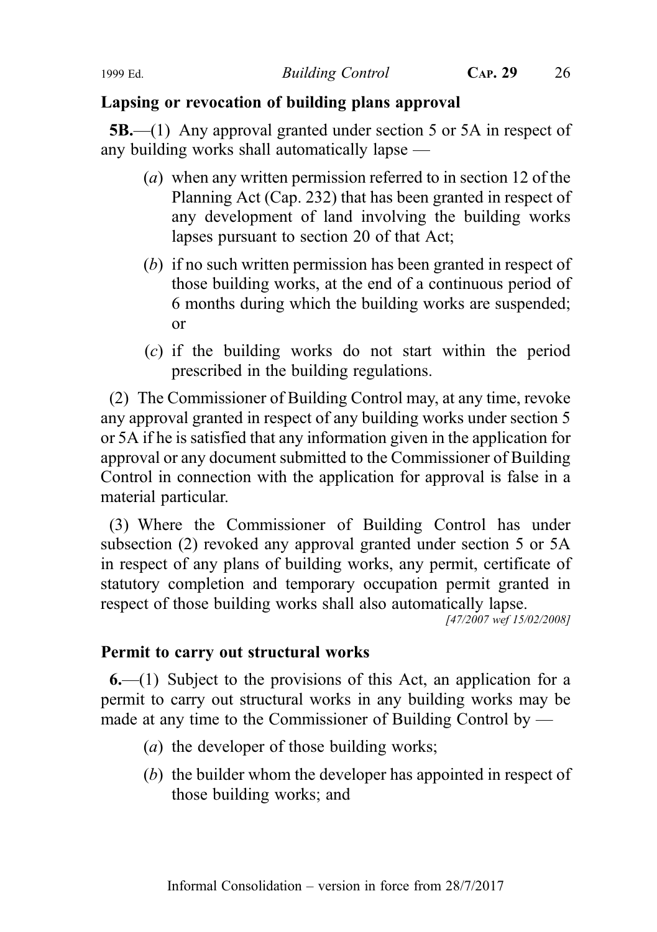# Lapsing or revocation of building plans approval

5B.—(1) Any approval granted under section 5 or 5A in respect of any building works shall automatically lapse —

- (a) when any written permission referred to in section 12 of the Planning Act (Cap. 232) that has been granted in respect of any development of land involving the building works lapses pursuant to section 20 of that Act;
- (b) if no such written permission has been granted in respect of those building works, at the end of a continuous period of 6 months during which the building works are suspended; or
- (c) if the building works do not start within the period prescribed in the building regulations.

(2) The Commissioner of Building Control may, at any time, revoke any approval granted in respect of any building works under section 5 or 5A if he is satisfied that any information given in the application for approval or any document submitted to the Commissioner of Building Control in connection with the application for approval is false in a material particular.

(3) Where the Commissioner of Building Control has under subsection (2) revoked any approval granted under section 5 or 5A in respect of any plans of building works, any permit, certificate of statutory completion and temporary occupation permit granted in respect of those building works shall also automatically lapse.

[47/2007 wef 15/02/2008]

#### Permit to carry out structural works

 $6-(1)$  Subject to the provisions of this Act, an application for a permit to carry out structural works in any building works may be made at any time to the Commissioner of Building Control by —

- (*a*) the developer of those building works;
- (b) the builder whom the developer has appointed in respect of those building works; and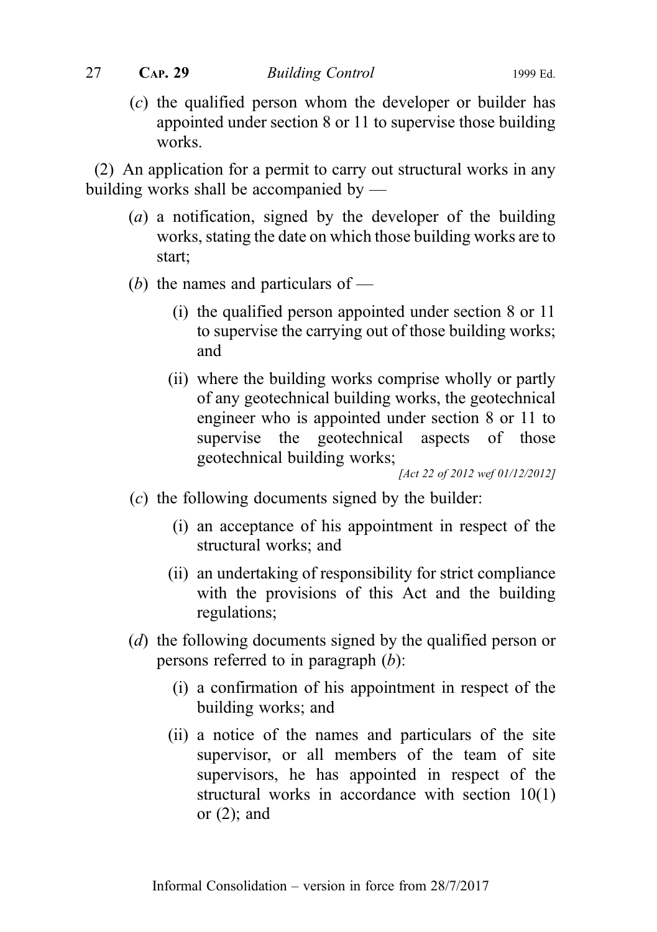(c) the qualified person whom the developer or builder has appointed under section 8 or 11 to supervise those building works.

(2) An application for a permit to carry out structural works in any building works shall be accompanied by —

- (a) a notification, signed by the developer of the building works, stating the date on which those building works are to start;
- (b) the names and particulars of  $-$ 
	- (i) the qualified person appointed under section 8 or 11 to supervise the carrying out of those building works; and
	- (ii) where the building works comprise wholly or partly of any geotechnical building works, the geotechnical engineer who is appointed under section 8 or 11 to supervise the geotechnical aspects of those geotechnical building works;

[Act 22 of 2012 wef 01/12/2012]

- (c) the following documents signed by the builder:
	- (i) an acceptance of his appointment in respect of the structural works; and
	- (ii) an undertaking of responsibility for strict compliance with the provisions of this Act and the building regulations;
- (d) the following documents signed by the qualified person or persons referred to in paragraph (b):
	- (i) a confirmation of his appointment in respect of the building works; and
	- (ii) a notice of the names and particulars of the site supervisor, or all members of the team of site supervisors, he has appointed in respect of the structural works in accordance with section 10(1) or (2); and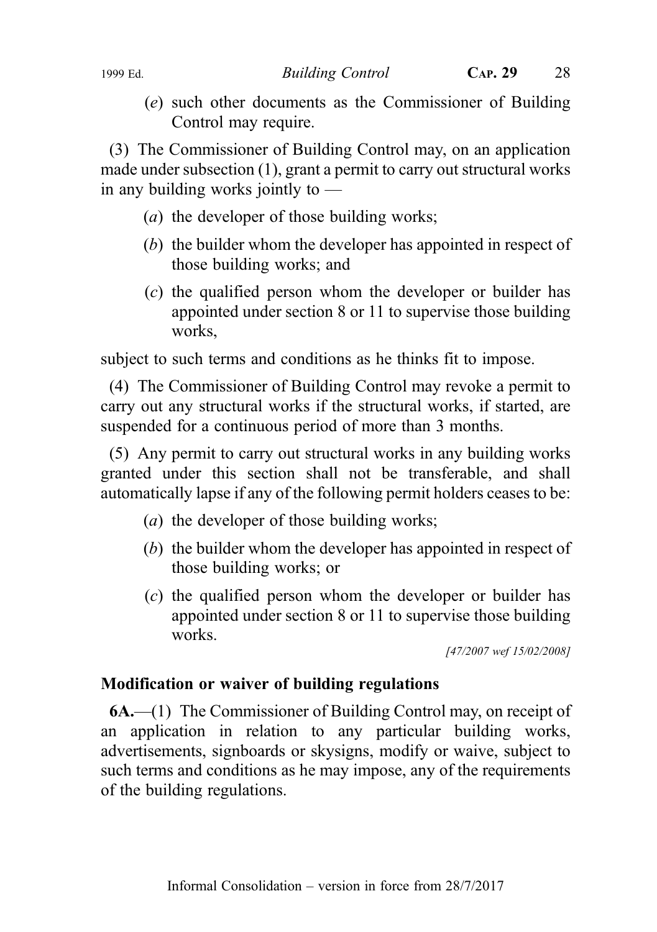1999 Ed. Building Control CAP. 29 28

(e) such other documents as the Commissioner of Building Control may require.

(3) The Commissioner of Building Control may, on an application made under subsection (1), grant a permit to carry out structural works in any building works jointly to —

- (*a*) the developer of those building works;
- (b) the builder whom the developer has appointed in respect of those building works; and
- (c) the qualified person whom the developer or builder has appointed under section 8 or 11 to supervise those building works,

subject to such terms and conditions as he thinks fit to impose.

(4) The Commissioner of Building Control may revoke a permit to carry out any structural works if the structural works, if started, are suspended for a continuous period of more than 3 months.

(5) Any permit to carry out structural works in any building works granted under this section shall not be transferable, and shall automatically lapse if any of the following permit holders ceases to be:

- (*a*) the developer of those building works;
- (b) the builder whom the developer has appointed in respect of those building works; or
- (c) the qualified person whom the developer or builder has appointed under section 8 or 11 to supervise those building works.

[47/2007 wef 15/02/2008]

# Modification or waiver of building regulations

6A.—(1) The Commissioner of Building Control may, on receipt of an application in relation to any particular building works, advertisements, signboards or skysigns, modify or waive, subject to such terms and conditions as he may impose, any of the requirements of the building regulations.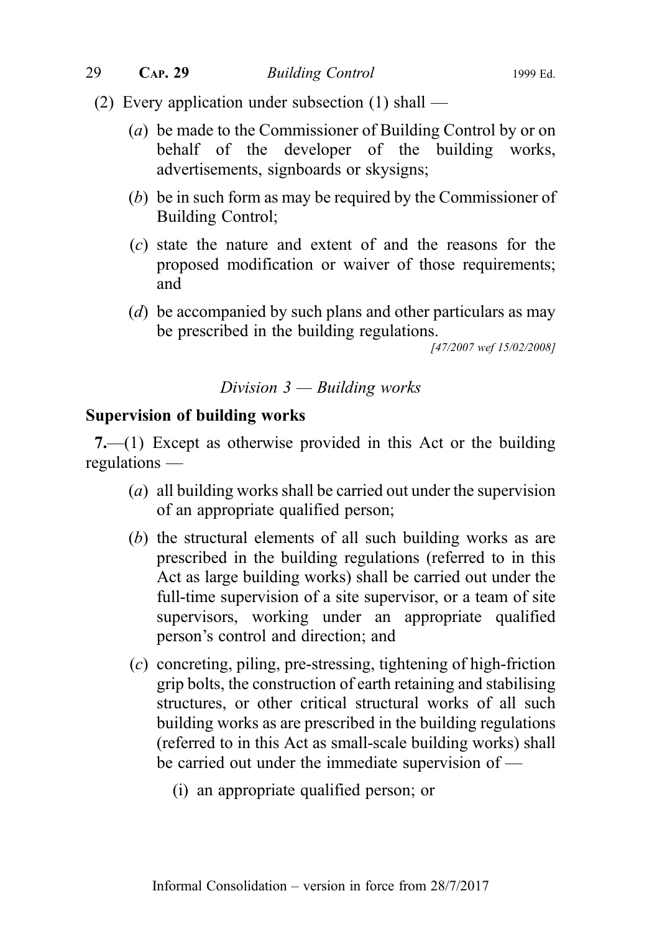- (2) Every application under subsection (1) shall
	- (a) be made to the Commissioner of Building Control by or on behalf of the developer of the building works, advertisements, signboards or skysigns;
	- (b) be in such form as may be required by the Commissioner of Building Control;
	- (c) state the nature and extent of and the reasons for the proposed modification or waiver of those requirements; and
	- (d) be accompanied by such plans and other particulars as may be prescribed in the building regulations.

[47/2007 wef 15/02/2008]

#### Division  $3$  — Building works

#### Supervision of building works

7.—(1) Except as otherwise provided in this Act or the building regulations —

- (a) all building works shall be carried out under the supervision of an appropriate qualified person;
- (b) the structural elements of all such building works as are prescribed in the building regulations (referred to in this Act as large building works) shall be carried out under the full-time supervision of a site supervisor, or a team of site supervisors, working under an appropriate qualified person's control and direction; and
- (c) concreting, piling, pre-stressing, tightening of high-friction grip bolts, the construction of earth retaining and stabilising structures, or other critical structural works of all such building works as are prescribed in the building regulations (referred to in this Act as small-scale building works) shall be carried out under the immediate supervision of —
	- (i) an appropriate qualified person; or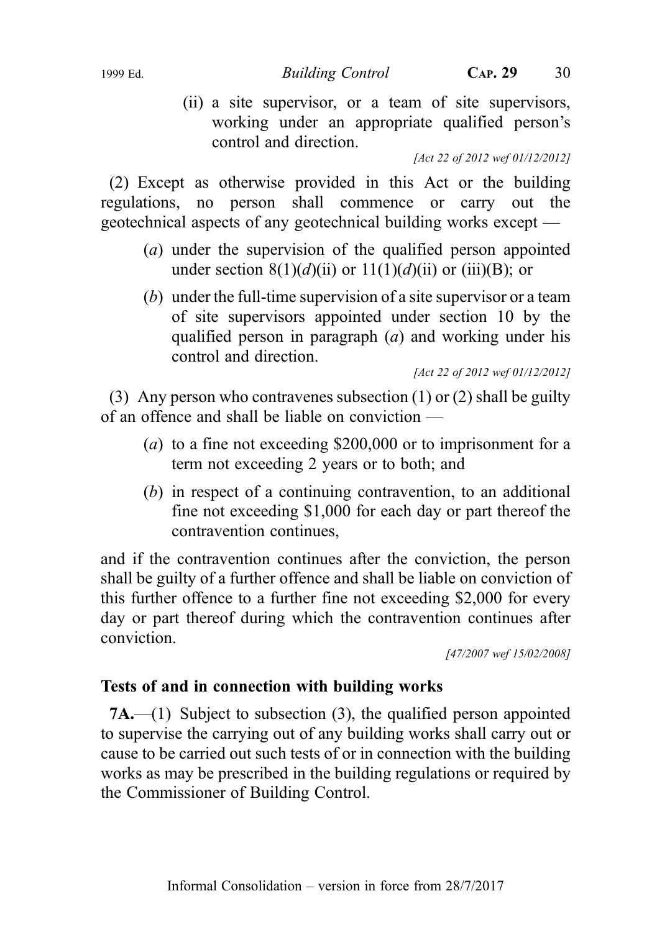(ii) a site supervisor, or a team of site supervisors, working under an appropriate qualified person's control and direction.

[Act 22 of 2012 wef 01/12/2012]

(2) Except as otherwise provided in this Act or the building regulations, no person shall commence or carry out the geotechnical aspects of any geotechnical building works except —

- (a) under the supervision of the qualified person appointed under section 8(1)(d)(ii) or 11(1)(d)(ii) or (iii)(B); or
- (b) under the full-time supervision of a site supervisor or a team of site supervisors appointed under section 10 by the qualified person in paragraph (a) and working under his control and direction.

[Act 22 of 2012 wef 01/12/2012]

(3) Any person who contravenes subsection (1) or (2) shall be guilty of an offence and shall be liable on conviction —

- (a) to a fine not exceeding \$200,000 or to imprisonment for a term not exceeding 2 years or to both; and
- (b) in respect of a continuing contravention, to an additional fine not exceeding \$1,000 for each day or part thereof the contravention continues,

and if the contravention continues after the conviction, the person shall be guilty of a further offence and shall be liable on conviction of this further offence to a further fine not exceeding \$2,000 for every day or part thereof during which the contravention continues after conviction.

[47/2007 wef 15/02/2008]

# Tests of and in connection with building works

7A.—(1) Subject to subsection (3), the qualified person appointed to supervise the carrying out of any building works shall carry out or cause to be carried out such tests of or in connection with the building works as may be prescribed in the building regulations or required by the Commissioner of Building Control.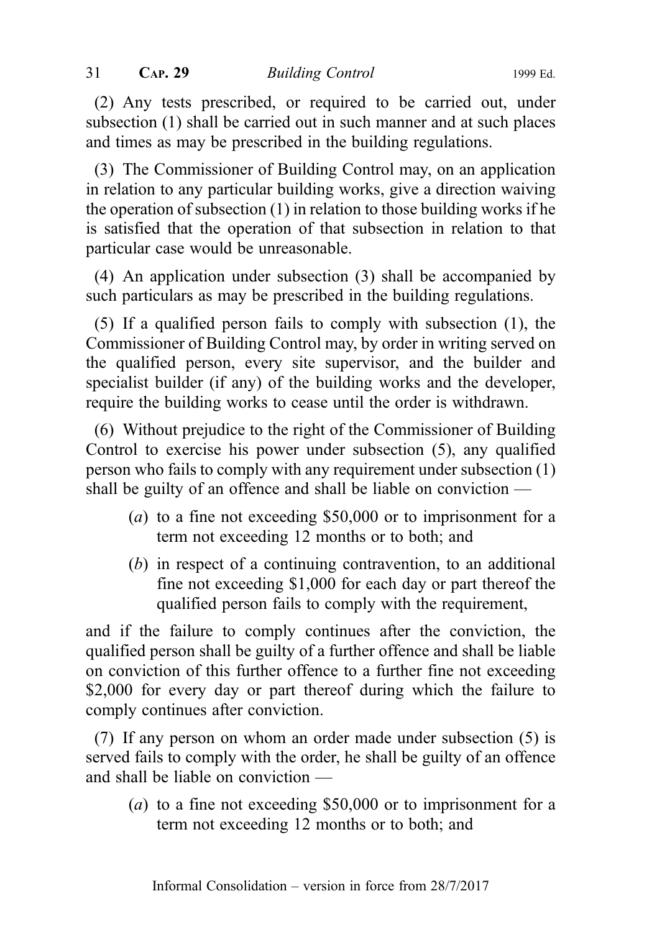(2) Any tests prescribed, or required to be carried out, under subsection (1) shall be carried out in such manner and at such places and times as may be prescribed in the building regulations.

(3) The Commissioner of Building Control may, on an application in relation to any particular building works, give a direction waiving the operation of subsection (1) in relation to those building works if he is satisfied that the operation of that subsection in relation to that particular case would be unreasonable.

(4) An application under subsection (3) shall be accompanied by such particulars as may be prescribed in the building regulations.

(5) If a qualified person fails to comply with subsection (1), the Commissioner of Building Control may, by order in writing served on the qualified person, every site supervisor, and the builder and specialist builder (if any) of the building works and the developer, require the building works to cease until the order is withdrawn.

(6) Without prejudice to the right of the Commissioner of Building Control to exercise his power under subsection (5), any qualified person who fails to comply with any requirement under subsection (1) shall be guilty of an offence and shall be liable on conviction —

- (a) to a fine not exceeding \$50,000 or to imprisonment for a term not exceeding 12 months or to both; and
- (b) in respect of a continuing contravention, to an additional fine not exceeding \$1,000 for each day or part thereof the qualified person fails to comply with the requirement,

and if the failure to comply continues after the conviction, the qualified person shall be guilty of a further offence and shall be liable on conviction of this further offence to a further fine not exceeding \$2,000 for every day or part thereof during which the failure to comply continues after conviction.

(7) If any person on whom an order made under subsection (5) is served fails to comply with the order, he shall be guilty of an offence and shall be liable on conviction —

(a) to a fine not exceeding \$50,000 or to imprisonment for a term not exceeding 12 months or to both; and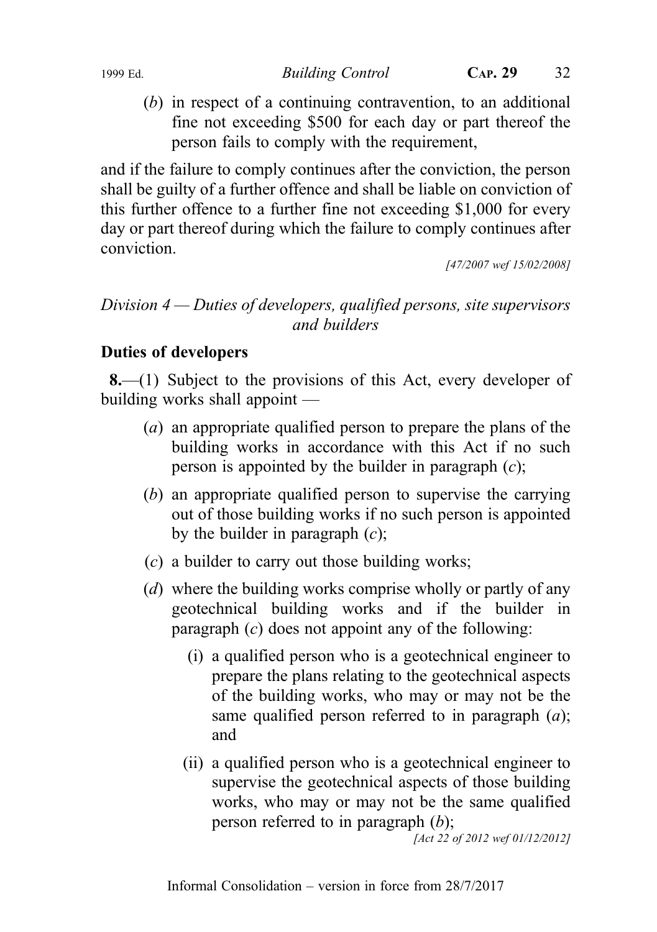1999 Ed. Building Control CAP. 29 32

(b) in respect of a continuing contravention, to an additional fine not exceeding \$500 for each day or part thereof the person fails to comply with the requirement,

and if the failure to comply continues after the conviction, the person shall be guilty of a further offence and shall be liable on conviction of this further offence to a further fine not exceeding \$1,000 for every day or part thereof during which the failure to comply continues after conviction.

[47/2007 wef 15/02/2008]

# Division 4 — Duties of developers, qualified persons, site supervisors and builders

# Duties of developers

8.—(1) Subject to the provisions of this Act, every developer of building works shall appoint —

- (a) an appropriate qualified person to prepare the plans of the building works in accordance with this Act if no such person is appointed by the builder in paragraph  $(c)$ ;
- (b) an appropriate qualified person to supervise the carrying out of those building works if no such person is appointed by the builder in paragraph  $(c)$ ;
- (c) a builder to carry out those building works;
- (d) where the building works comprise wholly or partly of any geotechnical building works and if the builder in paragraph  $(c)$  does not appoint any of the following:
	- (i) a qualified person who is a geotechnical engineer to prepare the plans relating to the geotechnical aspects of the building works, who may or may not be the same qualified person referred to in paragraph  $(a)$ ; and
	- (ii) a qualified person who is a geotechnical engineer to supervise the geotechnical aspects of those building works, who may or may not be the same qualified person referred to in paragraph  $(b)$ ;

[Act 22 of 2012 wef 01/12/2012]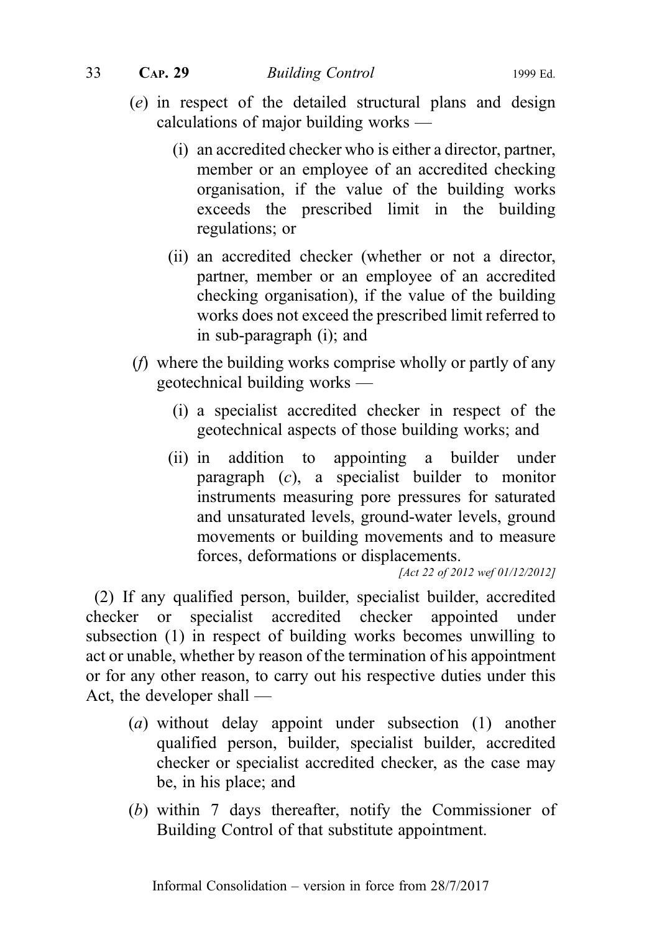- (e) in respect of the detailed structural plans and design calculations of major building works —
	- (i) an accredited checker who is either a director, partner, member or an employee of an accredited checking organisation, if the value of the building works exceeds the prescribed limit in the building regulations; or
	- (ii) an accredited checker (whether or not a director, partner, member or an employee of an accredited checking organisation), if the value of the building works does not exceed the prescribed limit referred to in sub‑paragraph (i); and
- (f) where the building works comprise wholly or partly of any geotechnical building works —
	- (i) a specialist accredited checker in respect of the geotechnical aspects of those building works; and
	- (ii) in addition to appointing a builder under paragraph  $(c)$ , a specialist builder to monitor instruments measuring pore pressures for saturated and unsaturated levels, ground-water levels, ground movements or building movements and to measure forces, deformations or displacements.

[Act 22 of 2012 wef 01/12/2012]

(2) If any qualified person, builder, specialist builder, accredited checker or specialist accredited checker appointed under subsection (1) in respect of building works becomes unwilling to act or unable, whether by reason of the termination of his appointment or for any other reason, to carry out his respective duties under this Act, the developer shall —

- (a) without delay appoint under subsection (1) another qualified person, builder, specialist builder, accredited checker or specialist accredited checker, as the case may be, in his place; and
- (b) within 7 days thereafter, notify the Commissioner of Building Control of that substitute appointment.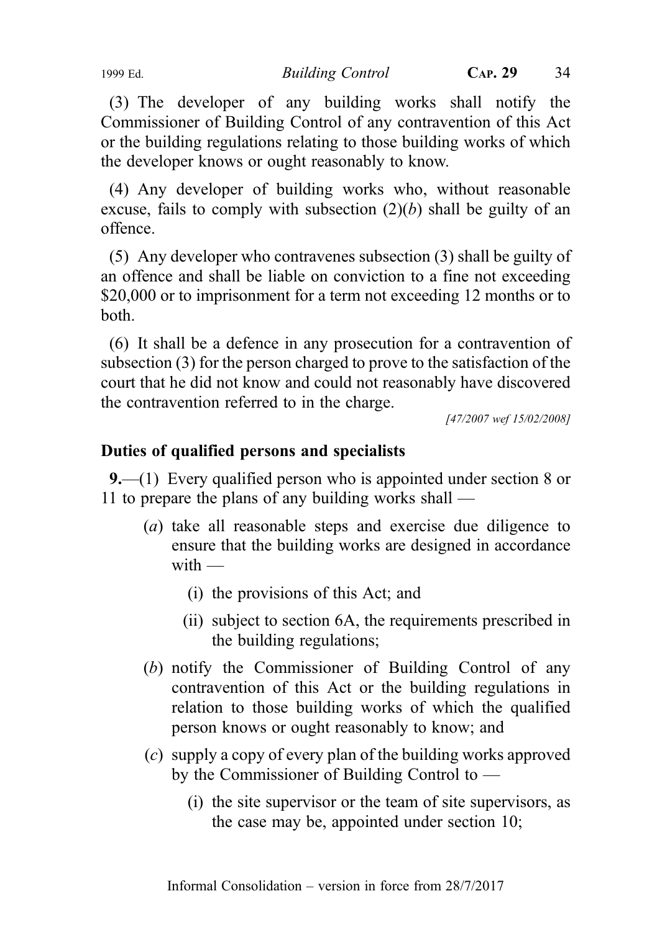(3) The developer of any building works shall notify the Commissioner of Building Control of any contravention of this Act or the building regulations relating to those building works of which the developer knows or ought reasonably to know.

(4) Any developer of building works who, without reasonable excuse, fails to comply with subsection  $(2)(b)$  shall be guilty of an offence.

(5) Any developer who contravenes subsection (3) shall be guilty of an offence and shall be liable on conviction to a fine not exceeding \$20,000 or to imprisonment for a term not exceeding 12 months or to both.

(6) It shall be a defence in any prosecution for a contravention of subsection (3) for the person charged to prove to the satisfaction of the court that he did not know and could not reasonably have discovered the contravention referred to in the charge.

[47/2007 wef 15/02/2008]

# Duties of qualified persons and specialists

9.—(1) Every qualified person who is appointed under section 8 or 11 to prepare the plans of any building works shall —

- (a) take all reasonable steps and exercise due diligence to ensure that the building works are designed in accordance with  $-$ 
	- (i) the provisions of this Act; and
	- (ii) subject to section 6A, the requirements prescribed in the building regulations;
- (b) notify the Commissioner of Building Control of any contravention of this Act or the building regulations in relation to those building works of which the qualified person knows or ought reasonably to know; and
- (c) supply a copy of every plan of the building works approved by the Commissioner of Building Control to —
	- (i) the site supervisor or the team of site supervisors, as the case may be, appointed under section 10;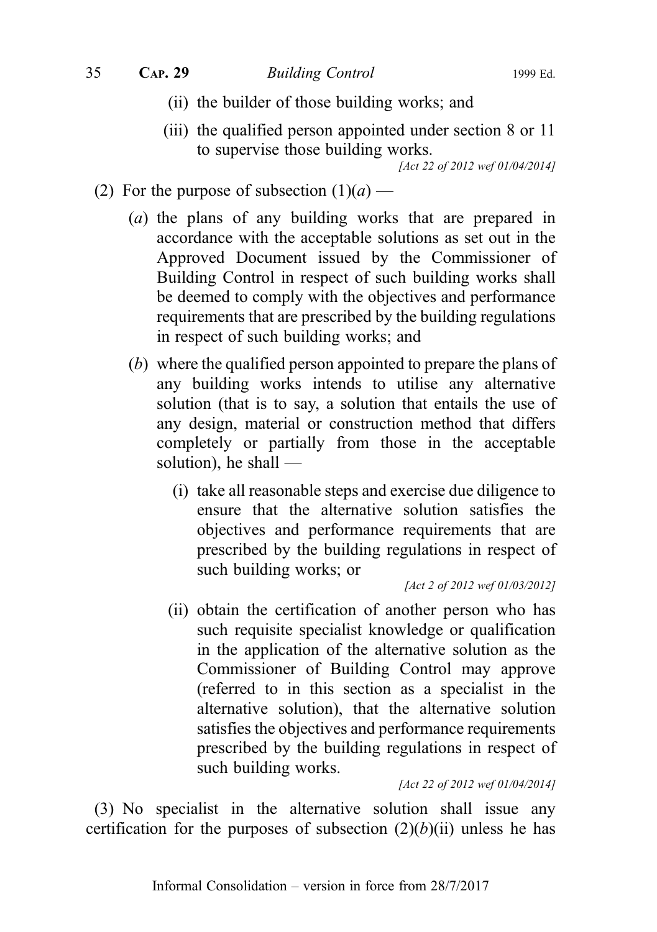- (ii) the builder of those building works; and
- (iii) the qualified person appointed under section 8 or 11 to supervise those building works.

- (2) For the purpose of subsection  $(1)(a)$ 
	- (a) the plans of any building works that are prepared in accordance with the acceptable solutions as set out in the Approved Document issued by the Commissioner of Building Control in respect of such building works shall be deemed to comply with the objectives and performance requirements that are prescribed by the building regulations in respect of such building works; and
	- (b) where the qualified person appointed to prepare the plans of any building works intends to utilise any alternative solution (that is to say, a solution that entails the use of any design, material or construction method that differs completely or partially from those in the acceptable solution), he shall —
		- (i) take all reasonable steps and exercise due diligence to ensure that the alternative solution satisfies the objectives and performance requirements that are prescribed by the building regulations in respect of such building works; or

[Act 2 of 2012 wef 01/03/2012]

(ii) obtain the certification of another person who has such requisite specialist knowledge or qualification in the application of the alternative solution as the Commissioner of Building Control may approve (referred to in this section as a specialist in the alternative solution), that the alternative solution satisfies the objectives and performance requirements prescribed by the building regulations in respect of such building works.

[Act 22 of 2012 wef 01/04/2014]

(3) No specialist in the alternative solution shall issue any certification for the purposes of subsection  $(2)(b)(ii)$  unless he has

<sup>[</sup>Act 22 of 2012 wef 01/04/2014]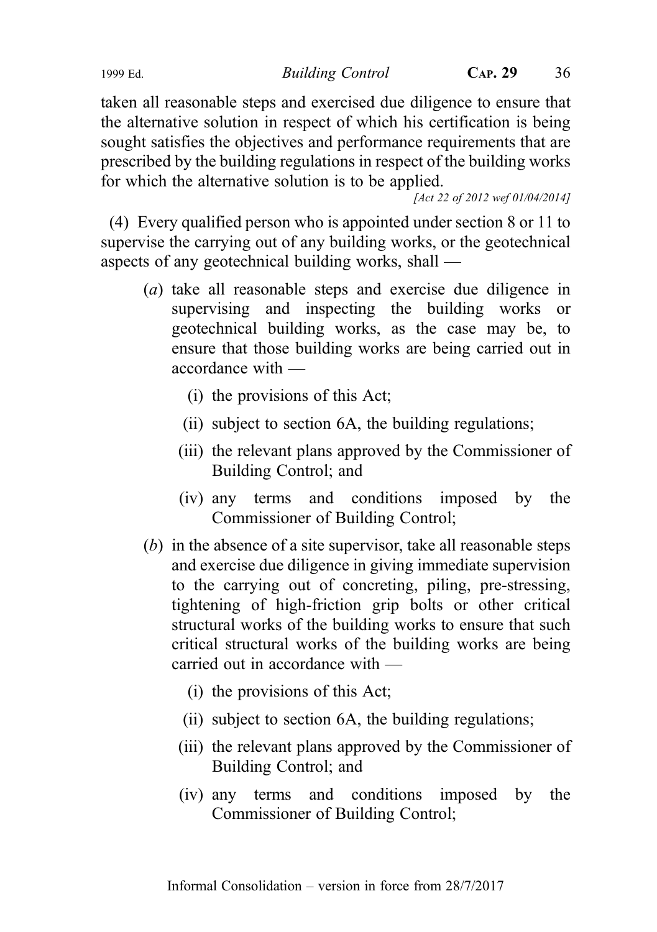1999 Ed. Building Control CAP. 29 36

taken all reasonable steps and exercised due diligence to ensure that the alternative solution in respect of which his certification is being sought satisfies the objectives and performance requirements that are prescribed by the building regulations in respect of the building works for which the alternative solution is to be applied.

[Act 22 of 2012 wef 01/04/2014]

(4) Every qualified person who is appointed under section 8 or 11 to supervise the carrying out of any building works, or the geotechnical aspects of any geotechnical building works, shall —

- (a) take all reasonable steps and exercise due diligence in supervising and inspecting the building works or geotechnical building works, as the case may be, to ensure that those building works are being carried out in accordance with —
	- (i) the provisions of this Act;
	- (ii) subject to section 6A, the building regulations;
	- (iii) the relevant plans approved by the Commissioner of Building Control; and
	- (iv) any terms and conditions imposed by the Commissioner of Building Control;
- (b) in the absence of a site supervisor, take all reasonable steps and exercise due diligence in giving immediate supervision to the carrying out of concreting, piling, pre-stressing, tightening of high-friction grip bolts or other critical structural works of the building works to ensure that such critical structural works of the building works are being carried out in accordance with —
	- (i) the provisions of this Act;
	- (ii) subject to section 6A, the building regulations;
	- (iii) the relevant plans approved by the Commissioner of Building Control; and
	- (iv) any terms and conditions imposed by the Commissioner of Building Control;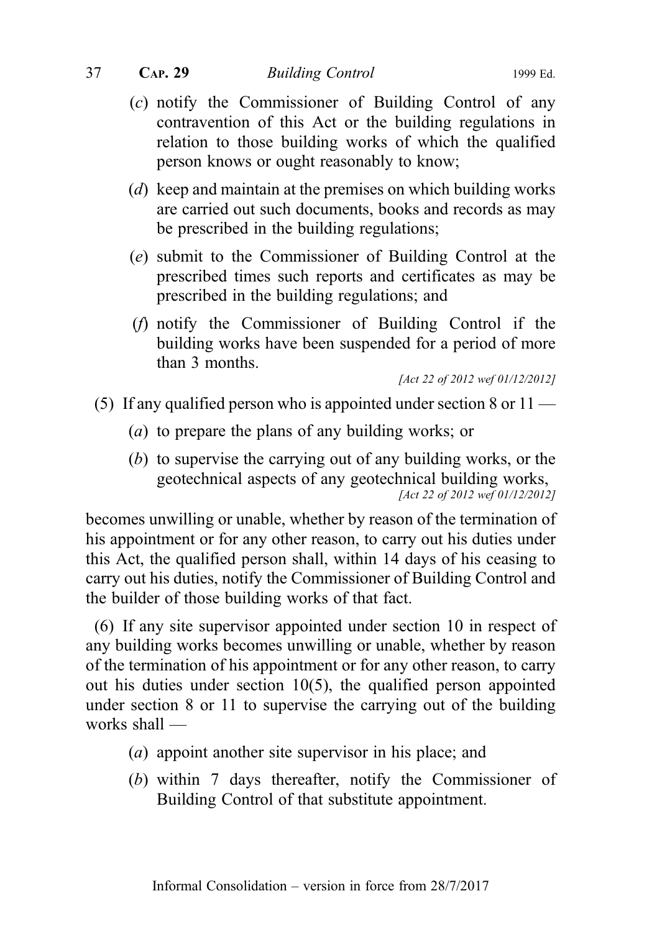- (c) notify the Commissioner of Building Control of any contravention of this Act or the building regulations in relation to those building works of which the qualified person knows or ought reasonably to know;
- (d) keep and maintain at the premises on which building works are carried out such documents, books and records as may be prescribed in the building regulations;
- (e) submit to the Commissioner of Building Control at the prescribed times such reports and certificates as may be prescribed in the building regulations; and
- (f) notify the Commissioner of Building Control if the building works have been suspended for a period of more than 3 months.

[Act 22 of 2012 wef 01/12/2012]

- (5) If any qualified person who is appointed under section 8 or 11
	- (a) to prepare the plans of any building works; or
	- (b) to supervise the carrying out of any building works, or the geotechnical aspects of any geotechnical building works, [Act 22 of 2012 wef 01/12/2012]

becomes unwilling or unable, whether by reason of the termination of his appointment or for any other reason, to carry out his duties under this Act, the qualified person shall, within 14 days of his ceasing to carry out his duties, notify the Commissioner of Building Control and the builder of those building works of that fact.

(6) If any site supervisor appointed under section 10 in respect of any building works becomes unwilling or unable, whether by reason of the termination of his appointment or for any other reason, to carry out his duties under section 10(5), the qualified person appointed under section 8 or 11 to supervise the carrying out of the building works shall —

- (a) appoint another site supervisor in his place; and
- (b) within 7 days thereafter, notify the Commissioner of Building Control of that substitute appointment.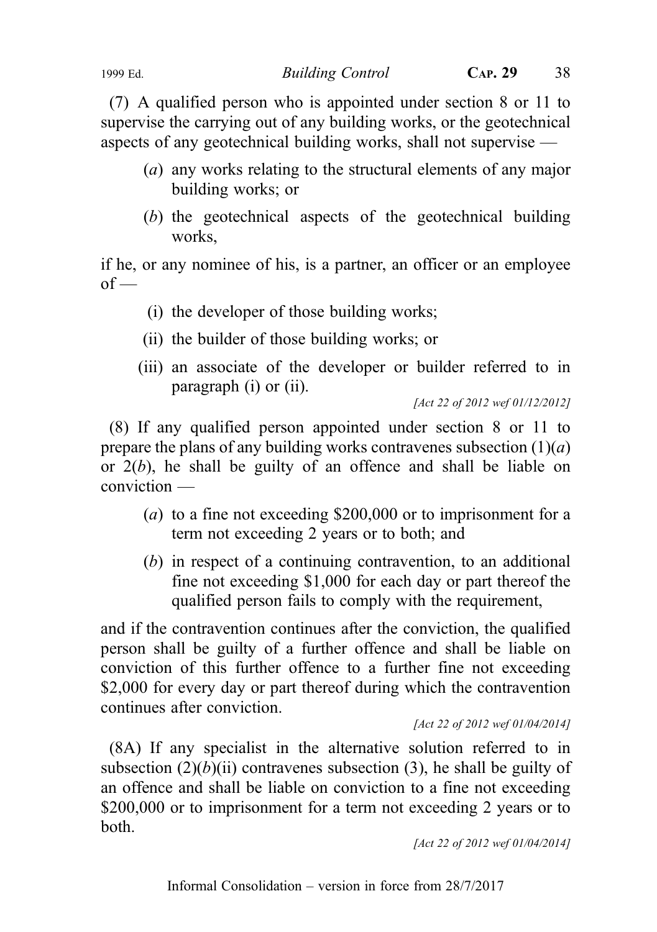1999 Ed. Building Control CAP. 29 38

(7) A qualified person who is appointed under section 8 or 11 to supervise the carrying out of any building works, or the geotechnical aspects of any geotechnical building works, shall not supervise —

- (a) any works relating to the structural elements of any major building works; or
- (b) the geotechnical aspects of the geotechnical building works,

if he, or any nominee of his, is a partner, an officer or an employee  $of -$ 

- (i) the developer of those building works;
- (ii) the builder of those building works; or
- (iii) an associate of the developer or builder referred to in paragraph (i) or (ii).

[Act 22 of 2012 wef 01/12/2012]

(8) If any qualified person appointed under section 8 or 11 to prepare the plans of any building works contravenes subsection  $(1)(a)$ or  $2(b)$ , he shall be guilty of an offence and shall be liable on conviction —

- ( $a$ ) to a fine not exceeding \$200,000 or to imprisonment for a term not exceeding 2 years or to both; and
- (b) in respect of a continuing contravention, to an additional fine not exceeding \$1,000 for each day or part thereof the qualified person fails to comply with the requirement,

and if the contravention continues after the conviction, the qualified person shall be guilty of a further offence and shall be liable on conviction of this further offence to a further fine not exceeding \$2,000 for every day or part thereof during which the contravention continues after conviction.

[Act 22 of 2012 wef 01/04/2014]

(8A) If any specialist in the alternative solution referred to in subsection  $(2)(b)(ii)$  contravenes subsection (3), he shall be guilty of an offence and shall be liable on conviction to a fine not exceeding \$200,000 or to imprisonment for a term not exceeding 2 years or to both.

[Act 22 of 2012 wef 01/04/2014]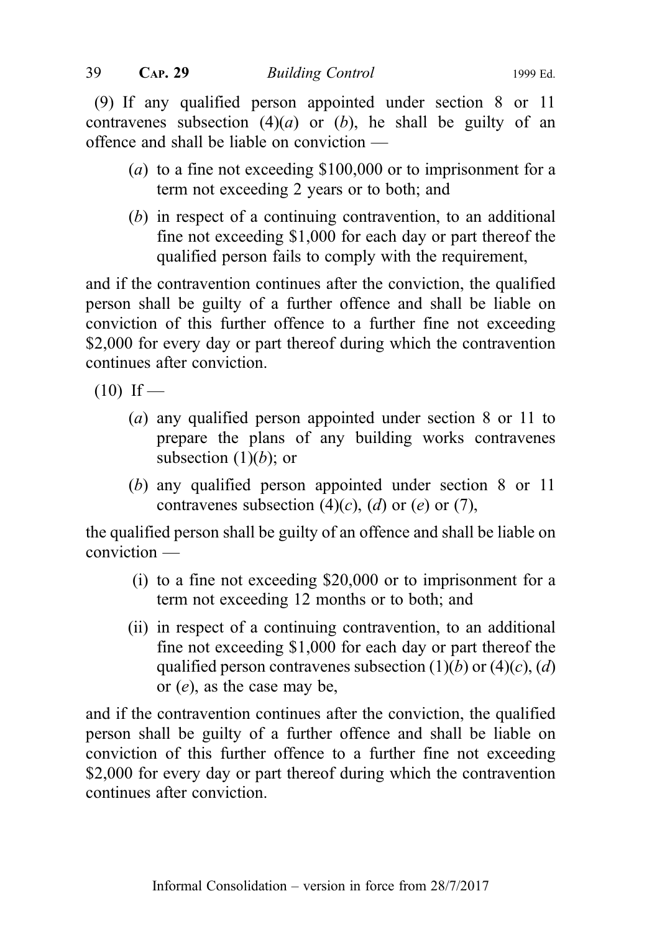(9) If any qualified person appointed under section 8 or 11 contravenes subsection  $(4)(a)$  or  $(b)$ , he shall be guilty of an offence and shall be liable on conviction —

- (a) to a fine not exceeding \$100,000 or to imprisonment for a term not exceeding 2 years or to both; and
- (b) in respect of a continuing contravention, to an additional fine not exceeding \$1,000 for each day or part thereof the qualified person fails to comply with the requirement,

and if the contravention continues after the conviction, the qualified person shall be guilty of a further offence and shall be liable on conviction of this further offence to a further fine not exceeding \$2,000 for every day or part thereof during which the contravention continues after conviction.

 $(10)$  If —

- (a) any qualified person appointed under section 8 or 11 to prepare the plans of any building works contravenes subsection  $(1)(b)$ ; or
- (b) any qualified person appointed under section 8 or 11 contravenes subsection  $(4)(c)$ ,  $(d)$  or  $(e)$  or  $(7)$ ,

the qualified person shall be guilty of an offence and shall be liable on conviction —

- (i) to a fine not exceeding \$20,000 or to imprisonment for a term not exceeding 12 months or to both; and
- (ii) in respect of a continuing contravention, to an additional fine not exceeding \$1,000 for each day or part thereof the qualified person contravenes subsection  $(1)(b)$  or  $(4)(c)$ ,  $(d)$ or (e), as the case may be,

and if the contravention continues after the conviction, the qualified person shall be guilty of a further offence and shall be liable on conviction of this further offence to a further fine not exceeding \$2,000 for every day or part thereof during which the contravention continues after conviction.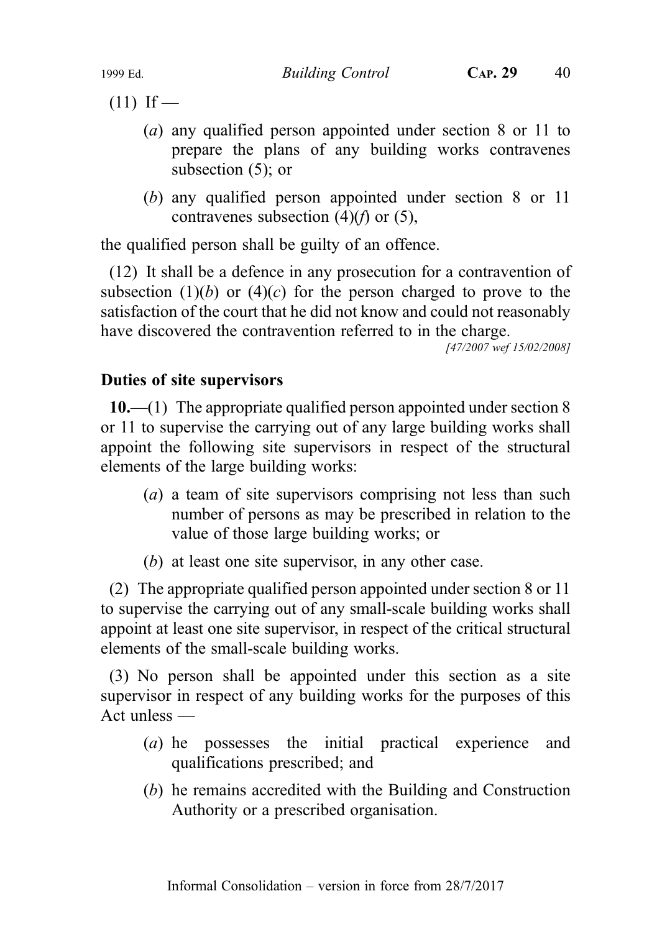$(11)$  If —

- (a) any qualified person appointed under section 8 or 11 to prepare the plans of any building works contravenes subsection (5); or
- (b) any qualified person appointed under section 8 or 11 contravenes subsection  $(4)(f)$  or  $(5)$ ,

the qualified person shall be guilty of an offence.

(12) It shall be a defence in any prosecution for a contravention of subsection  $(1)(b)$  or  $(4)(c)$  for the person charged to prove to the satisfaction of the court that he did not know and could not reasonably have discovered the contravention referred to in the charge.

[47/2007 wef 15/02/2008]

### Duties of site supervisors

10.—(1) The appropriate qualified person appointed under section 8 or 11 to supervise the carrying out of any large building works shall appoint the following site supervisors in respect of the structural elements of the large building works:

- (a) a team of site supervisors comprising not less than such number of persons as may be prescribed in relation to the value of those large building works; or
- (b) at least one site supervisor, in any other case.

(2) The appropriate qualified person appointed under section 8 or 11 to supervise the carrying out of any small-scale building works shall appoint at least one site supervisor, in respect of the critical structural elements of the small-scale building works.

(3) No person shall be appointed under this section as a site supervisor in respect of any building works for the purposes of this Act unless —

- (a) he possesses the initial practical experience and qualifications prescribed; and
- (b) he remains accredited with the Building and Construction Authority or a prescribed organisation.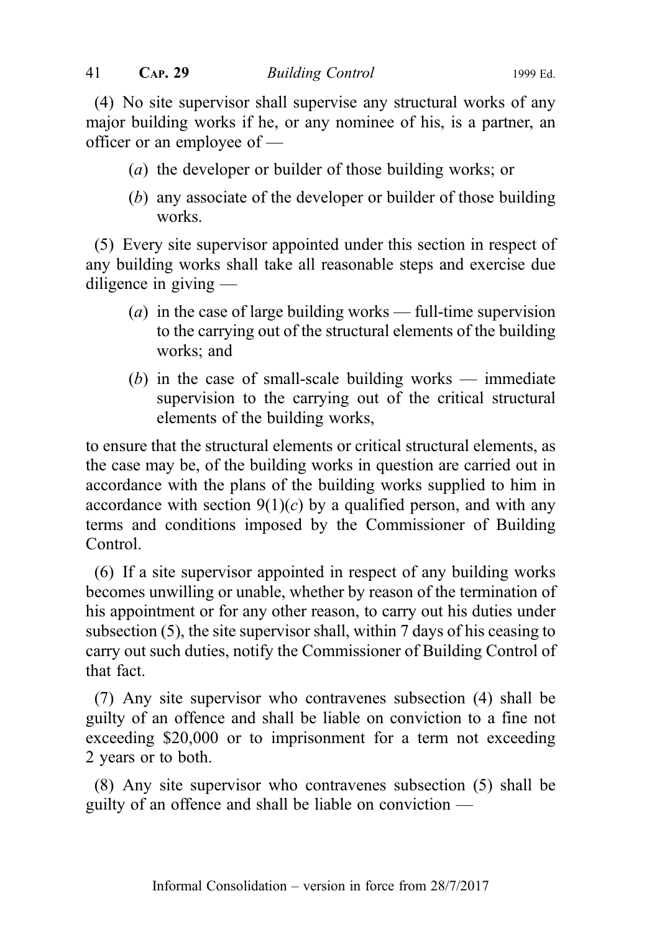(4) No site supervisor shall supervise any structural works of any major building works if he, or any nominee of his, is a partner, an officer or an employee of —

- (a) the developer or builder of those building works; or
- (b) any associate of the developer or builder of those building works.

(5) Every site supervisor appointed under this section in respect of any building works shall take all reasonable steps and exercise due diligence in giving —

- (a) in the case of large building works full-time supervision to the carrying out of the structural elements of the building works; and
- (b) in the case of small-scale building works immediate supervision to the carrying out of the critical structural elements of the building works,

to ensure that the structural elements or critical structural elements, as the case may be, of the building works in question are carried out in accordance with the plans of the building works supplied to him in accordance with section  $9(1)(c)$  by a qualified person, and with any terms and conditions imposed by the Commissioner of Building Control.

(6) If a site supervisor appointed in respect of any building works becomes unwilling or unable, whether by reason of the termination of his appointment or for any other reason, to carry out his duties under subsection (5), the site supervisor shall, within 7 days of his ceasing to carry out such duties, notify the Commissioner of Building Control of that fact.

(7) Any site supervisor who contravenes subsection (4) shall be guilty of an offence and shall be liable on conviction to a fine not exceeding \$20,000 or to imprisonment for a term not exceeding 2 years or to both.

(8) Any site supervisor who contravenes subsection (5) shall be guilty of an offence and shall be liable on conviction —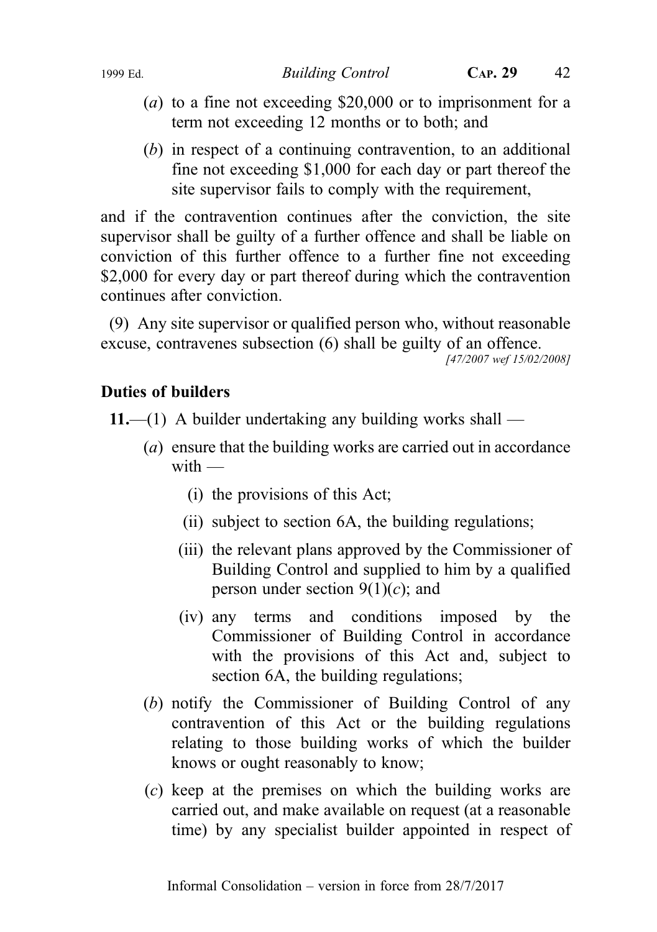- (a) to a fine not exceeding \$20,000 or to imprisonment for a term not exceeding 12 months or to both; and
- (b) in respect of a continuing contravention, to an additional fine not exceeding \$1,000 for each day or part thereof the site supervisor fails to comply with the requirement,

and if the contravention continues after the conviction, the site supervisor shall be guilty of a further offence and shall be liable on conviction of this further offence to a further fine not exceeding \$2,000 for every day or part thereof during which the contravention continues after conviction.

(9) Any site supervisor or qualified person who, without reasonable excuse, contravenes subsection (6) shall be guilty of an offence.

[47/2007 wef 15/02/2008]

#### Duties of builders

11.—(1) A builder undertaking any building works shall —

- (a) ensure that the building works are carried out in accordance  $with -$ 
	- (i) the provisions of this Act;
	- (ii) subject to section 6A, the building regulations;
	- (iii) the relevant plans approved by the Commissioner of Building Control and supplied to him by a qualified person under section  $9(1)(c)$ ; and
	- (iv) any terms and conditions imposed by the Commissioner of Building Control in accordance with the provisions of this Act and, subject to section 6A, the building regulations;
- (b) notify the Commissioner of Building Control of any contravention of this Act or the building regulations relating to those building works of which the builder knows or ought reasonably to know;
- (c) keep at the premises on which the building works are carried out, and make available on request (at a reasonable time) by any specialist builder appointed in respect of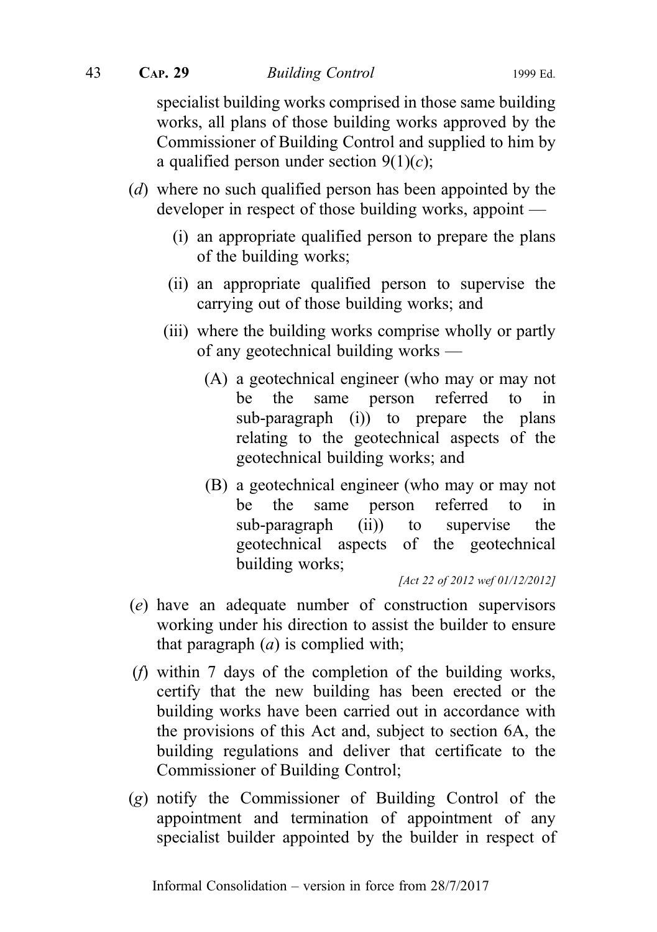specialist building works comprised in those same building works, all plans of those building works approved by the Commissioner of Building Control and supplied to him by a qualified person under section  $9(1)(c)$ ;

- (d) where no such qualified person has been appointed by the developer in respect of those building works, appoint —
	- (i) an appropriate qualified person to prepare the plans of the building works;
	- (ii) an appropriate qualified person to supervise the carrying out of those building works; and
	- (iii) where the building works comprise wholly or partly of any geotechnical building works —
		- (A) a geotechnical engineer (who may or may not be the same person referred to in sub-paragraph (i)) to prepare the plans relating to the geotechnical aspects of the geotechnical building works; and
		- (B) a geotechnical engineer (who may or may not be the same person referred to in sub-paragraph (ii)) to supervise the geotechnical aspects of the geotechnical building works;

[Act 22 of 2012 wef 01/12/2012]

- (e) have an adequate number of construction supervisors working under his direction to assist the builder to ensure that paragraph  $(a)$  is complied with;
- (f) within 7 days of the completion of the building works, certify that the new building has been erected or the building works have been carried out in accordance with the provisions of this Act and, subject to section 6A, the building regulations and deliver that certificate to the Commissioner of Building Control;
- (g) notify the Commissioner of Building Control of the appointment and termination of appointment of any specialist builder appointed by the builder in respect of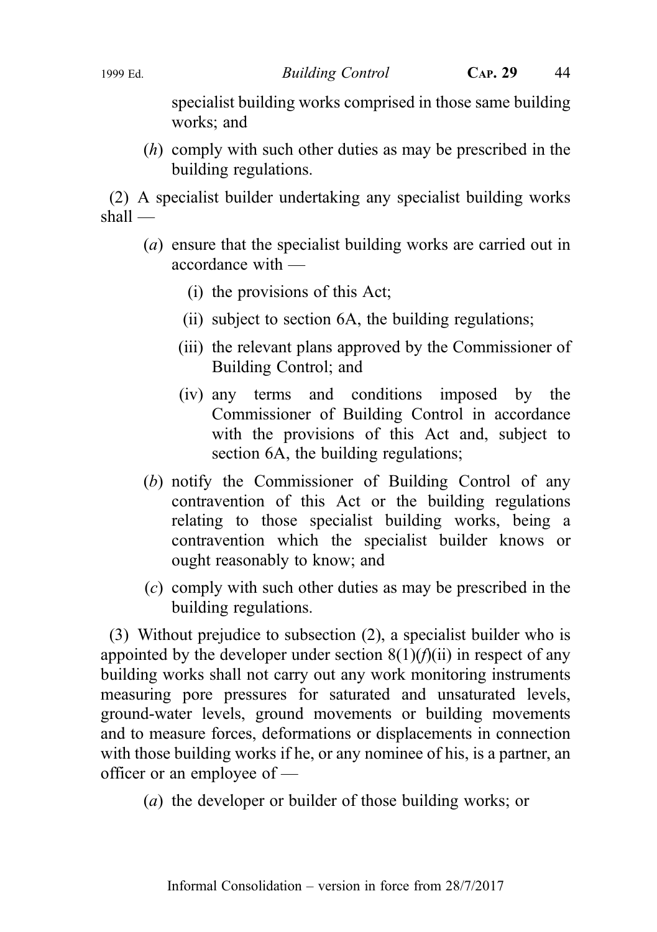specialist building works comprised in those same building works; and

(h) comply with such other duties as may be prescribed in the building regulations.

(2) A specialist builder undertaking any specialist building works shall —

- (a) ensure that the specialist building works are carried out in accordance with —
	- (i) the provisions of this Act;
	- (ii) subject to section 6A, the building regulations;
	- (iii) the relevant plans approved by the Commissioner of Building Control; and
	- (iv) any terms and conditions imposed by the Commissioner of Building Control in accordance with the provisions of this Act and, subject to section 6A, the building regulations;
- (b) notify the Commissioner of Building Control of any contravention of this Act or the building regulations relating to those specialist building works, being a contravention which the specialist builder knows or ought reasonably to know; and
- (c) comply with such other duties as may be prescribed in the building regulations.

(3) Without prejudice to subsection (2), a specialist builder who is appointed by the developer under section  $8(1)(f)(ii)$  in respect of any building works shall not carry out any work monitoring instruments measuring pore pressures for saturated and unsaturated levels, ground-water levels, ground movements or building movements and to measure forces, deformations or displacements in connection with those building works if he, or any nominee of his, is a partner, an officer or an employee of —

(a) the developer or builder of those building works; or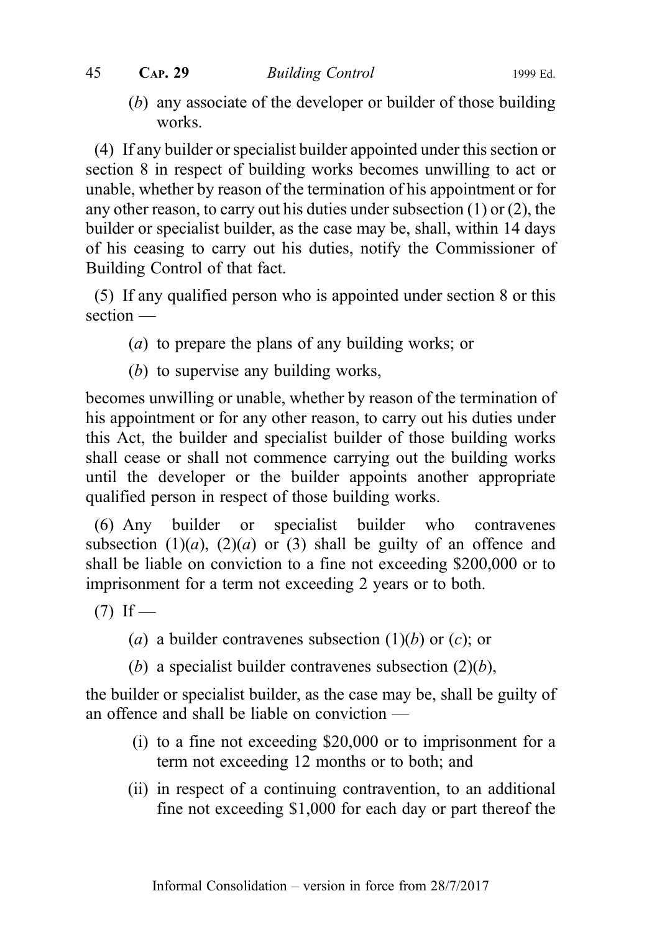(b) any associate of the developer or builder of those building works.

(4) If any builder or specialist builder appointed under this section or section 8 in respect of building works becomes unwilling to act or unable, whether by reason of the termination of his appointment or for any other reason, to carry out his duties under subsection (1) or (2), the builder or specialist builder, as the case may be, shall, within 14 days of his ceasing to carry out his duties, notify the Commissioner of Building Control of that fact.

(5) If any qualified person who is appointed under section 8 or this section —

- (a) to prepare the plans of any building works; or
- (b) to supervise any building works,

becomes unwilling or unable, whether by reason of the termination of his appointment or for any other reason, to carry out his duties under this Act, the builder and specialist builder of those building works shall cease or shall not commence carrying out the building works until the developer or the builder appoints another appropriate qualified person in respect of those building works.

(6) Any builder or specialist builder who contravenes subsection  $(1)(a)$ ,  $(2)(a)$  or  $(3)$  shall be guilty of an offence and shall be liable on conviction to a fine not exceeding \$200,000 or to imprisonment for a term not exceeding 2 years or to both.

 $(7)$  If —

- (a) a builder contravenes subsection  $(1)(b)$  or  $(c)$ ; or
- (b) a specialist builder contravenes subsection  $(2)(b)$ ,

the builder or specialist builder, as the case may be, shall be guilty of an offence and shall be liable on conviction —

- (i) to a fine not exceeding \$20,000 or to imprisonment for a term not exceeding 12 months or to both; and
- (ii) in respect of a continuing contravention, to an additional fine not exceeding \$1,000 for each day or part thereof the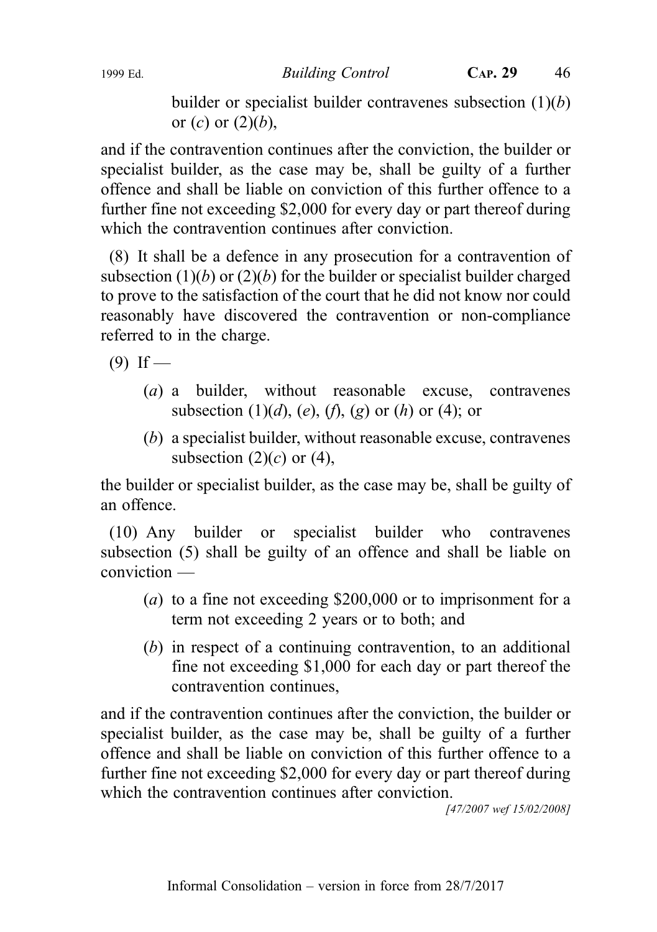1999 Ed. Building Control CAP. 29 46

builder or specialist builder contravenes subsection  $(1)(b)$ or  $(c)$  or  $(2)(b)$ ,

and if the contravention continues after the conviction, the builder or specialist builder, as the case may be, shall be guilty of a further offence and shall be liable on conviction of this further offence to a further fine not exceeding \$2,000 for every day or part thereof during which the contravention continues after conviction.

(8) It shall be a defence in any prosecution for a contravention of subsection  $(1)(b)$  or  $(2)(b)$  for the builder or specialist builder charged to prove to the satisfaction of the court that he did not know nor could reasonably have discovered the contravention or non-compliance referred to in the charge.

 $(9)$  If —

- (a) a builder, without reasonable excuse, contravenes subsection  $(1)(d)$ ,  $(e)$ ,  $(f)$ ,  $(g)$  or  $(h)$  or  $(4)$ ; or
- (b) a specialist builder, without reasonable excuse, contravenes subsection  $(2)(c)$  or  $(4)$ ,

the builder or specialist builder, as the case may be, shall be guilty of an offence.

(10) Any builder or specialist builder who contravenes subsection (5) shall be guilty of an offence and shall be liable on conviction —

- (a) to a fine not exceeding \$200,000 or to imprisonment for a term not exceeding 2 years or to both; and
- (b) in respect of a continuing contravention, to an additional fine not exceeding \$1,000 for each day or part thereof the contravention continues,

and if the contravention continues after the conviction, the builder or specialist builder, as the case may be, shall be guilty of a further offence and shall be liable on conviction of this further offence to a further fine not exceeding \$2,000 for every day or part thereof during which the contravention continues after conviction.

[47/2007 wef 15/02/2008]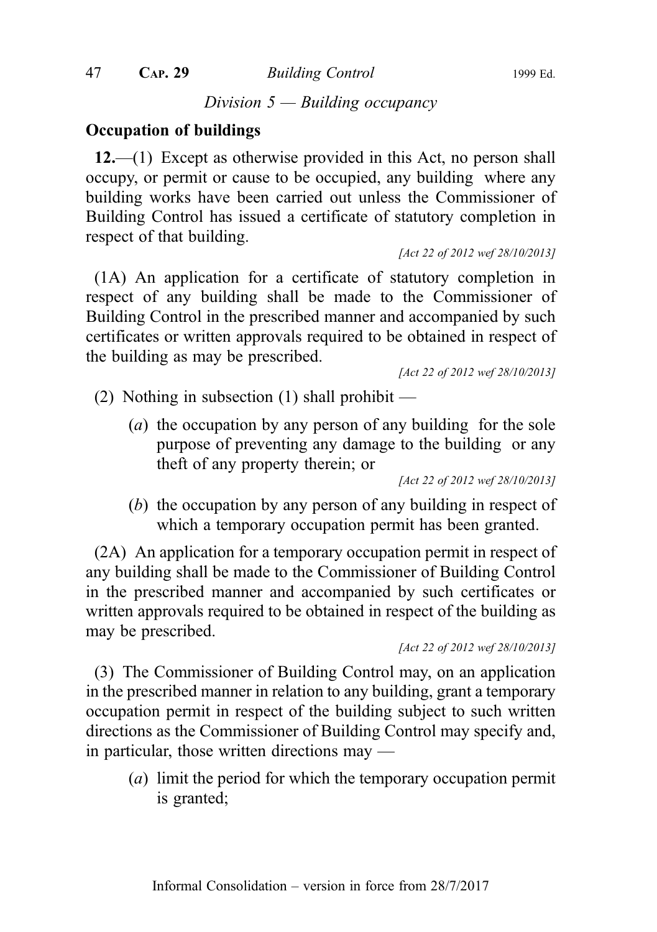47 **CAP. 29** Building Control 1999 Ed.

Division  $5 -$  Building occupancy

### Occupation of buildings

12.—(1) Except as otherwise provided in this Act, no person shall occupy, or permit or cause to be occupied, any building where any building works have been carried out unless the Commissioner of Building Control has issued a certificate of statutory completion in respect of that building.

[Act 22 of 2012 wef 28/10/2013]

(1A) An application for a certificate of statutory completion in respect of any building shall be made to the Commissioner of Building Control in the prescribed manner and accompanied by such certificates or written approvals required to be obtained in respect of the building as may be prescribed.

[Act 22 of 2012 wef 28/10/2013]

(2) Nothing in subsection (1) shall prohibit —

(a) the occupation by any person of any building for the sole purpose of preventing any damage to the building or any theft of any property therein; or

[Act 22 of 2012 wef 28/10/2013]

(b) the occupation by any person of any building in respect of which a temporary occupation permit has been granted.

(2A) An application for a temporary occupation permit in respect of any building shall be made to the Commissioner of Building Control in the prescribed manner and accompanied by such certificates or written approvals required to be obtained in respect of the building as may be prescribed.

[Act 22 of 2012 wef 28/10/2013]

(3) The Commissioner of Building Control may, on an application in the prescribed manner in relation to any building, grant a temporary occupation permit in respect of the building subject to such written directions as the Commissioner of Building Control may specify and, in particular, those written directions may —

(a) limit the period for which the temporary occupation permit is granted;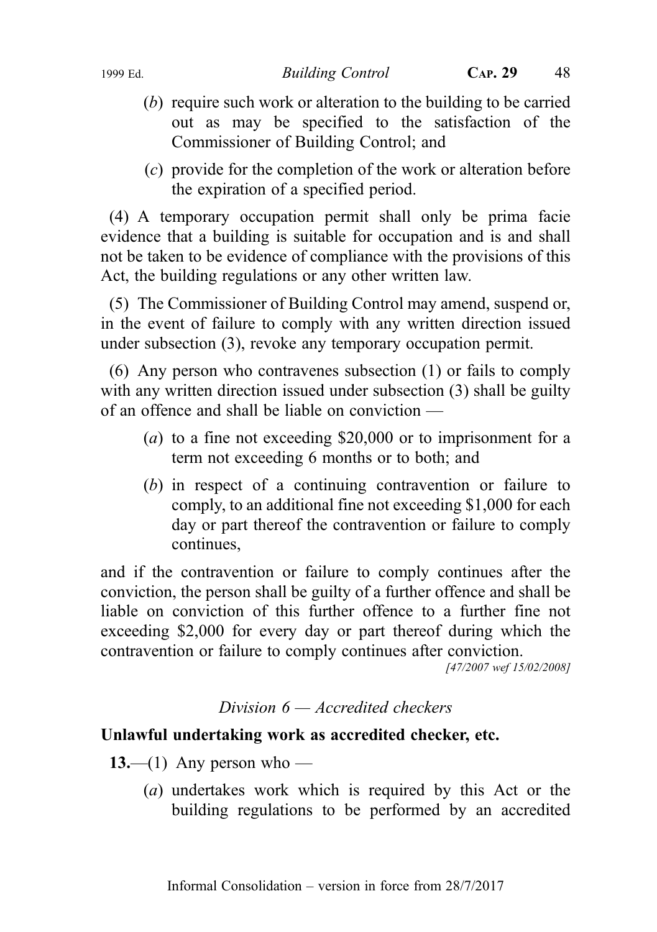- (b) require such work or alteration to the building to be carried out as may be specified to the satisfaction of the Commissioner of Building Control; and
- (c) provide for the completion of the work or alteration before the expiration of a specified period.

(4) A temporary occupation permit shall only be prima facie evidence that a building is suitable for occupation and is and shall not be taken to be evidence of compliance with the provisions of this Act, the building regulations or any other written law.

(5) The Commissioner of Building Control may amend, suspend or, in the event of failure to comply with any written direction issued under subsection (3), revoke any temporary occupation permit.

(6) Any person who contravenes subsection (1) or fails to comply with any written direction issued under subsection (3) shall be guilty of an offence and shall be liable on conviction —

- (a) to a fine not exceeding \$20,000 or to imprisonment for a term not exceeding 6 months or to both; and
- (b) in respect of a continuing contravention or failure to comply, to an additional fine not exceeding \$1,000 for each day or part thereof the contravention or failure to comply continues,

and if the contravention or failure to comply continues after the conviction, the person shall be guilty of a further offence and shall be liable on conviction of this further offence to a further fine not exceeding \$2,000 for every day or part thereof during which the contravention or failure to comply continues after conviction.

[47/2007 wef 15/02/2008]

#### Division  $6 - Accrelated$  checkers

#### Unlawful undertaking work as accredited checker, etc.

- 13.—(1) Any person who
	- (a) undertakes work which is required by this Act or the building regulations to be performed by an accredited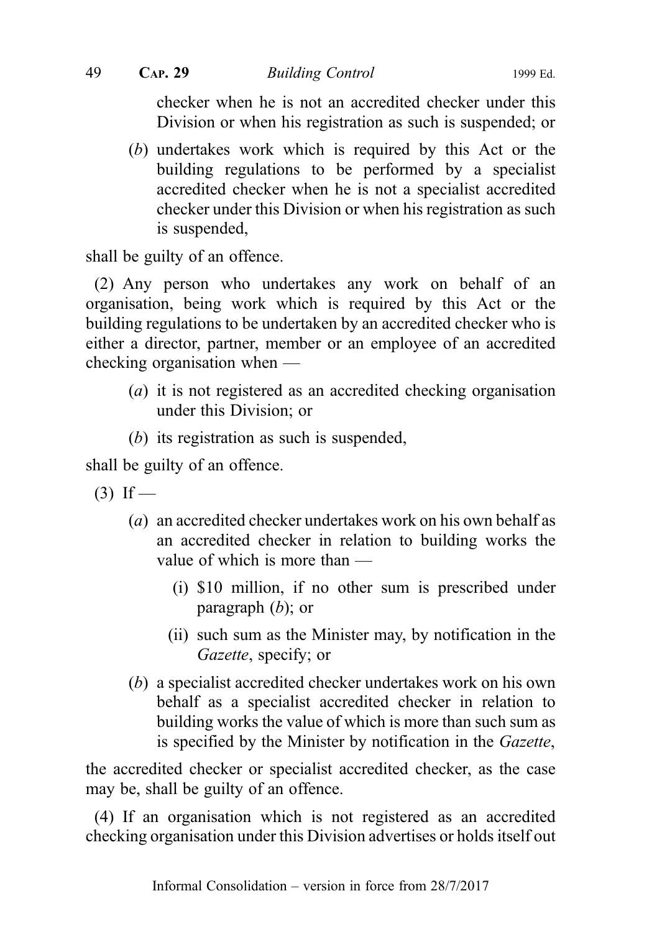checker when he is not an accredited checker under this Division or when his registration as such is suspended; or

(b) undertakes work which is required by this Act or the building regulations to be performed by a specialist accredited checker when he is not a specialist accredited checker under this Division or when his registration as such is suspended,

shall be guilty of an offence.

(2) Any person who undertakes any work on behalf of an organisation, being work which is required by this Act or the building regulations to be undertaken by an accredited checker who is either a director, partner, member or an employee of an accredited checking organisation when —

- (*a*) it is not registered as an accredited checking organisation under this Division; or
- (b) its registration as such is suspended,

shall be guilty of an offence.

- $(3)$  If
	- (a) an accredited checker undertakes work on his own behalf as an accredited checker in relation to building works the value of which is more than —
		- (i) \$10 million, if no other sum is prescribed under paragraph  $(b)$ ; or
		- (ii) such sum as the Minister may, by notification in the Gazette, specify; or
	- (b) a specialist accredited checker undertakes work on his own behalf as a specialist accredited checker in relation to building works the value of which is more than such sum as is specified by the Minister by notification in the Gazette,

the accredited checker or specialist accredited checker, as the case may be, shall be guilty of an offence.

(4) If an organisation which is not registered as an accredited checking organisation under this Division advertises or holds itself out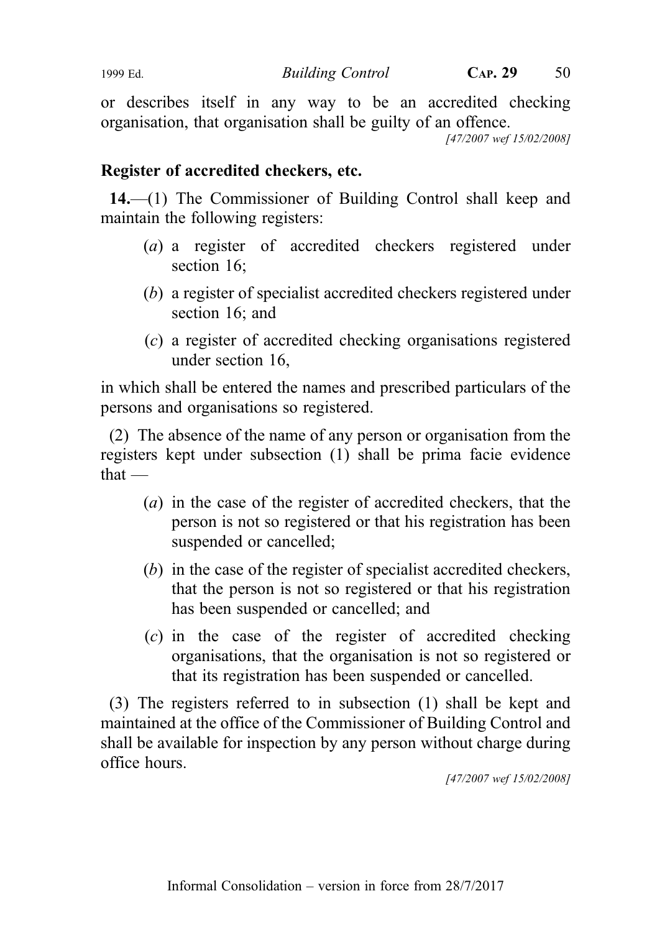or describes itself in any way to be an accredited checking organisation, that organisation shall be guilty of an offence.

[47/2007 wef 15/02/2008]

# Register of accredited checkers, etc.

14.—(1) The Commissioner of Building Control shall keep and maintain the following registers:

- (a) a register of accredited checkers registered under section 16;
- (b) a register of specialist accredited checkers registered under section 16; and
- (c) a register of accredited checking organisations registered under section 16,

in which shall be entered the names and prescribed particulars of the persons and organisations so registered.

(2) The absence of the name of any person or organisation from the registers kept under subsection (1) shall be prima facie evidence that —

- (a) in the case of the register of accredited checkers, that the person is not so registered or that his registration has been suspended or cancelled;
- (b) in the case of the register of specialist accredited checkers, that the person is not so registered or that his registration has been suspended or cancelled; and
- (c) in the case of the register of accredited checking organisations, that the organisation is not so registered or that its registration has been suspended or cancelled.

(3) The registers referred to in subsection (1) shall be kept and maintained at the office of the Commissioner of Building Control and shall be available for inspection by any person without charge during office hours.

[47/2007 wef 15/02/2008]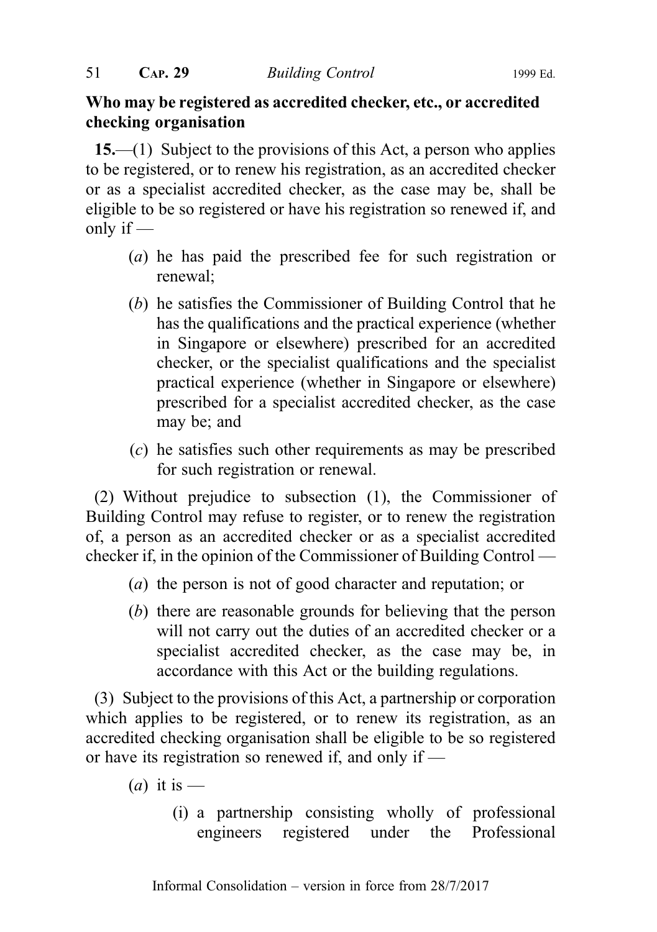# Who may be registered as accredited checker, etc., or accredited checking organisation

15.—(1) Subject to the provisions of this Act, a person who applies to be registered, or to renew his registration, as an accredited checker or as a specialist accredited checker, as the case may be, shall be eligible to be so registered or have his registration so renewed if, and only if  $-$ 

- (a) he has paid the prescribed fee for such registration or renewal;
- (b) he satisfies the Commissioner of Building Control that he has the qualifications and the practical experience (whether in Singapore or elsewhere) prescribed for an accredited checker, or the specialist qualifications and the specialist practical experience (whether in Singapore or elsewhere) prescribed for a specialist accredited checker, as the case may be; and
- (c) he satisfies such other requirements as may be prescribed for such registration or renewal.

(2) Without prejudice to subsection (1), the Commissioner of Building Control may refuse to register, or to renew the registration of, a person as an accredited checker or as a specialist accredited checker if, in the opinion of the Commissioner of Building Control —

- (a) the person is not of good character and reputation; or
- (b) there are reasonable grounds for believing that the person will not carry out the duties of an accredited checker or a specialist accredited checker, as the case may be, in accordance with this Act or the building regulations.

(3) Subject to the provisions of this Act, a partnership or corporation which applies to be registered, or to renew its registration, as an accredited checking organisation shall be eligible to be so registered or have its registration so renewed if, and only if —

- (*a*) it is
	- (i) a partnership consisting wholly of professional engineers registered under the Professional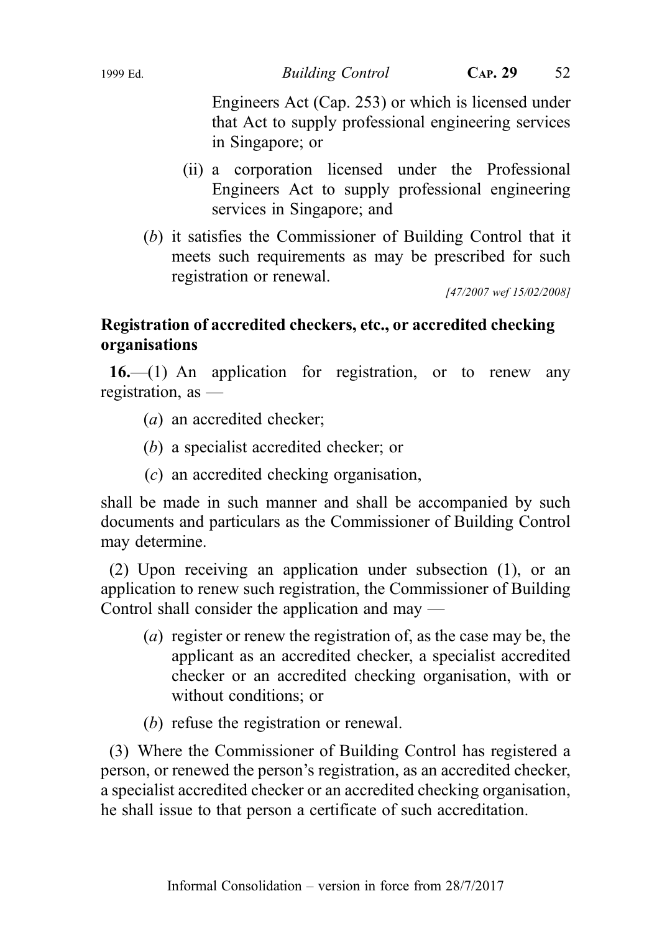Engineers Act (Cap. 253) or which is licensed under that Act to supply professional engineering services in Singapore; or

- (ii) a corporation licensed under the Professional Engineers Act to supply professional engineering services in Singapore; and
- (b) it satisfies the Commissioner of Building Control that it meets such requirements as may be prescribed for such registration or renewal.

[47/2007 wef 15/02/2008]

# Registration of accredited checkers, etc., or accredited checking organisations

 $16$ —(1) An application for registration, or to renew any registration, as —

- (a) an accredited checker;
- (b) a specialist accredited checker; or
- (c) an accredited checking organisation,

shall be made in such manner and shall be accompanied by such documents and particulars as the Commissioner of Building Control may determine.

(2) Upon receiving an application under subsection (1), or an application to renew such registration, the Commissioner of Building Control shall consider the application and may —

- (a) register or renew the registration of, as the case may be, the applicant as an accredited checker, a specialist accredited checker or an accredited checking organisation, with or without conditions; or
- (b) refuse the registration or renewal.

(3) Where the Commissioner of Building Control has registered a person, or renewed the person's registration, as an accredited checker, a specialist accredited checker or an accredited checking organisation, he shall issue to that person a certificate of such accreditation.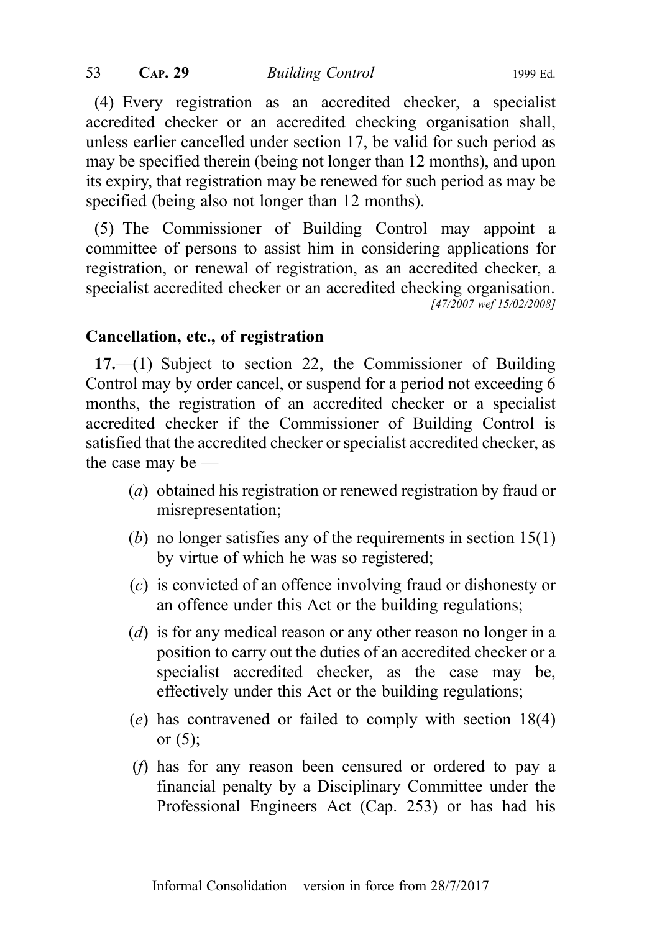(4) Every registration as an accredited checker, a specialist accredited checker or an accredited checking organisation shall, unless earlier cancelled under section 17, be valid for such period as may be specified therein (being not longer than 12 months), and upon its expiry, that registration may be renewed for such period as may be specified (being also not longer than 12 months).

(5) The Commissioner of Building Control may appoint a committee of persons to assist him in considering applications for registration, or renewal of registration, as an accredited checker, a specialist accredited checker or an accredited checking organisation. [47/2007 wef 15/02/2008]

# Cancellation, etc., of registration

17.—(1) Subject to section 22, the Commissioner of Building Control may by order cancel, or suspend for a period not exceeding 6 months, the registration of an accredited checker or a specialist accredited checker if the Commissioner of Building Control is satisfied that the accredited checker or specialist accredited checker, as the case may be —

- (a) obtained his registration or renewed registration by fraud or misrepresentation;
- (b) no longer satisfies any of the requirements in section 15(1) by virtue of which he was so registered;
- (c) is convicted of an offence involving fraud or dishonesty or an offence under this Act or the building regulations;
- (d) is for any medical reason or any other reason no longer in a position to carry out the duties of an accredited checker or a specialist accredited checker, as the case may be, effectively under this Act or the building regulations;
- (e) has contravened or failed to comply with section 18(4) or  $(5)$ ;
- (f) has for any reason been censured or ordered to pay a financial penalty by a Disciplinary Committee under the Professional Engineers Act (Cap. 253) or has had his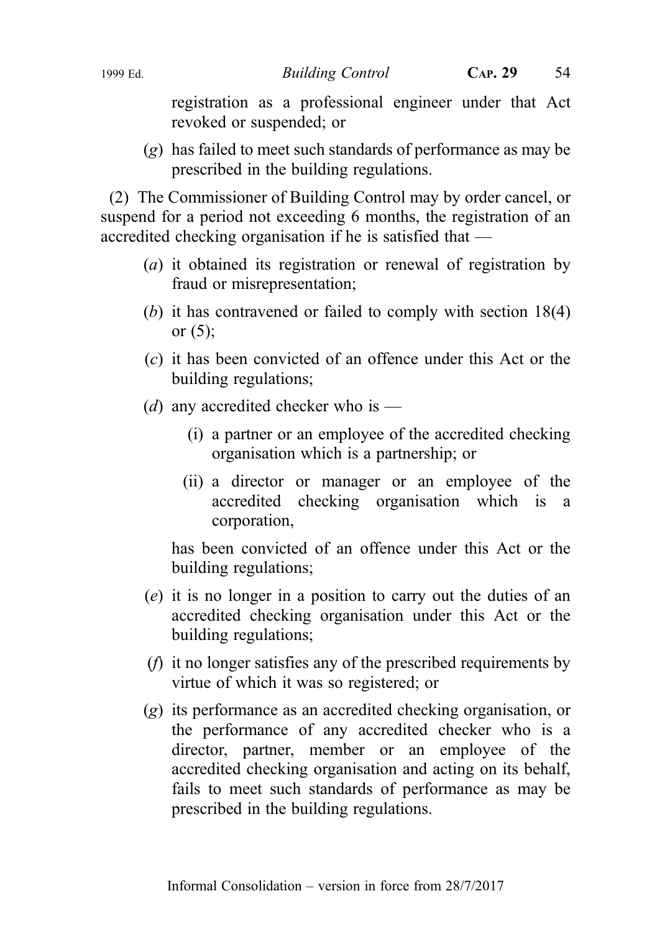registration as a professional engineer under that Act revoked or suspended; or

(g) has failed to meet such standards of performance as may be prescribed in the building regulations.

(2) The Commissioner of Building Control may by order cancel, or suspend for a period not exceeding 6 months, the registration of an accredited checking organisation if he is satisfied that —

- (a) it obtained its registration or renewal of registration by fraud or misrepresentation;
- (b) it has contravened or failed to comply with section 18(4) or (5);
- (c) it has been convicted of an offence under this Act or the building regulations;
- (d) any accredited checker who is
	- (i) a partner or an employee of the accredited checking organisation which is a partnership; or
	- (ii) a director or manager or an employee of the accredited checking organisation which is a corporation,

has been convicted of an offence under this Act or the building regulations;

- (e) it is no longer in a position to carry out the duties of an accredited checking organisation under this Act or the building regulations;
- (f) it no longer satisfies any of the prescribed requirements by virtue of which it was so registered; or
- (g) its performance as an accredited checking organisation, or the performance of any accredited checker who is a director, partner, member or an employee of the accredited checking organisation and acting on its behalf, fails to meet such standards of performance as may be prescribed in the building regulations.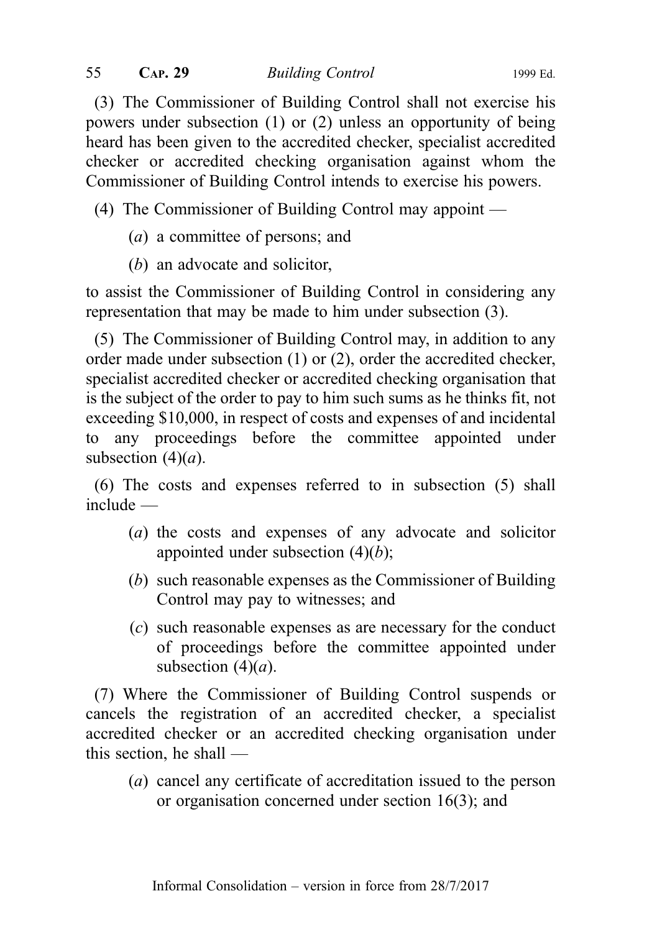(3) The Commissioner of Building Control shall not exercise his powers under subsection (1) or (2) unless an opportunity of being heard has been given to the accredited checker, specialist accredited checker or accredited checking organisation against whom the Commissioner of Building Control intends to exercise his powers.

(4) The Commissioner of Building Control may appoint —

- (a) a committee of persons; and
- (b) an advocate and solicitor,

to assist the Commissioner of Building Control in considering any representation that may be made to him under subsection (3).

(5) The Commissioner of Building Control may, in addition to any order made under subsection (1) or (2), order the accredited checker, specialist accredited checker or accredited checking organisation that is the subject of the order to pay to him such sums as he thinks fit, not exceeding \$10,000, in respect of costs and expenses of and incidental to any proceedings before the committee appointed under subsection  $(4)(a)$ .

(6) The costs and expenses referred to in subsection (5) shall include —

- (a) the costs and expenses of any advocate and solicitor appointed under subsection  $(4)(b)$ ;
- (b) such reasonable expenses as the Commissioner of Building Control may pay to witnesses; and
- (c) such reasonable expenses as are necessary for the conduct of proceedings before the committee appointed under subsection  $(4)(a)$ .

(7) Where the Commissioner of Building Control suspends or cancels the registration of an accredited checker, a specialist accredited checker or an accredited checking organisation under this section, he shall —

(a) cancel any certificate of accreditation issued to the person or organisation concerned under section 16(3); and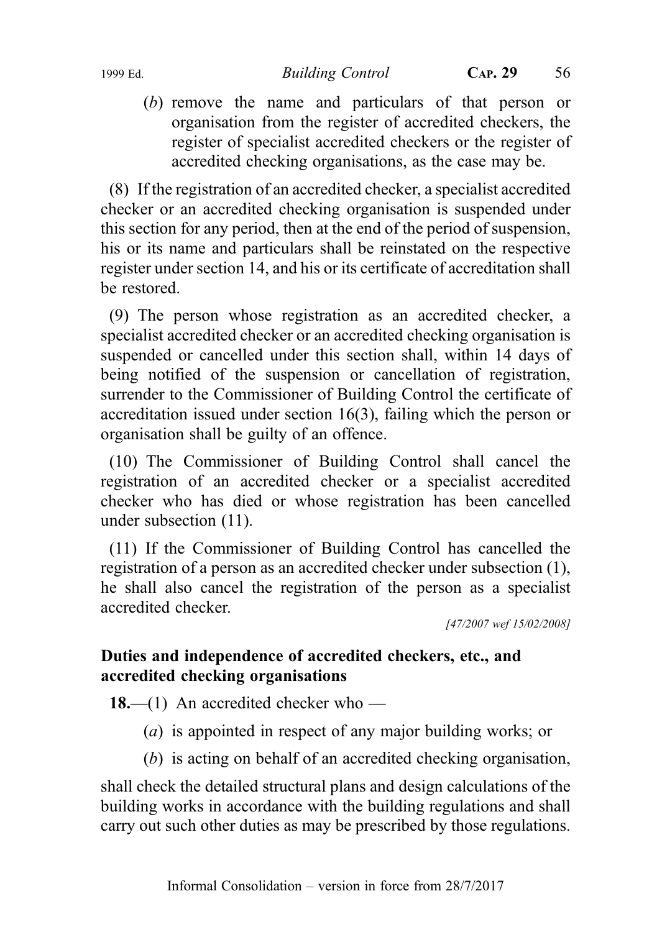(b) remove the name and particulars of that person or organisation from the register of accredited checkers, the register of specialist accredited checkers or the register of accredited checking organisations, as the case may be.

(8) If the registration of an accredited checker, a specialist accredited checker or an accredited checking organisation is suspended under this section for any period, then at the end of the period of suspension, his or its name and particulars shall be reinstated on the respective register under section 14, and his or its certificate of accreditation shall be restored.

(9) The person whose registration as an accredited checker, a specialist accredited checker or an accredited checking organisation is suspended or cancelled under this section shall, within 14 days of being notified of the suspension or cancellation of registration, surrender to the Commissioner of Building Control the certificate of accreditation issued under section 16(3), failing which the person or organisation shall be guilty of an offence.

(10) The Commissioner of Building Control shall cancel the registration of an accredited checker or a specialist accredited checker who has died or whose registration has been cancelled under subsection (11).

(11) If the Commissioner of Building Control has cancelled the registration of a person as an accredited checker under subsection (1), he shall also cancel the registration of the person as a specialist accredited checker.

[47/2007 wef 15/02/2008]

# Duties and independence of accredited checkers, etc., and accredited checking organisations

18.—(1) An accredited checker who —

- (a) is appointed in respect of any major building works; or
- (b) is acting on behalf of an accredited checking organisation,

shall check the detailed structural plans and design calculations of the building works in accordance with the building regulations and shall carry out such other duties as may be prescribed by those regulations.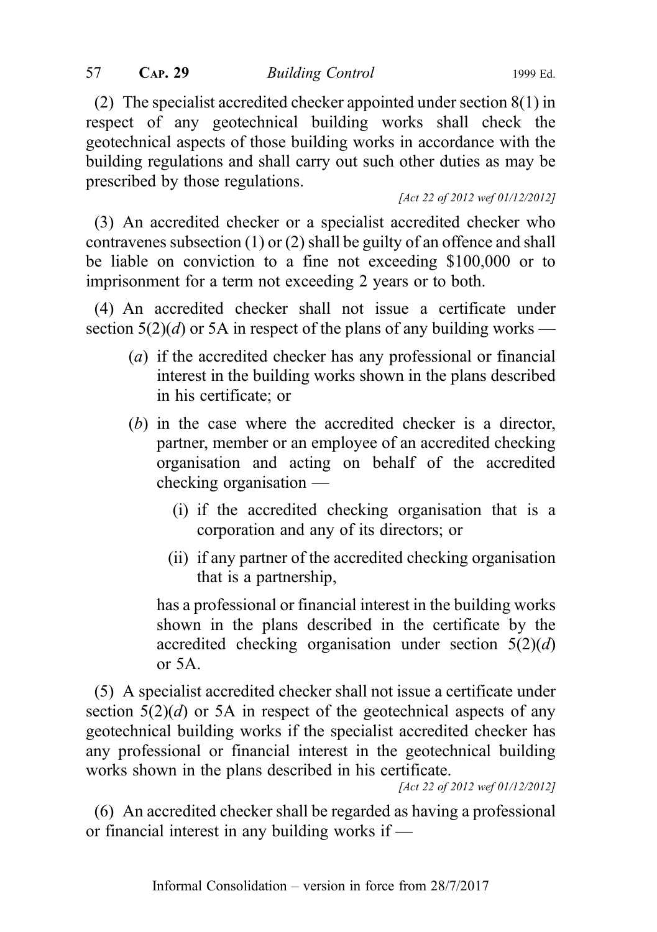(2) The specialist accredited checker appointed under section 8(1) in respect of any geotechnical building works shall check the geotechnical aspects of those building works in accordance with the building regulations and shall carry out such other duties as may be prescribed by those regulations.

[Act 22 of 2012 wef 01/12/2012]

(3) An accredited checker or a specialist accredited checker who contravenes subsection (1) or (2) shall be guilty of an offence and shall be liable on conviction to a fine not exceeding \$100,000 or to imprisonment for a term not exceeding 2 years or to both.

(4) An accredited checker shall not issue a certificate under section  $5(2)(d)$  or 5A in respect of the plans of any building works —

- (a) if the accredited checker has any professional or financial interest in the building works shown in the plans described in his certificate; or
- (b) in the case where the accredited checker is a director, partner, member or an employee of an accredited checking organisation and acting on behalf of the accredited checking organisation —
	- (i) if the accredited checking organisation that is a corporation and any of its directors; or
	- (ii) if any partner of the accredited checking organisation that is a partnership,

has a professional or financial interest in the building works shown in the plans described in the certificate by the accredited checking organisation under section  $5(2)(d)$ or 5A.

(5) A specialist accredited checker shall not issue a certificate under section  $5(2)(d)$  or 5A in respect of the geotechnical aspects of any geotechnical building works if the specialist accredited checker has any professional or financial interest in the geotechnical building works shown in the plans described in his certificate.

[Act 22 of 2012 wef 01/12/2012]

(6) An accredited checker shall be regarded as having a professional or financial interest in any building works if —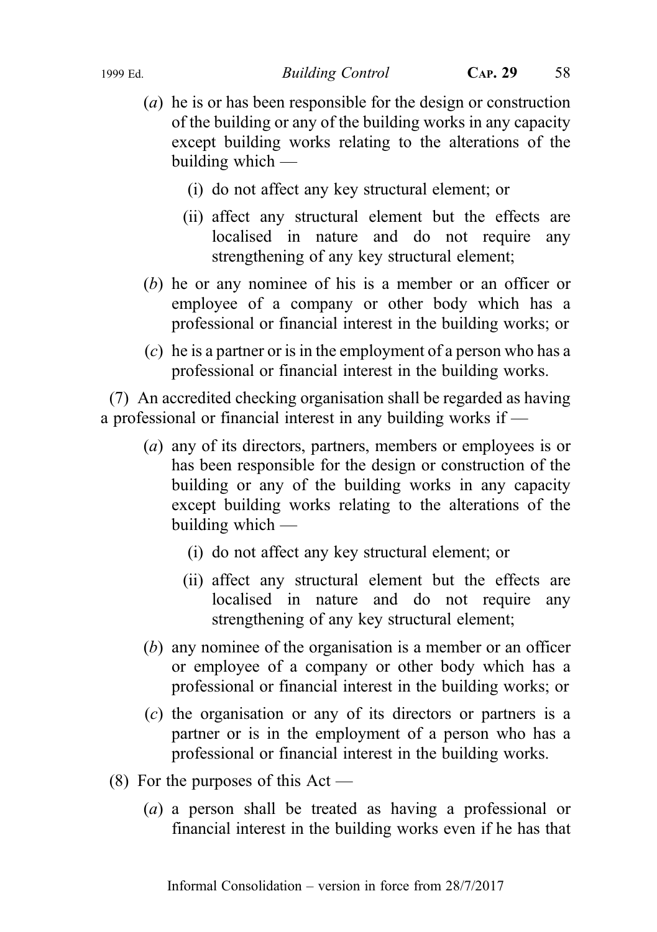#### 1999 Ed. Building Control CAP. 29 58

- (a) he is or has been responsible for the design or construction of the building or any of the building works in any capacity except building works relating to the alterations of the building which —
	- (i) do not affect any key structural element; or
	- (ii) affect any structural element but the effects are localised in nature and do not require any strengthening of any key structural element;
- (b) he or any nominee of his is a member or an officer or employee of a company or other body which has a professional or financial interest in the building works; or
- (c) he is a partner or is in the employment of a person who has a professional or financial interest in the building works.

(7) An accredited checking organisation shall be regarded as having a professional or financial interest in any building works if —

- (a) any of its directors, partners, members or employees is or has been responsible for the design or construction of the building or any of the building works in any capacity except building works relating to the alterations of the building which —
	- (i) do not affect any key structural element; or
	- (ii) affect any structural element but the effects are localised in nature and do not require any strengthening of any key structural element;
- (b) any nominee of the organisation is a member or an officer or employee of a company or other body which has a professional or financial interest in the building works; or
- (c) the organisation or any of its directors or partners is a partner or is in the employment of a person who has a professional or financial interest in the building works.
- (8) For the purposes of this  $Act -$ 
	- (a) a person shall be treated as having a professional or financial interest in the building works even if he has that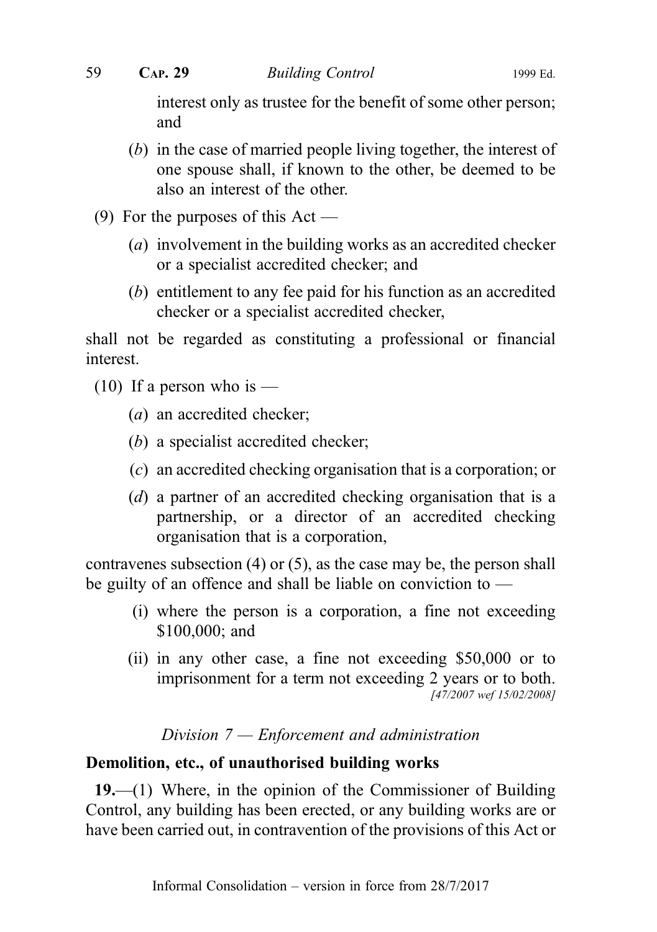interest only as trustee for the benefit of some other person; and

- (b) in the case of married people living together, the interest of one spouse shall, if known to the other, be deemed to be also an interest of the other.
- (9) For the purposes of this  $Act$ 
	- (a) involvement in the building works as an accredited checker or a specialist accredited checker; and
	- (b) entitlement to any fee paid for his function as an accredited checker or a specialist accredited checker,

shall not be regarded as constituting a professional or financial interest.

- $(10)$  If a person who is
	- (a) an accredited checker;
	- (b) a specialist accredited checker;
	- (c) an accredited checking organisation that is a corporation; or
	- (d) a partner of an accredited checking organisation that is a partnership, or a director of an accredited checking organisation that is a corporation,

contravenes subsection (4) or (5), as the case may be, the person shall be guilty of an offence and shall be liable on conviction to —

- (i) where the person is a corporation, a fine not exceeding \$100,000; and
- (ii) in any other case, a fine not exceeding \$50,000 or to imprisonment for a term not exceeding 2 years or to both. [47/2007 wef 15/02/2008]

## Division 7 — Enforcement and administration

## Demolition, etc., of unauthorised building works

19.—(1) Where, in the opinion of the Commissioner of Building Control, any building has been erected, or any building works are or have been carried out, in contravention of the provisions of this Act or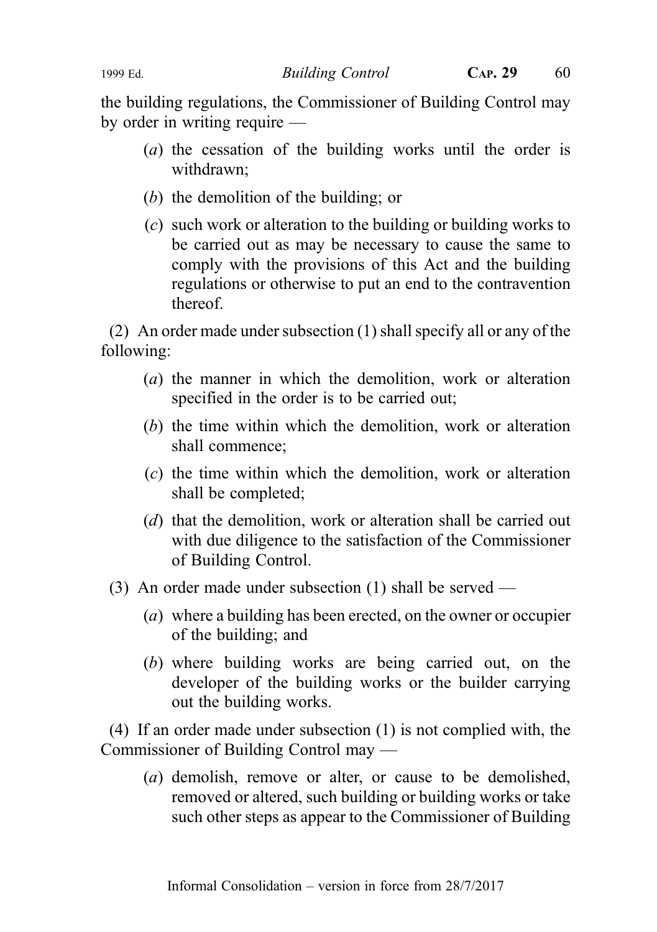#### 1999 Ed. Building Control CAP. 29 60

the building regulations, the Commissioner of Building Control may by order in writing require —

- (a) the cessation of the building works until the order is withdrawn;
- (b) the demolition of the building; or
- (c) such work or alteration to the building or building works to be carried out as may be necessary to cause the same to comply with the provisions of this Act and the building regulations or otherwise to put an end to the contravention thereof.

(2) An order made under subsection (1) shall specify all or any of the following:

- (a) the manner in which the demolition, work or alteration specified in the order is to be carried out;
- (b) the time within which the demolition, work or alteration shall commence;
- (c) the time within which the demolition, work or alteration shall be completed;
- (d) that the demolition, work or alteration shall be carried out with due diligence to the satisfaction of the Commissioner of Building Control.
- (3) An order made under subsection (1) shall be served
	- (a) where a building has been erected, on the owner or occupier of the building; and
	- (b) where building works are being carried out, on the developer of the building works or the builder carrying out the building works.

(4) If an order made under subsection (1) is not complied with, the Commissioner of Building Control may —

(a) demolish, remove or alter, or cause to be demolished, removed or altered, such building or building works or take such other steps as appear to the Commissioner of Building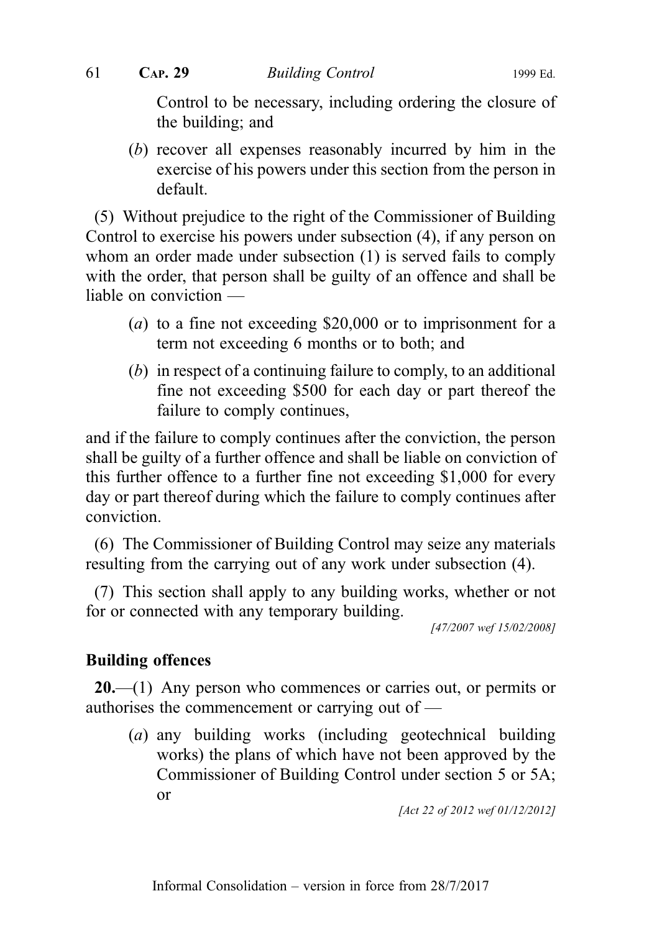Control to be necessary, including ordering the closure of the building; and

(b) recover all expenses reasonably incurred by him in the exercise of his powers under this section from the person in default.

(5) Without prejudice to the right of the Commissioner of Building Control to exercise his powers under subsection (4), if any person on whom an order made under subsection (1) is served fails to comply with the order, that person shall be guilty of an offence and shall be liable on conviction —

- (a) to a fine not exceeding \$20,000 or to imprisonment for a term not exceeding 6 months or to both; and
- (b) in respect of a continuing failure to comply, to an additional fine not exceeding \$500 for each day or part thereof the failure to comply continues,

and if the failure to comply continues after the conviction, the person shall be guilty of a further offence and shall be liable on conviction of this further offence to a further fine not exceeding \$1,000 for every day or part thereof during which the failure to comply continues after conviction.

(6) The Commissioner of Building Control may seize any materials resulting from the carrying out of any work under subsection (4).

(7) This section shall apply to any building works, whether or not for or connected with any temporary building.

[47/2007 wef 15/02/2008]

## Building offences

 $20$ —(1) Any person who commences or carries out, or permits or authorises the commencement or carrying out of —

(a) any building works (including geotechnical building works) the plans of which have not been approved by the Commissioner of Building Control under section 5 or 5A; or

[Act 22 of 2012 wef 01/12/2012]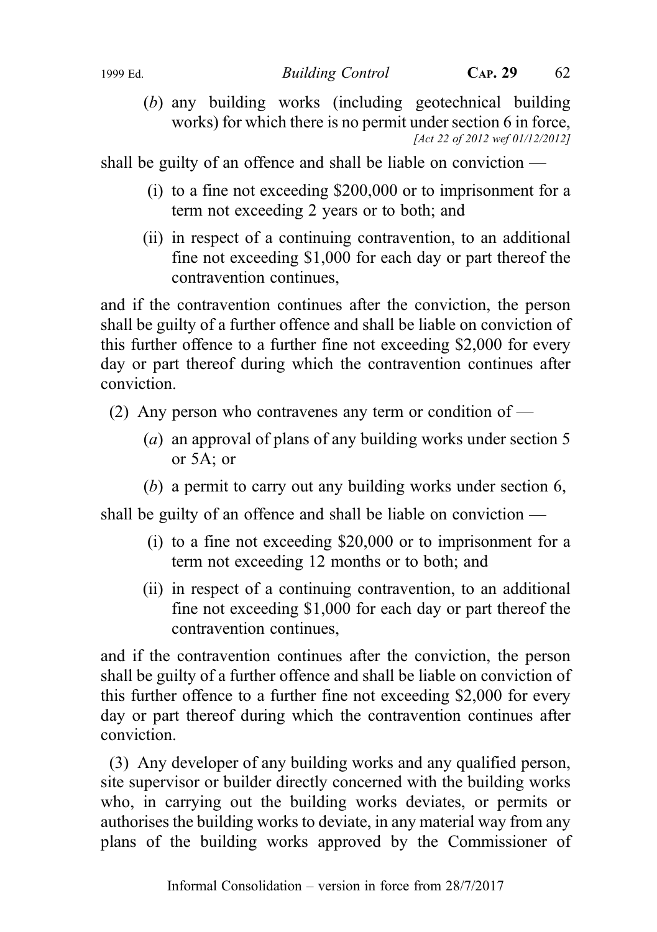(b) any building works (including geotechnical building works) for which there is no permit under section 6 in force, [Act 22 of 2012 wef 01/12/2012]

shall be guilty of an offence and shall be liable on conviction —

- (i) to a fine not exceeding \$200,000 or to imprisonment for a term not exceeding 2 years or to both; and
- (ii) in respect of a continuing contravention, to an additional fine not exceeding \$1,000 for each day or part thereof the contravention continues,

and if the contravention continues after the conviction, the person shall be guilty of a further offence and shall be liable on conviction of this further offence to a further fine not exceeding \$2,000 for every day or part thereof during which the contravention continues after conviction.

- (2) Any person who contravenes any term or condition of
	- (a) an approval of plans of any building works under section 5 or 5A; or
	- (b) a permit to carry out any building works under section 6,

shall be guilty of an offence and shall be liable on conviction —

- (i) to a fine not exceeding \$20,000 or to imprisonment for a term not exceeding 12 months or to both; and
- (ii) in respect of a continuing contravention, to an additional fine not exceeding \$1,000 for each day or part thereof the contravention continues,

and if the contravention continues after the conviction, the person shall be guilty of a further offence and shall be liable on conviction of this further offence to a further fine not exceeding \$2,000 for every day or part thereof during which the contravention continues after conviction.

(3) Any developer of any building works and any qualified person, site supervisor or builder directly concerned with the building works who, in carrying out the building works deviates, or permits or authorises the building works to deviate, in any material way from any plans of the building works approved by the Commissioner of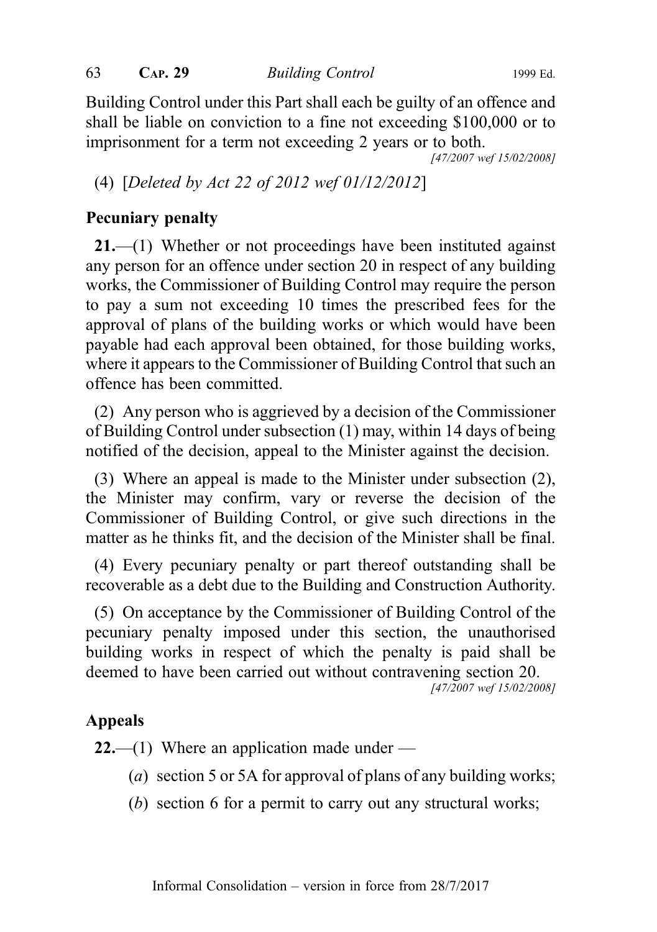63 CAP. 29 Building Control 1999 Ed.

Building Control under this Part shall each be guilty of an offence and shall be liable on conviction to a fine not exceeding \$100,000 or to imprisonment for a term not exceeding 2 years or to both.

[47/2007 wef 15/02/2008]

(4) [Deleted by Act 22 of 2012 wef 01/12/2012]

# Pecuniary penalty

21.—(1) Whether or not proceedings have been instituted against any person for an offence under section 20 in respect of any building works, the Commissioner of Building Control may require the person to pay a sum not exceeding 10 times the prescribed fees for the approval of plans of the building works or which would have been payable had each approval been obtained, for those building works, where it appears to the Commissioner of Building Control that such an offence has been committed.

(2) Any person who is aggrieved by a decision of the Commissioner of Building Control under subsection (1) may, within 14 days of being notified of the decision, appeal to the Minister against the decision.

(3) Where an appeal is made to the Minister under subsection (2), the Minister may confirm, vary or reverse the decision of the Commissioner of Building Control, or give such directions in the matter as he thinks fit, and the decision of the Minister shall be final.

(4) Every pecuniary penalty or part thereof outstanding shall be recoverable as a debt due to the Building and Construction Authority.

(5) On acceptance by the Commissioner of Building Control of the pecuniary penalty imposed under this section, the unauthorised building works in respect of which the penalty is paid shall be deemed to have been carried out without contravening section 20.

[47/2007 wef 15/02/2008]

## Appeals

**22.**—(1) Where an application made under —

- (*a*) section 5 or 5A for approval of plans of any building works;
- (b) section 6 for a permit to carry out any structural works;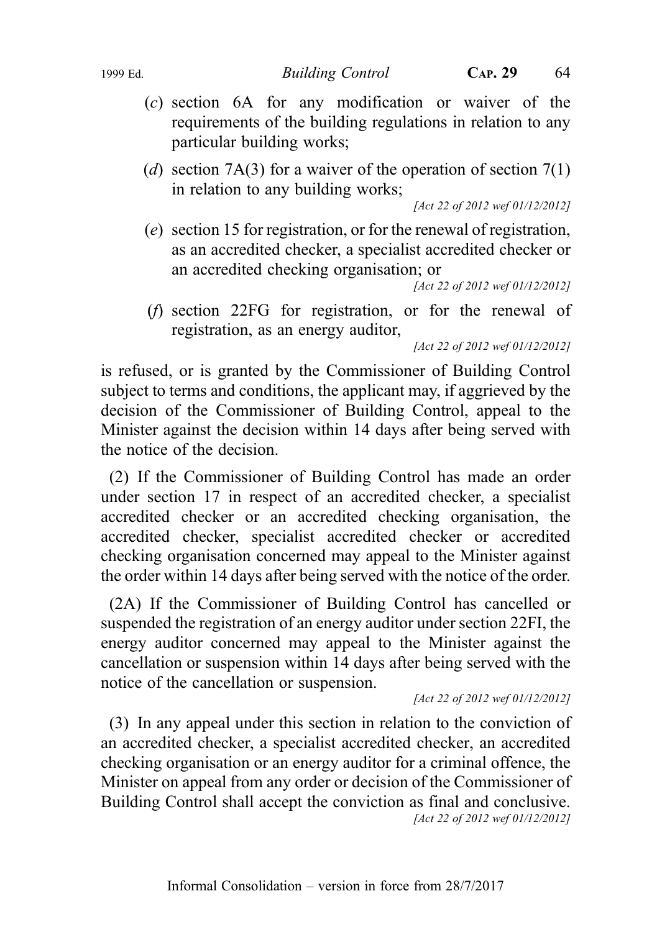- (c) section 6A for any modification or waiver of the requirements of the building regulations in relation to any particular building works;
- (d) section 7A(3) for a waiver of the operation of section  $7(1)$ in relation to any building works;

[Act 22 of 2012 wef 01/12/2012]

(e) section 15 for registration, or for the renewal of registration, as an accredited checker, a specialist accredited checker or an accredited checking organisation; or

[Act 22 of 2012 wef 01/12/2012]

(f) section 22FG for registration, or for the renewal of registration, as an energy auditor,

[Act 22 of 2012 wef 01/12/2012]

is refused, or is granted by the Commissioner of Building Control subject to terms and conditions, the applicant may, if aggrieved by the decision of the Commissioner of Building Control, appeal to the Minister against the decision within 14 days after being served with the notice of the decision.

(2) If the Commissioner of Building Control has made an order under section 17 in respect of an accredited checker, a specialist accredited checker or an accredited checking organisation, the accredited checker, specialist accredited checker or accredited checking organisation concerned may appeal to the Minister against the order within 14 days after being served with the notice of the order.

(2A) If the Commissioner of Building Control has cancelled or suspended the registration of an energy auditor under section 22FI, the energy auditor concerned may appeal to the Minister against the cancellation or suspension within 14 days after being served with the notice of the cancellation or suspension.

[Act 22 of 2012 wef 01/12/2012]

(3) In any appeal under this section in relation to the conviction of an accredited checker, a specialist accredited checker, an accredited checking organisation or an energy auditor for a criminal offence, the Minister on appeal from any order or decision of the Commissioner of Building Control shall accept the conviction as final and conclusive. [Act 22 of 2012 wef 01/12/2012]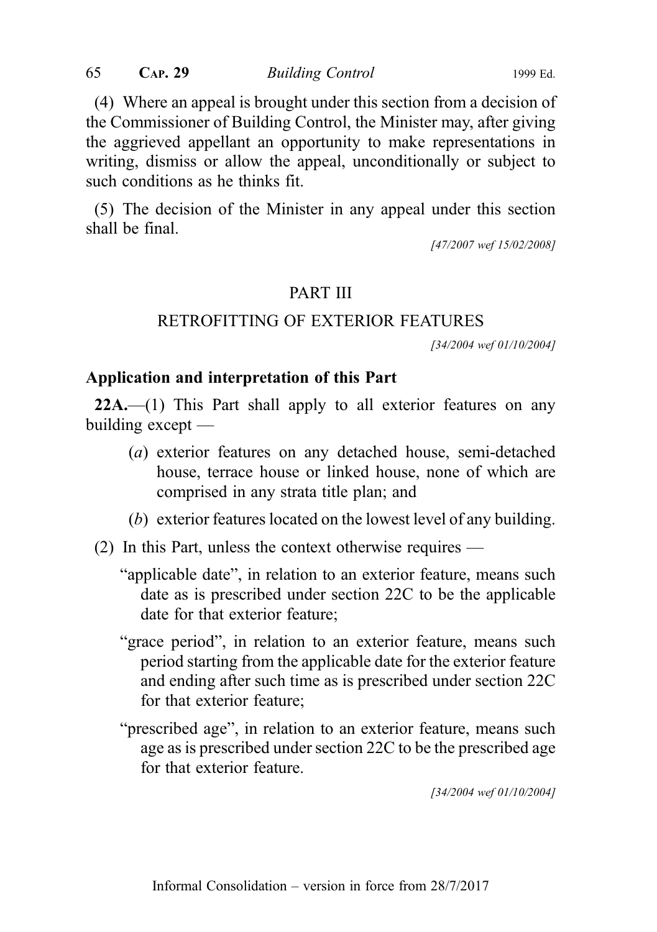(4) Where an appeal is brought under this section from a decision of the Commissioner of Building Control, the Minister may, after giving the aggrieved appellant an opportunity to make representations in writing, dismiss or allow the appeal, unconditionally or subject to such conditions as he thinks fit.

(5) The decision of the Minister in any appeal under this section shall be final.

[47/2007 wef 15/02/2008]

#### PART III

#### RETROFITTING OF EXTERIOR FEATURES

[34/2004 wef 01/10/2004]

#### Application and interpretation of this Part

 $22A$ .—(1) This Part shall apply to all exterior features on any building except  $-$ 

- (a) exterior features on any detached house, semi-detached house, terrace house or linked house, none of which are comprised in any strata title plan; and
- (b) exterior features located on the lowest level of any building.
- (2) In this Part, unless the context otherwise requires
	- "applicable date", in relation to an exterior feature, means such date as is prescribed under section 22C to be the applicable date for that exterior feature;
	- "grace period", in relation to an exterior feature, means such period starting from the applicable date for the exterior feature and ending after such time as is prescribed under section 22C for that exterior feature;
	- "prescribed age", in relation to an exterior feature, means such age as is prescribed under section 22C to be the prescribed age for that exterior feature.

[34/2004 wef 01/10/2004]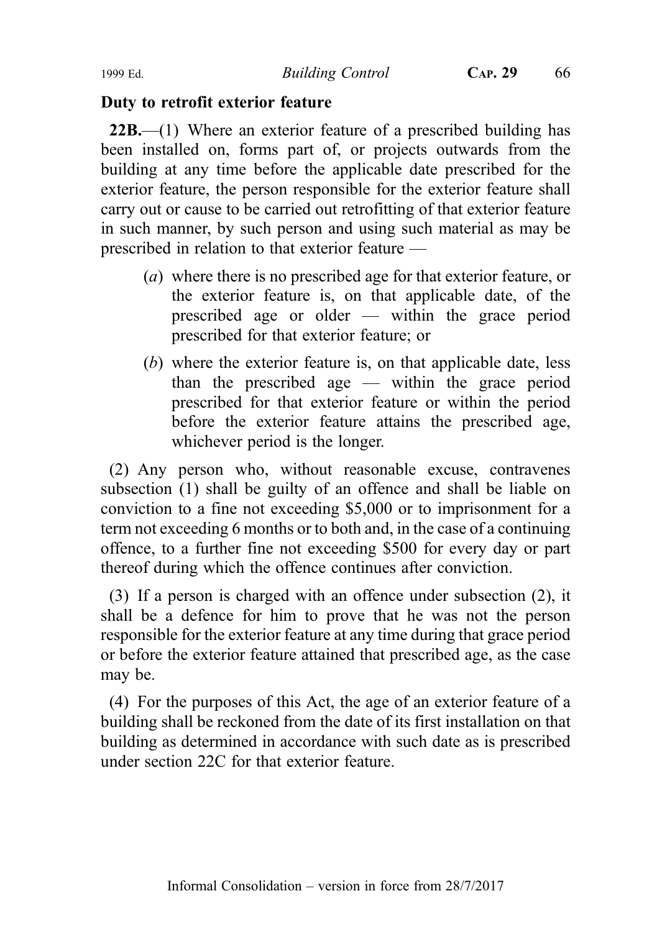#### Duty to retrofit exterior feature

22B.—(1) Where an exterior feature of a prescribed building has been installed on, forms part of, or projects outwards from the building at any time before the applicable date prescribed for the exterior feature, the person responsible for the exterior feature shall carry out or cause to be carried out retrofitting of that exterior feature in such manner, by such person and using such material as may be prescribed in relation to that exterior feature —

- (a) where there is no prescribed age for that exterior feature, or the exterior feature is, on that applicable date, of the prescribed age or older — within the grace period prescribed for that exterior feature; or
- (b) where the exterior feature is, on that applicable date, less than the prescribed age — within the grace period prescribed for that exterior feature or within the period before the exterior feature attains the prescribed age, whichever period is the longer.

(2) Any person who, without reasonable excuse, contravenes subsection (1) shall be guilty of an offence and shall be liable on conviction to a fine not exceeding \$5,000 or to imprisonment for a term not exceeding 6 months or to both and, in the case of a continuing offence, to a further fine not exceeding \$500 for every day or part thereof during which the offence continues after conviction.

(3) If a person is charged with an offence under subsection (2), it shall be a defence for him to prove that he was not the person responsible for the exterior feature at any time during that grace period or before the exterior feature attained that prescribed age, as the case may be.

(4) For the purposes of this Act, the age of an exterior feature of a building shall be reckoned from the date of its first installation on that building as determined in accordance with such date as is prescribed under section 22C for that exterior feature.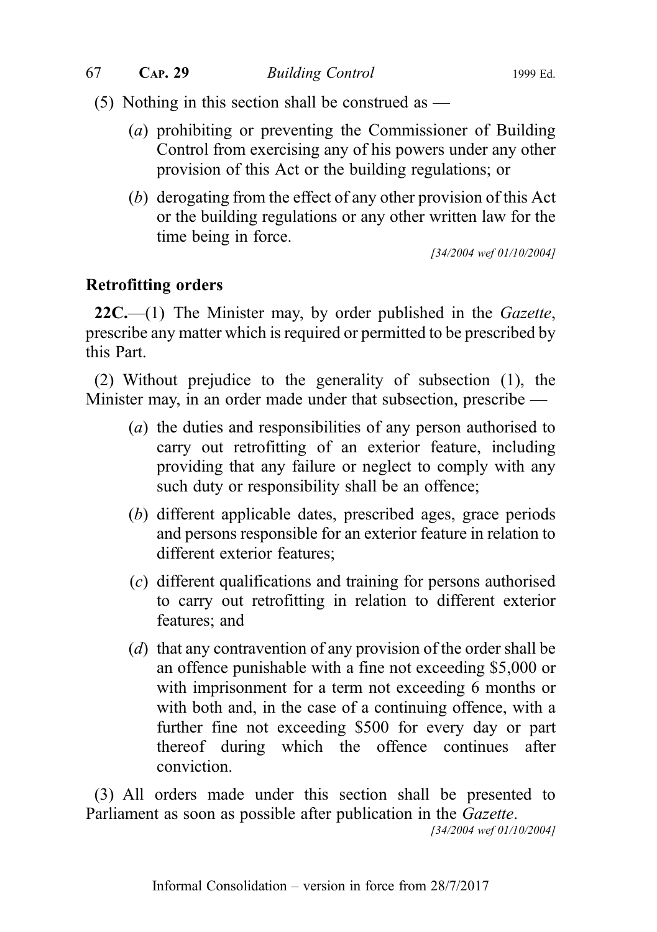(5) Nothing in this section shall be construed as —

- (a) prohibiting or preventing the Commissioner of Building Control from exercising any of his powers under any other provision of this Act or the building regulations; or
- (b) derogating from the effect of any other provision of this Act or the building regulations or any other written law for the time being in force.

[34/2004 wef 01/10/2004]

## Retrofitting orders

 $22C$ .—(1) The Minister may, by order published in the *Gazette*, prescribe any matter which is required or permitted to be prescribed by this Part.

(2) Without prejudice to the generality of subsection (1), the Minister may, in an order made under that subsection, prescribe —

- (a) the duties and responsibilities of any person authorised to carry out retrofitting of an exterior feature, including providing that any failure or neglect to comply with any such duty or responsibility shall be an offence;
- (b) different applicable dates, prescribed ages, grace periods and persons responsible for an exterior feature in relation to different exterior features;
- (c) different qualifications and training for persons authorised to carry out retrofitting in relation to different exterior features; and
- (d) that any contravention of any provision of the order shall be an offence punishable with a fine not exceeding \$5,000 or with imprisonment for a term not exceeding 6 months or with both and, in the case of a continuing offence, with a further fine not exceeding \$500 for every day or part thereof during which the offence continues after conviction.

(3) All orders made under this section shall be presented to Parliament as soon as possible after publication in the Gazette.

[34/2004 wef 01/10/2004]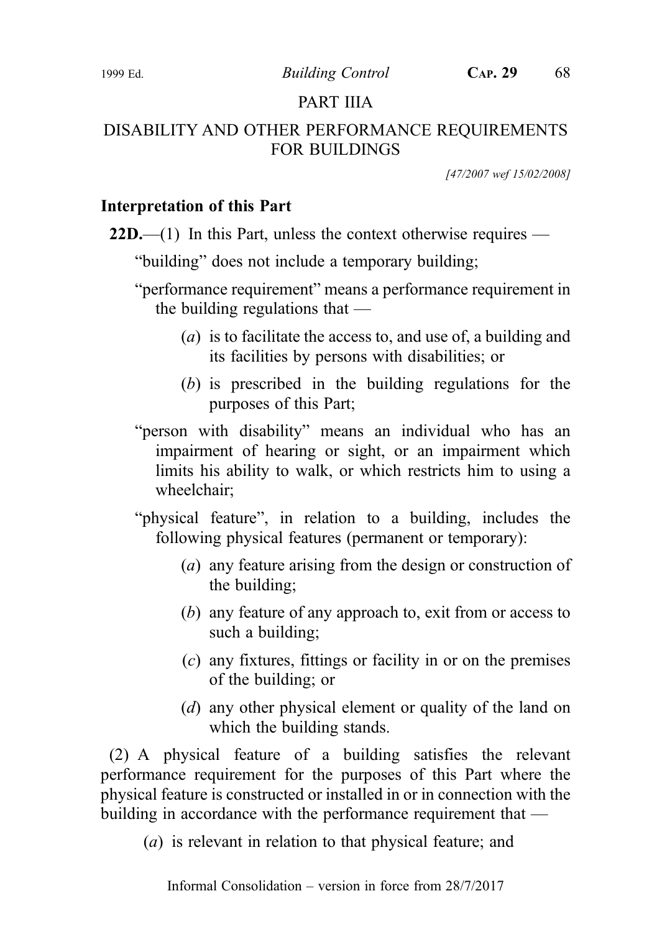1999 Ed. Building Control CAP. 29 68

# PART IIIA

# DISABILITY AND OTHER PERFORMANCE REQUIREMENTS FOR BUILDINGS

[47/2007 wef 15/02/2008]

# Interpretation of this Part

 $22D$ ,—(1) In this Part, unless the context otherwise requires —

"building" does not include a temporary building;

"performance requirement" means a performance requirement in the building regulations that —

- (a) is to facilitate the access to, and use of, a building and its facilities by persons with disabilities; or
- (b) is prescribed in the building regulations for the purposes of this Part;
- "person with disability" means an individual who has an impairment of hearing or sight, or an impairment which limits his ability to walk, or which restricts him to using a wheelchair;

"physical feature", in relation to a building, includes the following physical features (permanent or temporary):

- (a) any feature arising from the design or construction of the building;
- (b) any feature of any approach to, exit from or access to such a building;
- (c) any fixtures, fittings or facility in or on the premises of the building; or
- (d) any other physical element or quality of the land on which the building stands.

(2) A physical feature of a building satisfies the relevant performance requirement for the purposes of this Part where the physical feature is constructed or installed in or in connection with the building in accordance with the performance requirement that —

(a) is relevant in relation to that physical feature; and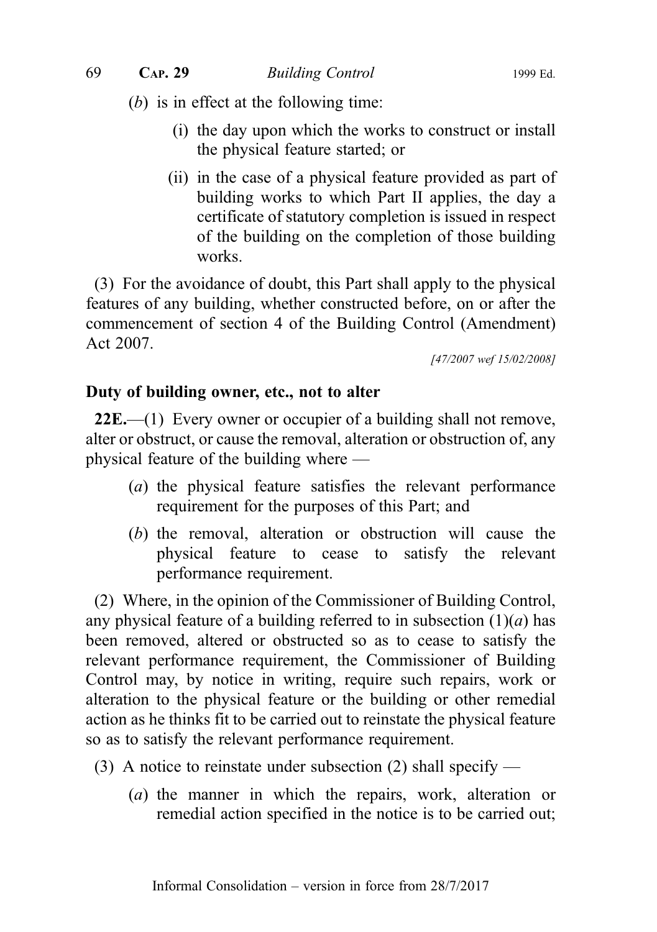- (b) is in effect at the following time:
	- (i) the day upon which the works to construct or install the physical feature started; or
	- (ii) in the case of a physical feature provided as part of building works to which Part II applies, the day a certificate of statutory completion is issued in respect of the building on the completion of those building works.

(3) For the avoidance of doubt, this Part shall apply to the physical features of any building, whether constructed before, on or after the commencement of section 4 of the Building Control (Amendment) Act 2007.

[47/2007 wef 15/02/2008]

#### Duty of building owner, etc., not to alter

 $22E$ .—(1) Every owner or occupier of a building shall not remove, alter or obstruct, or cause the removal, alteration or obstruction of, any physical feature of the building where —

- (a) the physical feature satisfies the relevant performance requirement for the purposes of this Part; and
- (b) the removal, alteration or obstruction will cause the physical feature to cease to satisfy the relevant performance requirement.

(2) Where, in the opinion of the Commissioner of Building Control, any physical feature of a building referred to in subsection  $(1)(a)$  has been removed, altered or obstructed so as to cease to satisfy the relevant performance requirement, the Commissioner of Building Control may, by notice in writing, require such repairs, work or alteration to the physical feature or the building or other remedial action as he thinks fit to be carried out to reinstate the physical feature so as to satisfy the relevant performance requirement.

- (3) A notice to reinstate under subsection (2) shall specify
	- (a) the manner in which the repairs, work, alteration or remedial action specified in the notice is to be carried out;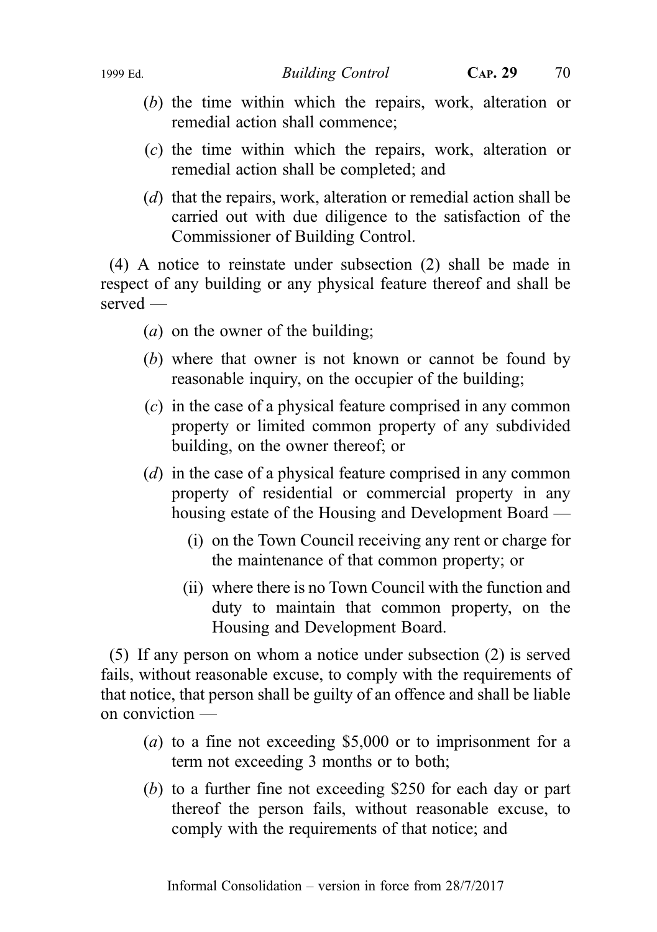- (b) the time within which the repairs, work, alteration or remedial action shall commence;
- (c) the time within which the repairs, work, alteration or remedial action shall be completed; and
- (d) that the repairs, work, alteration or remedial action shall be carried out with due diligence to the satisfaction of the Commissioner of Building Control.

(4) A notice to reinstate under subsection (2) shall be made in respect of any building or any physical feature thereof and shall be served —

- $(a)$  on the owner of the building;
- (b) where that owner is not known or cannot be found by reasonable inquiry, on the occupier of the building;
- (c) in the case of a physical feature comprised in any common property or limited common property of any subdivided building, on the owner thereof; or
- (*d*) in the case of a physical feature comprised in any common property of residential or commercial property in any housing estate of the Housing and Development Board —
	- (i) on the Town Council receiving any rent or charge for the maintenance of that common property; or
	- (ii) where there is no Town Council with the function and duty to maintain that common property, on the Housing and Development Board.

(5) If any person on whom a notice under subsection (2) is served fails, without reasonable excuse, to comply with the requirements of that notice, that person shall be guilty of an offence and shall be liable on conviction —

- (a) to a fine not exceeding \$5,000 or to imprisonment for a term not exceeding 3 months or to both;
- (b) to a further fine not exceeding \$250 for each day or part thereof the person fails, without reasonable excuse, to comply with the requirements of that notice; and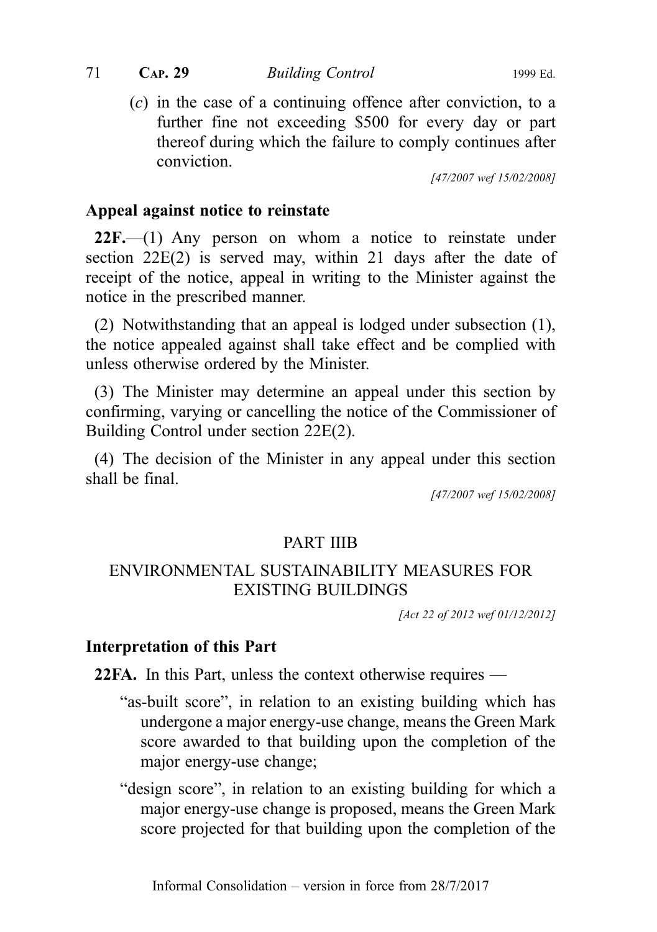71 CAP. 29 Building Control 1999 Ed.

(c) in the case of a continuing offence after conviction, to a further fine not exceeding \$500 for every day or part thereof during which the failure to comply continues after conviction.

[47/2007 wef 15/02/2008]

### Appeal against notice to reinstate

22F.—(1) Any person on whom a notice to reinstate under section 22E(2) is served may, within 21 days after the date of receipt of the notice, appeal in writing to the Minister against the notice in the prescribed manner.

(2) Notwithstanding that an appeal is lodged under subsection (1), the notice appealed against shall take effect and be complied with unless otherwise ordered by the Minister.

(3) The Minister may determine an appeal under this section by confirming, varying or cancelling the notice of the Commissioner of Building Control under section 22E(2).

(4) The decision of the Minister in any appeal under this section shall be final.

[47/2007 wef 15/02/2008]

## PART IIIB

# ENVIRONMENTAL SUSTAINABILITY MEASURES FOR EXISTING BUILDINGS

[Act 22 of 2012 wef 01/12/2012]

#### Interpretation of this Part

22FA. In this Part, unless the context otherwise requires —

- "as-built score", in relation to an existing building which has undergone a major energy-use change, means the Green Mark score awarded to that building upon the completion of the major energy-use change;
- "design score", in relation to an existing building for which a major energy-use change is proposed, means the Green Mark score projected for that building upon the completion of the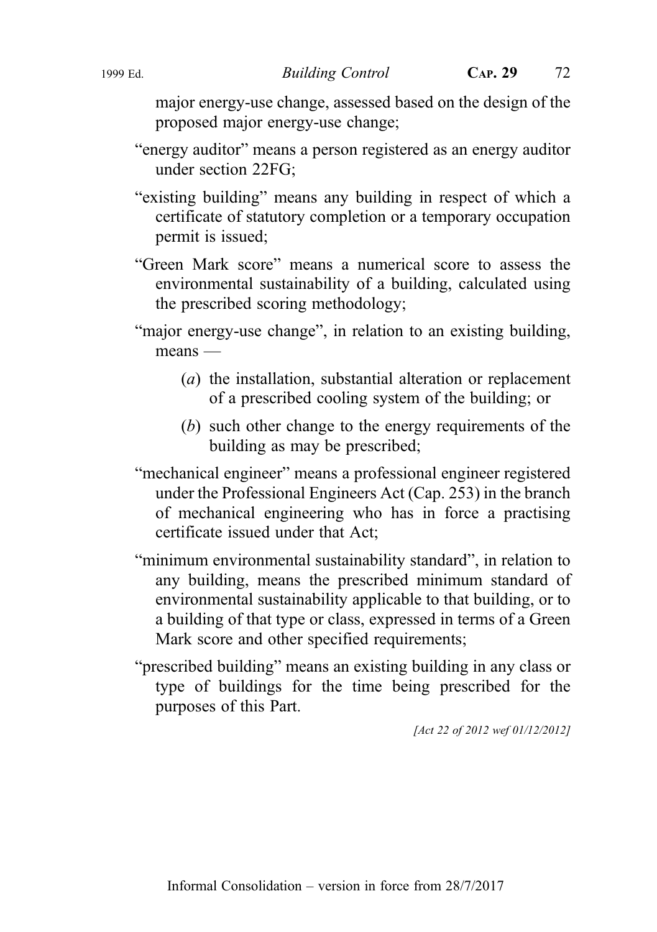major energy-use change, assessed based on the design of the proposed major energy-use change;

- "energy auditor" means a person registered as an energy auditor under section 22FG;
- "existing building" means any building in respect of which a certificate of statutory completion or a temporary occupation permit is issued;
- "Green Mark score" means a numerical score to assess the environmental sustainability of a building, calculated using the prescribed scoring methodology;
- "major energy-use change", in relation to an existing building, means —
	- (a) the installation, substantial alteration or replacement of a prescribed cooling system of the building; or
	- (b) such other change to the energy requirements of the building as may be prescribed;
- "mechanical engineer" means a professional engineer registered under the Professional Engineers Act (Cap. 253) in the branch of mechanical engineering who has in force a practising certificate issued under that Act;
- "minimum environmental sustainability standard", in relation to any building, means the prescribed minimum standard of environmental sustainability applicable to that building, or to a building of that type or class, expressed in terms of a Green Mark score and other specified requirements;
- "prescribed building" means an existing building in any class or type of buildings for the time being prescribed for the purposes of this Part.

[Act 22 of 2012 wef 01/12/2012]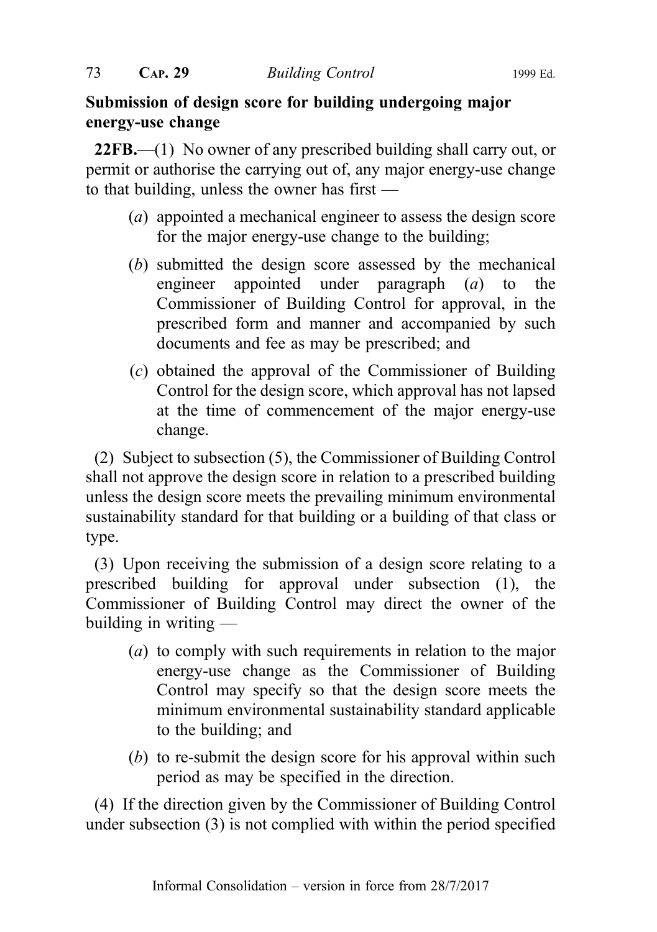## Submission of design score for building undergoing major energy-use change

22FB.—(1) No owner of any prescribed building shall carry out, or permit or authorise the carrying out of, any major energy-use change to that building, unless the owner has first —

- (a) appointed a mechanical engineer to assess the design score for the major energy-use change to the building;
- (b) submitted the design score assessed by the mechanical engineer appointed under paragraph (a) to the Commissioner of Building Control for approval, in the prescribed form and manner and accompanied by such documents and fee as may be prescribed; and
- (c) obtained the approval of the Commissioner of Building Control for the design score, which approval has not lapsed at the time of commencement of the major energy-use change.

(2) Subject to subsection (5), the Commissioner of Building Control shall not approve the design score in relation to a prescribed building unless the design score meets the prevailing minimum environmental sustainability standard for that building or a building of that class or type.

(3) Upon receiving the submission of a design score relating to a prescribed building for approval under subsection (1), the Commissioner of Building Control may direct the owner of the building in writing —

- (a) to comply with such requirements in relation to the major energy-use change as the Commissioner of Building Control may specify so that the design score meets the minimum environmental sustainability standard applicable to the building; and
- (b) to re-submit the design score for his approval within such period as may be specified in the direction.

(4) If the direction given by the Commissioner of Building Control under subsection (3) is not complied with within the period specified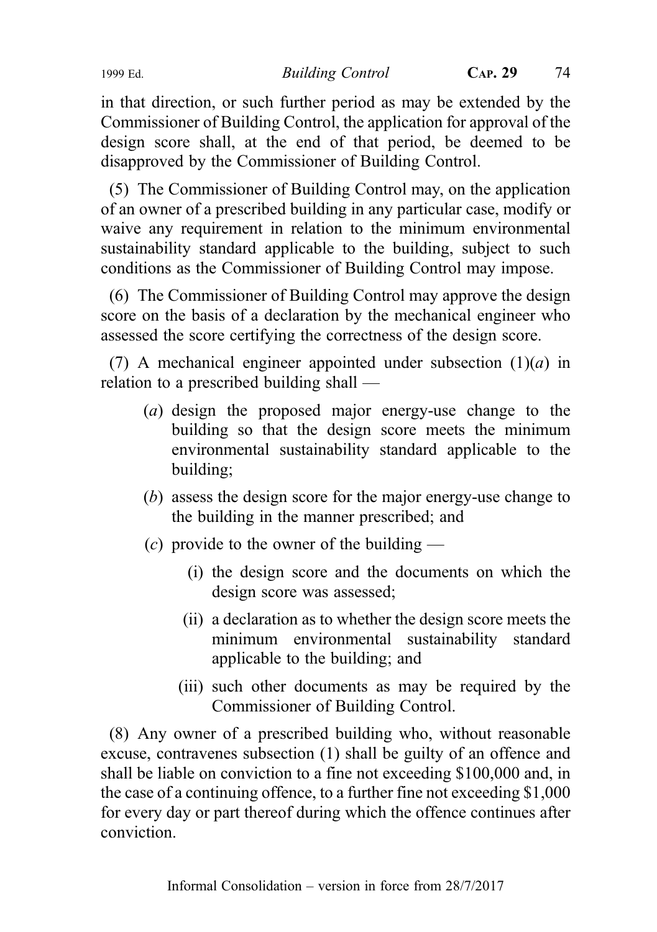in that direction, or such further period as may be extended by the Commissioner of Building Control, the application for approval of the design score shall, at the end of that period, be deemed to be disapproved by the Commissioner of Building Control.

(5) The Commissioner of Building Control may, on the application of an owner of a prescribed building in any particular case, modify or waive any requirement in relation to the minimum environmental sustainability standard applicable to the building, subject to such conditions as the Commissioner of Building Control may impose.

(6) The Commissioner of Building Control may approve the design score on the basis of a declaration by the mechanical engineer who assessed the score certifying the correctness of the design score.

(7) A mechanical engineer appointed under subsection  $(1)(a)$  in relation to a prescribed building shall —

- (a) design the proposed major energy-use change to the building so that the design score meets the minimum environmental sustainability standard applicable to the building;
- (b) assess the design score for the major energy-use change to the building in the manner prescribed; and
- (c) provide to the owner of the building
	- (i) the design score and the documents on which the design score was assessed;
	- (ii) a declaration as to whether the design score meets the minimum environmental sustainability standard applicable to the building; and
	- (iii) such other documents as may be required by the Commissioner of Building Control.

(8) Any owner of a prescribed building who, without reasonable excuse, contravenes subsection (1) shall be guilty of an offence and shall be liable on conviction to a fine not exceeding \$100,000 and, in the case of a continuing offence, to a further fine not exceeding \$1,000 for every day or part thereof during which the offence continues after conviction.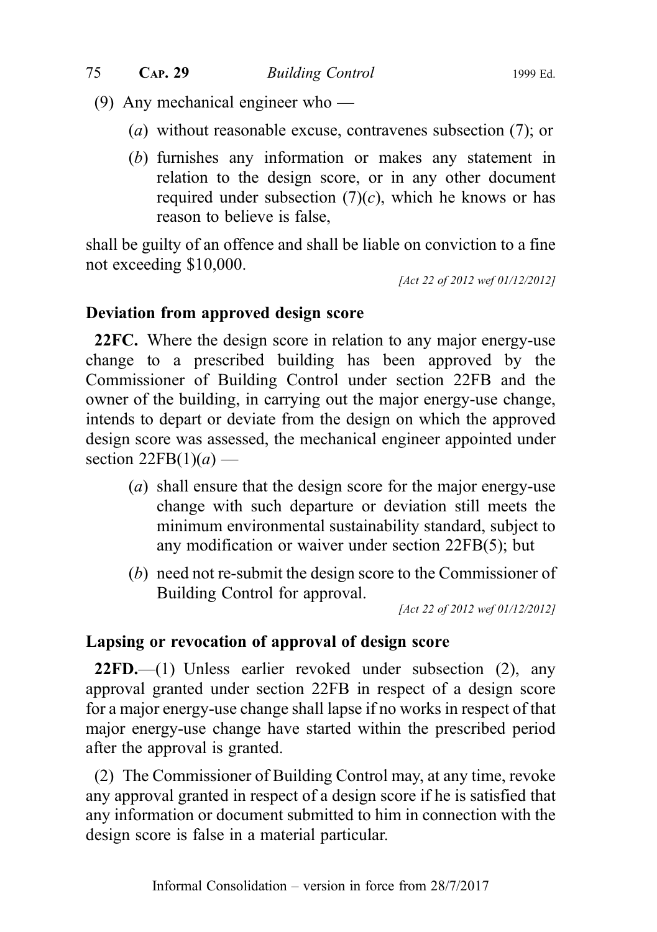- (9) Any mechanical engineer who
	- (a) without reasonable excuse, contravenes subsection (7); or
	- (b) furnishes any information or makes any statement in relation to the design score, or in any other document required under subsection  $(7)(c)$ , which he knows or has reason to believe is false,

shall be guilty of an offence and shall be liable on conviction to a fine not exceeding \$10,000.

[Act 22 of 2012 wef 01/12/2012]

## Deviation from approved design score

22FC. Where the design score in relation to any major energy-use change to a prescribed building has been approved by the Commissioner of Building Control under section 22FB and the owner of the building, in carrying out the major energy-use change, intends to depart or deviate from the design on which the approved design score was assessed, the mechanical engineer appointed under section  $22FB(1)(a)$  —

- (a) shall ensure that the design score for the major energy-use change with such departure or deviation still meets the minimum environmental sustainability standard, subject to any modification or waiver under section 22FB(5); but
- (b) need not re-submit the design score to the Commissioner of Building Control for approval.

[Act 22 of 2012 wef 01/12/2012]

## Lapsing or revocation of approval of design score

 $22FD$ , (1) Unless earlier revoked under subsection (2), any approval granted under section 22FB in respect of a design score for a major energy-use change shall lapse if no works in respect of that major energy-use change have started within the prescribed period after the approval is granted.

(2) The Commissioner of Building Control may, at any time, revoke any approval granted in respect of a design score if he is satisfied that any information or document submitted to him in connection with the design score is false in a material particular.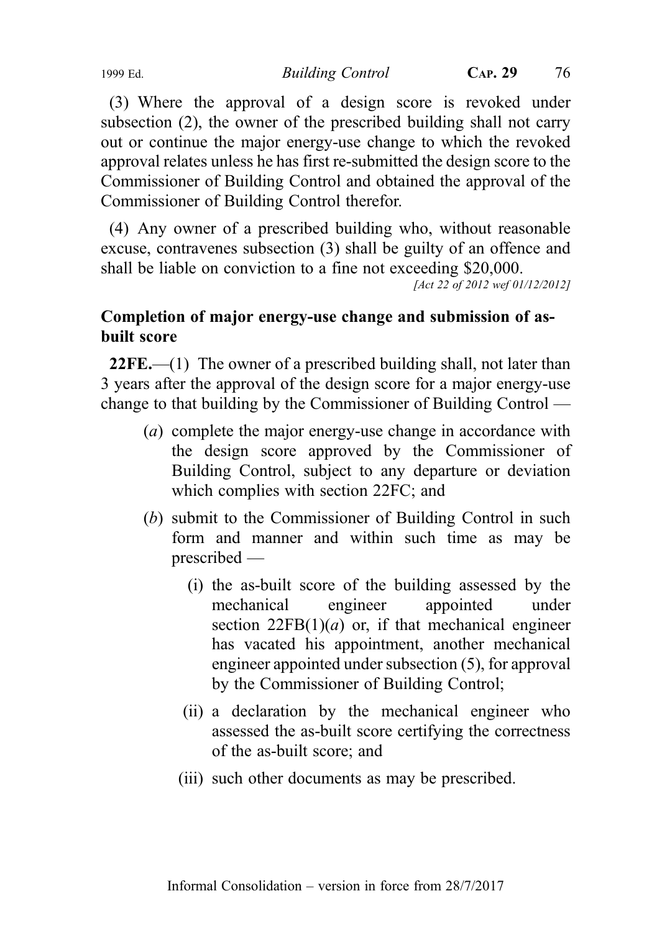(3) Where the approval of a design score is revoked under subsection (2), the owner of the prescribed building shall not carry out or continue the major energy-use change to which the revoked approval relates unless he has first re-submitted the design score to the Commissioner of Building Control and obtained the approval of the Commissioner of Building Control therefor.

(4) Any owner of a prescribed building who, without reasonable excuse, contravenes subsection (3) shall be guilty of an offence and shall be liable on conviction to a fine not exceeding \$20,000.

[Act 22 of 2012 wef 01/12/2012]

# Completion of major energy-use change and submission of asbuilt score

22FE.—(1) The owner of a prescribed building shall, not later than 3 years after the approval of the design score for a major energy-use change to that building by the Commissioner of Building Control —

- (a) complete the major energy-use change in accordance with the design score approved by the Commissioner of Building Control, subject to any departure or deviation which complies with section 22FC; and
- (b) submit to the Commissioner of Building Control in such form and manner and within such time as may be prescribed —
	- (i) the as-built score of the building assessed by the mechanical engineer appointed under section  $22FB(1)(a)$  or, if that mechanical engineer has vacated his appointment, another mechanical engineer appointed under subsection (5), for approval by the Commissioner of Building Control;
	- (ii) a declaration by the mechanical engineer who assessed the as-built score certifying the correctness of the as-built score; and
	- (iii) such other documents as may be prescribed.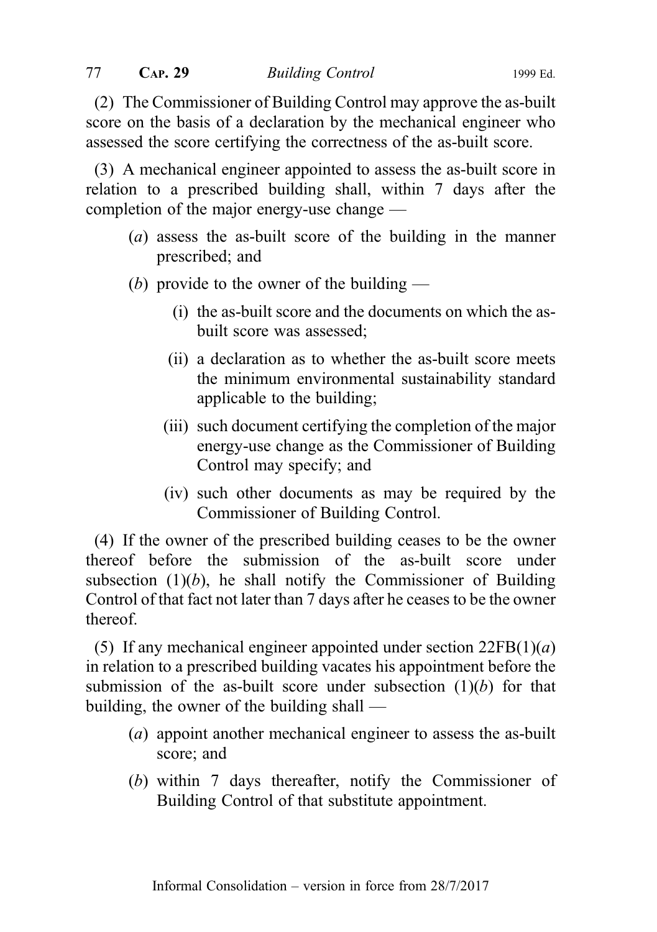(2) The Commissioner of Building Control may approve the as-built score on the basis of a declaration by the mechanical engineer who assessed the score certifying the correctness of the as-built score.

(3) A mechanical engineer appointed to assess the as-built score in relation to a prescribed building shall, within 7 days after the completion of the major energy-use change —

- (a) assess the as-built score of the building in the manner prescribed; and
- (b) provide to the owner of the building
	- (i) the as-built score and the documents on which the asbuilt score was assessed;
	- (ii) a declaration as to whether the as-built score meets the minimum environmental sustainability standard applicable to the building;
	- (iii) such document certifying the completion of the major energy-use change as the Commissioner of Building Control may specify; and
	- (iv) such other documents as may be required by the Commissioner of Building Control.

(4) If the owner of the prescribed building ceases to be the owner thereof before the submission of the as-built score under subsection  $(1)(b)$ , he shall notify the Commissioner of Building Control of that fact not later than 7 days after he ceases to be the owner thereof.

(5) If any mechanical engineer appointed under section  $22FB(1)(a)$ in relation to a prescribed building vacates his appointment before the submission of the as-built score under subsection  $(1)(b)$  for that building, the owner of the building shall —

- (a) appoint another mechanical engineer to assess the as-built score; and
- (b) within 7 days thereafter, notify the Commissioner of Building Control of that substitute appointment.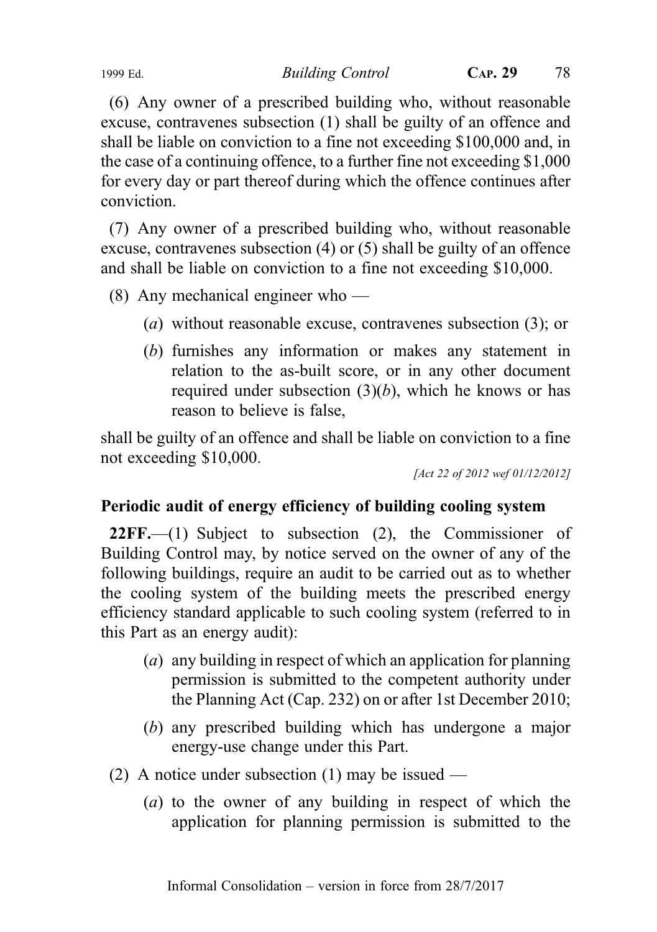(6) Any owner of a prescribed building who, without reasonable excuse, contravenes subsection (1) shall be guilty of an offence and shall be liable on conviction to a fine not exceeding \$100,000 and, in the case of a continuing offence, to a further fine not exceeding \$1,000 for every day or part thereof during which the offence continues after conviction.

(7) Any owner of a prescribed building who, without reasonable excuse, contravenes subsection (4) or (5) shall be guilty of an offence and shall be liable on conviction to a fine not exceeding \$10,000.

(8) Any mechanical engineer who —

- (a) without reasonable excuse, contravenes subsection (3); or
- (b) furnishes any information or makes any statement in relation to the as-built score, or in any other document required under subsection  $(3)(b)$ , which he knows or has reason to believe is false,

shall be guilty of an offence and shall be liable on conviction to a fine not exceeding \$10,000.

[Act 22 of 2012 wef 01/12/2012]

# Periodic audit of energy efficiency of building cooling system

 $22FF$ , (1) Subject to subsection (2), the Commissioner of Building Control may, by notice served on the owner of any of the following buildings, require an audit to be carried out as to whether the cooling system of the building meets the prescribed energy efficiency standard applicable to such cooling system (referred to in this Part as an energy audit):

- (a) any building in respect of which an application for planning permission is submitted to the competent authority under the Planning Act (Cap. 232) on or after 1st December 2010;
- (b) any prescribed building which has undergone a major energy-use change under this Part.
- (2) A notice under subsection (1) may be issued
	- (a) to the owner of any building in respect of which the application for planning permission is submitted to the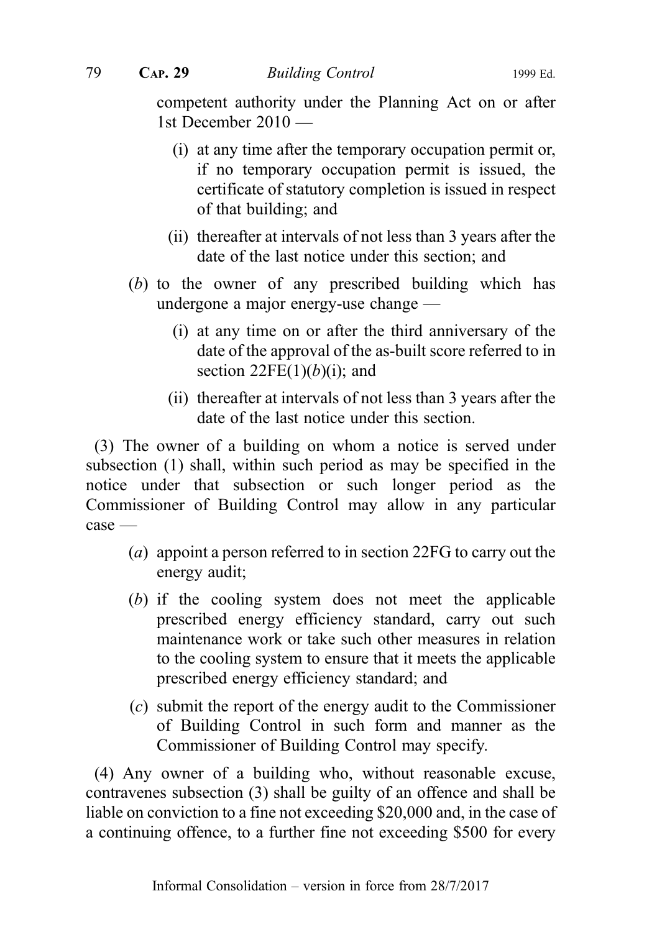competent authority under the Planning Act on or after 1st December 2010 —

- (i) at any time after the temporary occupation permit or, if no temporary occupation permit is issued, the certificate of statutory completion is issued in respect of that building; and
- (ii) thereafter at intervals of not less than 3 years after the date of the last notice under this section; and
- (b) to the owner of any prescribed building which has undergone a major energy-use change —
	- (i) at any time on or after the third anniversary of the date of the approval of the as-built score referred to in section  $22FE(1)(b)(i)$ ; and
	- (ii) thereafter at intervals of not less than 3 years after the date of the last notice under this section.

(3) The owner of a building on whom a notice is served under subsection (1) shall, within such period as may be specified in the notice under that subsection or such longer period as the Commissioner of Building Control may allow in any particular case —

- (a) appoint a person referred to in section 22FG to carry out the energy audit;
- (b) if the cooling system does not meet the applicable prescribed energy efficiency standard, carry out such maintenance work or take such other measures in relation to the cooling system to ensure that it meets the applicable prescribed energy efficiency standard; and
- (c) submit the report of the energy audit to the Commissioner of Building Control in such form and manner as the Commissioner of Building Control may specify.

(4) Any owner of a building who, without reasonable excuse, contravenes subsection (3) shall be guilty of an offence and shall be liable on conviction to a fine not exceeding \$20,000 and, in the case of a continuing offence, to a further fine not exceeding \$500 for every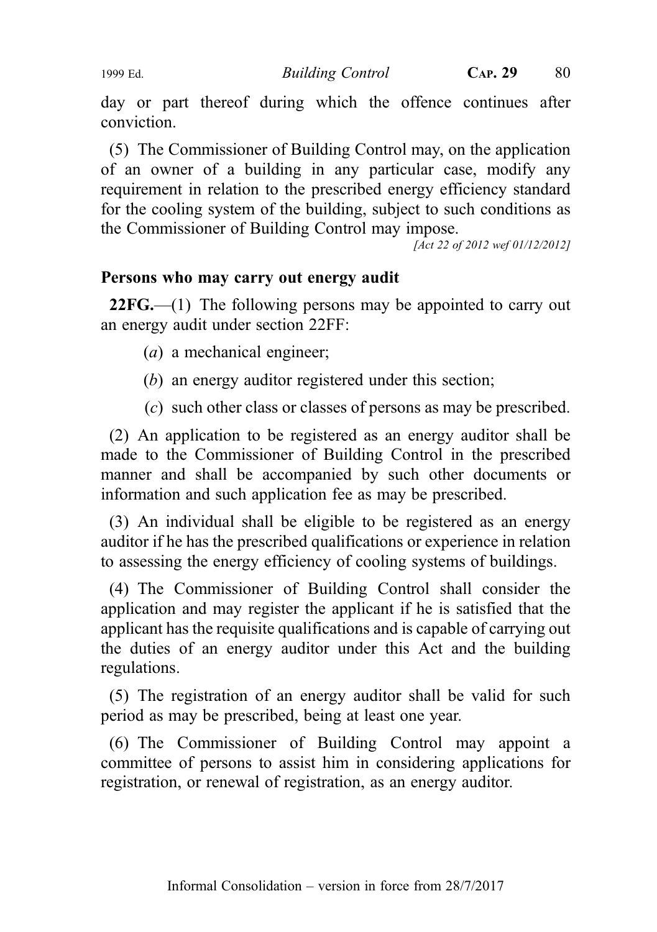day or part thereof during which the offence continues after conviction.

(5) The Commissioner of Building Control may, on the application of an owner of a building in any particular case, modify any requirement in relation to the prescribed energy efficiency standard for the cooling system of the building, subject to such conditions as the Commissioner of Building Control may impose.

[Act 22 of 2012 wef 01/12/2012]

### Persons who may carry out energy audit

 $22FG$ —(1) The following persons may be appointed to carry out an energy audit under section 22FF:

 $(a)$  a mechanical engineer;

- (b) an energy auditor registered under this section;
- (c) such other class or classes of persons as may be prescribed.

(2) An application to be registered as an energy auditor shall be made to the Commissioner of Building Control in the prescribed manner and shall be accompanied by such other documents or information and such application fee as may be prescribed.

(3) An individual shall be eligible to be registered as an energy auditor if he has the prescribed qualifications or experience in relation to assessing the energy efficiency of cooling systems of buildings.

(4) The Commissioner of Building Control shall consider the application and may register the applicant if he is satisfied that the applicant has the requisite qualifications and is capable of carrying out the duties of an energy auditor under this Act and the building regulations.

(5) The registration of an energy auditor shall be valid for such period as may be prescribed, being at least one year.

(6) The Commissioner of Building Control may appoint a committee of persons to assist him in considering applications for registration, or renewal of registration, as an energy auditor.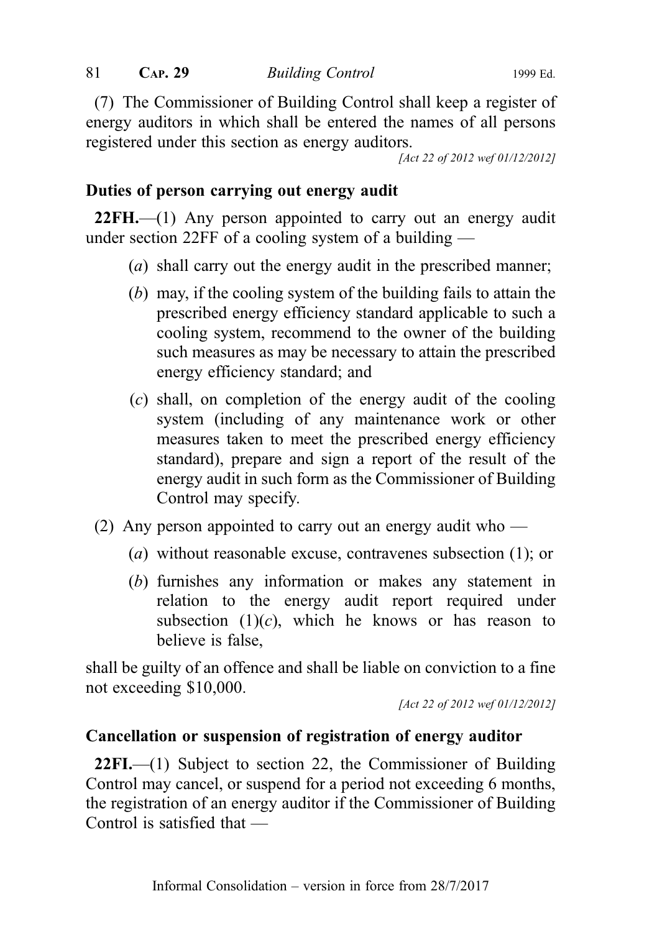(7) The Commissioner of Building Control shall keep a register of energy auditors in which shall be entered the names of all persons registered under this section as energy auditors.

[Act 22 of 2012 wef 01/12/2012]

## Duties of person carrying out energy audit

22FH.—(1) Any person appointed to carry out an energy audit under section 22FF of a cooling system of a building —

- (a) shall carry out the energy audit in the prescribed manner;
- (b) may, if the cooling system of the building fails to attain the prescribed energy efficiency standard applicable to such a cooling system, recommend to the owner of the building such measures as may be necessary to attain the prescribed energy efficiency standard; and
- (c) shall, on completion of the energy audit of the cooling system (including of any maintenance work or other measures taken to meet the prescribed energy efficiency standard), prepare and sign a report of the result of the energy audit in such form as the Commissioner of Building Control may specify.
- (2) Any person appointed to carry out an energy audit who
	- (a) without reasonable excuse, contravenes subsection (1); or
	- (b) furnishes any information or makes any statement in relation to the energy audit report required under subsection  $(1)(c)$ , which he knows or has reason to believe is false,

shall be guilty of an offence and shall be liable on conviction to a fine not exceeding \$10,000.

[Act 22 of 2012 wef 01/12/2012]

## Cancellation or suspension of registration of energy auditor

22FI.—(1) Subject to section 22, the Commissioner of Building Control may cancel, or suspend for a period not exceeding 6 months, the registration of an energy auditor if the Commissioner of Building Control is satisfied that —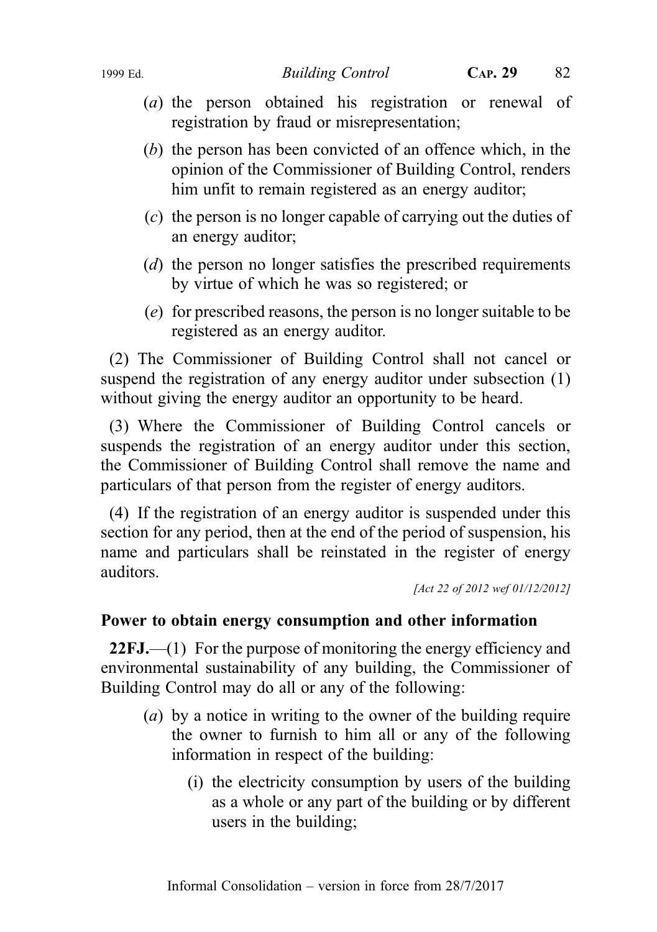- (a) the person obtained his registration or renewal of registration by fraud or misrepresentation;
- (b) the person has been convicted of an offence which, in the opinion of the Commissioner of Building Control, renders him unfit to remain registered as an energy auditor;
- (c) the person is no longer capable of carrying out the duties of an energy auditor;
- (d) the person no longer satisfies the prescribed requirements by virtue of which he was so registered; or
- (e) for prescribed reasons, the person is no longer suitable to be registered as an energy auditor.

(2) The Commissioner of Building Control shall not cancel or suspend the registration of any energy auditor under subsection (1) without giving the energy auditor an opportunity to be heard.

(3) Where the Commissioner of Building Control cancels or suspends the registration of an energy auditor under this section, the Commissioner of Building Control shall remove the name and particulars of that person from the register of energy auditors.

(4) If the registration of an energy auditor is suspended under this section for any period, then at the end of the period of suspension, his name and particulars shall be reinstated in the register of energy auditors.

[Act 22 of 2012 wef 01/12/2012]

#### Power to obtain energy consumption and other information

22FJ.—(1) For the purpose of monitoring the energy efficiency and environmental sustainability of any building, the Commissioner of Building Control may do all or any of the following:

- (a) by a notice in writing to the owner of the building require the owner to furnish to him all or any of the following information in respect of the building:
	- (i) the electricity consumption by users of the building as a whole or any part of the building or by different users in the building;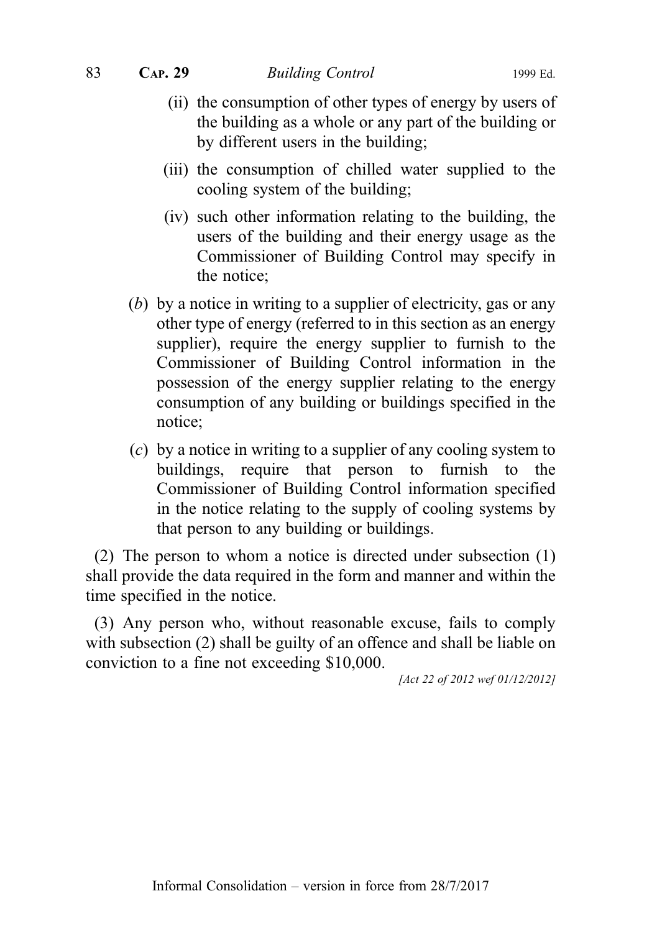83 CAP. 29 Building Control 1999 Ed.

- (ii) the consumption of other types of energy by users of the building as a whole or any part of the building or by different users in the building;
- (iii) the consumption of chilled water supplied to the cooling system of the building;
- (iv) such other information relating to the building, the users of the building and their energy usage as the Commissioner of Building Control may specify in the notice;
- (b) by a notice in writing to a supplier of electricity, gas or any other type of energy (referred to in this section as an energy supplier), require the energy supplier to furnish to the Commissioner of Building Control information in the possession of the energy supplier relating to the energy consumption of any building or buildings specified in the notice;
- (c) by a notice in writing to a supplier of any cooling system to buildings, require that person to furnish to the Commissioner of Building Control information specified in the notice relating to the supply of cooling systems by that person to any building or buildings.

(2) The person to whom a notice is directed under subsection (1) shall provide the data required in the form and manner and within the time specified in the notice.

(3) Any person who, without reasonable excuse, fails to comply with subsection (2) shall be guilty of an offence and shall be liable on conviction to a fine not exceeding \$10,000.

[Act 22 of 2012 wef 01/12/2012]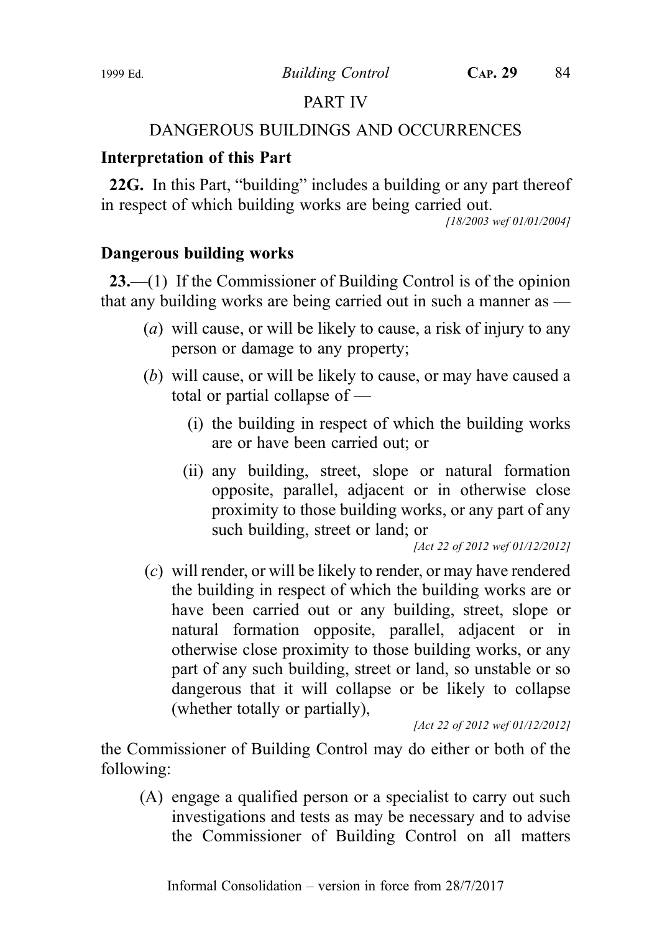# PART IV

# DANGEROUS BUILDINGS AND OCCURRENCES

# Interpretation of this Part

22G. In this Part, "building" includes a building or any part thereof in respect of which building works are being carried out.

[18/2003 wef 01/01/2004]

# Dangerous building works

23.—(1) If the Commissioner of Building Control is of the opinion that any building works are being carried out in such a manner as  $-$ 

- (a) will cause, or will be likely to cause, a risk of injury to any person or damage to any property;
- (b) will cause, or will be likely to cause, or may have caused a total or partial collapse of —
	- (i) the building in respect of which the building works are or have been carried out; or
	- (ii) any building, street, slope or natural formation opposite, parallel, adjacent or in otherwise close proximity to those building works, or any part of any such building, street or land; or

[Act 22 of 2012 wef 01/12/2012]

(c) will render, or will be likely to render, or may have rendered the building in respect of which the building works are or have been carried out or any building, street, slope or natural formation opposite, parallel, adjacent or in otherwise close proximity to those building works, or any part of any such building, street or land, so unstable or so dangerous that it will collapse or be likely to collapse (whether totally or partially),

[Act 22 of 2012 wef 01/12/2012]

the Commissioner of Building Control may do either or both of the following:

(A) engage a qualified person or a specialist to carry out such investigations and tests as may be necessary and to advise the Commissioner of Building Control on all matters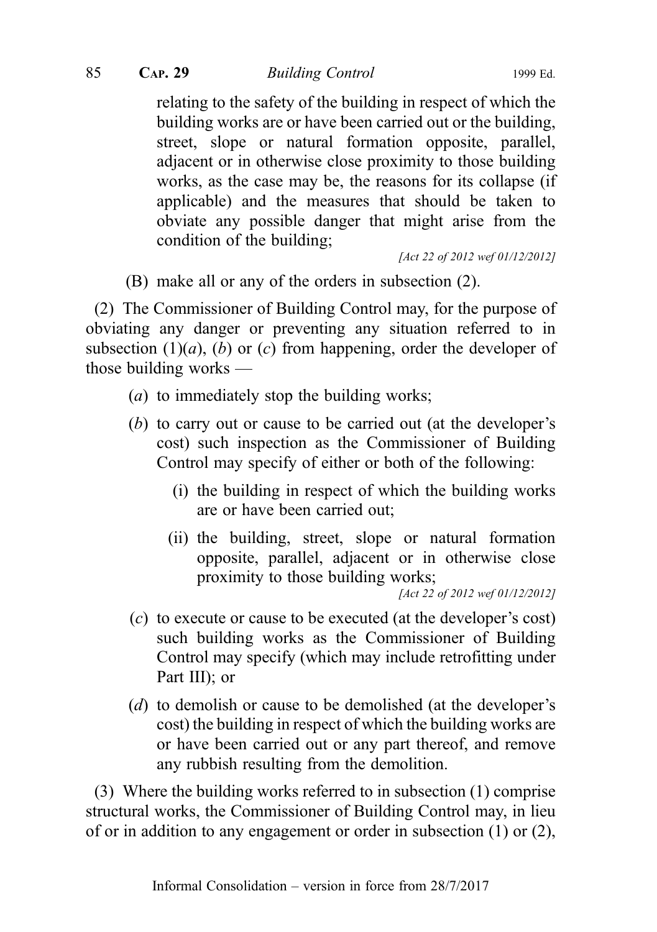85 CAP. 29 Building Control 1999 Ed.

relating to the safety of the building in respect of which the building works are or have been carried out or the building, street, slope or natural formation opposite, parallel, adjacent or in otherwise close proximity to those building works, as the case may be, the reasons for its collapse (if applicable) and the measures that should be taken to obviate any possible danger that might arise from the condition of the building;

[Act 22 of 2012 wef 01/12/2012]

(B) make all or any of the orders in subsection (2).

(2) The Commissioner of Building Control may, for the purpose of obviating any danger or preventing any situation referred to in subsection  $(1)(a)$ ,  $(b)$  or  $(c)$  from happening, order the developer of those building works —

- (a) to immediately stop the building works;
- (b) to carry out or cause to be carried out (at the developer's cost) such inspection as the Commissioner of Building Control may specify of either or both of the following:
	- (i) the building in respect of which the building works are or have been carried out;
	- (ii) the building, street, slope or natural formation opposite, parallel, adjacent or in otherwise close proximity to those building works;

[Act 22 of 2012 wef 01/12/2012]

- (c) to execute or cause to be executed (at the developer's cost) such building works as the Commissioner of Building Control may specify (which may include retrofitting under Part III); or
- (d) to demolish or cause to be demolished (at the developer's cost) the building in respect of which the building works are or have been carried out or any part thereof, and remove any rubbish resulting from the demolition.

(3) Where the building works referred to in subsection (1) comprise structural works, the Commissioner of Building Control may, in lieu of or in addition to any engagement or order in subsection (1) or (2),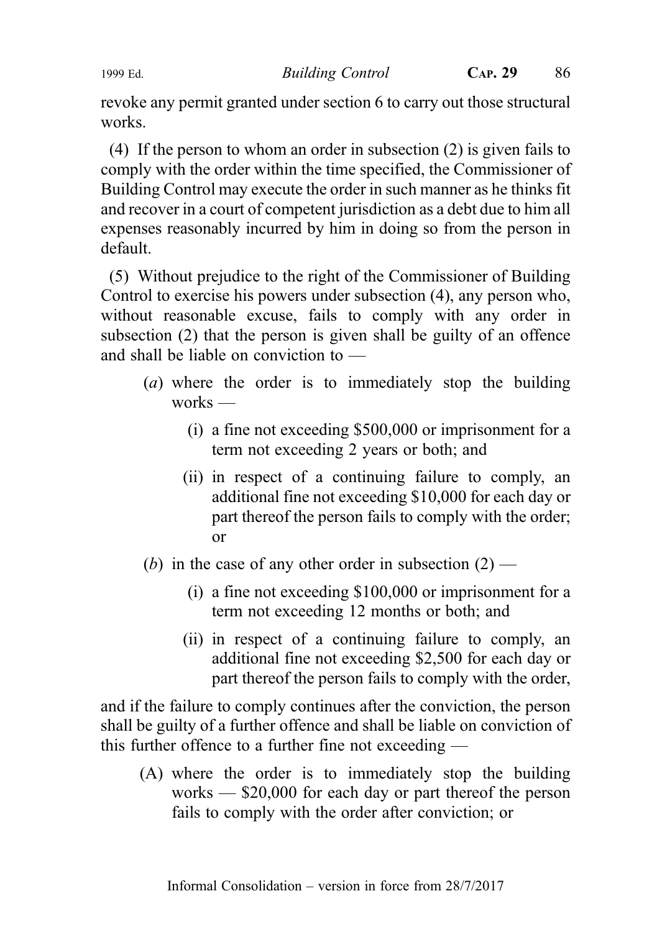revoke any permit granted under section 6 to carry out those structural works.

(4) If the person to whom an order in subsection (2) is given fails to comply with the order within the time specified, the Commissioner of Building Control may execute the order in such manner as he thinks fit and recover in a court of competent jurisdiction as a debt due to him all expenses reasonably incurred by him in doing so from the person in default.

(5) Without prejudice to the right of the Commissioner of Building Control to exercise his powers under subsection (4), any person who, without reasonable excuse, fails to comply with any order in subsection (2) that the person is given shall be guilty of an offence and shall be liable on conviction to —

- (a) where the order is to immediately stop the building works —
	- (i) a fine not exceeding \$500,000 or imprisonment for a term not exceeding 2 years or both; and
	- (ii) in respect of a continuing failure to comply, an additional fine not exceeding \$10,000 for each day or part thereof the person fails to comply with the order; or
- (b) in the case of any other order in subsection  $(2)$ 
	- (i) a fine not exceeding \$100,000 or imprisonment for a term not exceeding 12 months or both; and
	- (ii) in respect of a continuing failure to comply, an additional fine not exceeding \$2,500 for each day or part thereof the person fails to comply with the order,

and if the failure to comply continues after the conviction, the person shall be guilty of a further offence and shall be liable on conviction of this further offence to a further fine not exceeding —

(A) where the order is to immediately stop the building works — \$20,000 for each day or part thereof the person fails to comply with the order after conviction; or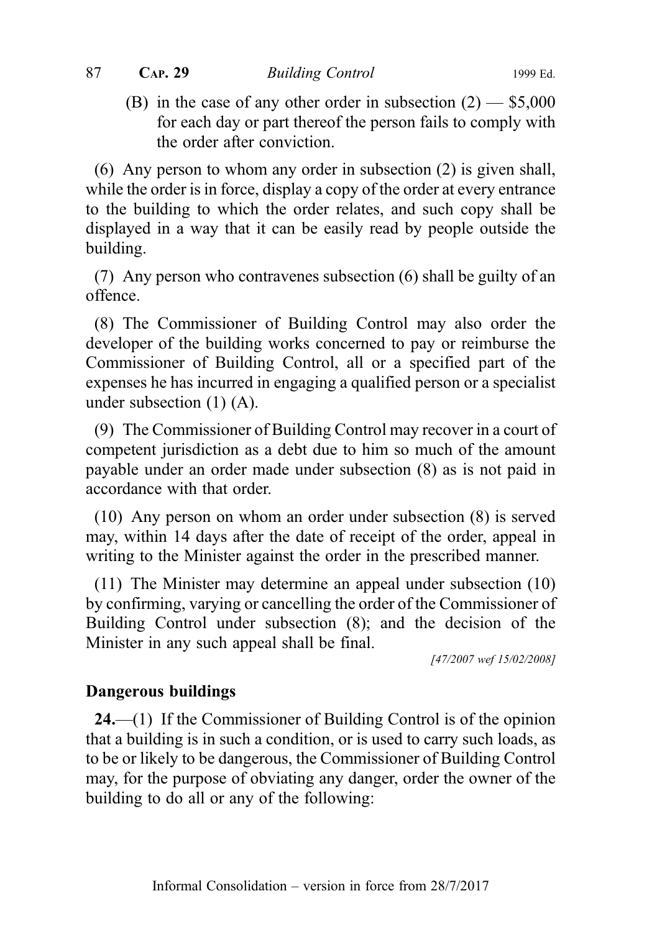(B) in the case of any other order in subsection  $(2)$  — \$5,000 for each day or part thereof the person fails to comply with the order after conviction.

(6) Any person to whom any order in subsection (2) is given shall, while the order is in force, display a copy of the order at every entrance to the building to which the order relates, and such copy shall be displayed in a way that it can be easily read by people outside the building.

(7) Any person who contravenes subsection (6) shall be guilty of an offence.

(8) The Commissioner of Building Control may also order the developer of the building works concerned to pay or reimburse the Commissioner of Building Control, all or a specified part of the expenses he has incurred in engaging a qualified person or a specialist under subsection (1) (A).

(9) The Commissioner of Building Control may recover in a court of competent jurisdiction as a debt due to him so much of the amount payable under an order made under subsection (8) as is not paid in accordance with that order.

(10) Any person on whom an order under subsection (8) is served may, within 14 days after the date of receipt of the order, appeal in writing to the Minister against the order in the prescribed manner.

(11) The Minister may determine an appeal under subsection (10) by confirming, varying or cancelling the order of the Commissioner of Building Control under subsection (8); and the decision of the Minister in any such appeal shall be final.

[47/2007 wef 15/02/2008]

## Dangerous buildings

24.—(1) If the Commissioner of Building Control is of the opinion that a building is in such a condition, or is used to carry such loads, as to be or likely to be dangerous, the Commissioner of Building Control may, for the purpose of obviating any danger, order the owner of the building to do all or any of the following: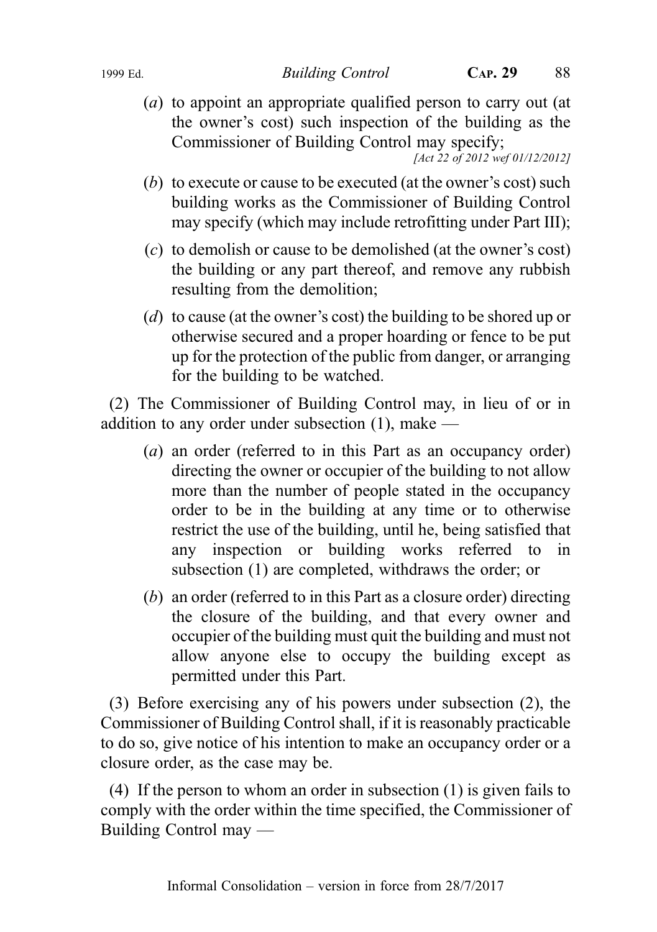(a) to appoint an appropriate qualified person to carry out (at the owner's cost) such inspection of the building as the Commissioner of Building Control may specify;

[Act 22 of 2012 wef 01/12/2012]

- (b) to execute or cause to be executed (at the owner's cost) such building works as the Commissioner of Building Control may specify (which may include retrofitting under Part III);
- (c) to demolish or cause to be demolished (at the owner's cost) the building or any part thereof, and remove any rubbish resulting from the demolition;
- (d) to cause (at the owner's cost) the building to be shored up or otherwise secured and a proper hoarding or fence to be put up for the protection of the public from danger, or arranging for the building to be watched.

(2) The Commissioner of Building Control may, in lieu of or in addition to any order under subsection (1), make —

- (a) an order (referred to in this Part as an occupancy order) directing the owner or occupier of the building to not allow more than the number of people stated in the occupancy order to be in the building at any time or to otherwise restrict the use of the building, until he, being satisfied that any inspection or building works referred to in subsection (1) are completed, withdraws the order; or
- (b) an order (referred to in this Part as a closure order) directing the closure of the building, and that every owner and occupier of the building must quit the building and must not allow anyone else to occupy the building except as permitted under this Part.

(3) Before exercising any of his powers under subsection (2), the Commissioner of Building Control shall, if it is reasonably practicable to do so, give notice of his intention to make an occupancy order or a closure order, as the case may be.

(4) If the person to whom an order in subsection (1) is given fails to comply with the order within the time specified, the Commissioner of Building Control may ––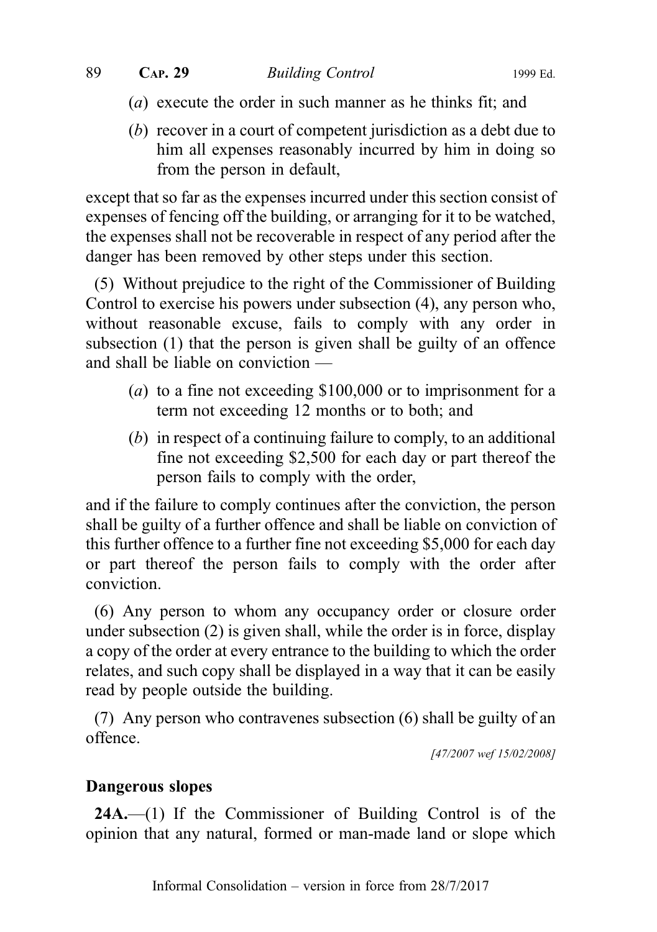- (a) execute the order in such manner as he thinks fit; and
- (b) recover in a court of competent jurisdiction as a debt due to him all expenses reasonably incurred by him in doing so from the person in default,

except that so far as the expenses incurred under this section consist of expenses of fencing off the building, or arranging for it to be watched, the expenses shall not be recoverable in respect of any period after the danger has been removed by other steps under this section.

(5) Without prejudice to the right of the Commissioner of Building Control to exercise his powers under subsection (4), any person who, without reasonable excuse, fails to comply with any order in subsection (1) that the person is given shall be guilty of an offence and shall be liable on conviction —

- (a) to a fine not exceeding \$100,000 or to imprisonment for a term not exceeding 12 months or to both; and
- (b) in respect of a continuing failure to comply, to an additional fine not exceeding \$2,500 for each day or part thereof the person fails to comply with the order,

and if the failure to comply continues after the conviction, the person shall be guilty of a further offence and shall be liable on conviction of this further offence to a further fine not exceeding \$5,000 for each day or part thereof the person fails to comply with the order after conviction.

(6) Any person to whom any occupancy order or closure order under subsection (2) is given shall, while the order is in force, display a copy of the order at every entrance to the building to which the order relates, and such copy shall be displayed in a way that it can be easily read by people outside the building.

(7) Any person who contravenes subsection (6) shall be guilty of an offence.

[47/2007 wef 15/02/2008]

## Dangerous slopes

24A.—(1) If the Commissioner of Building Control is of the opinion that any natural, formed or man-made land or slope which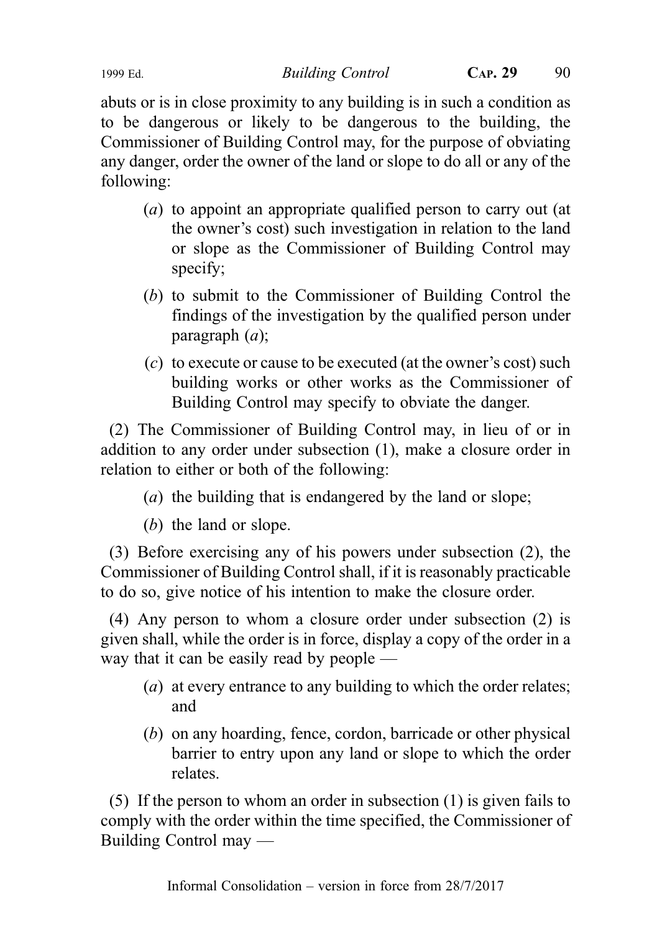abuts or is in close proximity to any building is in such a condition as to be dangerous or likely to be dangerous to the building, the Commissioner of Building Control may, for the purpose of obviating any danger, order the owner of the land or slope to do all or any of the following:

- (a) to appoint an appropriate qualified person to carry out (at the owner's cost) such investigation in relation to the land or slope as the Commissioner of Building Control may specify;
- (b) to submit to the Commissioner of Building Control the findings of the investigation by the qualified person under paragraph (a);
- (c) to execute or cause to be executed (at the owner's cost) such building works or other works as the Commissioner of Building Control may specify to obviate the danger.

(2) The Commissioner of Building Control may, in lieu of or in addition to any order under subsection (1), make a closure order in relation to either or both of the following:

- (a) the building that is endangered by the land or slope;
- (b) the land or slope.

(3) Before exercising any of his powers under subsection (2), the Commissioner of Building Control shall, if it is reasonably practicable to do so, give notice of his intention to make the closure order.

(4) Any person to whom a closure order under subsection (2) is given shall, while the order is in force, display a copy of the order in a way that it can be easily read by people —

- (a) at every entrance to any building to which the order relates; and
- (b) on any hoarding, fence, cordon, barricade or other physical barrier to entry upon any land or slope to which the order relates.

(5) If the person to whom an order in subsection (1) is given fails to comply with the order within the time specified, the Commissioner of Building Control may —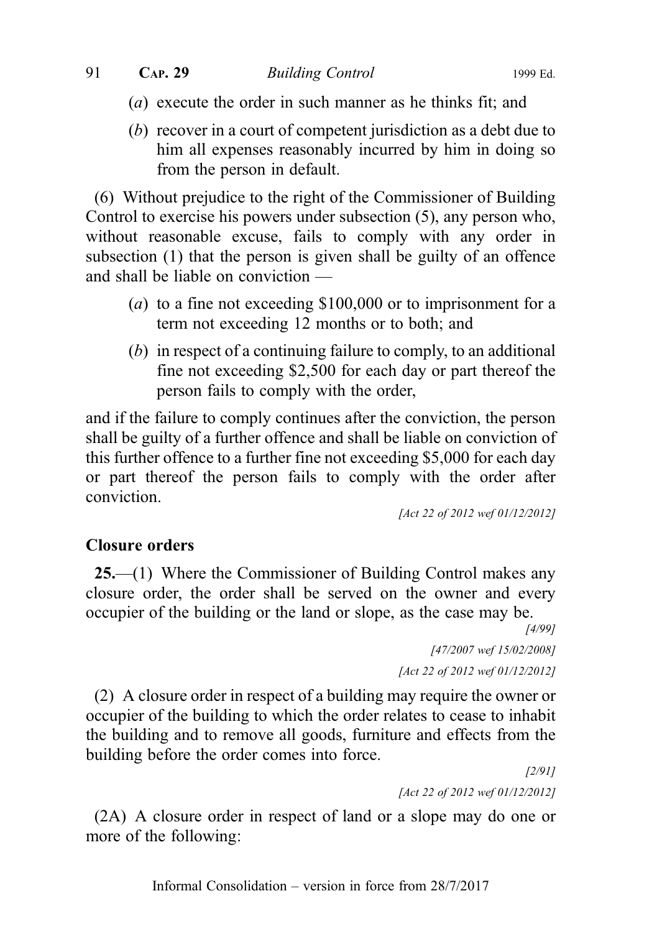- (a) execute the order in such manner as he thinks fit; and
- (b) recover in a court of competent jurisdiction as a debt due to him all expenses reasonably incurred by him in doing so from the person in default.

(6) Without prejudice to the right of the Commissioner of Building Control to exercise his powers under subsection (5), any person who, without reasonable excuse, fails to comply with any order in subsection (1) that the person is given shall be guilty of an offence and shall be liable on conviction —

- (a) to a fine not exceeding \$100,000 or to imprisonment for a term not exceeding 12 months or to both; and
- (b) in respect of a continuing failure to comply, to an additional fine not exceeding \$2,500 for each day or part thereof the person fails to comply with the order,

and if the failure to comply continues after the conviction, the person shall be guilty of a further offence and shall be liable on conviction of this further offence to a further fine not exceeding \$5,000 for each day or part thereof the person fails to comply with the order after conviction.

[Act 22 of 2012 wef 01/12/2012]

## Closure orders

25.—(1) Where the Commissioner of Building Control makes any closure order, the order shall be served on the owner and every occupier of the building or the land or slope, as the case may be.

> [4/99] [47/2007 wef 15/02/2008] [Act 22 of 2012 wef 01/12/2012]

(2) A closure order in respect of a building may require the owner or occupier of the building to which the order relates to cease to inhabit the building and to remove all goods, furniture and effects from the building before the order comes into force.

[2/91] [Act 22 of 2012 wef 01/12/2012]

(2A) A closure order in respect of land or a slope may do one or more of the following: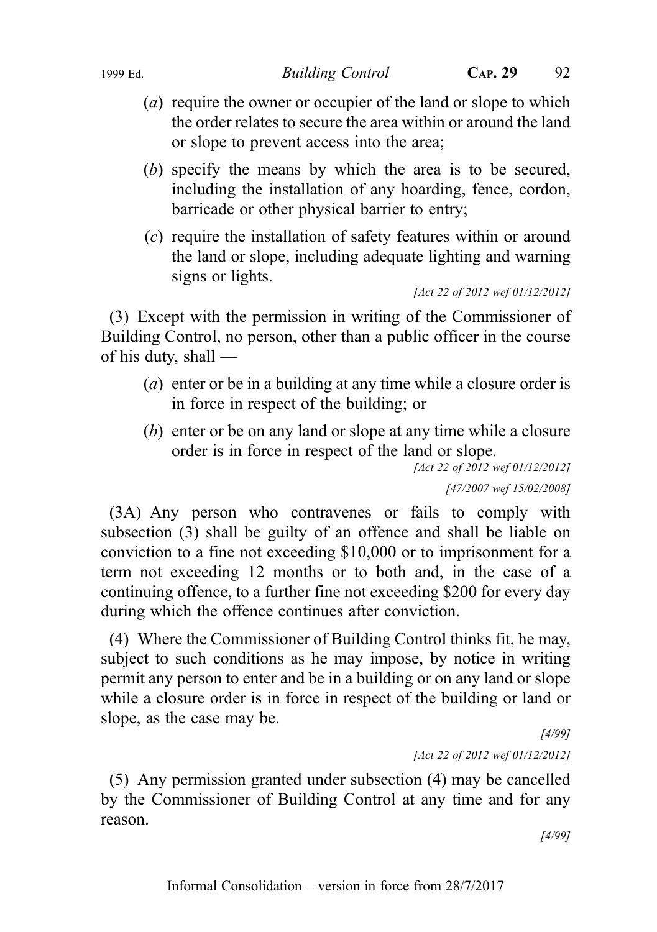- (a) require the owner or occupier of the land or slope to which the order relates to secure the area within or around the land or slope to prevent access into the area;
- (b) specify the means by which the area is to be secured, including the installation of any hoarding, fence, cordon, barricade or other physical barrier to entry;
- (c) require the installation of safety features within or around the land or slope, including adequate lighting and warning signs or lights.

[Act 22 of 2012 wef 01/12/2012]

(3) Except with the permission in writing of the Commissioner of Building Control, no person, other than a public officer in the course of his duty, shall —

- (a) enter or be in a building at any time while a closure order is in force in respect of the building; or
- (b) enter or be on any land or slope at any time while a closure order is in force in respect of the land or slope.

[Act 22 of 2012 wef 01/12/2012] [47/2007 wef 15/02/2008]

(3A) Any person who contravenes or fails to comply with subsection (3) shall be guilty of an offence and shall be liable on conviction to a fine not exceeding \$10,000 or to imprisonment for a term not exceeding 12 months or to both and, in the case of a continuing offence, to a further fine not exceeding \$200 for every day during which the offence continues after conviction.

(4) Where the Commissioner of Building Control thinks fit, he may, subject to such conditions as he may impose, by notice in writing permit any person to enter and be in a building or on any land or slope while a closure order is in force in respect of the building or land or slope, as the case may be.

[4/99] [Act 22 of 2012 wef 01/12/2012]

(5) Any permission granted under subsection (4) may be cancelled by the Commissioner of Building Control at any time and for any reason.

[4/99]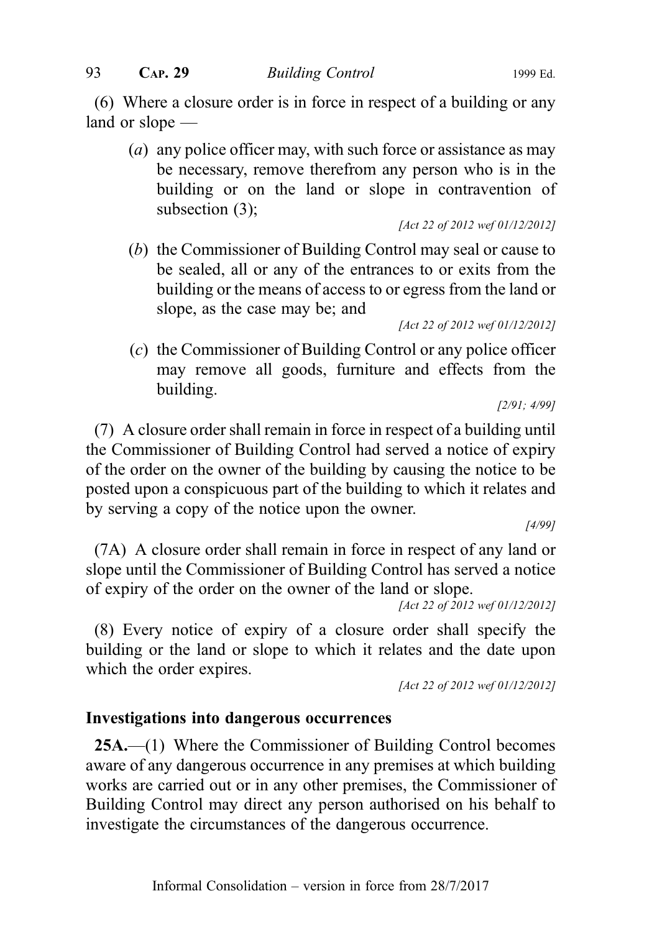(6) Where a closure order is in force in respect of a building or any land or slope —

(a) any police officer may, with such force or assistance as may be necessary, remove therefrom any person who is in the building or on the land or slope in contravention of subsection (3);

[Act 22 of 2012 wef 01/12/2012]

(b) the Commissioner of Building Control may seal or cause to be sealed, all or any of the entrances to or exits from the building or the means of access to or egress from the land or slope, as the case may be; and

[Act 22 of 2012 wef 01/12/2012]

(c) the Commissioner of Building Control or any police officer may remove all goods, furniture and effects from the building.

[2/91; 4/99]

(7) A closure order shall remain in force in respect of a building until the Commissioner of Building Control had served a notice of expiry of the order on the owner of the building by causing the notice to be posted upon a conspicuous part of the building to which it relates and by serving a copy of the notice upon the owner.

[4/99]

(7A) A closure order shall remain in force in respect of any land or slope until the Commissioner of Building Control has served a notice of expiry of the order on the owner of the land or slope.

[Act 22 of 2012 wef 01/12/2012]

(8) Every notice of expiry of a closure order shall specify the building or the land or slope to which it relates and the date upon which the order expires.

[Act 22 of 2012 wef 01/12/2012]

#### Investigations into dangerous occurrences

25A.—(1) Where the Commissioner of Building Control becomes aware of any dangerous occurrence in any premises at which building works are carried out or in any other premises, the Commissioner of Building Control may direct any person authorised on his behalf to investigate the circumstances of the dangerous occurrence.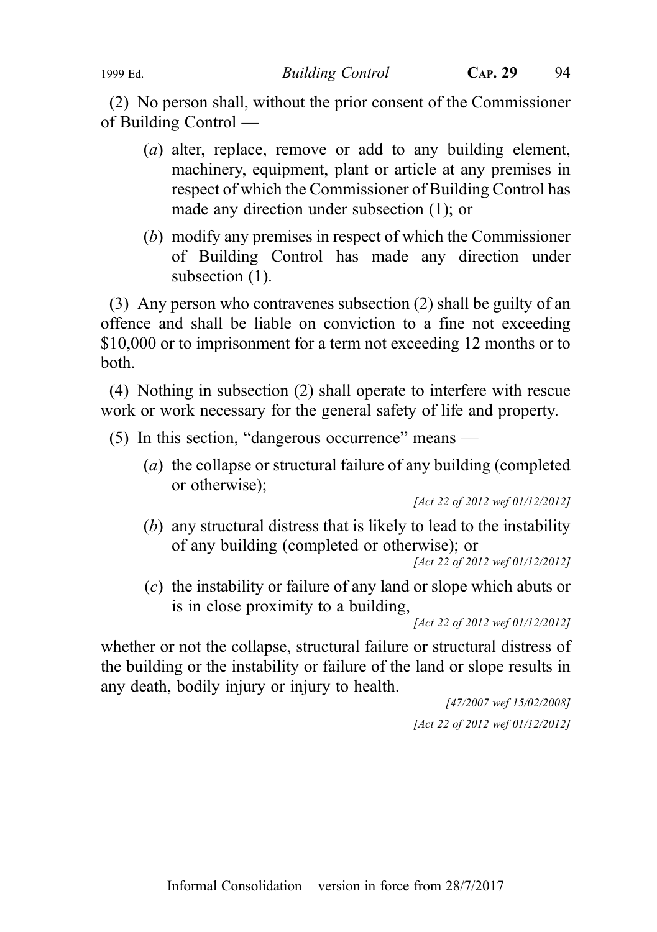(2) No person shall, without the prior consent of the Commissioner of Building Control —

- (a) alter, replace, remove or add to any building element, machinery, equipment, plant or article at any premises in respect of which the Commissioner of Building Control has made any direction under subsection (1); or
- (b) modify any premises in respect of which the Commissioner of Building Control has made any direction under subsection  $(1)$ .

(3) Any person who contravenes subsection (2) shall be guilty of an offence and shall be liable on conviction to a fine not exceeding \$10,000 or to imprisonment for a term not exceeding 12 months or to both.

(4) Nothing in subsection (2) shall operate to interfere with rescue work or work necessary for the general safety of life and property.

(5) In this section, "dangerous occurrence" means —

(a) the collapse or structural failure of any building (completed or otherwise);

[Act 22 of 2012 wef 01/12/2012]

(b) any structural distress that is likely to lead to the instability of any building (completed or otherwise); or

[Act 22 of 2012 wef 01/12/2012]

(c) the instability or failure of any land or slope which abuts or is in close proximity to a building,

[Act 22 of 2012 wef 01/12/2012]

whether or not the collapse, structural failure or structural distress of the building or the instability or failure of the land or slope results in any death, bodily injury or injury to health.

> [47/2007 wef 15/02/2008] [Act 22 of 2012 wef 01/12/2012]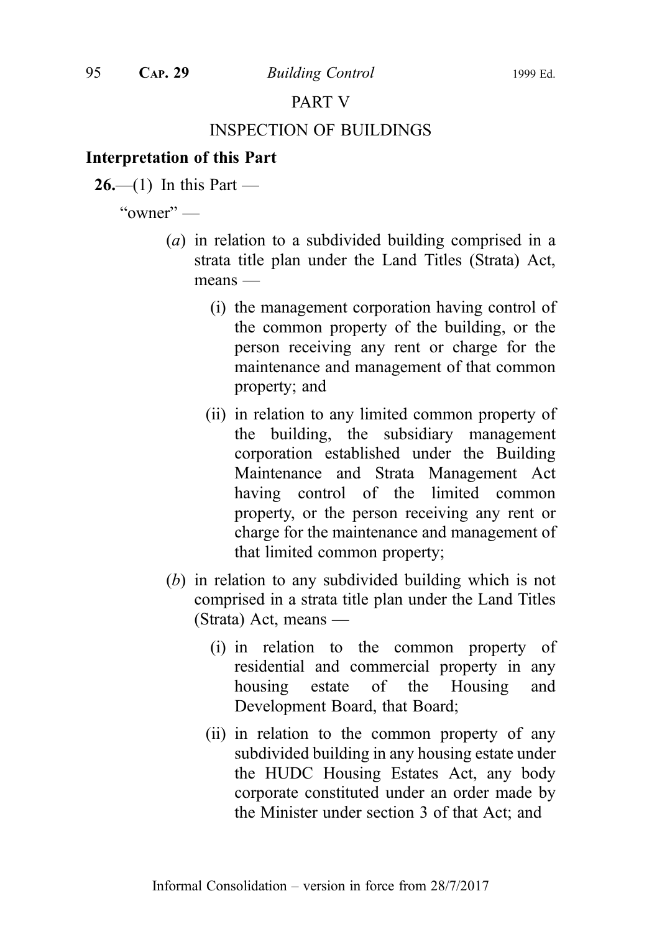## PART V

#### INSPECTION OF BUILDINGS

## Interpretation of this Part

 $26$ —(1) In this Part —

" $\alpha$ wner" —

- (a) in relation to a subdivided building comprised in a strata title plan under the Land Titles (Strata) Act, means —
	- (i) the management corporation having control of the common property of the building, or the person receiving any rent or charge for the maintenance and management of that common property; and
	- (ii) in relation to any limited common property of the building, the subsidiary management corporation established under the Building Maintenance and Strata Management Act having control of the limited common property, or the person receiving any rent or charge for the maintenance and management of that limited common property;
- (b) in relation to any subdivided building which is not comprised in a strata title plan under the Land Titles (Strata) Act, means —
	- (i) in relation to the common property of residential and commercial property in any housing estate of the Housing and Development Board, that Board;
	- (ii) in relation to the common property of any subdivided building in any housing estate under the HUDC Housing Estates Act, any body corporate constituted under an order made by the Minister under section 3 of that Act; and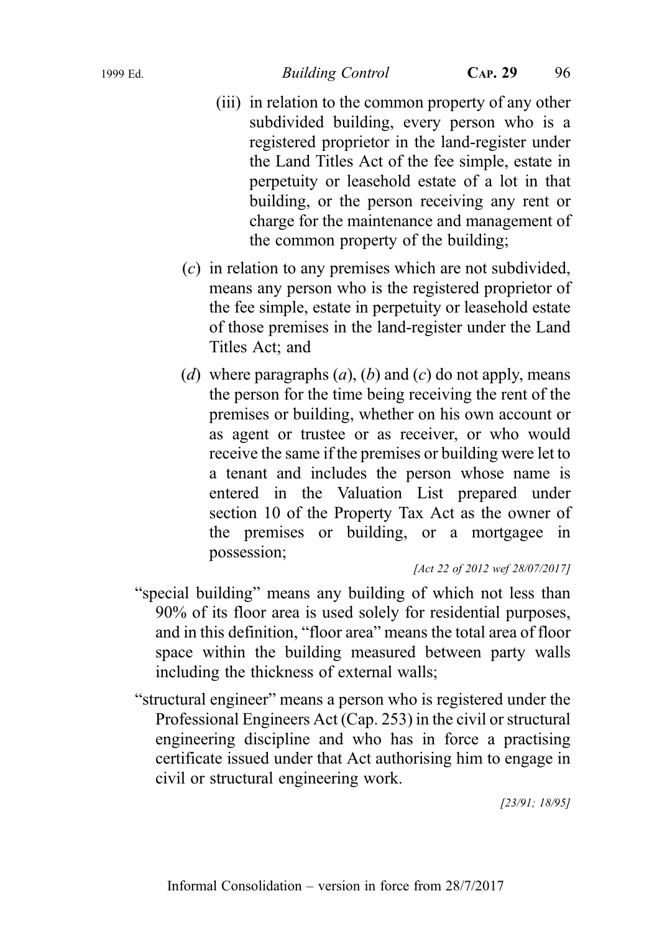- (iii) in relation to the common property of any other subdivided building, every person who is a registered proprietor in the land-register under the Land Titles Act of the fee simple, estate in perpetuity or leasehold estate of a lot in that building, or the person receiving any rent or charge for the maintenance and management of the common property of the building;
- (c) in relation to any premises which are not subdivided, means any person who is the registered proprietor of the fee simple, estate in perpetuity or leasehold estate of those premises in the land-register under the Land Titles Act; and
- (d) where paragraphs  $(a)$ ,  $(b)$  and  $(c)$  do not apply, means the person for the time being receiving the rent of the premises or building, whether on his own account or as agent or trustee or as receiver, or who would receive the same if the premises or building were let to a tenant and includes the person whose name is entered in the Valuation List prepared under section 10 of the Property Tax Act as the owner of the premises or building, or a mortgagee in possession;

[Act 22 of 2012 wef 28/07/2017]

- "special building" means any building of which not less than 90% of its floor area is used solely for residential purposes, and in this definition, "floor area" means the total area of floor space within the building measured between party walls including the thickness of external walls;
- "structural engineer" means a person who is registered under the Professional Engineers Act (Cap. 253) in the civil or structural engineering discipline and who has in force a practising certificate issued under that Act authorising him to engage in civil or structural engineering work.

[23/91; 18/95]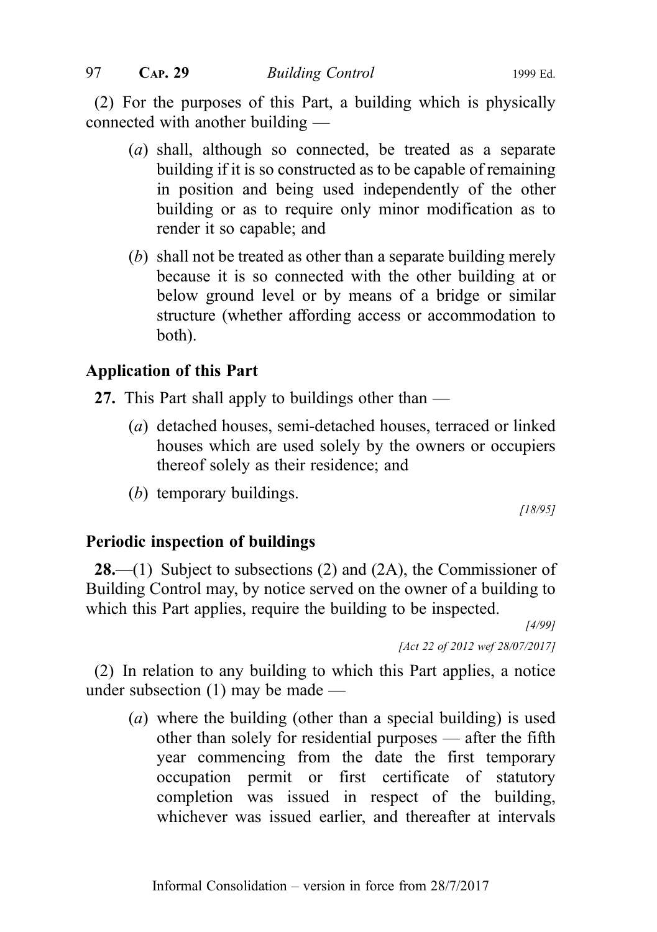(2) For the purposes of this Part, a building which is physically connected with another building —

- (a) shall, although so connected, be treated as a separate building if it is so constructed as to be capable of remaining in position and being used independently of the other building or as to require only minor modification as to render it so capable; and
- (b) shall not be treated as other than a separate building merely because it is so connected with the other building at or below ground level or by means of a bridge or similar structure (whether affording access or accommodation to both).

# Application of this Part

- 27. This Part shall apply to buildings other than
	- (a) detached houses, semi-detached houses, terraced or linked houses which are used solely by the owners or occupiers thereof solely as their residence; and
	- (b) temporary buildings.

[18/95]

## Periodic inspection of buildings

**28.**—(1) Subject to subsections (2) and (2A), the Commissioner of Building Control may, by notice served on the owner of a building to which this Part applies, require the building to be inspected.

[4/99]

[Act 22 of 2012 wef 28/07/2017]

(2) In relation to any building to which this Part applies, a notice under subsection (1) may be made —

(a) where the building (other than a special building) is used other than solely for residential purposes — after the fifth year commencing from the date the first temporary occupation permit or first certificate of statutory completion was issued in respect of the building, whichever was issued earlier, and thereafter at intervals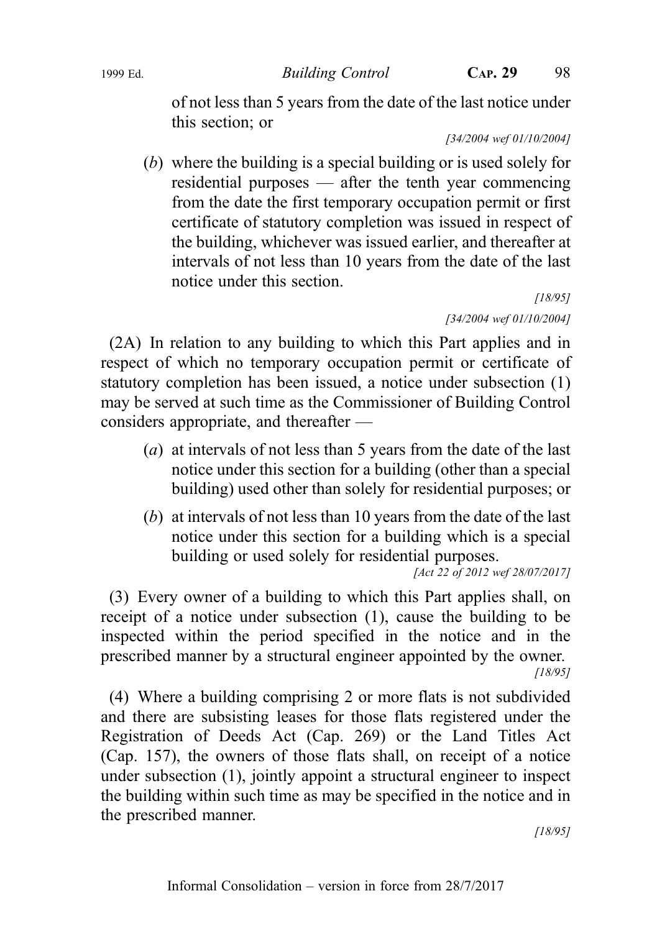of not less than 5 years from the date of the last notice under this section; or

[34/2004 wef 01/10/2004]

(b) where the building is a special building or is used solely for residential purposes — after the tenth year commencing from the date the first temporary occupation permit or first certificate of statutory completion was issued in respect of the building, whichever was issued earlier, and thereafter at intervals of not less than 10 years from the date of the last notice under this section.

[18/95] [34/2004 wef 01/10/2004]

(2A) In relation to any building to which this Part applies and in respect of which no temporary occupation permit or certificate of statutory completion has been issued, a notice under subsection (1) may be served at such time as the Commissioner of Building Control considers appropriate, and thereafter —

- (a) at intervals of not less than 5 years from the date of the last notice under this section for a building (other than a special building) used other than solely for residential purposes; or
- (b) at intervals of not less than 10 years from the date of the last notice under this section for a building which is a special building or used solely for residential purposes.

```
[Act 22 of 2012 wef 28/07/2017]
```
(3) Every owner of a building to which this Part applies shall, on receipt of a notice under subsection (1), cause the building to be inspected within the period specified in the notice and in the prescribed manner by a structural engineer appointed by the owner. [18/95]

(4) Where a building comprising 2 or more flats is not subdivided and there are subsisting leases for those flats registered under the Registration of Deeds Act (Cap. 269) or the Land Titles Act (Cap. 157), the owners of those flats shall, on receipt of a notice under subsection (1), jointly appoint a structural engineer to inspect the building within such time as may be specified in the notice and in the prescribed manner.

[18/95]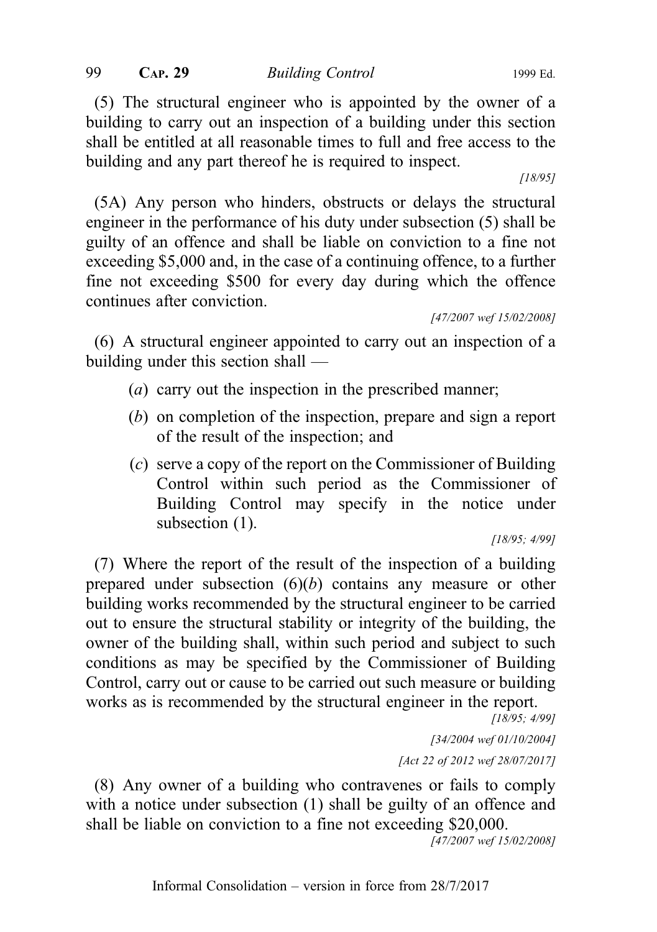(5) The structural engineer who is appointed by the owner of a building to carry out an inspection of a building under this section shall be entitled at all reasonable times to full and free access to the building and any part thereof he is required to inspect.

[18/95]

(5A) Any person who hinders, obstructs or delays the structural engineer in the performance of his duty under subsection (5) shall be guilty of an offence and shall be liable on conviction to a fine not exceeding \$5,000 and, in the case of a continuing offence, to a further fine not exceeding \$500 for every day during which the offence continues after conviction.

[47/2007 wef 15/02/2008]

(6) A structural engineer appointed to carry out an inspection of a building under this section shall —

- (a) carry out the inspection in the prescribed manner;
- (b) on completion of the inspection, prepare and sign a report of the result of the inspection; and
- (c) serve a copy of the report on the Commissioner of Building Control within such period as the Commissioner of Building Control may specify in the notice under subsection  $(1)$ .

[18/95; 4/99]

(7) Where the report of the result of the inspection of a building prepared under subsection  $(6)(b)$  contains any measure or other building works recommended by the structural engineer to be carried out to ensure the structural stability or integrity of the building, the owner of the building shall, within such period and subject to such conditions as may be specified by the Commissioner of Building Control, carry out or cause to be carried out such measure or building works as is recommended by the structural engineer in the report.

[18/95; 4/99]

[34/2004 wef 01/10/2004] [Act 22 of 2012 wef 28/07/2017]

(8) Any owner of a building who contravenes or fails to comply with a notice under subsection (1) shall be guilty of an offence and shall be liable on conviction to a fine not exceeding \$20,000.

[47/2007 wef 15/02/2008]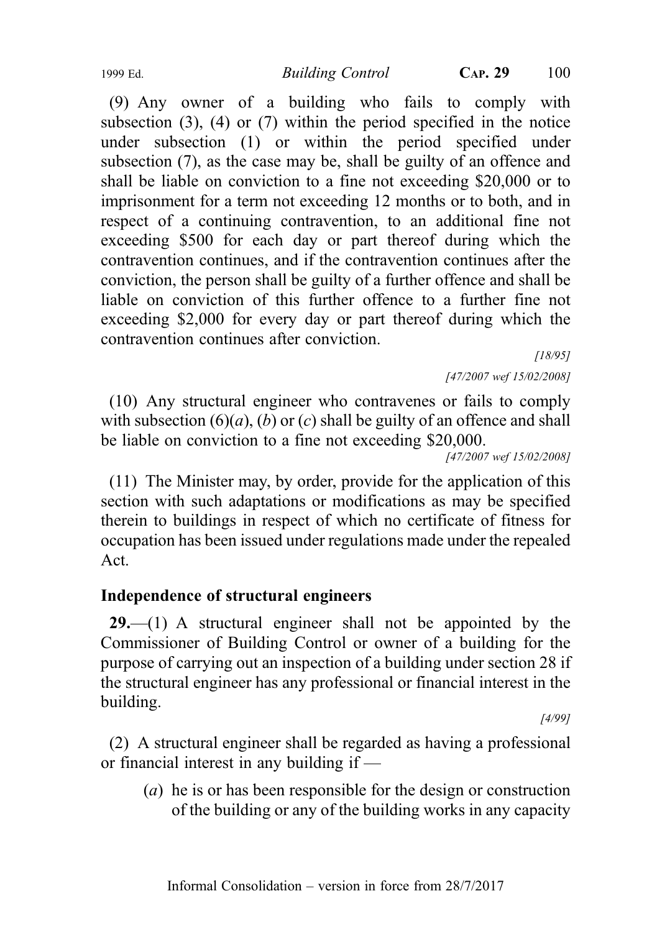(9) Any owner of a building who fails to comply with subsection (3), (4) or (7) within the period specified in the notice under subsection (1) or within the period specified under subsection (7), as the case may be, shall be guilty of an offence and shall be liable on conviction to a fine not exceeding \$20,000 or to imprisonment for a term not exceeding 12 months or to both, and in respect of a continuing contravention, to an additional fine not exceeding \$500 for each day or part thereof during which the contravention continues, and if the contravention continues after the conviction, the person shall be guilty of a further offence and shall be liable on conviction of this further offence to a further fine not exceeding \$2,000 for every day or part thereof during which the contravention continues after conviction.

[18/95]

[47/2007 wef 15/02/2008]

(10) Any structural engineer who contravenes or fails to comply with subsection  $(6)(a)$ ,  $(b)$  or  $(c)$  shall be guilty of an offence and shall be liable on conviction to a fine not exceeding \$20,000.

[47/2007 wef 15/02/2008]

(11) The Minister may, by order, provide for the application of this section with such adaptations or modifications as may be specified therein to buildings in respect of which no certificate of fitness for occupation has been issued under regulations made under the repealed Act.

# Independence of structural engineers

 $29$ ,  $-$ (1) A structural engineer shall not be appointed by the Commissioner of Building Control or owner of a building for the purpose of carrying out an inspection of a building under section 28 if the structural engineer has any professional or financial interest in the building.

[4/99]

(2) A structural engineer shall be regarded as having a professional or financial interest in any building if —

(a) he is or has been responsible for the design or construction of the building or any of the building works in any capacity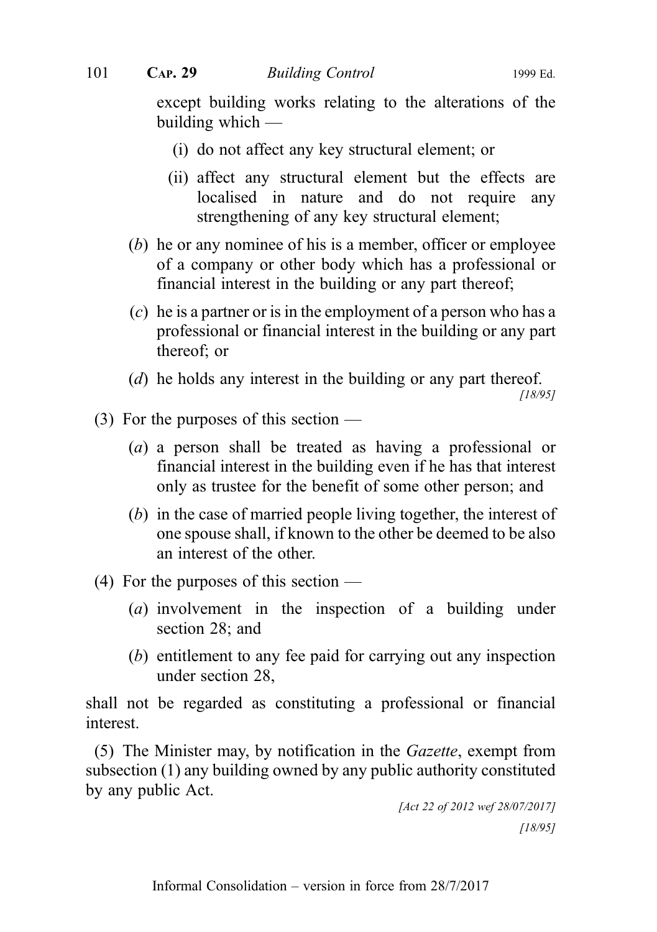except building works relating to the alterations of the building which —

- (i) do not affect any key structural element; or
- (ii) affect any structural element but the effects are localised in nature and do not require any strengthening of any key structural element;
- (b) he or any nominee of his is a member, officer or employee of a company or other body which has a professional or financial interest in the building or any part thereof;
- (c) he is a partner or is in the employment of a person who has a professional or financial interest in the building or any part thereof; or
- (d) he holds any interest in the building or any part thereof.

[18/95]

- (3) For the purposes of this section
	- (a) a person shall be treated as having a professional or financial interest in the building even if he has that interest only as trustee for the benefit of some other person; and
	- (b) in the case of married people living together, the interest of one spouse shall, if known to the other be deemed to be also an interest of the other.
- (4) For the purposes of this section
	- (a) involvement in the inspection of a building under section 28; and
	- (b) entitlement to any fee paid for carrying out any inspection under section 28,

shall not be regarded as constituting a professional or financial interest.

(5) The Minister may, by notification in the Gazette, exempt from subsection (1) any building owned by any public authority constituted by any public Act.

```
[Act 22 of 2012 wef 28/07/2017]
           [18/95]
```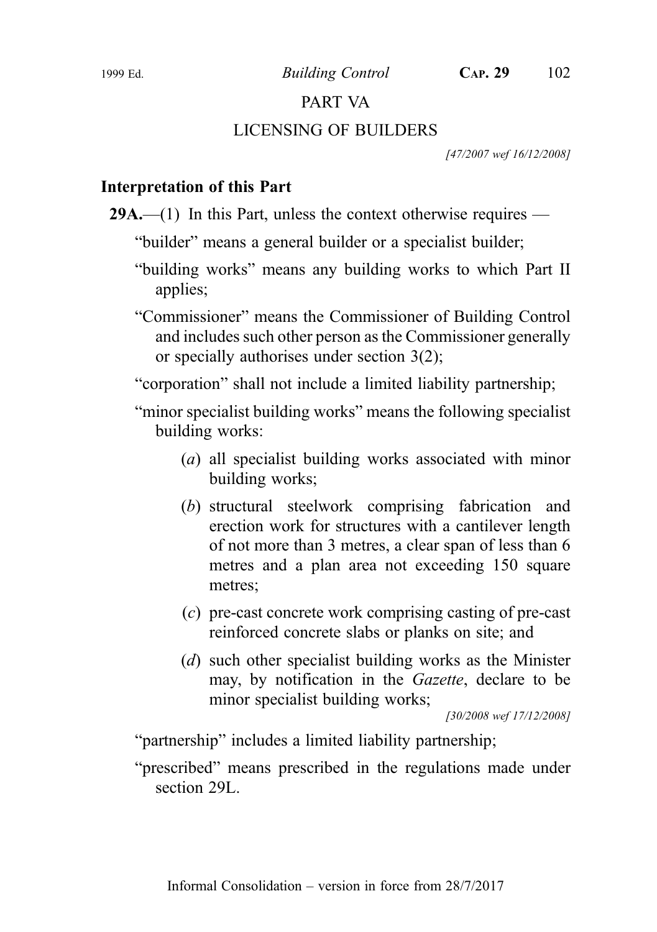# PART VA

## LICENSING OF BUILDERS

[47/2007 wef 16/12/2008]

# Interpretation of this Part

29A.— $(1)$  In this Part, unless the context otherwise requires —

"builder" means a general builder or a specialist builder;

"building works" means any building works to which Part II applies;

"Commissioner" means the Commissioner of Building Control and includes such other person as the Commissioner generally or specially authorises under section 3(2);

"corporation" shall not include a limited liability partnership;

"minor specialist building works" means the following specialist building works:

- (a) all specialist building works associated with minor building works;
- (b) structural steelwork comprising fabrication and erection work for structures with a cantilever length of not more than 3 metres, a clear span of less than 6 metres and a plan area not exceeding 150 square metres;
- (c) pre-cast concrete work comprising casting of pre-cast reinforced concrete slabs or planks on site; and
- (d) such other specialist building works as the Minister may, by notification in the Gazette, declare to be minor specialist building works;

[30/2008 wef 17/12/2008]

"partnership" includes a limited liability partnership;

"prescribed" means prescribed in the regulations made under section 29L.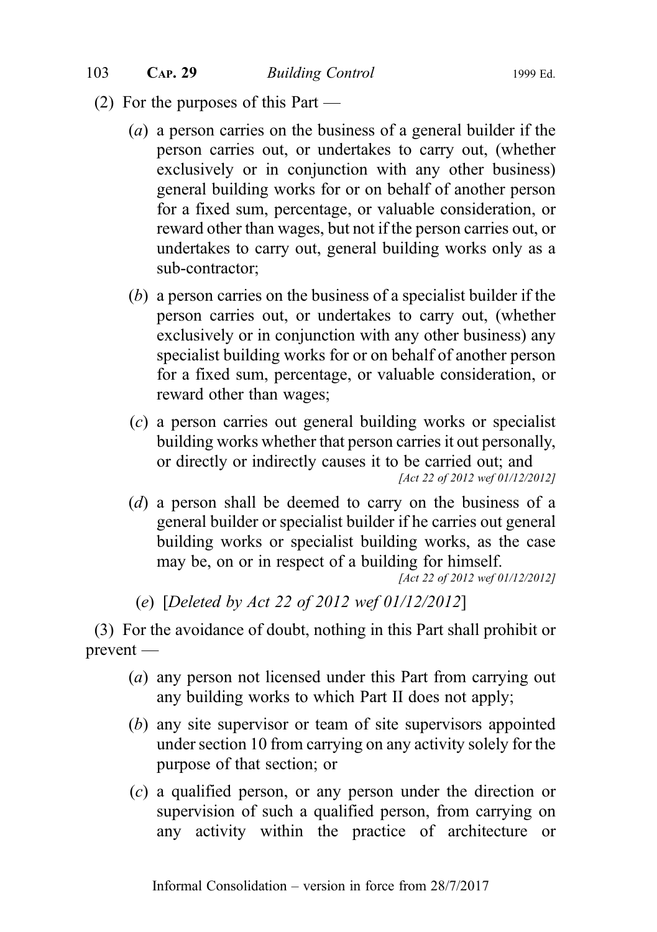- (2) For the purposes of this Part
	- (a) a person carries on the business of a general builder if the person carries out, or undertakes to carry out, (whether exclusively or in conjunction with any other business) general building works for or on behalf of another person for a fixed sum, percentage, or valuable consideration, or reward other than wages, but not if the person carries out, or undertakes to carry out, general building works only as a sub‑contractor;
	- (b) a person carries on the business of a specialist builder if the person carries out, or undertakes to carry out, (whether exclusively or in conjunction with any other business) any specialist building works for or on behalf of another person for a fixed sum, percentage, or valuable consideration, or reward other than wages;
	- (c) a person carries out general building works or specialist building works whether that person carries it out personally, or directly or indirectly causes it to be carried out; and [Act 22 of 2012 wef 01/12/2012]
	- (d) a person shall be deemed to carry on the business of a general builder or specialist builder if he carries out general building works or specialist building works, as the case may be, on or in respect of a building for himself.

[Act 22 of 2012 wef 01/12/2012]

(e) [Deleted by Act 22 of 2012 wef 01/12/2012]

(3) For the avoidance of doubt, nothing in this Part shall prohibit or prevent —

- (a) any person not licensed under this Part from carrying out any building works to which Part II does not apply;
- (b) any site supervisor or team of site supervisors appointed under section 10 from carrying on any activity solely for the purpose of that section; or
- (c) a qualified person, or any person under the direction or supervision of such a qualified person, from carrying on any activity within the practice of architecture or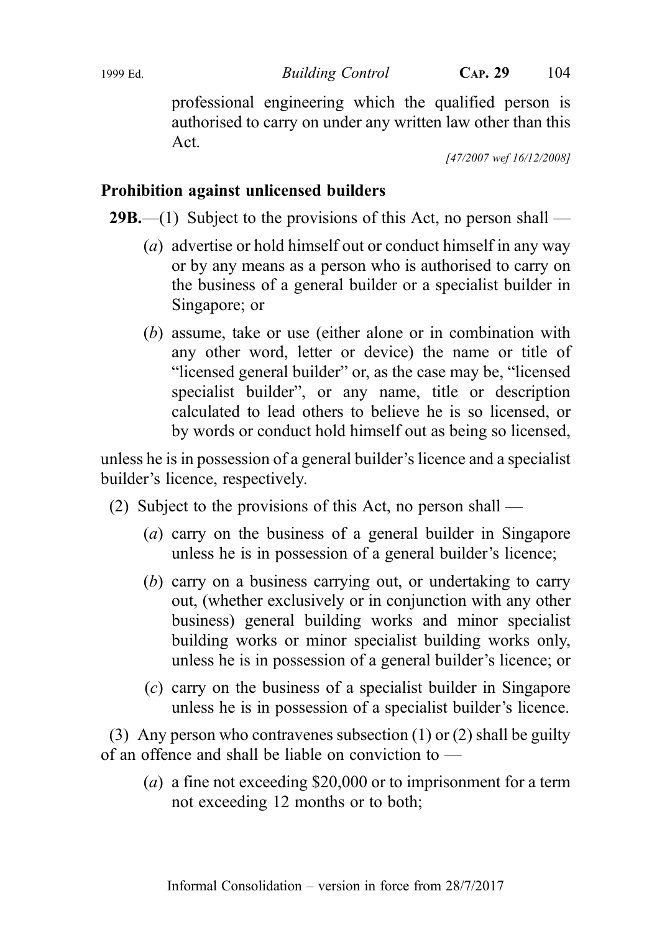professional engineering which the qualified person is authorised to carry on under any written law other than this Act.

[47/2007 wef 16/12/2008]

# Prohibition against unlicensed builders

**29B.**—(1) Subject to the provisions of this Act, no person shall —

- (a) advertise or hold himself out or conduct himself in any way or by any means as a person who is authorised to carry on the business of a general builder or a specialist builder in Singapore; or
- (b) assume, take or use (either alone or in combination with any other word, letter or device) the name or title of "licensed general builder" or, as the case may be, "licensed specialist builder", or any name, title or description calculated to lead others to believe he is so licensed, or by words or conduct hold himself out as being so licensed,

unless he is in possession of a general builder's licence and a specialist builder's licence, respectively.

- (2) Subject to the provisions of this Act, no person shall
	- (a) carry on the business of a general builder in Singapore unless he is in possession of a general builder's licence;
	- (b) carry on a business carrying out, or undertaking to carry out, (whether exclusively or in conjunction with any other business) general building works and minor specialist building works or minor specialist building works only, unless he is in possession of a general builder's licence; or
	- (c) carry on the business of a specialist builder in Singapore unless he is in possession of a specialist builder's licence.

(3) Any person who contravenes subsection (1) or (2) shall be guilty of an offence and shall be liable on conviction to —

(a) a fine not exceeding \$20,000 or to imprisonment for a term not exceeding 12 months or to both;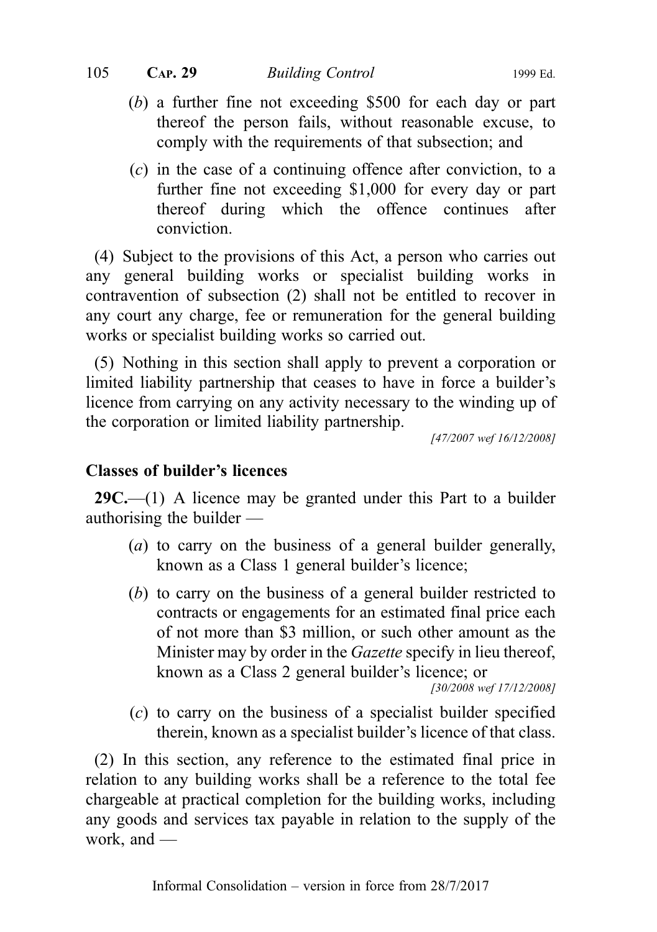- (b) a further fine not exceeding \$500 for each day or part thereof the person fails, without reasonable excuse, to comply with the requirements of that subsection; and
- (c) in the case of a continuing offence after conviction, to a further fine not exceeding \$1,000 for every day or part thereof during which the offence continues after conviction.

(4) Subject to the provisions of this Act, a person who carries out any general building works or specialist building works in contravention of subsection (2) shall not be entitled to recover in any court any charge, fee or remuneration for the general building works or specialist building works so carried out.

(5) Nothing in this section shall apply to prevent a corporation or limited liability partnership that ceases to have in force a builder's licence from carrying on any activity necessary to the winding up of the corporation or limited liability partnership.

[47/2007 wef 16/12/2008]

## Classes of builder's licences

 $29C$ .—(1) A licence may be granted under this Part to a builder authorising the builder —

- (a) to carry on the business of a general builder generally, known as a Class 1 general builder's licence;
- (b) to carry on the business of a general builder restricted to contracts or engagements for an estimated final price each of not more than \$3 million, or such other amount as the Minister may by order in the *Gazette* specify in lieu thereof, known as a Class 2 general builder's licence; or

[30/2008 wef 17/12/2008]

(c) to carry on the business of a specialist builder specified therein, known as a specialist builder's licence of that class.

(2) In this section, any reference to the estimated final price in relation to any building works shall be a reference to the total fee chargeable at practical completion for the building works, including any goods and services tax payable in relation to the supply of the work, and —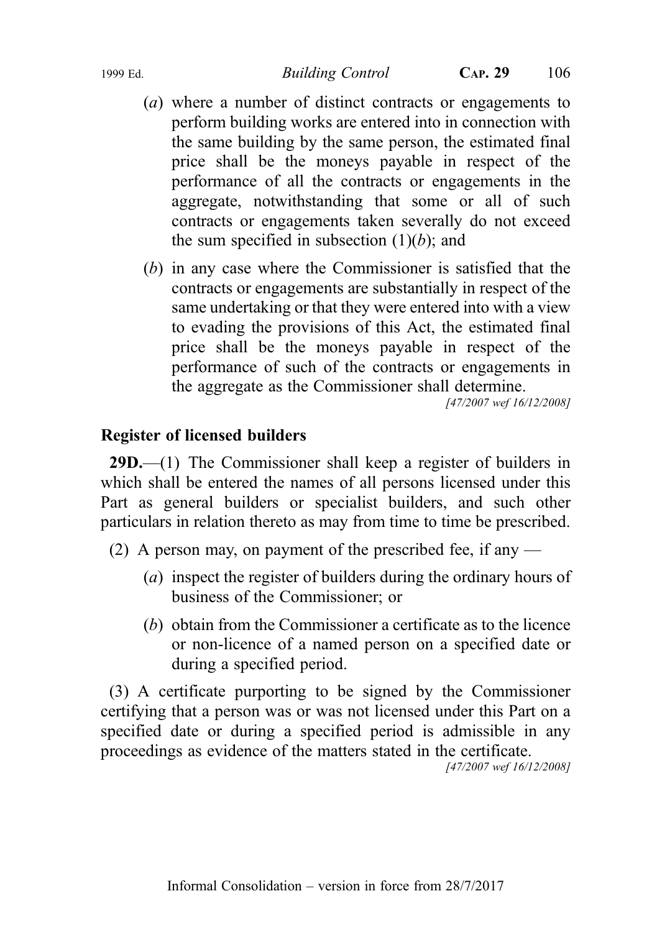- (a) where a number of distinct contracts or engagements to perform building works are entered into in connection with the same building by the same person, the estimated final price shall be the moneys payable in respect of the performance of all the contracts or engagements in the aggregate, notwithstanding that some or all of such contracts or engagements taken severally do not exceed the sum specified in subsection  $(1)(b)$ ; and
- (b) in any case where the Commissioner is satisfied that the contracts or engagements are substantially in respect of the same undertaking or that they were entered into with a view to evading the provisions of this Act, the estimated final price shall be the moneys payable in respect of the performance of such of the contracts or engagements in the aggregate as the Commissioner shall determine.

[47/2007 wef 16/12/2008]

## Register of licensed builders

29D.—(1) The Commissioner shall keep a register of builders in which shall be entered the names of all persons licensed under this Part as general builders or specialist builders, and such other particulars in relation thereto as may from time to time be prescribed.

- (2) A person may, on payment of the prescribed fee, if any
	- (a) inspect the register of builders during the ordinary hours of business of the Commissioner; or
	- (b) obtain from the Commissioner a certificate as to the licence or non-licence of a named person on a specified date or during a specified period.

(3) A certificate purporting to be signed by the Commissioner certifying that a person was or was not licensed under this Part on a specified date or during a specified period is admissible in any proceedings as evidence of the matters stated in the certificate.

[47/2007 wef 16/12/2008]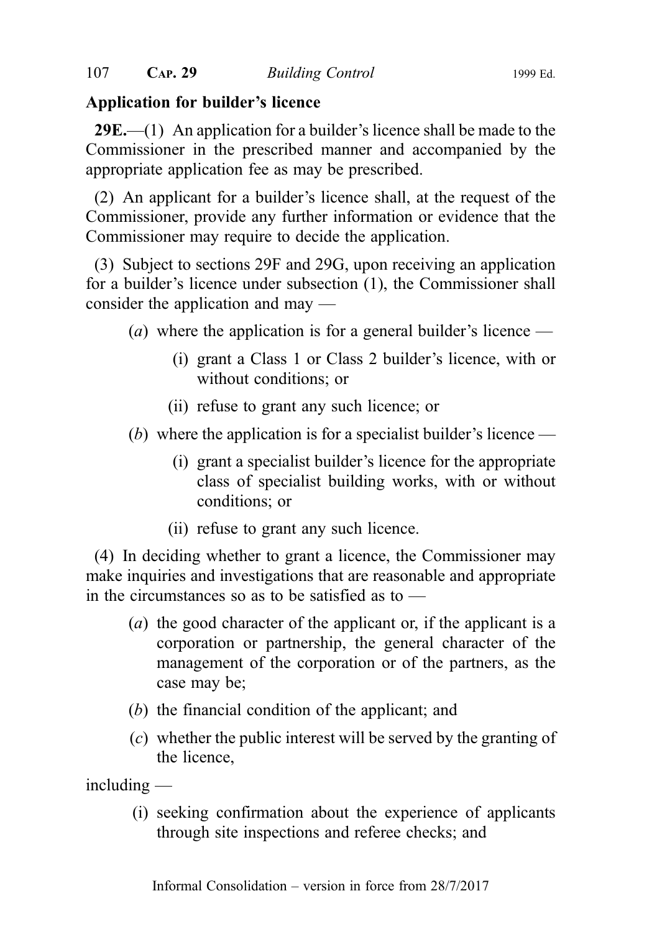# Application for builder's licence

**29E.**—(1) An application for a builder's licence shall be made to the Commissioner in the prescribed manner and accompanied by the appropriate application fee as may be prescribed.

(2) An applicant for a builder's licence shall, at the request of the Commissioner, provide any further information or evidence that the Commissioner may require to decide the application.

(3) Subject to sections 29F and 29G, upon receiving an application for a builder's licence under subsection (1), the Commissioner shall consider the application and may —

- (a) where the application is for a general builder's licence
	- (i) grant a Class 1 or Class 2 builder's licence, with or without conditions; or
	- (ii) refuse to grant any such licence; or
- (b) where the application is for a specialist builder's licence
	- (i) grant a specialist builder's licence for the appropriate class of specialist building works, with or without conditions; or
	- (ii) refuse to grant any such licence.

(4) In deciding whether to grant a licence, the Commissioner may make inquiries and investigations that are reasonable and appropriate in the circumstances so as to be satisfied as to —

- (a) the good character of the applicant or, if the applicant is a corporation or partnership, the general character of the management of the corporation or of the partners, as the case may be;
- (b) the financial condition of the applicant; and
- (c) whether the public interest will be served by the granting of the licence,

 $in$ cluding  $-$ 

(i) seeking confirmation about the experience of applicants through site inspections and referee checks; and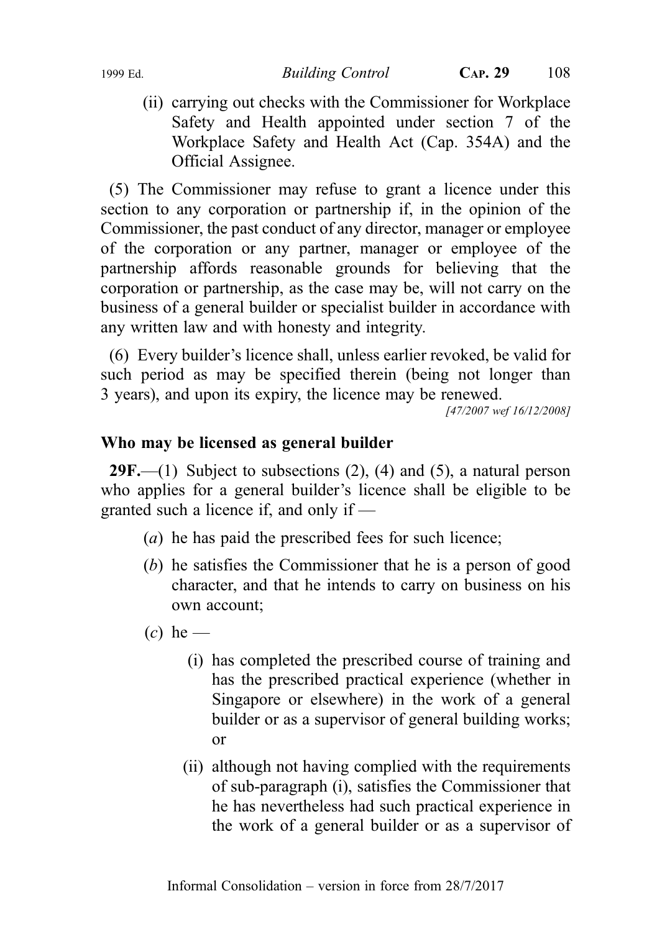(ii) carrying out checks with the Commissioner for Workplace Safety and Health appointed under section 7 of the Workplace Safety and Health Act (Cap. 354A) and the Official Assignee.

(5) The Commissioner may refuse to grant a licence under this section to any corporation or partnership if, in the opinion of the Commissioner, the past conduct of any director, manager or employee of the corporation or any partner, manager or employee of the partnership affords reasonable grounds for believing that the corporation or partnership, as the case may be, will not carry on the business of a general builder or specialist builder in accordance with any written law and with honesty and integrity.

(6) Every builder's licence shall, unless earlier revoked, be valid for such period as may be specified therein (being not longer than 3 years), and upon its expiry, the licence may be renewed.

[47/2007 wef 16/12/2008]

#### Who may be licensed as general builder

**29F.**—(1) Subject to subsections  $(2)$ ,  $(4)$  and  $(5)$ , a natural person who applies for a general builder's licence shall be eligible to be granted such a licence if, and only if —

- (a) he has paid the prescribed fees for such licence;
- (b) he satisfies the Commissioner that he is a person of good character, and that he intends to carry on business on his own account;
- $(c)$  he
	- (i) has completed the prescribed course of training and has the prescribed practical experience (whether in Singapore or elsewhere) in the work of a general builder or as a supervisor of general building works; or
	- (ii) although not having complied with the requirements of sub‑paragraph (i), satisfies the Commissioner that he has nevertheless had such practical experience in the work of a general builder or as a supervisor of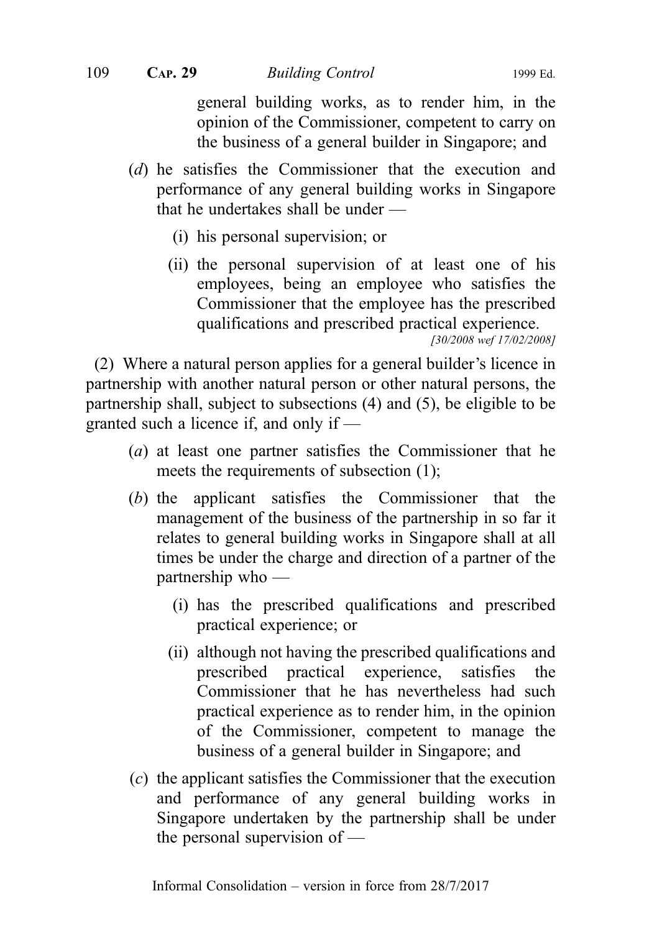general building works, as to render him, in the opinion of the Commissioner, competent to carry on the business of a general builder in Singapore; and

- (d) he satisfies the Commissioner that the execution and performance of any general building works in Singapore that he undertakes shall be under —
	- (i) his personal supervision; or
	- (ii) the personal supervision of at least one of his employees, being an employee who satisfies the Commissioner that the employee has the prescribed qualifications and prescribed practical experience.

[30/2008 wef 17/02/2008]

(2) Where a natural person applies for a general builder's licence in partnership with another natural person or other natural persons, the partnership shall, subject to subsections (4) and (5), be eligible to be granted such a licence if, and only if —

- (a) at least one partner satisfies the Commissioner that he meets the requirements of subsection (1);
- (b) the applicant satisfies the Commissioner that the management of the business of the partnership in so far it relates to general building works in Singapore shall at all times be under the charge and direction of a partner of the partnership who —
	- (i) has the prescribed qualifications and prescribed practical experience; or
	- (ii) although not having the prescribed qualifications and prescribed practical experience, satisfies the Commissioner that he has nevertheless had such practical experience as to render him, in the opinion of the Commissioner, competent to manage the business of a general builder in Singapore; and
- (c) the applicant satisfies the Commissioner that the execution and performance of any general building works in Singapore undertaken by the partnership shall be under the personal supervision of —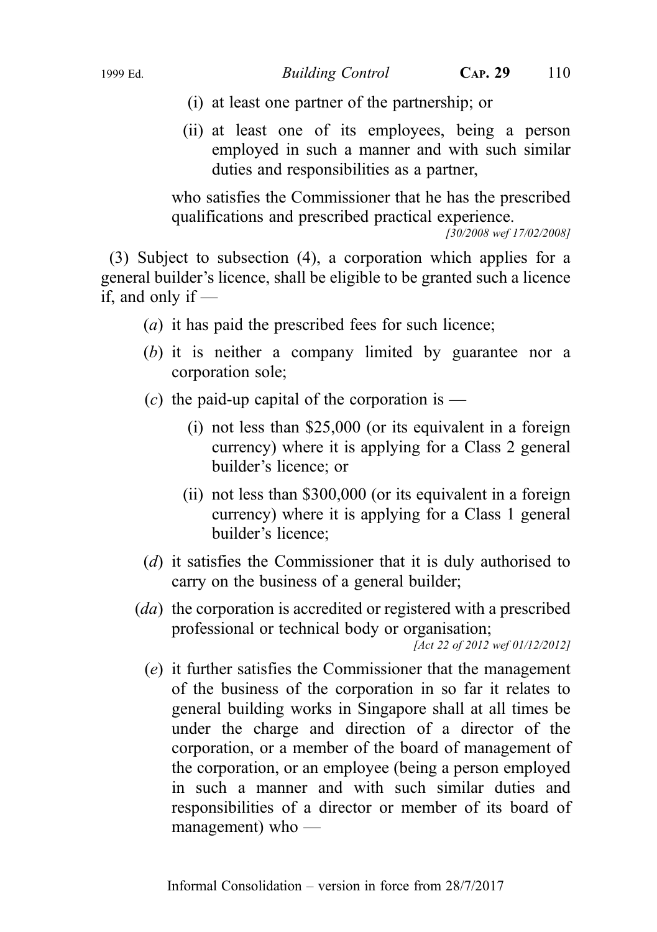- (i) at least one partner of the partnership; or
- (ii) at least one of its employees, being a person employed in such a manner and with such similar duties and responsibilities as a partner,

who satisfies the Commissioner that he has the prescribed qualifications and prescribed practical experience.

[30/2008 wef 17/02/2008]

(3) Subject to subsection (4), a corporation which applies for a general builder's licence, shall be eligible to be granted such a licence if, and only if  $-$ 

- (a) it has paid the prescribed fees for such licence;
- (b) it is neither a company limited by guarantee nor a corporation sole;
- (c) the paid-up capital of the corporation is
	- (i) not less than \$25,000 (or its equivalent in a foreign currency) where it is applying for a Class 2 general builder's licence; or
	- (ii) not less than \$300,000 (or its equivalent in a foreign currency) where it is applying for a Class 1 general builder's licence;
- (d) it satisfies the Commissioner that it is duly authorised to carry on the business of a general builder;

(da) the corporation is accredited or registered with a prescribed professional or technical body or organisation;

[Act 22 of 2012 wef 01/12/2012]

(e) it further satisfies the Commissioner that the management of the business of the corporation in so far it relates to general building works in Singapore shall at all times be under the charge and direction of a director of the corporation, or a member of the board of management of the corporation, or an employee (being a person employed in such a manner and with such similar duties and responsibilities of a director or member of its board of management) who —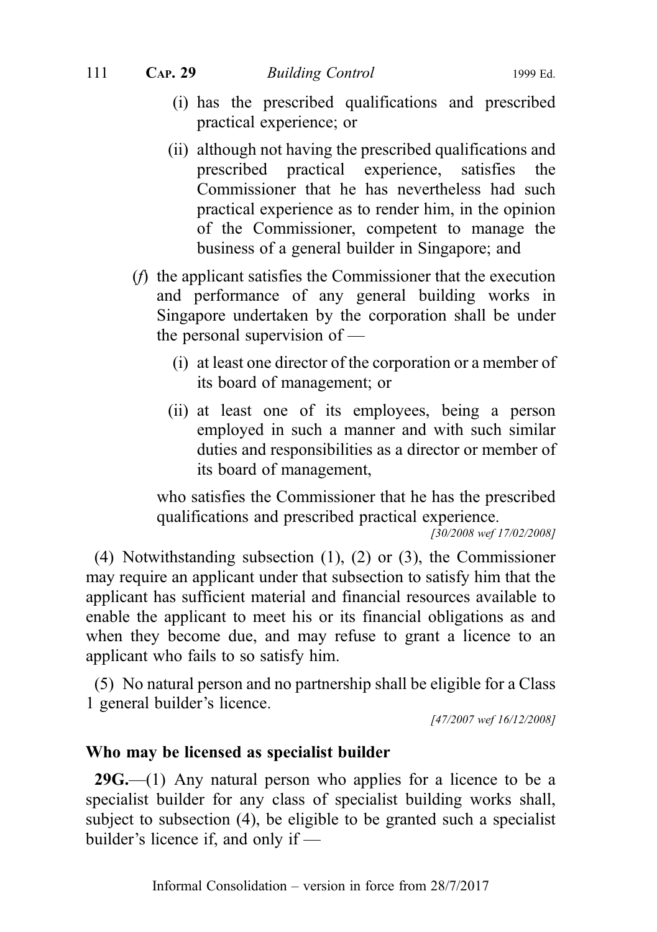- (i) has the prescribed qualifications and prescribed practical experience; or
- (ii) although not having the prescribed qualifications and prescribed practical experience, satisfies the Commissioner that he has nevertheless had such practical experience as to render him, in the opinion of the Commissioner, competent to manage the business of a general builder in Singapore; and
- (f) the applicant satisfies the Commissioner that the execution and performance of any general building works in Singapore undertaken by the corporation shall be under the personal supervision of —
	- (i) at least one director of the corporation or a member of its board of management; or
	- (ii) at least one of its employees, being a person employed in such a manner and with such similar duties and responsibilities as a director or member of its board of management,

who satisfies the Commissioner that he has the prescribed qualifications and prescribed practical experience.

 $\sqrt{30/2008}$  wef 17/02/2008]

(4) Notwithstanding subsection (1), (2) or (3), the Commissioner may require an applicant under that subsection to satisfy him that the applicant has sufficient material and financial resources available to enable the applicant to meet his or its financial obligations as and when they become due, and may refuse to grant a licence to an applicant who fails to so satisfy him.

(5) No natural person and no partnership shall be eligible for a Class 1 general builder's licence.

[47/2007 wef 16/12/2008]

#### Who may be licensed as specialist builder

 $29G$ —(1) Any natural person who applies for a licence to be a specialist builder for any class of specialist building works shall, subject to subsection (4), be eligible to be granted such a specialist builder's licence if, and only if —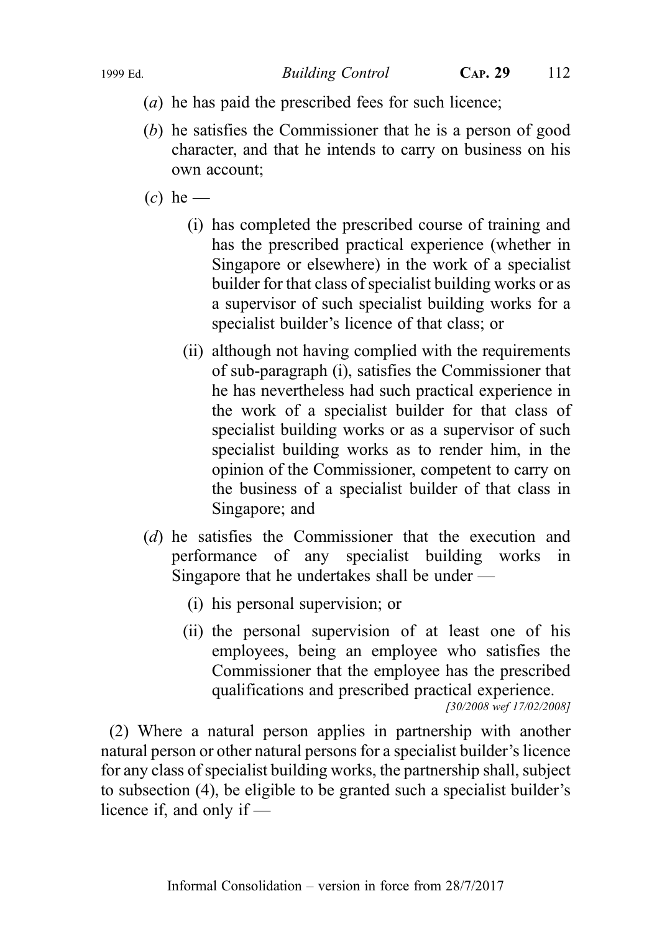1999 Ed. Building Control CAP. 29 112

- (a) he has paid the prescribed fees for such licence;
- (b) he satisfies the Commissioner that he is a person of good character, and that he intends to carry on business on his own account;
- $(c)$  he
	- (i) has completed the prescribed course of training and has the prescribed practical experience (whether in Singapore or elsewhere) in the work of a specialist builder for that class of specialist building works or as a supervisor of such specialist building works for a specialist builder's licence of that class; or
	- (ii) although not having complied with the requirements of sub‑paragraph (i), satisfies the Commissioner that he has nevertheless had such practical experience in the work of a specialist builder for that class of specialist building works or as a supervisor of such specialist building works as to render him, in the opinion of the Commissioner, competent to carry on the business of a specialist builder of that class in Singapore; and
- (d) he satisfies the Commissioner that the execution and performance of any specialist building works in Singapore that he undertakes shall be under —
	- (i) his personal supervision; or
	- (ii) the personal supervision of at least one of his employees, being an employee who satisfies the Commissioner that the employee has the prescribed qualifications and prescribed practical experience. [30/2008 wef 17/02/2008]

(2) Where a natural person applies in partnership with another natural person or other natural persons for a specialist builder's licence for any class of specialist building works, the partnership shall, subject to subsection (4), be eligible to be granted such a specialist builder's licence if, and only if —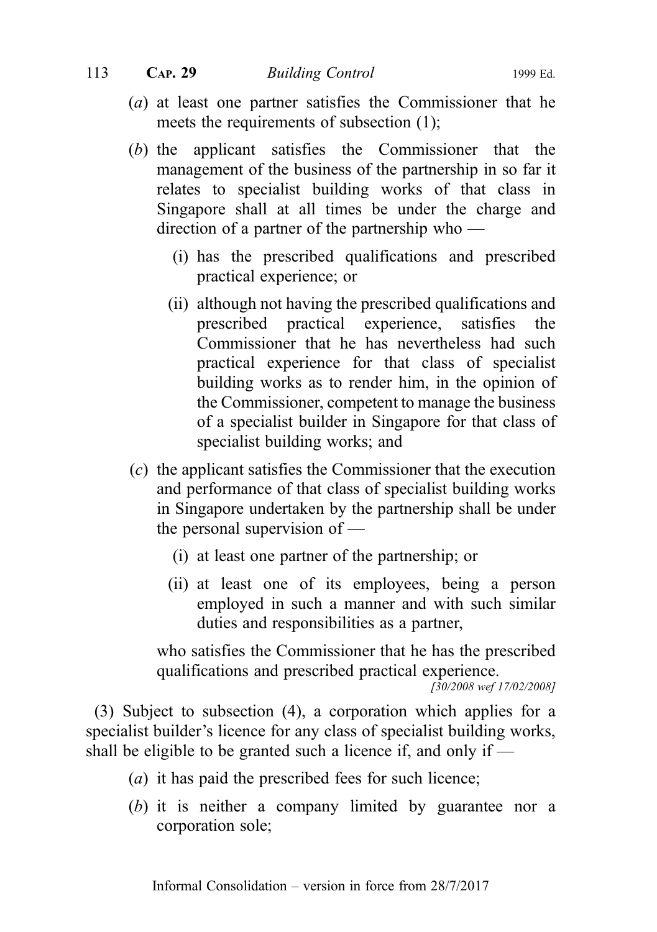- (a) at least one partner satisfies the Commissioner that he meets the requirements of subsection (1);
- (b) the applicant satisfies the Commissioner that the management of the business of the partnership in so far it relates to specialist building works of that class in Singapore shall at all times be under the charge and direction of a partner of the partnership who —
	- (i) has the prescribed qualifications and prescribed practical experience; or
	- (ii) although not having the prescribed qualifications and prescribed practical experience, satisfies the Commissioner that he has nevertheless had such practical experience for that class of specialist building works as to render him, in the opinion of the Commissioner, competent to manage the business of a specialist builder in Singapore for that class of specialist building works; and
- (c) the applicant satisfies the Commissioner that the execution and performance of that class of specialist building works in Singapore undertaken by the partnership shall be under the personal supervision of —
	- (i) at least one partner of the partnership; or
	- (ii) at least one of its employees, being a person employed in such a manner and with such similar duties and responsibilities as a partner,

who satisfies the Commissioner that he has the prescribed qualifications and prescribed practical experience.

[30/2008 wef 17/02/2008]

(3) Subject to subsection (4), a corporation which applies for a specialist builder's licence for any class of specialist building works, shall be eligible to be granted such a licence if, and only if —

- (a) it has paid the prescribed fees for such licence;
- (b) it is neither a company limited by guarantee nor a corporation sole;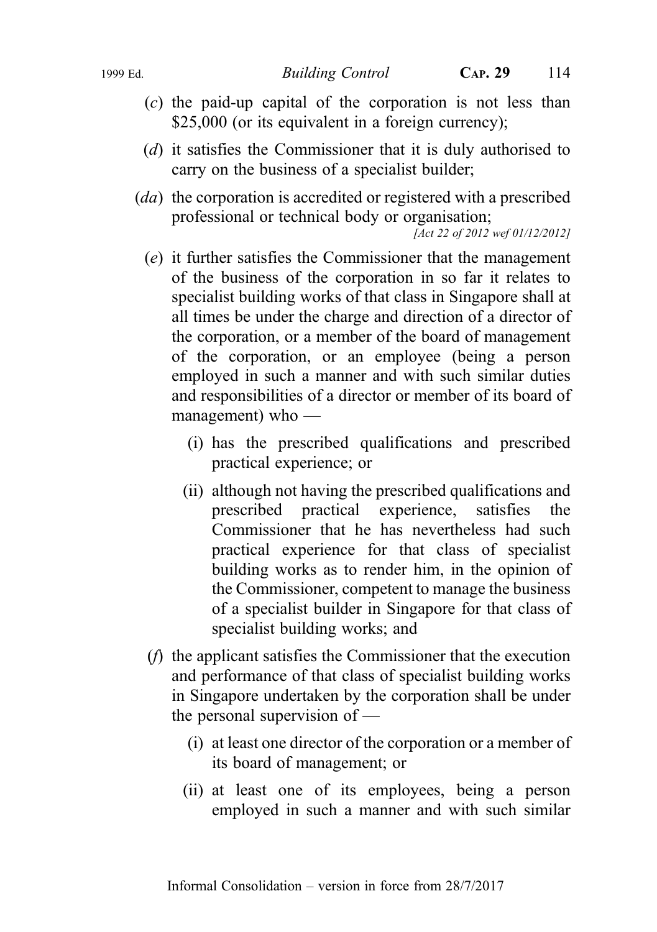- (c) the paid-up capital of the corporation is not less than \$25,000 (or its equivalent in a foreign currency);
- (d) it satisfies the Commissioner that it is duly authorised to carry on the business of a specialist builder;
- (da) the corporation is accredited or registered with a prescribed professional or technical body or organisation;

[Act 22 of 2012 wef 01/12/2012]

- (e) it further satisfies the Commissioner that the management of the business of the corporation in so far it relates to specialist building works of that class in Singapore shall at all times be under the charge and direction of a director of the corporation, or a member of the board of management of the corporation, or an employee (being a person employed in such a manner and with such similar duties and responsibilities of a director or member of its board of management) who —
	- (i) has the prescribed qualifications and prescribed practical experience; or
	- (ii) although not having the prescribed qualifications and prescribed practical experience, satisfies the Commissioner that he has nevertheless had such practical experience for that class of specialist building works as to render him, in the opinion of the Commissioner, competent to manage the business of a specialist builder in Singapore for that class of specialist building works; and
- (f) the applicant satisfies the Commissioner that the execution and performance of that class of specialist building works in Singapore undertaken by the corporation shall be under the personal supervision of —
	- (i) at least one director of the corporation or a member of its board of management; or
	- (ii) at least one of its employees, being a person employed in such a manner and with such similar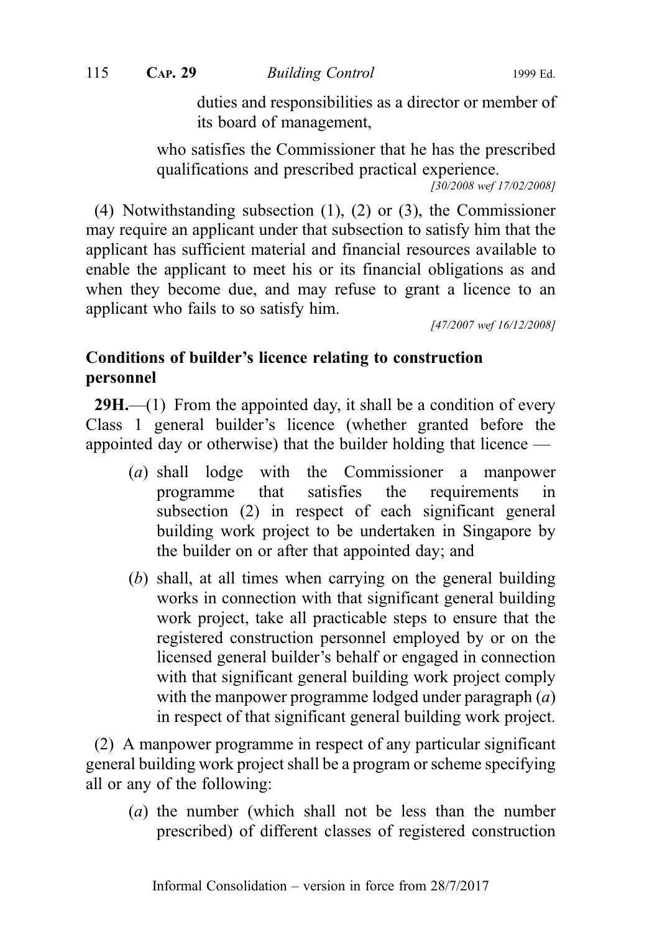115 CAP. 29 Building Control 1999 Ed.

duties and responsibilities as a director or member of its board of management,

who satisfies the Commissioner that he has the prescribed qualifications and prescribed practical experience.

[30/2008 wef 17/02/2008]

(4) Notwithstanding subsection (1), (2) or (3), the Commissioner may require an applicant under that subsection to satisfy him that the applicant has sufficient material and financial resources available to enable the applicant to meet his or its financial obligations as and when they become due, and may refuse to grant a licence to an applicant who fails to so satisfy him.

[47/2007 wef 16/12/2008]

# Conditions of builder's licence relating to construction personnel

 $29H$ ,—(1) From the appointed day, it shall be a condition of every Class 1 general builder's licence (whether granted before the appointed day or otherwise) that the builder holding that licence —

- (a) shall lodge with the Commissioner a manpower programme that satisfies the requirements in subsection (2) in respect of each significant general building work project to be undertaken in Singapore by the builder on or after that appointed day; and
- (b) shall, at all times when carrying on the general building works in connection with that significant general building work project, take all practicable steps to ensure that the registered construction personnel employed by or on the licensed general builder's behalf or engaged in connection with that significant general building work project comply with the manpower programme lodged under paragraph  $(a)$ in respect of that significant general building work project.

(2) A manpower programme in respect of any particular significant general building work project shall be a program or scheme specifying all or any of the following:

(a) the number (which shall not be less than the number prescribed) of different classes of registered construction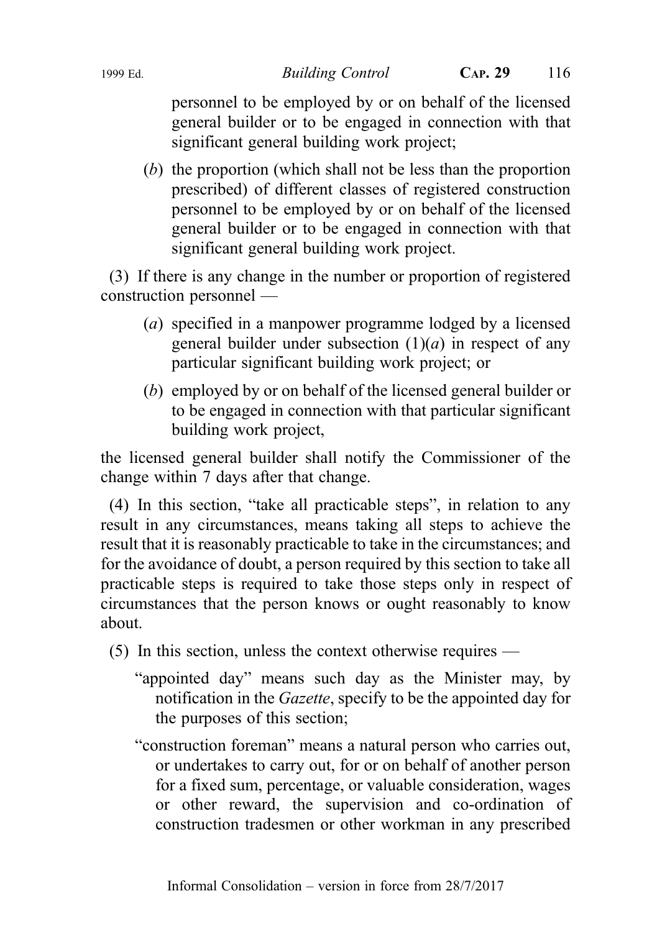personnel to be employed by or on behalf of the licensed general builder or to be engaged in connection with that significant general building work project;

(b) the proportion (which shall not be less than the proportion prescribed) of different classes of registered construction personnel to be employed by or on behalf of the licensed general builder or to be engaged in connection with that significant general building work project.

(3) If there is any change in the number or proportion of registered construction personnel —

- (a) specified in a manpower programme lodged by a licensed general builder under subsection  $(1)(a)$  in respect of any particular significant building work project; or
- (b) employed by or on behalf of the licensed general builder or to be engaged in connection with that particular significant building work project,

the licensed general builder shall notify the Commissioner of the change within 7 days after that change.

(4) In this section, "take all practicable steps", in relation to any result in any circumstances, means taking all steps to achieve the result that it is reasonably practicable to take in the circumstances; and for the avoidance of doubt, a person required by this section to take all practicable steps is required to take those steps only in respect of circumstances that the person knows or ought reasonably to know about.

- (5) In this section, unless the context otherwise requires
	- "appointed day" means such day as the Minister may, by notification in the Gazette, specify to be the appointed day for the purposes of this section;
	- "construction foreman" means a natural person who carries out, or undertakes to carry out, for or on behalf of another person for a fixed sum, percentage, or valuable consideration, wages or other reward, the supervision and co-ordination of construction tradesmen or other workman in any prescribed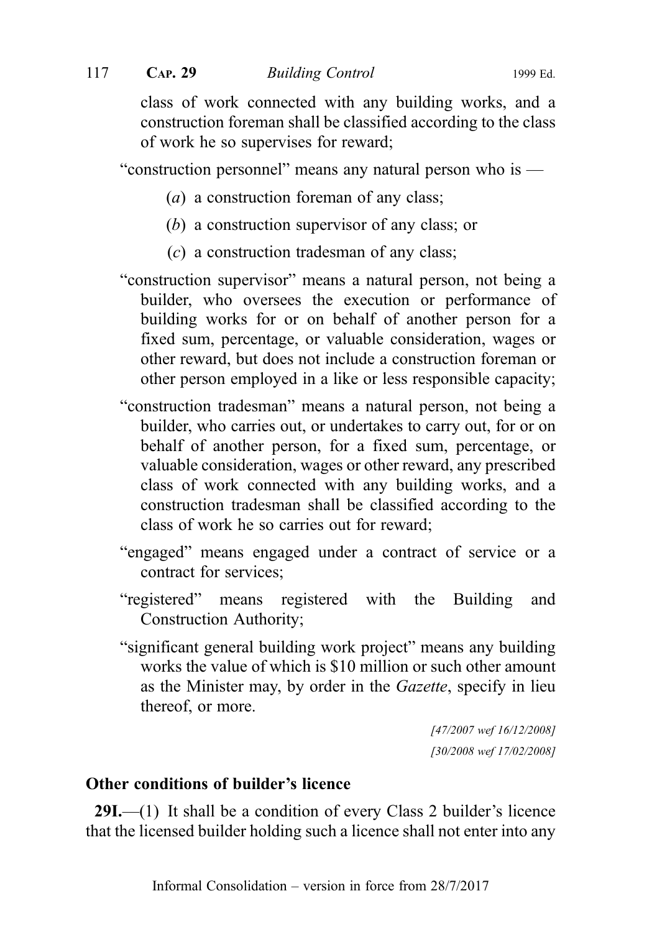class of work connected with any building works, and a construction foreman shall be classified according to the class of work he so supervises for reward;

"construction personnel" means any natural person who is —

- (a) a construction foreman of any class;
- (b) a construction supervisor of any class; or
- (c) a construction tradesman of any class;
- "construction supervisor" means a natural person, not being a builder, who oversees the execution or performance of building works for or on behalf of another person for a fixed sum, percentage, or valuable consideration, wages or other reward, but does not include a construction foreman or other person employed in a like or less responsible capacity;
- "construction tradesman" means a natural person, not being a builder, who carries out, or undertakes to carry out, for or on behalf of another person, for a fixed sum, percentage, or valuable consideration, wages or other reward, any prescribed class of work connected with any building works, and a construction tradesman shall be classified according to the class of work he so carries out for reward;
- "engaged" means engaged under a contract of service or a contract for services;
- "registered" means registered with the Building and Construction Authority;
- "significant general building work project" means any building works the value of which is \$10 million or such other amount as the Minister may, by order in the Gazette, specify in lieu thereof, or more.

[47/2007 wef 16/12/2008] [30/2008 wef 17/02/2008]

# Other conditions of builder's licence

29I.—(1) It shall be a condition of every Class 2 builder's licence that the licensed builder holding such a licence shall not enter into any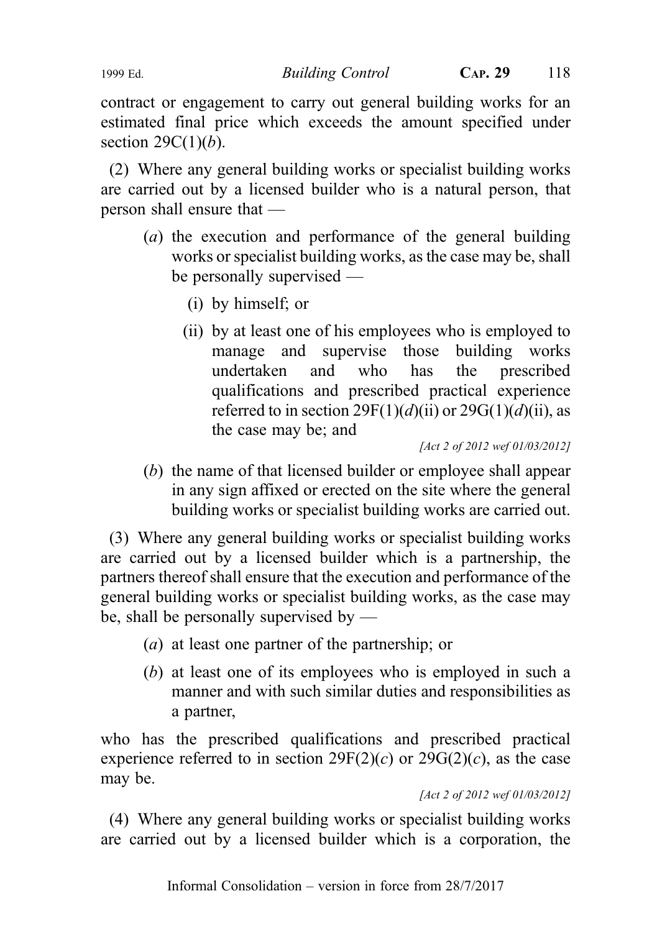contract or engagement to carry out general building works for an estimated final price which exceeds the amount specified under section  $29C(1)(b)$ .

(2) Where any general building works or specialist building works are carried out by a licensed builder who is a natural person, that person shall ensure that —

- (a) the execution and performance of the general building works or specialist building works, as the case may be, shall be personally supervised —
	- (i) by himself; or
	- (ii) by at least one of his employees who is employed to manage and supervise those building works undertaken and who has the prescribed qualifications and prescribed practical experience referred to in section  $29F(1)(d)(ii)$  or  $29G(1)(d)(ii)$ , as the case may be; and

[Act 2 of 2012 wef 01/03/2012]

(b) the name of that licensed builder or employee shall appear in any sign affixed or erected on the site where the general building works or specialist building works are carried out.

(3) Where any general building works or specialist building works are carried out by a licensed builder which is a partnership, the partners thereof shall ensure that the execution and performance of the general building works or specialist building works, as the case may be, shall be personally supervised by —

- (a) at least one partner of the partnership; or
- (b) at least one of its employees who is employed in such a manner and with such similar duties and responsibilities as a partner,

who has the prescribed qualifications and prescribed practical experience referred to in section  $29F(2)(c)$  or  $29G(2)(c)$ , as the case may be.

[Act 2 of 2012 wef 01/03/2012]

(4) Where any general building works or specialist building works are carried out by a licensed builder which is a corporation, the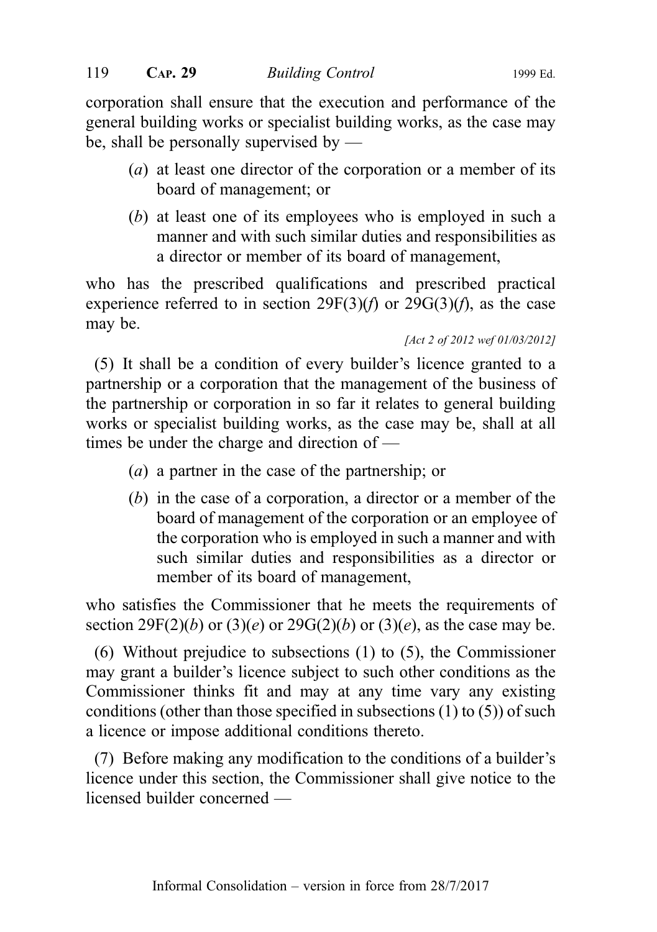corporation shall ensure that the execution and performance of the general building works or specialist building works, as the case may be, shall be personally supervised by —

- (a) at least one director of the corporation or a member of its board of management; or
- (b) at least one of its employees who is employed in such a manner and with such similar duties and responsibilities as a director or member of its board of management,

who has the prescribed qualifications and prescribed practical experience referred to in section  $29F(3)(f)$  or  $29G(3)(f)$ , as the case may be.

```
[Act 2 of 2012 wef 01/03/2012]
```
(5) It shall be a condition of every builder's licence granted to a partnership or a corporation that the management of the business of the partnership or corporation in so far it relates to general building works or specialist building works, as the case may be, shall at all times be under the charge and direction of —

- (a) a partner in the case of the partnership; or
- (b) in the case of a corporation, a director or a member of the board of management of the corporation or an employee of the corporation who is employed in such a manner and with such similar duties and responsibilities as a director or member of its board of management,

who satisfies the Commissioner that he meets the requirements of section 29F(2)(b) or (3)(e) or 29G(2)(b) or (3)(e), as the case may be.

(6) Without prejudice to subsections (1) to (5), the Commissioner may grant a builder's licence subject to such other conditions as the Commissioner thinks fit and may at any time vary any existing conditions (other than those specified in subsections (1) to (5)) of such a licence or impose additional conditions thereto.

(7) Before making any modification to the conditions of a builder's licence under this section, the Commissioner shall give notice to the licensed builder concerned —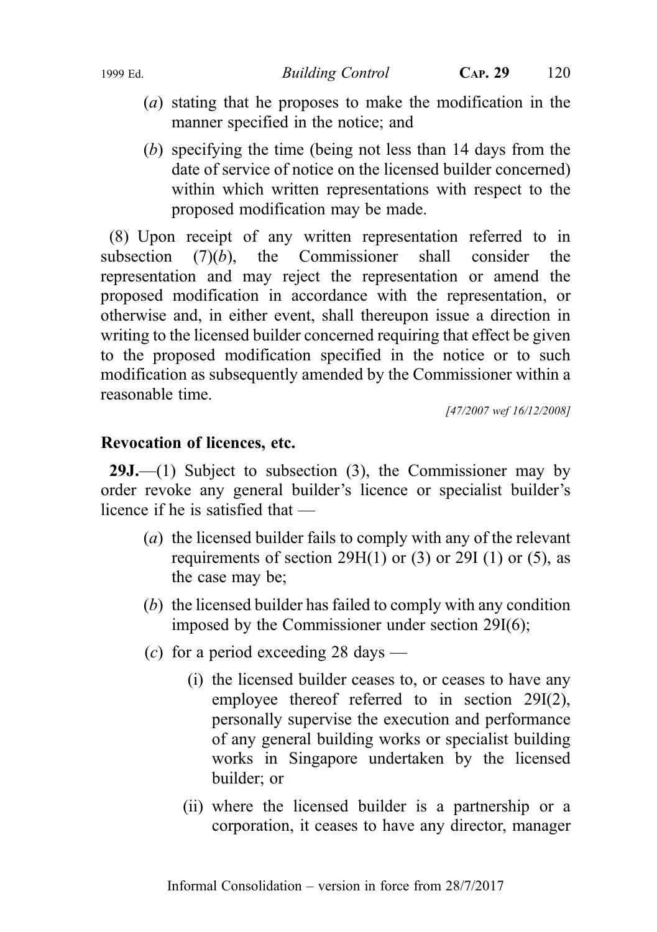- (a) stating that he proposes to make the modification in the manner specified in the notice; and
- (b) specifying the time (being not less than 14 days from the date of service of notice on the licensed builder concerned) within which written representations with respect to the proposed modification may be made.

(8) Upon receipt of any written representation referred to in subsection  $(7)(b)$ , the Commissioner shall consider the representation and may reject the representation or amend the proposed modification in accordance with the representation, or otherwise and, in either event, shall thereupon issue a direction in writing to the licensed builder concerned requiring that effect be given to the proposed modification specified in the notice or to such modification as subsequently amended by the Commissioner within a reasonable time.

[47/2007 wef 16/12/2008]

#### Revocation of licences, etc.

**29J.**—(1) Subject to subsection  $(3)$ , the Commissioner may by order revoke any general builder's licence or specialist builder's licence if he is satisfied that —

- (a) the licensed builder fails to comply with any of the relevant requirements of section  $29H(1)$  or  $(3)$  or  $29I(1)$  or  $(5)$ , as the case may be;
- (b) the licensed builder has failed to comply with any condition imposed by the Commissioner under section 29I(6);
- (c) for a period exceeding 28 days
	- (i) the licensed builder ceases to, or ceases to have any employee thereof referred to in section 29I(2), personally supervise the execution and performance of any general building works or specialist building works in Singapore undertaken by the licensed builder; or
	- (ii) where the licensed builder is a partnership or a corporation, it ceases to have any director, manager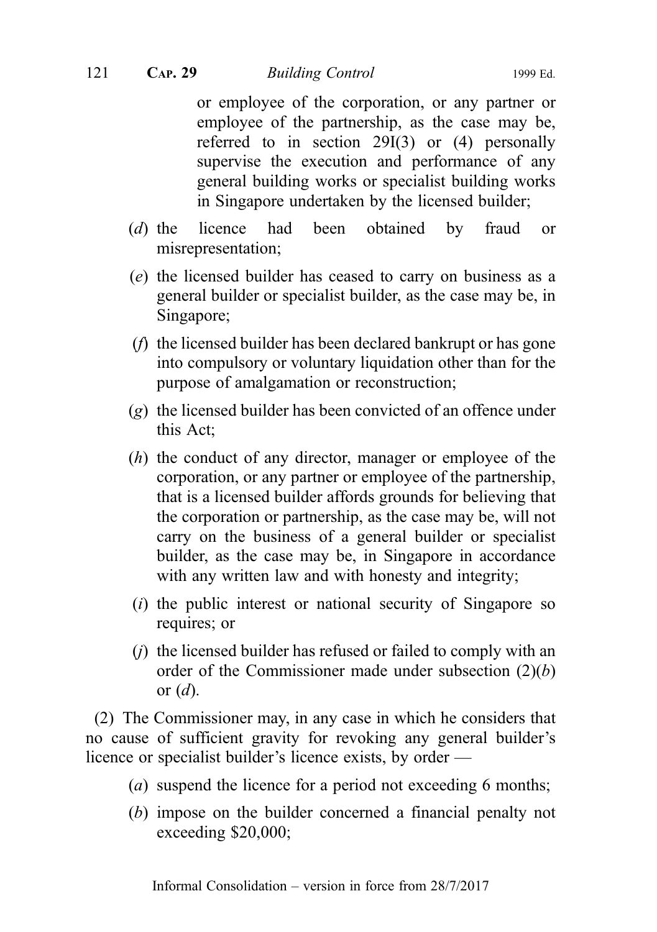or employee of the corporation, or any partner or employee of the partnership, as the case may be, referred to in section 29I(3) or (4) personally supervise the execution and performance of any general building works or specialist building works in Singapore undertaken by the licensed builder;

- (d) the licence had been obtained by fraud or misrepresentation;
- (e) the licensed builder has ceased to carry on business as a general builder or specialist builder, as the case may be, in Singapore;
- (f) the licensed builder has been declared bankrupt or has gone into compulsory or voluntary liquidation other than for the purpose of amalgamation or reconstruction;
- (g) the licensed builder has been convicted of an offence under this Act;
- (h) the conduct of any director, manager or employee of the corporation, or any partner or employee of the partnership, that is a licensed builder affords grounds for believing that the corporation or partnership, as the case may be, will not carry on the business of a general builder or specialist builder, as the case may be, in Singapore in accordance with any written law and with honesty and integrity;
- $(i)$  the public interest or national security of Singapore so requires; or
- (j) the licensed builder has refused or failed to comply with an order of the Commissioner made under subsection  $(2)(b)$ or  $(d)$ .

(2) The Commissioner may, in any case in which he considers that no cause of sufficient gravity for revoking any general builder's licence or specialist builder's licence exists, by order —

- (a) suspend the licence for a period not exceeding 6 months;
- (b) impose on the builder concerned a financial penalty not exceeding \$20,000;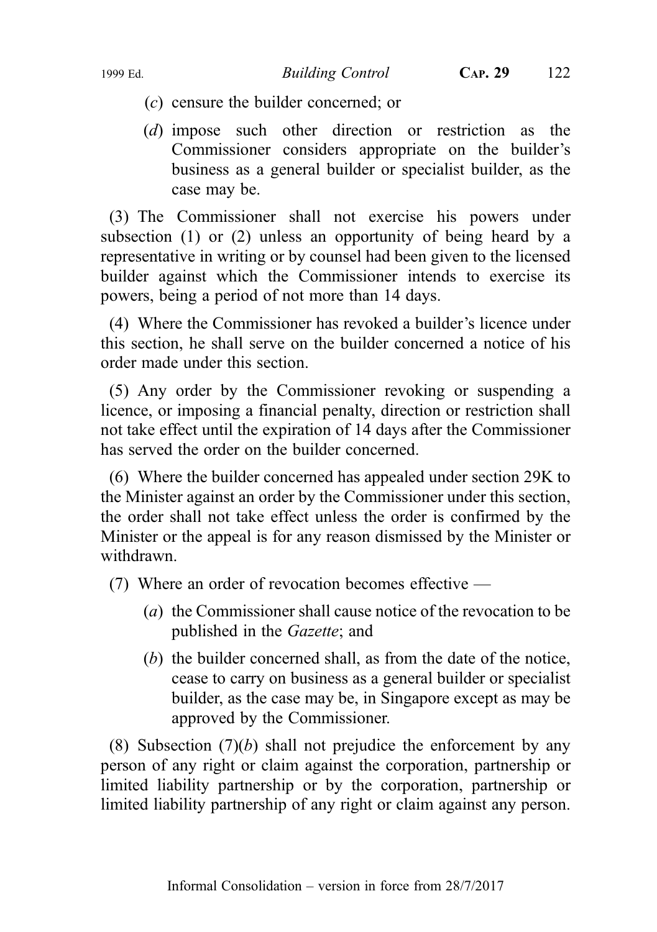- - (c) censure the builder concerned; or
	- (d) impose such other direction or restriction as the Commissioner considers appropriate on the builder's business as a general builder or specialist builder, as the case may be.

(3) The Commissioner shall not exercise his powers under subsection (1) or (2) unless an opportunity of being heard by a representative in writing or by counsel had been given to the licensed builder against which the Commissioner intends to exercise its powers, being a period of not more than 14 days.

(4) Where the Commissioner has revoked a builder's licence under this section, he shall serve on the builder concerned a notice of his order made under this section.

(5) Any order by the Commissioner revoking or suspending a licence, or imposing a financial penalty, direction or restriction shall not take effect until the expiration of 14 days after the Commissioner has served the order on the builder concerned.

(6) Where the builder concerned has appealed under section 29K to the Minister against an order by the Commissioner under this section, the order shall not take effect unless the order is confirmed by the Minister or the appeal is for any reason dismissed by the Minister or withdrawn.

(7) Where an order of revocation becomes effective —

- (a) the Commissioner shall cause notice of the revocation to be published in the Gazette; and
- (b) the builder concerned shall, as from the date of the notice, cease to carry on business as a general builder or specialist builder, as the case may be, in Singapore except as may be approved by the Commissioner.

(8) Subsection  $(7)(b)$  shall not prejudice the enforcement by any person of any right or claim against the corporation, partnership or limited liability partnership or by the corporation, partnership or limited liability partnership of any right or claim against any person.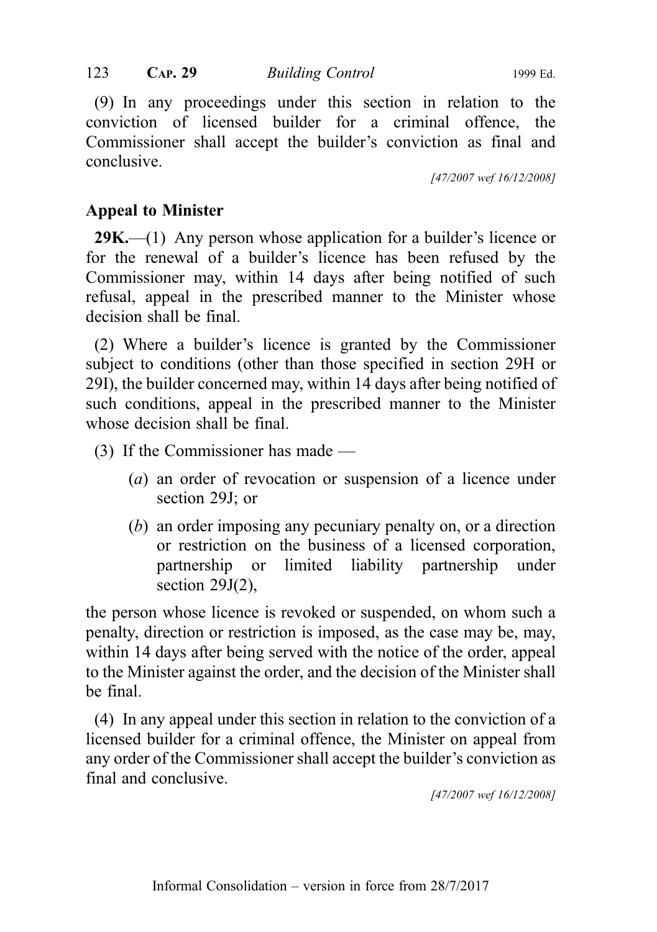123 CAP. 29 Building Control 1999 Ed.

(9) In any proceedings under this section in relation to the conviction of licensed builder for a criminal offence, the Commissioner shall accept the builder's conviction as final and conclusive.

[47/2007 wef 16/12/2008]

# Appeal to Minister

 $29K$ —(1) Any person whose application for a builder's licence or for the renewal of a builder's licence has been refused by the Commissioner may, within 14 days after being notified of such refusal, appeal in the prescribed manner to the Minister whose decision shall be final.

(2) Where a builder's licence is granted by the Commissioner subject to conditions (other than those specified in section 29H or 29I), the builder concerned may, within 14 days after being notified of such conditions, appeal in the prescribed manner to the Minister whose decision shall be final.

(3) If the Commissioner has made —

- (a) an order of revocation or suspension of a licence under section 29J; or
- (b) an order imposing any pecuniary penalty on, or a direction or restriction on the business of a licensed corporation, partnership or limited liability partnership under section 29J(2),

the person whose licence is revoked or suspended, on whom such a penalty, direction or restriction is imposed, as the case may be, may, within 14 days after being served with the notice of the order, appeal to the Minister against the order, and the decision of the Minister shall be final.

(4) In any appeal under this section in relation to the conviction of a licensed builder for a criminal offence, the Minister on appeal from any order of the Commissioner shall accept the builder's conviction as final and conclusive.

[47/2007 wef 16/12/2008]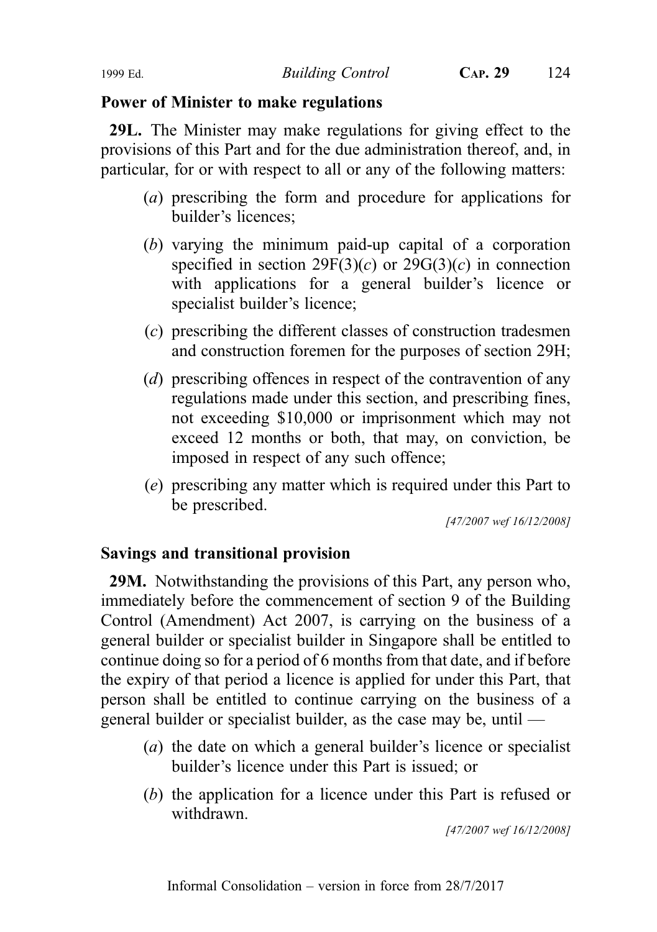# Power of Minister to make regulations

29L. The Minister may make regulations for giving effect to the provisions of this Part and for the due administration thereof, and, in particular, for or with respect to all or any of the following matters:

- (a) prescribing the form and procedure for applications for builder's licences;
- (b) varying the minimum paid-up capital of a corporation specified in section  $29F(3)(c)$  or  $29G(3)(c)$  in connection with applications for a general builder's licence or specialist builder's licence;
- (c) prescribing the different classes of construction tradesmen and construction foremen for the purposes of section 29H;
- (d) prescribing offences in respect of the contravention of any regulations made under this section, and prescribing fines, not exceeding \$10,000 or imprisonment which may not exceed 12 months or both, that may, on conviction, be imposed in respect of any such offence;
- (e) prescribing any matter which is required under this Part to be prescribed.

[47/2007 wef 16/12/2008]

# Savings and transitional provision

29M. Notwithstanding the provisions of this Part, any person who, immediately before the commencement of section 9 of the Building Control (Amendment) Act 2007, is carrying on the business of a general builder or specialist builder in Singapore shall be entitled to continue doing so for a period of 6 months from that date, and if before the expiry of that period a licence is applied for under this Part, that person shall be entitled to continue carrying on the business of a general builder or specialist builder, as the case may be, until —

- (a) the date on which a general builder's licence or specialist builder's licence under this Part is issued; or
- (b) the application for a licence under this Part is refused or withdrawn.

[47/2007 wef 16/12/2008]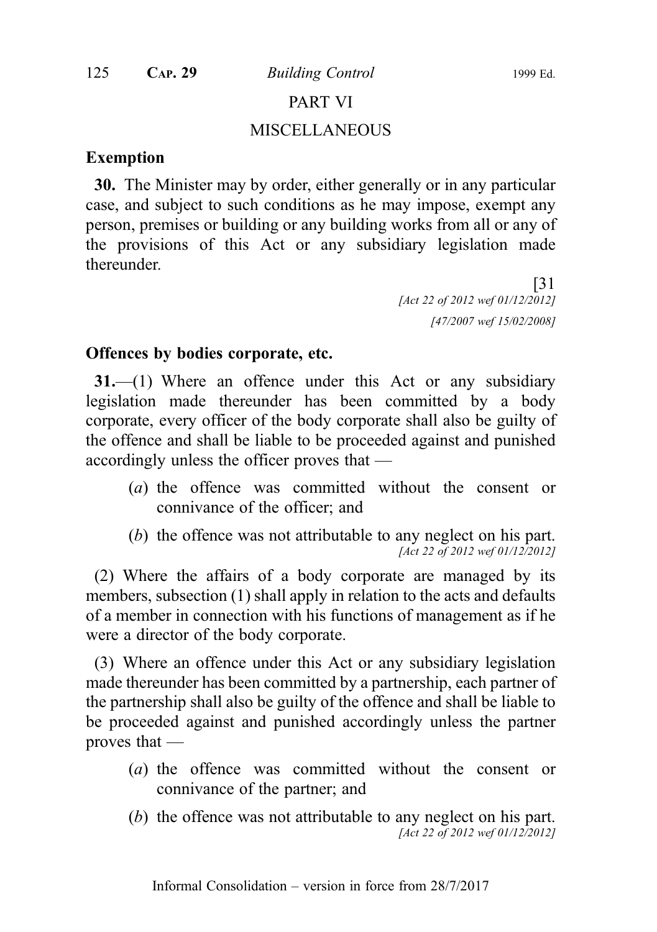# PART VI MISCELLANEOUS

#### Exemption

30. The Minister may by order, either generally or in any particular case, and subject to such conditions as he may impose, exempt any person, premises or building or any building works from all or any of the provisions of this Act or any subsidiary legislation made thereunder.

> [31 [Act 22 of 2012 wef 01/12/2012] [47/2007 wef 15/02/2008]

#### Offences by bodies corporate, etc.

31.—(1) Where an offence under this Act or any subsidiary legislation made thereunder has been committed by a body corporate, every officer of the body corporate shall also be guilty of the offence and shall be liable to be proceeded against and punished accordingly unless the officer proves that —

- (a) the offence was committed without the consent or connivance of the officer; and
- (b) the offence was not attributable to any neglect on his part. [Act 22 of 2012 wef 01/12/2012]

(2) Where the affairs of a body corporate are managed by its members, subsection (1) shall apply in relation to the acts and defaults of a member in connection with his functions of management as if he were a director of the body corporate.

(3) Where an offence under this Act or any subsidiary legislation made thereunder has been committed by a partnership, each partner of the partnership shall also be guilty of the offence and shall be liable to be proceeded against and punished accordingly unless the partner proves that —

- (a) the offence was committed without the consent or connivance of the partner; and
- (b) the offence was not attributable to any neglect on his part. [Act 22 of 2012 wef 01/12/2012]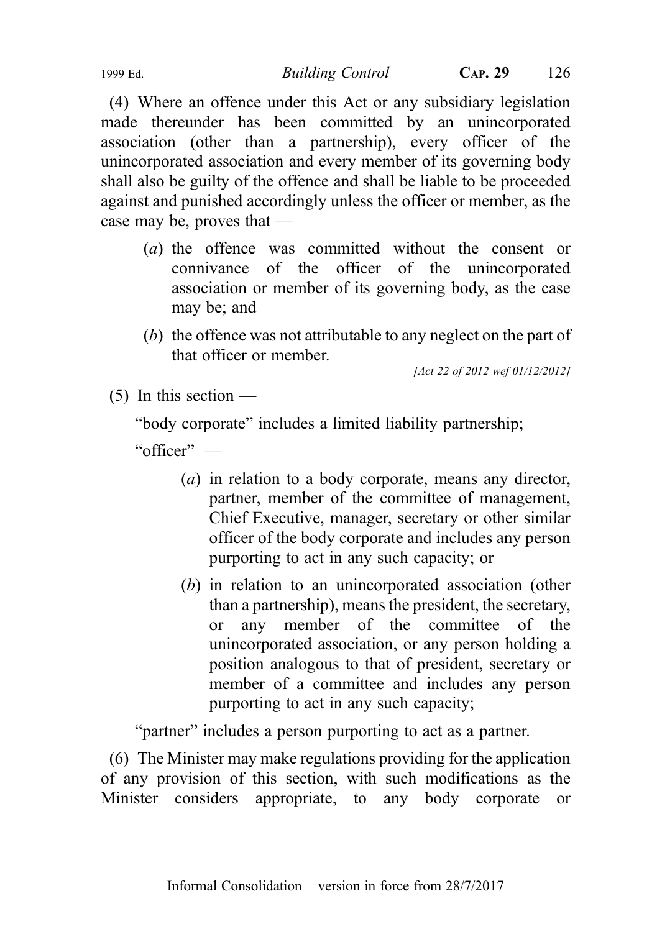(4) Where an offence under this Act or any subsidiary legislation made thereunder has been committed by an unincorporated association (other than a partnership), every officer of the unincorporated association and every member of its governing body shall also be guilty of the offence and shall be liable to be proceeded against and punished accordingly unless the officer or member, as the case may be, proves that —

- (a) the offence was committed without the consent or connivance of the officer of the unincorporated association or member of its governing body, as the case may be; and
- (b) the offence was not attributable to any neglect on the part of that officer or member.

[Act 22 of 2012 wef 01/12/2012]

 $(5)$  In this section —

"body corporate" includes a limited liability partnership;

"officer" —

- (a) in relation to a body corporate, means any director, partner, member of the committee of management, Chief Executive, manager, secretary or other similar officer of the body corporate and includes any person purporting to act in any such capacity; or
- (b) in relation to an unincorporated association (other than a partnership), means the president, the secretary, or any member of the committee of the unincorporated association, or any person holding a position analogous to that of president, secretary or member of a committee and includes any person purporting to act in any such capacity;

"partner" includes a person purporting to act as a partner.

(6) The Minister may make regulations providing for the application of any provision of this section, with such modifications as the Minister considers appropriate, to any body corporate or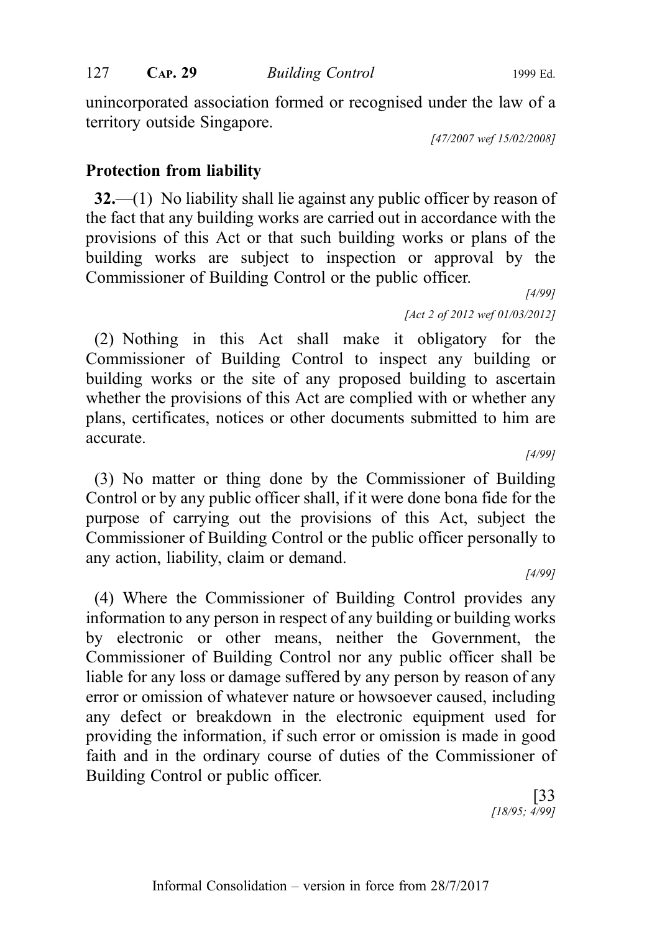unincorporated association formed or recognised under the law of a territory outside Singapore.

[47/2007 wef 15/02/2008]

# Protection from liability

32.—(1) No liability shall lie against any public officer by reason of the fact that any building works are carried out in accordance with the provisions of this Act or that such building works or plans of the building works are subject to inspection or approval by the Commissioner of Building Control or the public officer.

> [4/99] [Act 2 of 2012 wef 01/03/2012]

(2) Nothing in this Act shall make it obligatory for the Commissioner of Building Control to inspect any building or building works or the site of any proposed building to ascertain whether the provisions of this Act are complied with or whether any plans, certificates, notices or other documents submitted to him are accurate.

[4/99]

(3) No matter or thing done by the Commissioner of Building Control or by any public officer shall, if it were done bona fide for the purpose of carrying out the provisions of this Act, subject the Commissioner of Building Control or the public officer personally to any action, liability, claim or demand.

[4/99]

(4) Where the Commissioner of Building Control provides any information to any person in respect of any building or building works by electronic or other means, neither the Government, the Commissioner of Building Control nor any public officer shall be liable for any loss or damage suffered by any person by reason of any error or omission of whatever nature or howsoever caused, including any defect or breakdown in the electronic equipment used for providing the information, if such error or omission is made in good faith and in the ordinary course of duties of the Commissioner of Building Control or public officer.

> [33 [18/95; 4/99]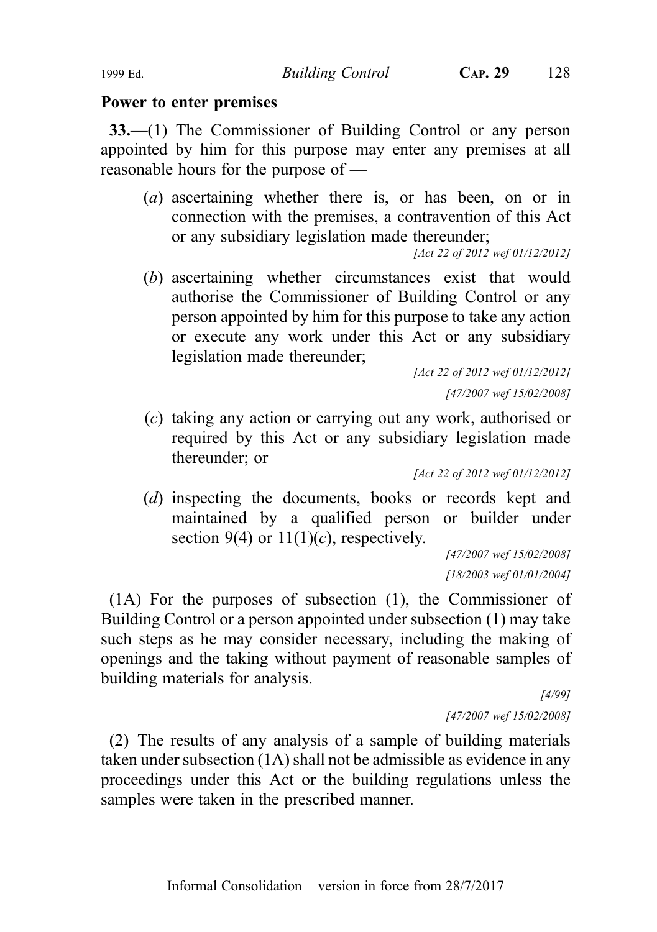#### Power to enter premises

33.—(1) The Commissioner of Building Control or any person appointed by him for this purpose may enter any premises at all reasonable hours for the purpose of —

(*a*) ascertaining whether there is, or has been, on or in connection with the premises, a contravention of this Act or any subsidiary legislation made thereunder;

[Act 22 of 2012 wef 01/12/2012]

(b) ascertaining whether circumstances exist that would authorise the Commissioner of Building Control or any person appointed by him for this purpose to take any action or execute any work under this Act or any subsidiary legislation made thereunder;

> [Act 22 of 2012 wef 01/12/2012] [47/2007 wef 15/02/2008]

(c) taking any action or carrying out any work, authorised or required by this Act or any subsidiary legislation made thereunder; or

[Act 22 of 2012 wef 01/12/2012]

(d) inspecting the documents, books or records kept and maintained by a qualified person or builder under section 9(4) or  $11(1)(c)$ , respectively.

[47/2007 wef 15/02/2008] [18/2003 wef 01/01/2004]

(1A) For the purposes of subsection (1), the Commissioner of Building Control or a person appointed under subsection (1) may take such steps as he may consider necessary, including the making of openings and the taking without payment of reasonable samples of building materials for analysis.

[4/99] [47/2007 wef 15/02/2008]

(2) The results of any analysis of a sample of building materials taken under subsection (1A) shall not be admissible as evidence in any proceedings under this Act or the building regulations unless the samples were taken in the prescribed manner.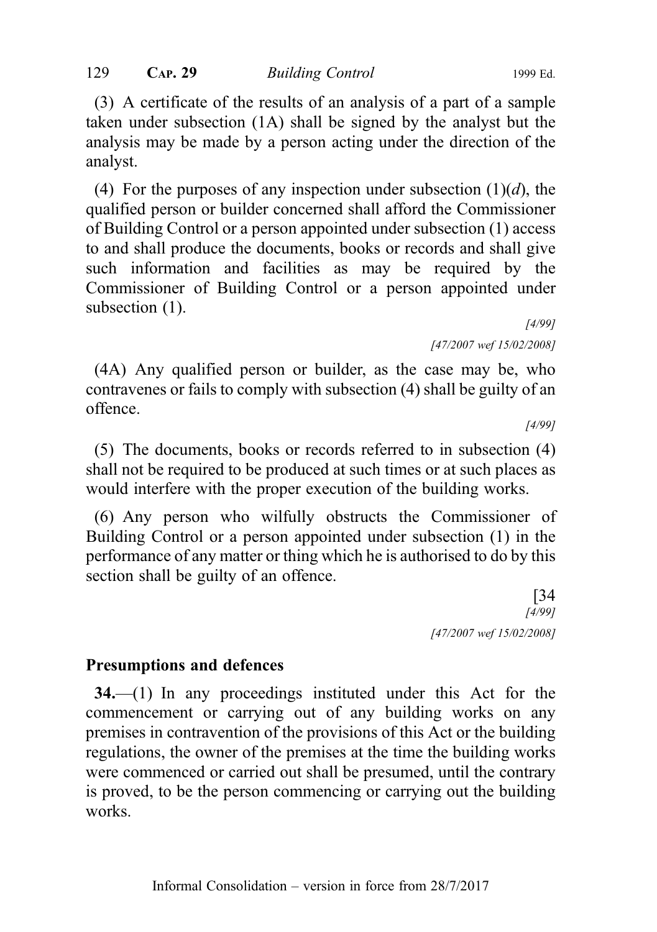#### 129 CAP. 29 Building Control 1999 Ed.

(3) A certificate of the results of an analysis of a part of a sample taken under subsection (1A) shall be signed by the analyst but the analysis may be made by a person acting under the direction of the analyst.

(4) For the purposes of any inspection under subsection  $(1)(d)$ , the qualified person or builder concerned shall afford the Commissioner of Building Control or a person appointed under subsection (1) access to and shall produce the documents, books or records and shall give such information and facilities as may be required by the Commissioner of Building Control or a person appointed under subsection  $(1)$ .

[4/99] [47/2007 wef 15/02/2008]

(4A) Any qualified person or builder, as the case may be, who contravenes or fails to comply with subsection (4) shall be guilty of an offence.

[4/99]

(5) The documents, books or records referred to in subsection (4) shall not be required to be produced at such times or at such places as would interfere with the proper execution of the building works.

(6) Any person who wilfully obstructs the Commissioner of Building Control or a person appointed under subsection (1) in the performance of any matter or thing which he is authorised to do by this section shall be guilty of an offence.

> [34 [4/99] [47/2007 wef 15/02/2008]

#### Presumptions and defences

34.—(1) In any proceedings instituted under this Act for the commencement or carrying out of any building works on any premises in contravention of the provisions of this Act or the building regulations, the owner of the premises at the time the building works were commenced or carried out shall be presumed, until the contrary is proved, to be the person commencing or carrying out the building works.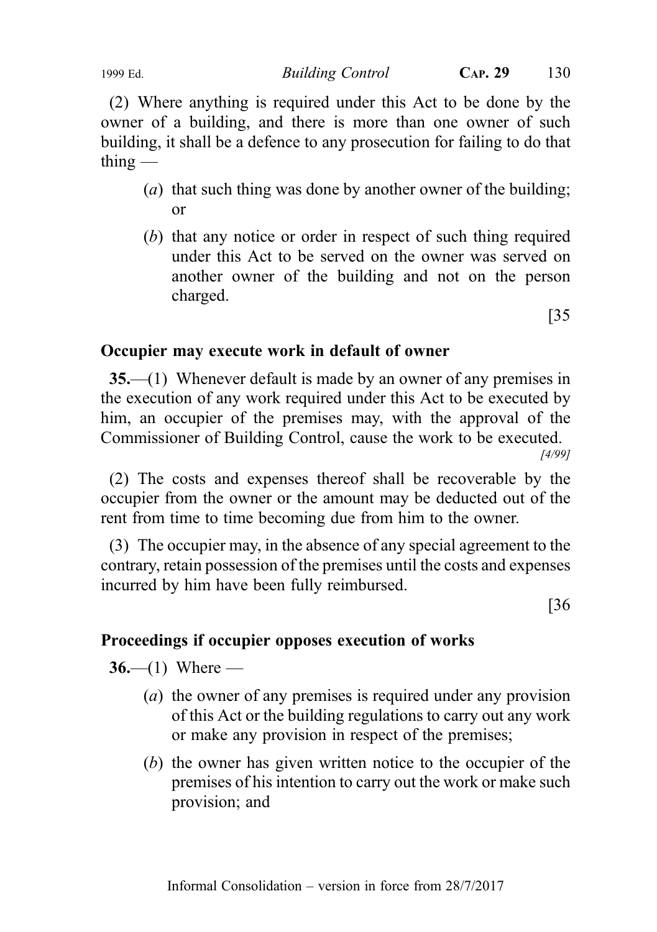1999 Ed. Building Control CAP. 29 130

(2) Where anything is required under this Act to be done by the owner of a building, and there is more than one owner of such building, it shall be a defence to any prosecution for failing to do that  $\theta$  thing —

- (a) that such thing was done by another owner of the building; or
- (b) that any notice or order in respect of such thing required under this Act to be served on the owner was served on another owner of the building and not on the person charged.

[35

# Occupier may execute work in default of owner

35.—(1) Whenever default is made by an owner of any premises in the execution of any work required under this Act to be executed by him, an occupier of the premises may, with the approval of the Commissioner of Building Control, cause the work to be executed.

[4/99]

(2) The costs and expenses thereof shall be recoverable by the occupier from the owner or the amount may be deducted out of the rent from time to time becoming due from him to the owner.

(3) The occupier may, in the absence of any special agreement to the contrary, retain possession of the premises until the costs and expenses incurred by him have been fully reimbursed.

[36

# Proceedings if occupier opposes execution of works

 $36- (1)$  Where —

- (a) the owner of any premises is required under any provision of this Act or the building regulations to carry out any work or make any provision in respect of the premises;
- (b) the owner has given written notice to the occupier of the premises of his intention to carry out the work or make such provision; and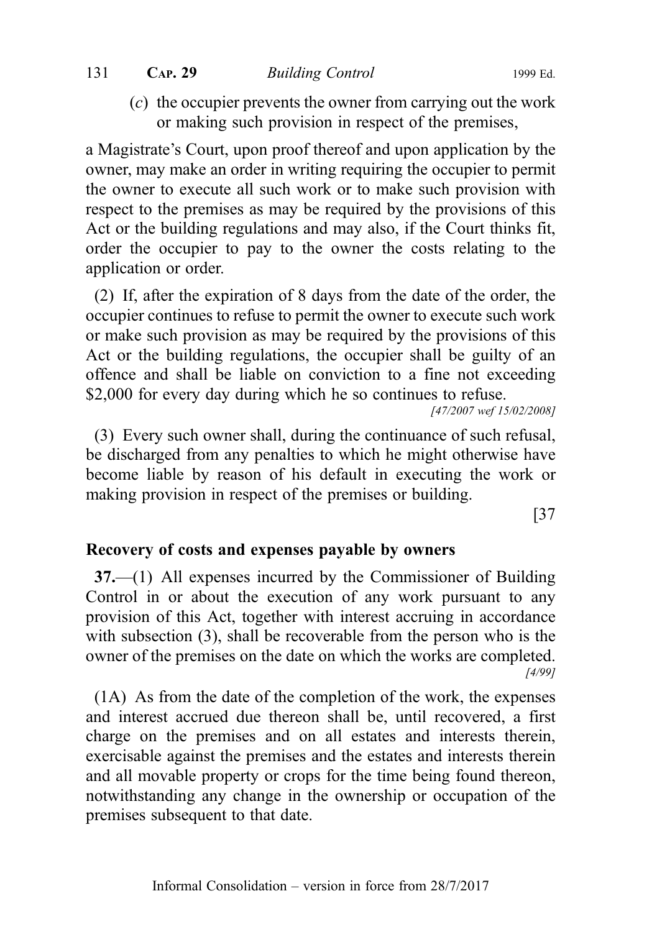#### 131 CAP. 29 Building Control 1999 Ed.

(c) the occupier prevents the owner from carrying out the work or making such provision in respect of the premises,

a Magistrate's Court, upon proof thereof and upon application by the owner, may make an order in writing requiring the occupier to permit the owner to execute all such work or to make such provision with respect to the premises as may be required by the provisions of this Act or the building regulations and may also, if the Court thinks fit, order the occupier to pay to the owner the costs relating to the application or order.

(2) If, after the expiration of 8 days from the date of the order, the occupier continues to refuse to permit the owner to execute such work or make such provision as may be required by the provisions of this Act or the building regulations, the occupier shall be guilty of an offence and shall be liable on conviction to a fine not exceeding \$2,000 for every day during which he so continues to refuse.

[47/2007 wef 15/02/2008]

(3) Every such owner shall, during the continuance of such refusal, be discharged from any penalties to which he might otherwise have become liable by reason of his default in executing the work or making provision in respect of the premises or building.

[37

#### Recovery of costs and expenses payable by owners

37.—(1) All expenses incurred by the Commissioner of Building Control in or about the execution of any work pursuant to any provision of this Act, together with interest accruing in accordance with subsection (3), shall be recoverable from the person who is the owner of the premises on the date on which the works are completed. [4/99]

(1A) As from the date of the completion of the work, the expenses and interest accrued due thereon shall be, until recovered, a first charge on the premises and on all estates and interests therein, exercisable against the premises and the estates and interests therein and all movable property or crops for the time being found thereon, notwithstanding any change in the ownership or occupation of the premises subsequent to that date.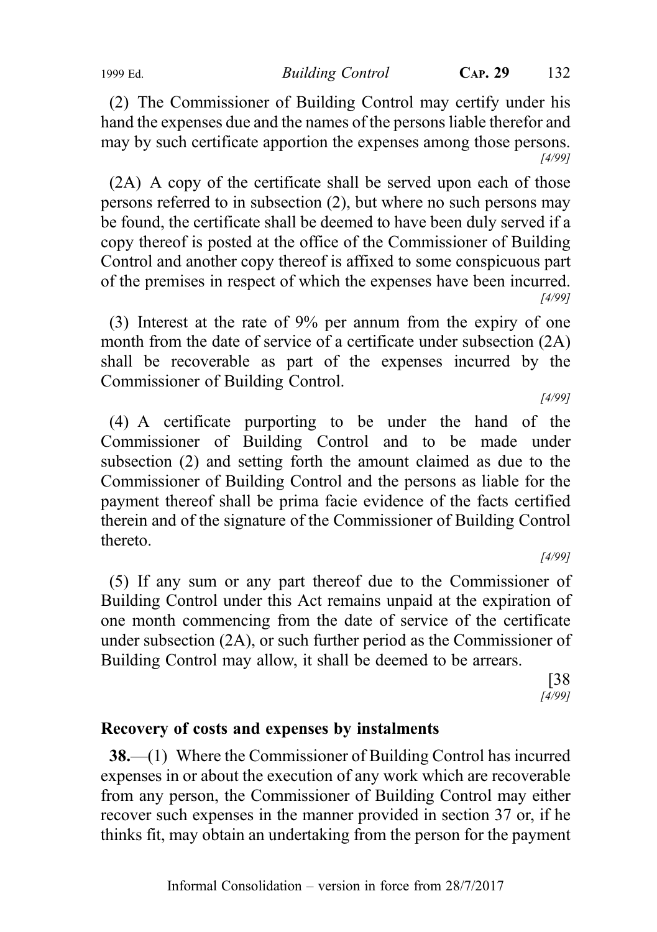(2) The Commissioner of Building Control may certify under his hand the expenses due and the names of the persons liable therefor and may by such certificate apportion the expenses among those persons. [4/99]

(2A) A copy of the certificate shall be served upon each of those persons referred to in subsection (2), but where no such persons may be found, the certificate shall be deemed to have been duly served if a copy thereof is posted at the office of the Commissioner of Building Control and another copy thereof is affixed to some conspicuous part of the premises in respect of which the expenses have been incurred. [4/99]

(3) Interest at the rate of 9% per annum from the expiry of one month from the date of service of a certificate under subsection (2A) shall be recoverable as part of the expenses incurred by the Commissioner of Building Control. [4/99]

(4) A certificate purporting to be under the hand of the Commissioner of Building Control and to be made under subsection (2) and setting forth the amount claimed as due to the Commissioner of Building Control and the persons as liable for the payment thereof shall be prima facie evidence of the facts certified therein and of the signature of the Commissioner of Building Control thereto.

[4/99]

(5) If any sum or any part thereof due to the Commissioner of Building Control under this Act remains unpaid at the expiration of one month commencing from the date of service of the certificate under subsection (2A), or such further period as the Commissioner of Building Control may allow, it shall be deemed to be arrears.

> [38 [4/99]

# Recovery of costs and expenses by instalments

38.—(1) Where the Commissioner of Building Control has incurred expenses in or about the execution of any work which are recoverable from any person, the Commissioner of Building Control may either recover such expenses in the manner provided in section 37 or, if he thinks fit, may obtain an undertaking from the person for the payment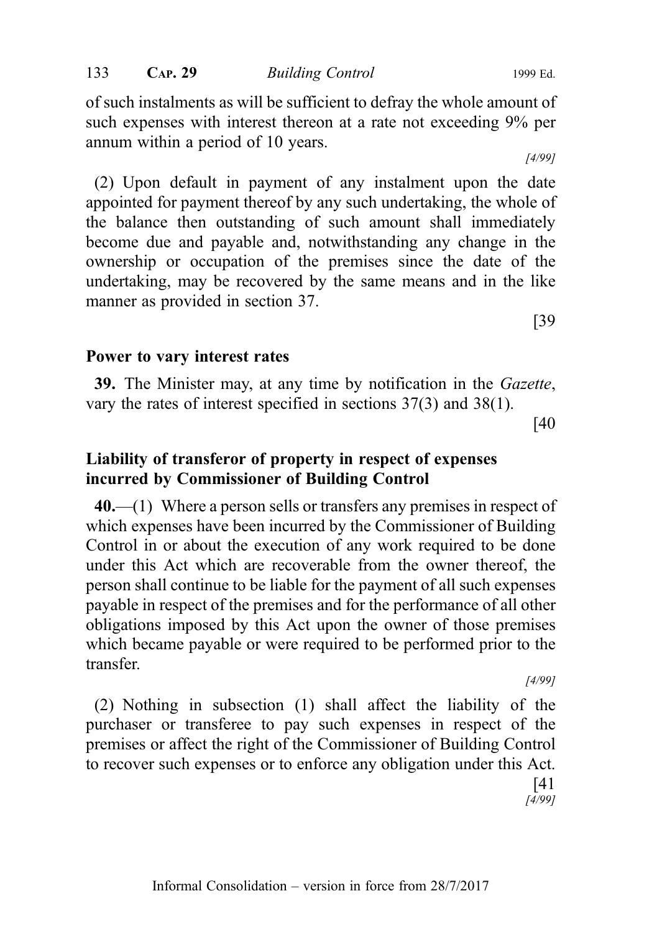of such instalments as will be sufficient to defray the whole amount of such expenses with interest thereon at a rate not exceeding 9% per annum within a period of 10 years.

(2) Upon default in payment of any instalment upon the date appointed for payment thereof by any such undertaking, the whole of the balance then outstanding of such amount shall immediately become due and payable and, notwithstanding any change in the ownership or occupation of the premises since the date of the undertaking, may be recovered by the same means and in the like manner as provided in section 37.

#### Power to vary interest rates

39. The Minister may, at any time by notification in the Gazette, vary the rates of interest specified in sections 37(3) and 38(1).

[40

[39

## Liability of transferor of property in respect of expenses incurred by Commissioner of Building Control

 $40$ .—(1) Where a person sells or transfers any premises in respect of which expenses have been incurred by the Commissioner of Building Control in or about the execution of any work required to be done under this Act which are recoverable from the owner thereof, the person shall continue to be liable for the payment of all such expenses payable in respect of the premises and for the performance of all other obligations imposed by this Act upon the owner of those premises which became payable or were required to be performed prior to the transfer.

[4/99]

(2) Nothing in subsection (1) shall affect the liability of the purchaser or transferee to pay such expenses in respect of the premises or affect the right of the Commissioner of Building Control to recover such expenses or to enforce any obligation under this Act. [41

 $[4/99]$ 

[4/99]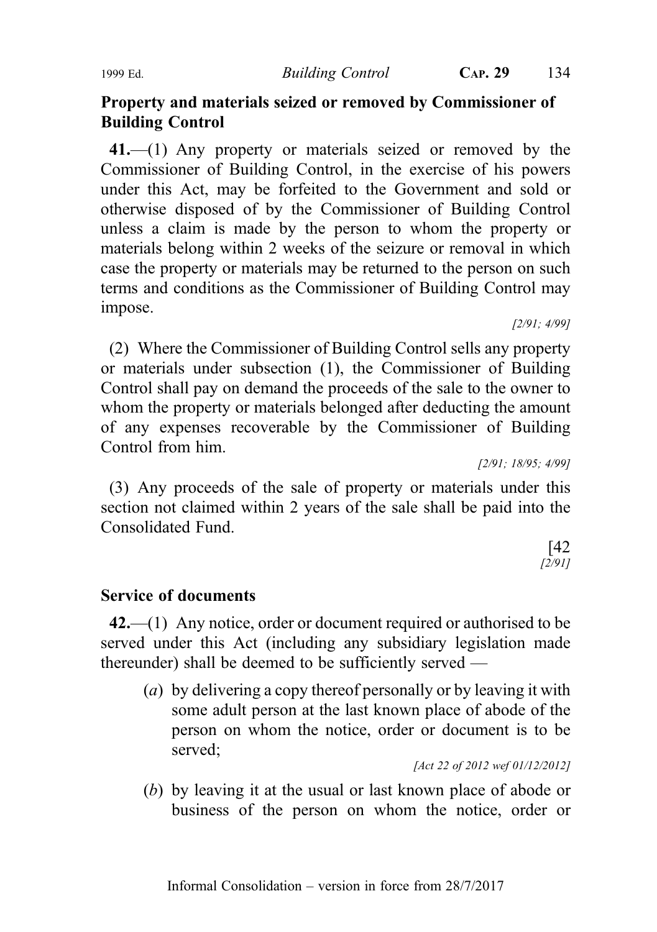## Property and materials seized or removed by Commissioner of Building Control

41.—(1) Any property or materials seized or removed by the Commissioner of Building Control, in the exercise of his powers under this Act, may be forfeited to the Government and sold or otherwise disposed of by the Commissioner of Building Control unless a claim is made by the person to whom the property or materials belong within 2 weeks of the seizure or removal in which case the property or materials may be returned to the person on such terms and conditions as the Commissioner of Building Control may impose.

[2/91; 4/99]

(2) Where the Commissioner of Building Control sells any property or materials under subsection (1), the Commissioner of Building Control shall pay on demand the proceeds of the sale to the owner to whom the property or materials belonged after deducting the amount of any expenses recoverable by the Commissioner of Building Control from him.

[2/91; 18/95; 4/99]

(3) Any proceeds of the sale of property or materials under this section not claimed within 2 years of the sale shall be paid into the Consolidated Fund.

> [42 [2/91]

#### Service of documents

42.—(1) Any notice, order or document required or authorised to be served under this Act (including any subsidiary legislation made thereunder) shall be deemed to be sufficiently served —

(a) by delivering a copy thereof personally or by leaving it with some adult person at the last known place of abode of the person on whom the notice, order or document is to be served;

[Act 22 of 2012 wef 01/12/2012]

(b) by leaving it at the usual or last known place of abode or business of the person on whom the notice, order or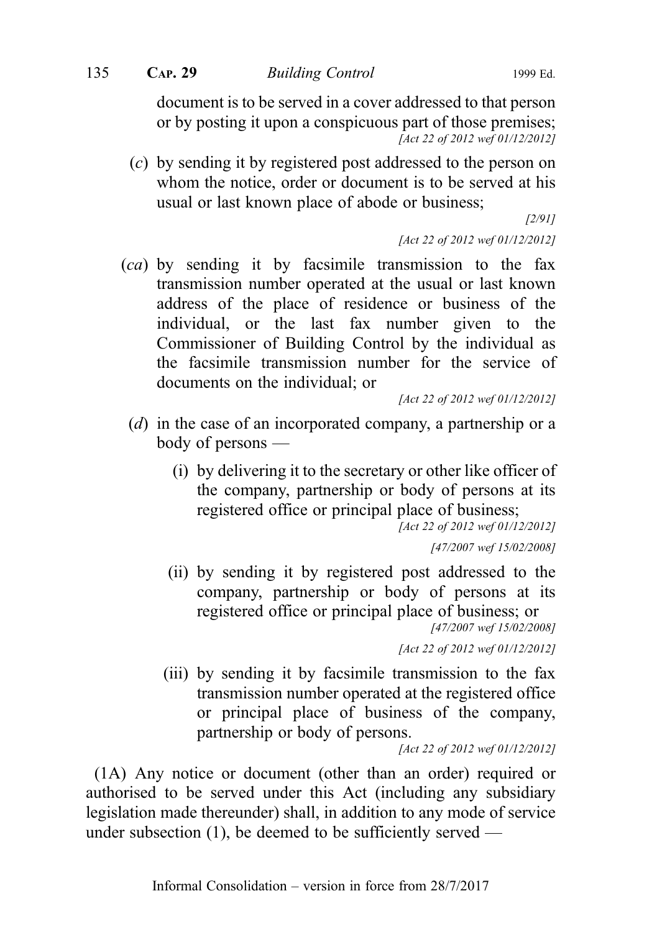135 CAP. 29 Building Control 1999 Ed.

document is to be served in a cover addressed to that person or by posting it upon a conspicuous part of those premises; [Act 22 of 2012 wef 01/12/2012]

(c) by sending it by registered post addressed to the person on whom the notice, order or document is to be served at his usual or last known place of abode or business;

[2/91]

[Act 22 of 2012 wef 01/12/2012]

 $(ca)$  by sending it by facsimile transmission to the fax transmission number operated at the usual or last known address of the place of residence or business of the individual, or the last fax number given to the Commissioner of Building Control by the individual as the facsimile transmission number for the service of documents on the individual; or

[Act 22 of 2012 wef 01/12/2012]

- (d) in the case of an incorporated company, a partnership or a body of persons —
	- (i) by delivering it to the secretary or other like officer of the company, partnership or body of persons at its registered office or principal place of business;

[Act 22 of 2012 wef 01/12/2012]

[47/2007 wef 15/02/2008]

(ii) by sending it by registered post addressed to the company, partnership or body of persons at its registered office or principal place of business; or [47/2007 wef 15/02/2008]

[Act 22 of 2012 wef 01/12/2012]

(iii) by sending it by facsimile transmission to the fax transmission number operated at the registered office or principal place of business of the company, partnership or body of persons.

[Act 22 of 2012 wef 01/12/2012]

(1A) Any notice or document (other than an order) required or authorised to be served under this Act (including any subsidiary legislation made thereunder) shall, in addition to any mode of service under subsection  $(1)$ , be deemed to be sufficiently served —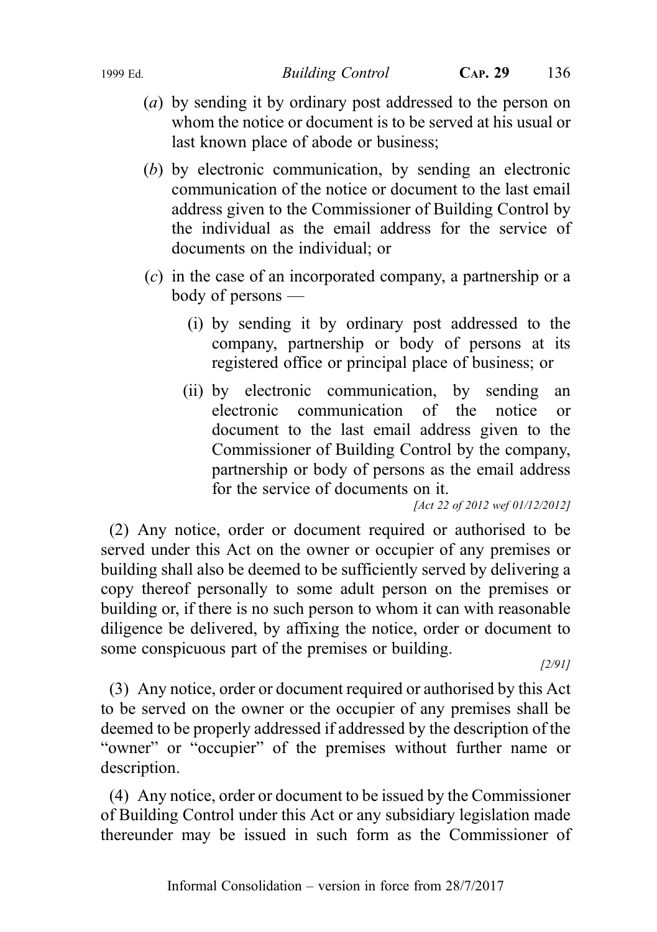1999 Ed. Building Control CAP. 29 136

- (a) by sending it by ordinary post addressed to the person on whom the notice or document is to be served at his usual or last known place of abode or business;
- (b) by electronic communication, by sending an electronic communication of the notice or document to the last email address given to the Commissioner of Building Control by the individual as the email address for the service of documents on the individual; or
- (c) in the case of an incorporated company, a partnership or a body of persons —
	- (i) by sending it by ordinary post addressed to the company, partnership or body of persons at its registered office or principal place of business; or
	- (ii) by electronic communication, by sending an electronic communication of the notice or document to the last email address given to the Commissioner of Building Control by the company, partnership or body of persons as the email address for the service of documents on it.

[Act 22 of 2012 wef 01/12/2012]

(2) Any notice, order or document required or authorised to be served under this Act on the owner or occupier of any premises or building shall also be deemed to be sufficiently served by delivering a copy thereof personally to some adult person on the premises or building or, if there is no such person to whom it can with reasonable diligence be delivered, by affixing the notice, order or document to some conspicuous part of the premises or building.

[2/91]

(3) Any notice, order or document required or authorised by this Act to be served on the owner or the occupier of any premises shall be deemed to be properly addressed if addressed by the description of the "owner" or "occupier" of the premises without further name or description.

(4) Any notice, order or document to be issued by the Commissioner of Building Control under this Act or any subsidiary legislation made thereunder may be issued in such form as the Commissioner of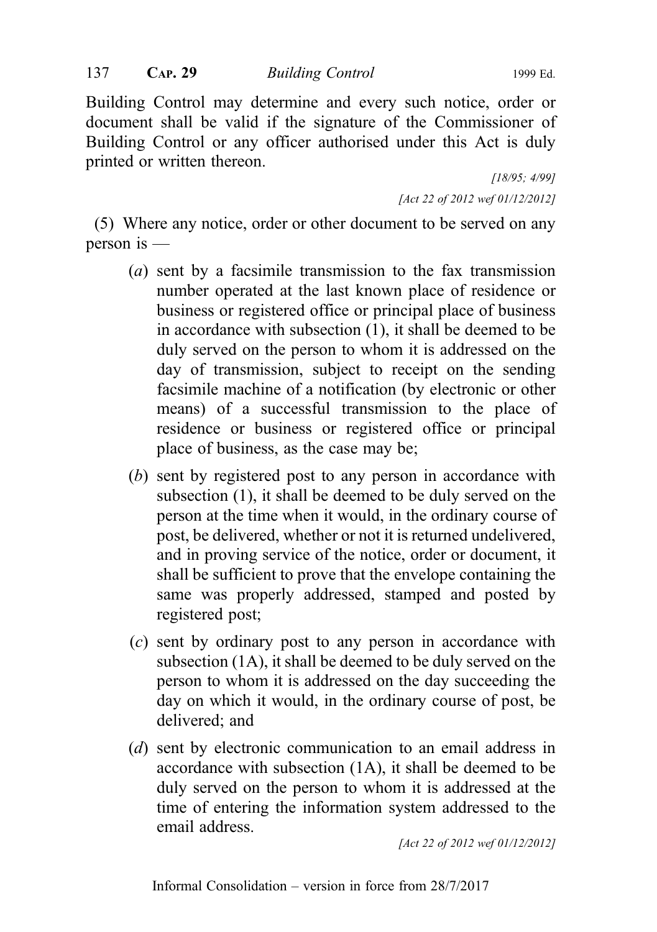Building Control may determine and every such notice, order or document shall be valid if the signature of the Commissioner of Building Control or any officer authorised under this Act is duly printed or written thereon.

> [18/95; 4/99] [Act 22 of 2012 wef 01/12/2012]

(5) Where any notice, order or other document to be served on any person is —

- (a) sent by a facsimile transmission to the fax transmission number operated at the last known place of residence or business or registered office or principal place of business in accordance with subsection (1), it shall be deemed to be duly served on the person to whom it is addressed on the day of transmission, subject to receipt on the sending facsimile machine of a notification (by electronic or other means) of a successful transmission to the place of residence or business or registered office or principal place of business, as the case may be;
- (b) sent by registered post to any person in accordance with subsection (1), it shall be deemed to be duly served on the person at the time when it would, in the ordinary course of post, be delivered, whether or not it is returned undelivered, and in proving service of the notice, order or document, it shall be sufficient to prove that the envelope containing the same was properly addressed, stamped and posted by registered post;
- (c) sent by ordinary post to any person in accordance with subsection (1A), it shall be deemed to be duly served on the person to whom it is addressed on the day succeeding the day on which it would, in the ordinary course of post, be delivered; and
- (d) sent by electronic communication to an email address in accordance with subsection (1A), it shall be deemed to be duly served on the person to whom it is addressed at the time of entering the information system addressed to the email address.

[Act 22 of 2012 wef 01/12/2012]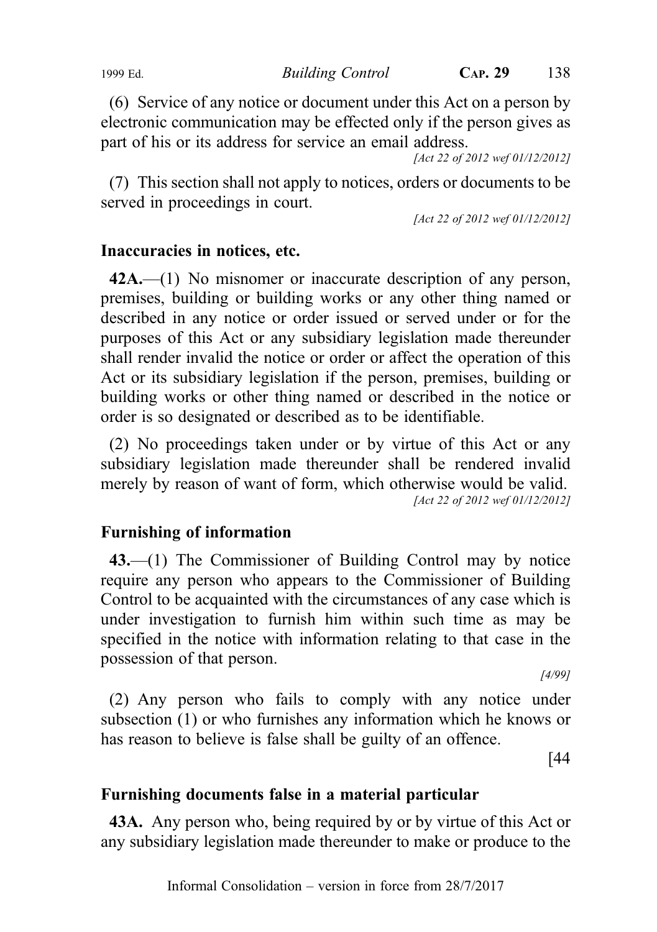1999 Ed. Building Control CAP. 29 138

(6) Service of any notice or document under this Act on a person by electronic communication may be effected only if the person gives as part of his or its address for service an email address.

[Act 22 of 2012 wef 01/12/2012]

(7) This section shall not apply to notices, orders or documents to be served in proceedings in court.

[Act 22 of 2012 wef 01/12/2012]

# Inaccuracies in notices, etc.

42A.—(1) No misnomer or inaccurate description of any person, premises, building or building works or any other thing named or described in any notice or order issued or served under or for the purposes of this Act or any subsidiary legislation made thereunder shall render invalid the notice or order or affect the operation of this Act or its subsidiary legislation if the person, premises, building or building works or other thing named or described in the notice or order is so designated or described as to be identifiable.

(2) No proceedings taken under or by virtue of this Act or any subsidiary legislation made thereunder shall be rendered invalid merely by reason of want of form, which otherwise would be valid. [Act 22 of 2012 wef 01/12/2012]

# Furnishing of information

43.—(1) The Commissioner of Building Control may by notice require any person who appears to the Commissioner of Building Control to be acquainted with the circumstances of any case which is under investigation to furnish him within such time as may be specified in the notice with information relating to that case in the possession of that person.

[4/99]

(2) Any person who fails to comply with any notice under subsection (1) or who furnishes any information which he knows or has reason to believe is false shall be guilty of an offence.

[44

# Furnishing documents false in a material particular

43A. Any person who, being required by or by virtue of this Act or any subsidiary legislation made thereunder to make or produce to the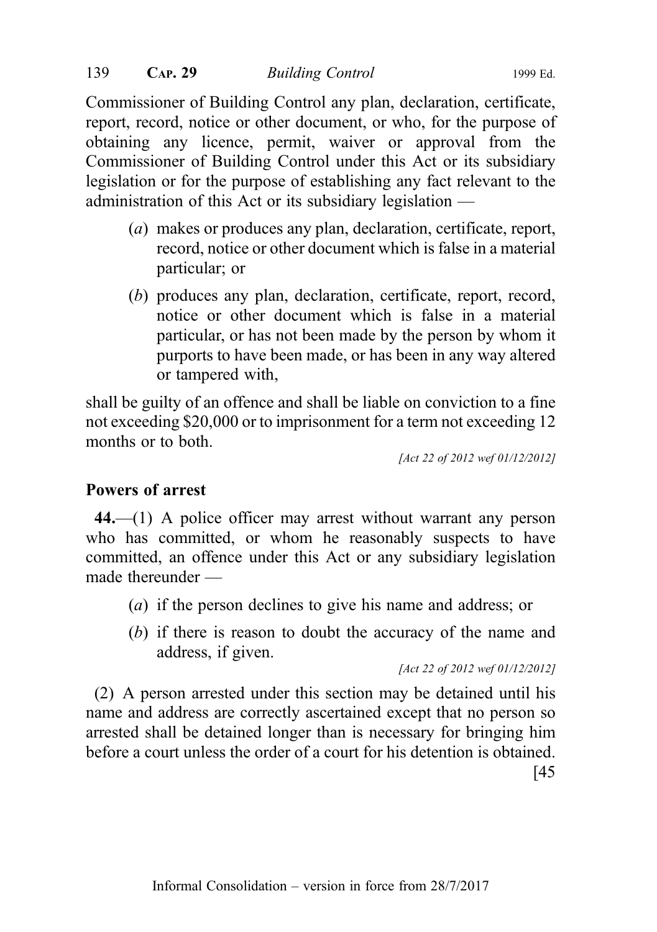Commissioner of Building Control any plan, declaration, certificate, report, record, notice or other document, or who, for the purpose of obtaining any licence, permit, waiver or approval from the Commissioner of Building Control under this Act or its subsidiary legislation or for the purpose of establishing any fact relevant to the administration of this Act or its subsidiary legislation —

- (a) makes or produces any plan, declaration, certificate, report, record, notice or other document which is false in a material particular; or
- (b) produces any plan, declaration, certificate, report, record, notice or other document which is false in a material particular, or has not been made by the person by whom it purports to have been made, or has been in any way altered or tampered with,

shall be guilty of an offence and shall be liable on conviction to a fine not exceeding \$20,000 or to imprisonment for a term not exceeding 12 months or to both.

[Act 22 of 2012 wef 01/12/2012]

# Powers of arrest

44.—(1) A police officer may arrest without warrant any person who has committed, or whom he reasonably suspects to have committed, an offence under this Act or any subsidiary legislation made thereunder —

- (a) if the person declines to give his name and address; or
- (b) if there is reason to doubt the accuracy of the name and address, if given.

[Act 22 of 2012 wef 01/12/2012]

(2) A person arrested under this section may be detained until his name and address are correctly ascertained except that no person so arrested shall be detained longer than is necessary for bringing him before a court unless the order of a court for his detention is obtained. [45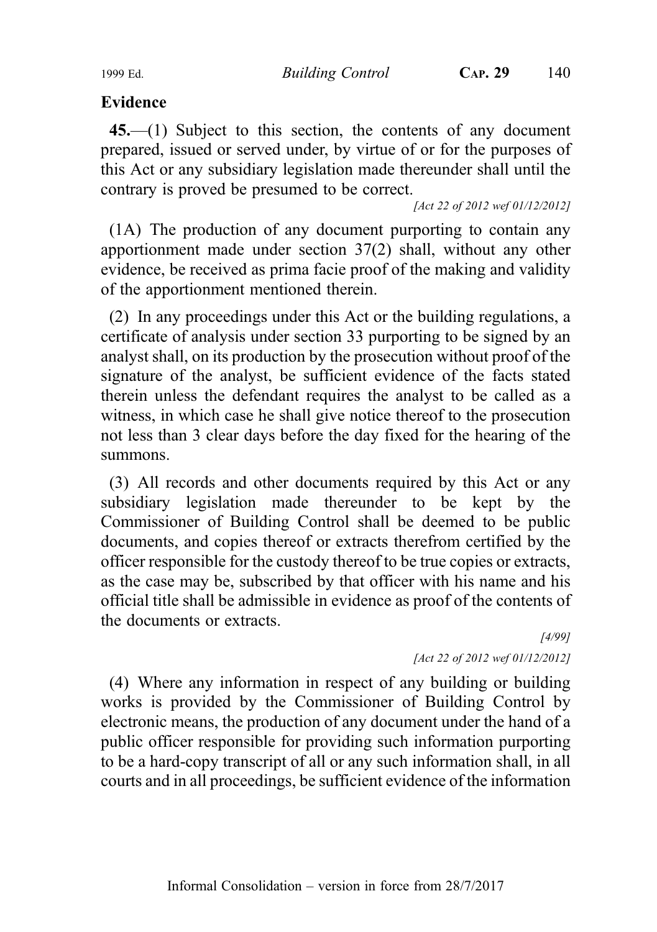1999 Ed. Building Control CAP. 29 140

# Evidence

45.—(1) Subject to this section, the contents of any document prepared, issued or served under, by virtue of or for the purposes of this Act or any subsidiary legislation made thereunder shall until the contrary is proved be presumed to be correct.

[Act 22 of 2012 wef 01/12/2012]

(1A) The production of any document purporting to contain any apportionment made under section 37(2) shall, without any other evidence, be received as prima facie proof of the making and validity of the apportionment mentioned therein.

(2) In any proceedings under this Act or the building regulations, a certificate of analysis under section 33 purporting to be signed by an analyst shall, on its production by the prosecution without proof of the signature of the analyst, be sufficient evidence of the facts stated therein unless the defendant requires the analyst to be called as a witness, in which case he shall give notice thereof to the prosecution not less than 3 clear days before the day fixed for the hearing of the summons.

(3) All records and other documents required by this Act or any subsidiary legislation made thereunder to be kept by the Commissioner of Building Control shall be deemed to be public documents, and copies thereof or extracts therefrom certified by the officer responsible for the custody thereof to be true copies or extracts, as the case may be, subscribed by that officer with his name and his official title shall be admissible in evidence as proof of the contents of the documents or extracts.

[4/99] [Act 22 of 2012 wef 01/12/2012]

(4) Where any information in respect of any building or building works is provided by the Commissioner of Building Control by electronic means, the production of any document under the hand of a public officer responsible for providing such information purporting to be a hard-copy transcript of all or any such information shall, in all courts and in all proceedings, be sufficient evidence of the information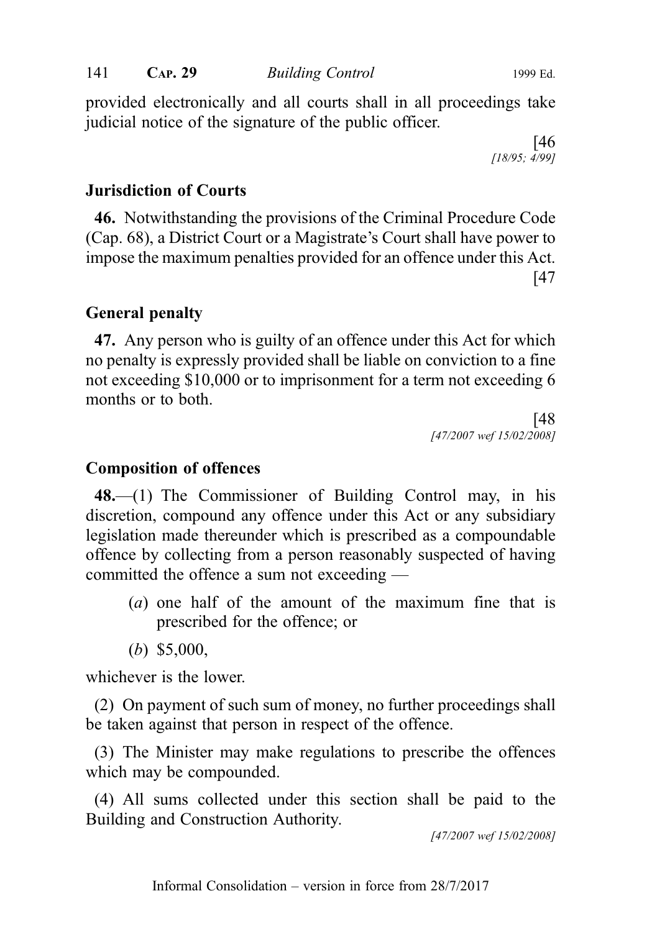provided electronically and all courts shall in all proceedings take judicial notice of the signature of the public officer.

> [46 [18/95; 4/99]

## Jurisdiction of Courts

46. Notwithstanding the provisions of the Criminal Procedure Code (Cap. 68), a District Court or a Magistrate's Court shall have power to impose the maximum penalties provided for an offence under this Act. [47

## General penalty

47. Any person who is guilty of an offence under this Act for which no penalty is expressly provided shall be liable on conviction to a fine not exceeding \$10,000 or to imprisonment for a term not exceeding 6 months or to both.

> [48 [47/2007 wef 15/02/2008]

## Composition of offences

48.—(1) The Commissioner of Building Control may, in his discretion, compound any offence under this Act or any subsidiary legislation made thereunder which is prescribed as a compoundable offence by collecting from a person reasonably suspected of having committed the offence a sum not exceeding —

- (a) one half of the amount of the maximum fine that is prescribed for the offence; or
- (b) \$5,000,

whichever is the lower.

(2) On payment of such sum of money, no further proceedings shall be taken against that person in respect of the offence.

(3) The Minister may make regulations to prescribe the offences which may be compounded.

(4) All sums collected under this section shall be paid to the Building and Construction Authority.

[47/2007 wef 15/02/2008]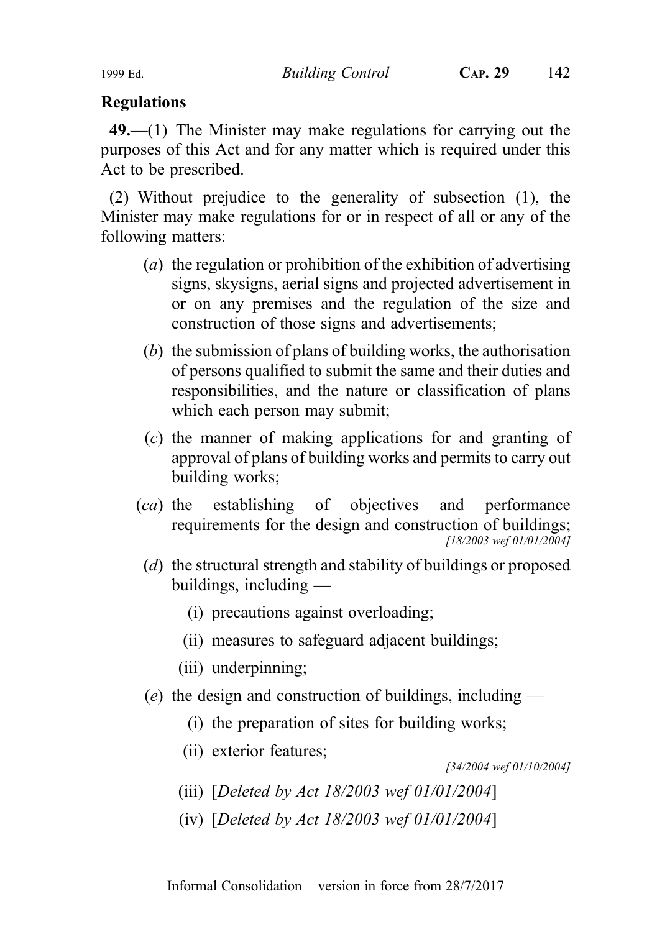# Regulations

49.—(1) The Minister may make regulations for carrying out the purposes of this Act and for any matter which is required under this Act to be prescribed.

(2) Without prejudice to the generality of subsection (1), the Minister may make regulations for or in respect of all or any of the following matters:

- (a) the regulation or prohibition of the exhibition of advertising signs, skysigns, aerial signs and projected advertisement in or on any premises and the regulation of the size and construction of those signs and advertisements;
- (b) the submission of plans of building works, the authorisation of persons qualified to submit the same and their duties and responsibilities, and the nature or classification of plans which each person may submit;
- (c) the manner of making applications for and granting of approval of plans of building works and permits to carry out building works;
- (ca) the establishing of objectives and performance requirements for the design and construction of buildings; [18/2003 wef 01/01/2004]
	- (d) the structural strength and stability of buildings or proposed buildings, including —
		- (i) precautions against overloading;
		- (ii) measures to safeguard adjacent buildings;
		- (iii) underpinning;
- (e) the design and construction of buildings, including
	- (i) the preparation of sites for building works;
	- (ii) exterior features;

[34/2004 wef 01/10/2004]

- (iii) [Deleted by Act 18/2003 wef 01/01/2004]
- (iv) [Deleted by Act 18/2003 wef 01/01/2004]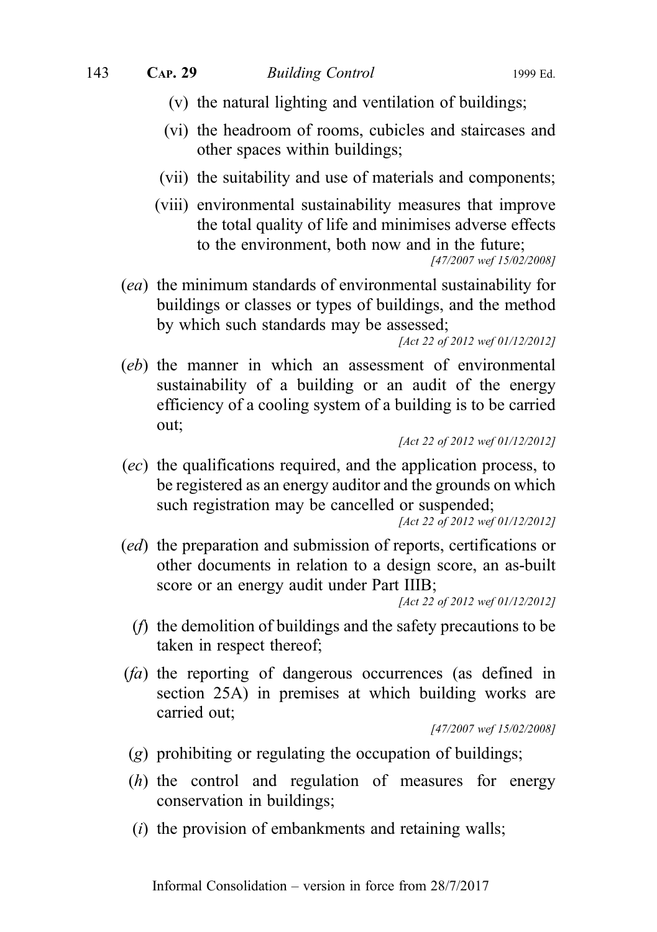- (v) the natural lighting and ventilation of buildings;
- (vi) the headroom of rooms, cubicles and staircases and other spaces within buildings;
- (vii) the suitability and use of materials and components;
- (viii) environmental sustainability measures that improve the total quality of life and minimises adverse effects to the environment, both now and in the future; [47/2007 wef 15/02/2008]
- (ea) the minimum standards of environmental sustainability for buildings or classes or types of buildings, and the method by which such standards may be assessed;

```
[Act 22 of 2012 wef 01/12/2012]
```
(eb) the manner in which an assessment of environmental sustainability of a building or an audit of the energy efficiency of a cooling system of a building is to be carried out;

(ec) the qualifications required, and the application process, to be registered as an energy auditor and the grounds on which such registration may be cancelled or suspended;

[Act 22 of 2012 wef 01/12/2012]

(ed) the preparation and submission of reports, certifications or other documents in relation to a design score, an as-built score or an energy audit under Part IIIB;

[Act 22 of 2012 wef 01/12/2012]

- (f) the demolition of buildings and the safety precautions to be taken in respect thereof;
- (fa) the reporting of dangerous occurrences (as defined in section 25A) in premises at which building works are carried out;

[47/2007 wef 15/02/2008]

- (g) prohibiting or regulating the occupation of buildings;
- (h) the control and regulation of measures for energy conservation in buildings;
- $(i)$  the provision of embankments and retaining walls;

<sup>[</sup>Act 22 of 2012 wef 01/12/2012]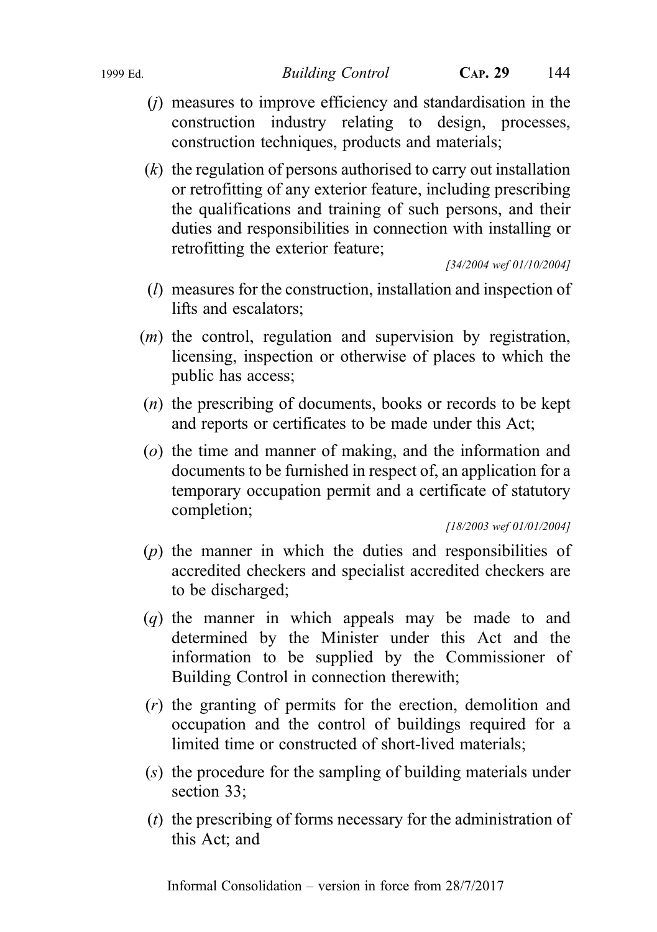1999 Ed. Building Control CAP. 29 144

- $(i)$  measures to improve efficiency and standardisation in the construction industry relating to design, processes, construction techniques, products and materials;
- $(k)$  the regulation of persons authorised to carry out installation or retrofitting of any exterior feature, including prescribing the qualifications and training of such persons, and their duties and responsibilities in connection with installing or retrofitting the exterior feature;

[34/2004 wef 01/10/2004]

- (l) measures for the construction, installation and inspection of lifts and escalators;
- (m) the control, regulation and supervision by registration, licensing, inspection or otherwise of places to which the public has access;
- (n) the prescribing of documents, books or records to be kept and reports or certificates to be made under this Act;
- (o) the time and manner of making, and the information and documents to be furnished in respect of, an application for a temporary occupation permit and a certificate of statutory completion;

[18/2003 wef 01/01/2004]

- (p) the manner in which the duties and responsibilities of accredited checkers and specialist accredited checkers are to be discharged;
- (q) the manner in which appeals may be made to and determined by the Minister under this Act and the information to be supplied by the Commissioner of Building Control in connection therewith;
- (r) the granting of permits for the erection, demolition and occupation and the control of buildings required for a limited time or constructed of short-lived materials;
- (s) the procedure for the sampling of building materials under section 33;
- $(t)$  the prescribing of forms necessary for the administration of this Act; and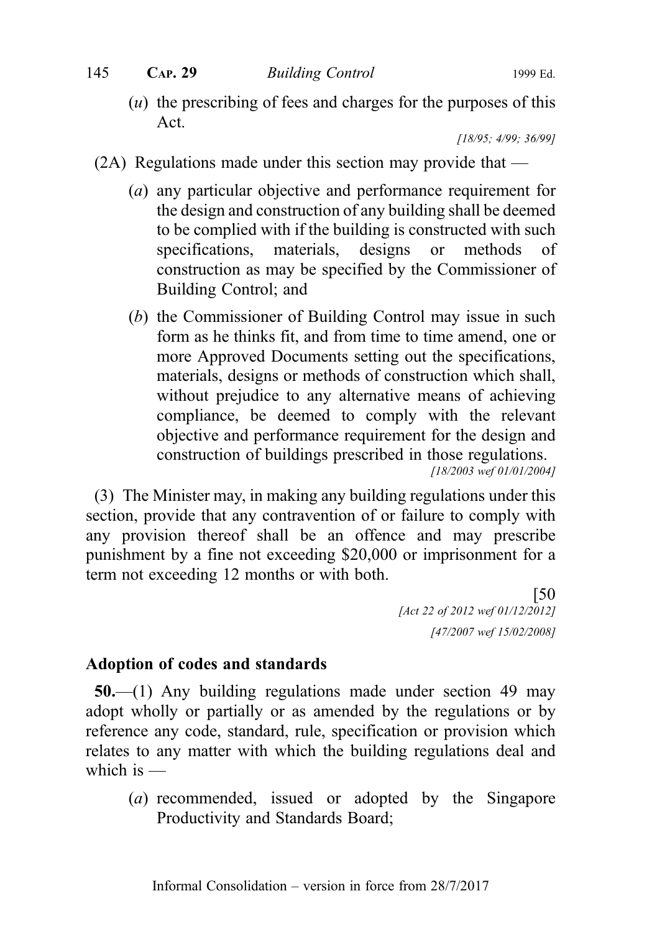$(u)$  the prescribing of fees and charges for the purposes of this Act.

[18/95; 4/99; 36/99]

- (2A) Regulations made under this section may provide that
	- (a) any particular objective and performance requirement for the design and construction of any building shall be deemed to be complied with if the building is constructed with such specifications, materials, designs or methods of construction as may be specified by the Commissioner of Building Control; and
	- (b) the Commissioner of Building Control may issue in such form as he thinks fit, and from time to time amend, one or more Approved Documents setting out the specifications, materials, designs or methods of construction which shall, without prejudice to any alternative means of achieving compliance, be deemed to comply with the relevant objective and performance requirement for the design and construction of buildings prescribed in those regulations. [18/2003 wef 01/01/2004]

(3) The Minister may, in making any building regulations under this section, provide that any contravention of or failure to comply with any provision thereof shall be an offence and may prescribe punishment by a fine not exceeding \$20,000 or imprisonment for a term not exceeding 12 months or with both.

> [50 [Act 22 of 2012 wef 01/12/2012] [47/2007 wef 15/02/2008]

## Adoption of codes and standards

50.—(1) Any building regulations made under section 49 may adopt wholly or partially or as amended by the regulations or by reference any code, standard, rule, specification or provision which relates to any matter with which the building regulations deal and which is —

(a) recommended, issued or adopted by the Singapore Productivity and Standards Board;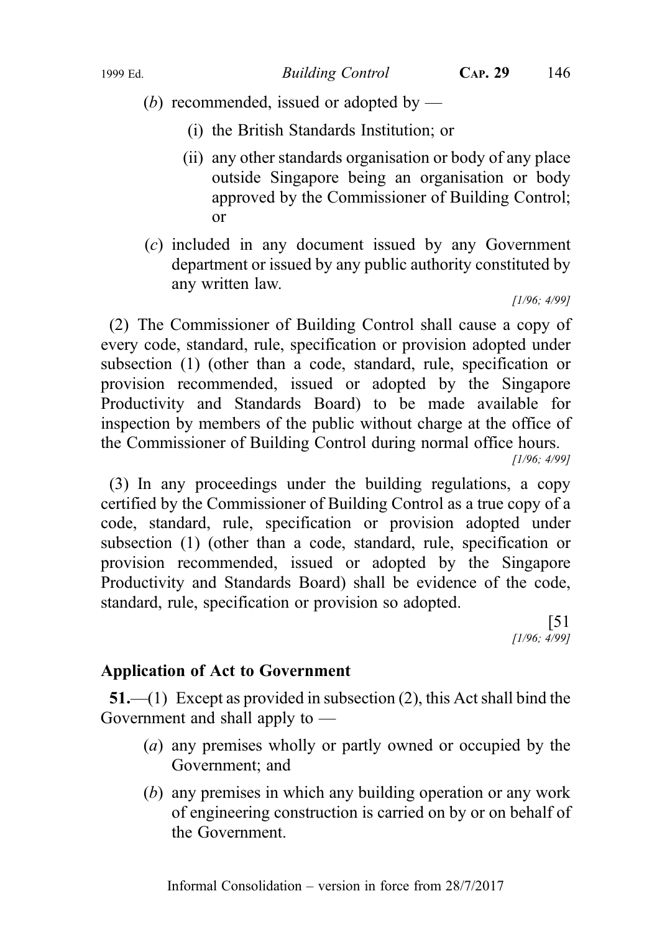(b) recommended, issued or adopted by —

- (i) the British Standards Institution; or
- (ii) any other standards organisation or body of any place outside Singapore being an organisation or body approved by the Commissioner of Building Control; or
- (c) included in any document issued by any Government department or issued by any public authority constituted by any written law.

[1/96; 4/99]

(2) The Commissioner of Building Control shall cause a copy of every code, standard, rule, specification or provision adopted under subsection (1) (other than a code, standard, rule, specification or provision recommended, issued or adopted by the Singapore Productivity and Standards Board) to be made available for inspection by members of the public without charge at the office of the Commissioner of Building Control during normal office hours.

[1/96; 4/99]

(3) In any proceedings under the building regulations, a copy certified by the Commissioner of Building Control as a true copy of a code, standard, rule, specification or provision adopted under subsection (1) (other than a code, standard, rule, specification or provision recommended, issued or adopted by the Singapore Productivity and Standards Board) shall be evidence of the code, standard, rule, specification or provision so adopted.

> [51 [1/96; 4/99]

## Application of Act to Government

51.—(1) Except as provided in subsection (2), this Act shall bind the Government and shall apply to —

- (a) any premises wholly or partly owned or occupied by the Government; and
- (b) any premises in which any building operation or any work of engineering construction is carried on by or on behalf of the Government.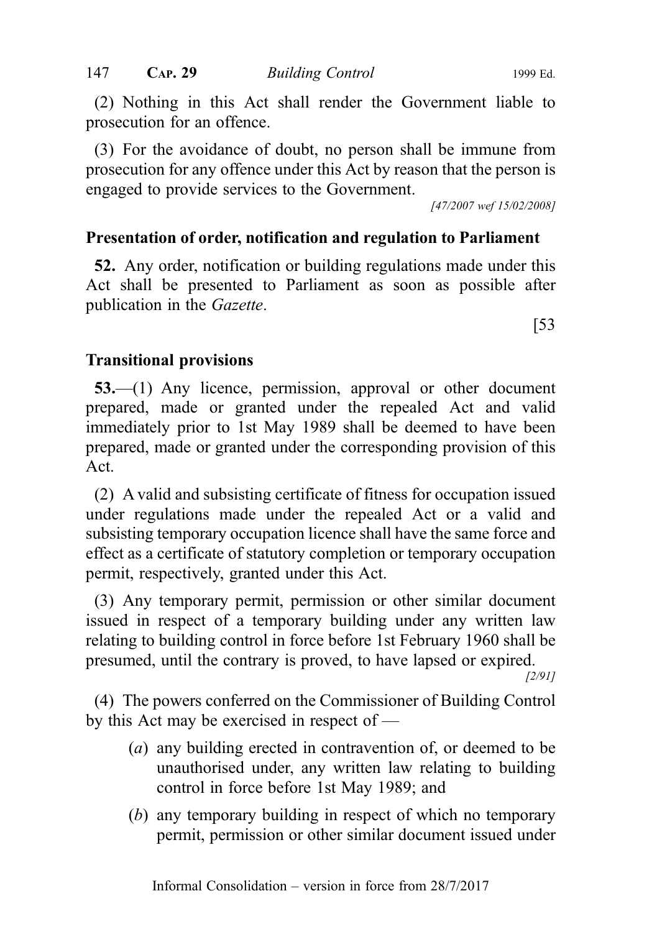(2) Nothing in this Act shall render the Government liable to prosecution for an offence.

(3) For the avoidance of doubt, no person shall be immune from prosecution for any offence under this Act by reason that the person is engaged to provide services to the Government.

[47/2007 wef 15/02/2008]

## Presentation of order, notification and regulation to Parliament

52. Any order, notification or building regulations made under this Act shall be presented to Parliament as soon as possible after publication in the Gazette.

[53

## Transitional provisions

53.—(1) Any licence, permission, approval or other document prepared, made or granted under the repealed Act and valid immediately prior to 1st May 1989 shall be deemed to have been prepared, made or granted under the corresponding provision of this Act.

(2) A valid and subsisting certificate of fitness for occupation issued under regulations made under the repealed Act or a valid and subsisting temporary occupation licence shall have the same force and effect as a certificate of statutory completion or temporary occupation permit, respectively, granted under this Act.

(3) Any temporary permit, permission or other similar document issued in respect of a temporary building under any written law relating to building control in force before 1st February 1960 shall be presumed, until the contrary is proved, to have lapsed or expired.

[2/91]

(4) The powers conferred on the Commissioner of Building Control by this Act may be exercised in respect of —

- (a) any building erected in contravention of, or deemed to be unauthorised under, any written law relating to building control in force before 1st May 1989; and
- (b) any temporary building in respect of which no temporary permit, permission or other similar document issued under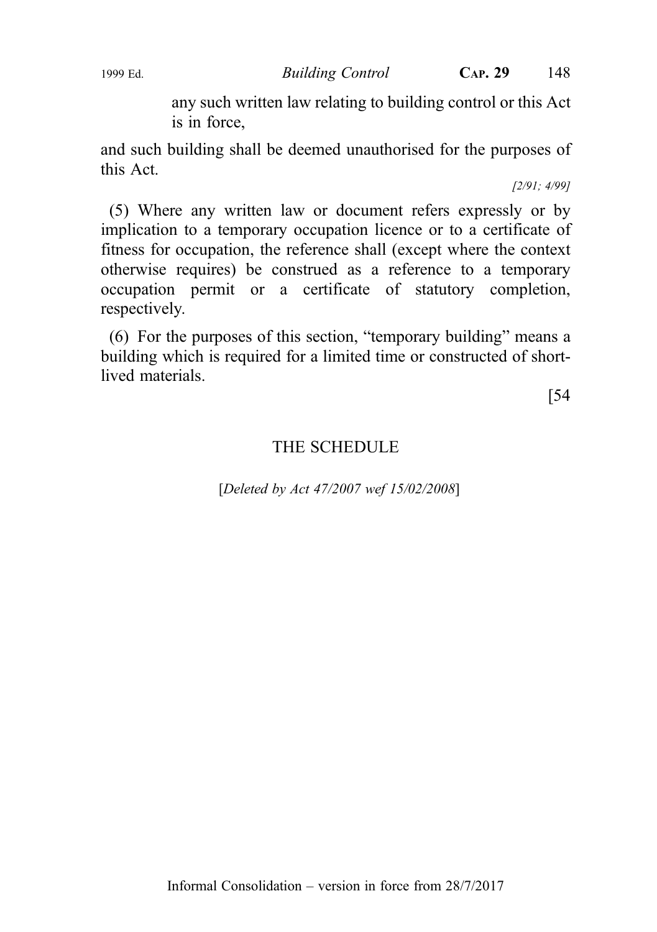1999 Ed. Building Control CAP. 29 148

any such written law relating to building control or this Act is in force,

and such building shall be deemed unauthorised for the purposes of this Act.

[2/91; 4/99]

(5) Where any written law or document refers expressly or by implication to a temporary occupation licence or to a certificate of fitness for occupation, the reference shall (except where the context otherwise requires) be construed as a reference to a temporary occupation permit or a certificate of statutory completion, respectively.

(6) For the purposes of this section, "temporary building" means a building which is required for a limited time or constructed of shortlived materials.

[54

### THE SCHEDULE

[Deleted by Act 47/2007 wef 15/02/2008]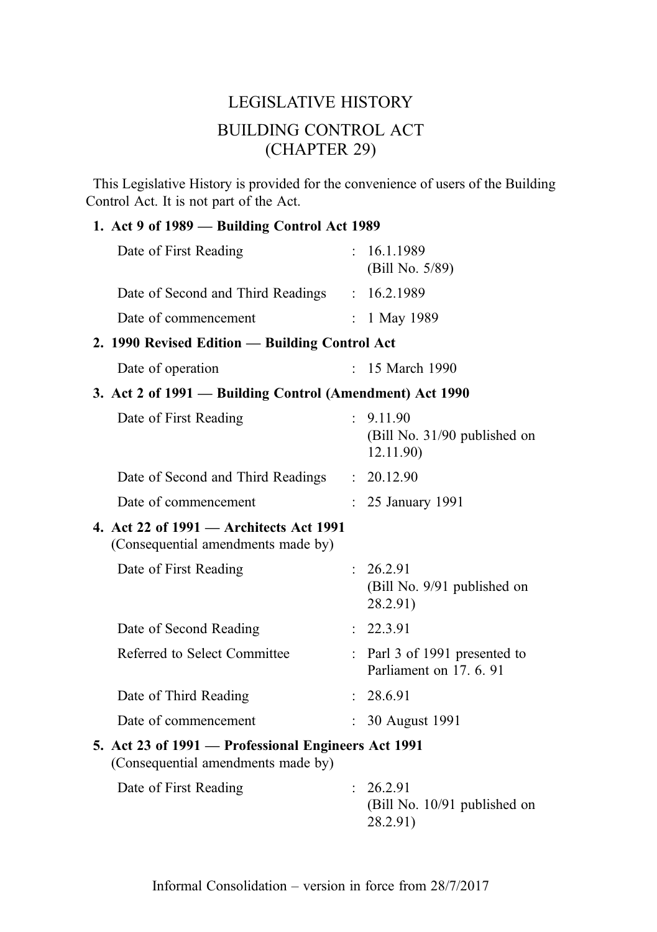# LEGISLATIVE HISTORY BUILDING CONTROL ACT (CHAPTER 29)

This Legislative History is provided for the convenience of users of the Building Control Act. It is not part of the Act.

#### 1. Act 9 of 1989 — Building Control Act 1989

| Date of First Reading                                                                                                                                                                                                                                                                                                              |              | : 16.1.1989<br>(Bill No. 5/89)                         |
|------------------------------------------------------------------------------------------------------------------------------------------------------------------------------------------------------------------------------------------------------------------------------------------------------------------------------------|--------------|--------------------------------------------------------|
| Date of Second and Third Readings                                                                                                                                                                                                                                                                                                  |              | : 16.2.1989                                            |
| Date of commencement                                                                                                                                                                                                                                                                                                               |              | : $1$ May 1989                                         |
| 2. 1990 Revised Edition - Building Control Act                                                                                                                                                                                                                                                                                     |              |                                                        |
| Date of operation                                                                                                                                                                                                                                                                                                                  |              | : 15 March 1990                                        |
| 3. Act 2 of 1991 – Building Control (Amendment) Act 1990                                                                                                                                                                                                                                                                           |              |                                                        |
| Date of First Reading                                                                                                                                                                                                                                                                                                              | $\mathbf{r}$ | 9.11.90<br>(Bill No. 31/90 published on<br>12.11.90)   |
| Date of Second and Third Readings                                                                                                                                                                                                                                                                                                  |              | : 20.12.90                                             |
| Date of commencement                                                                                                                                                                                                                                                                                                               |              | 25 January 1991                                        |
| 4. Act 22 of 1991 - Architects Act 1991<br>(Consequential amendments made by)                                                                                                                                                                                                                                                      |              |                                                        |
| Date of First Reading                                                                                                                                                                                                                                                                                                              |              | : 26.2.91<br>(Bill No. 9/91 published on<br>28.2.91)   |
| Date of Second Reading                                                                                                                                                                                                                                                                                                             |              | : 22.3.91                                              |
| Referred to Select Committee                                                                                                                                                                                                                                                                                                       |              | Parl 3 of 1991 presented to<br>Parliament on 17, 6, 91 |
| Date of Third Reading                                                                                                                                                                                                                                                                                                              |              | : 28.6.91                                              |
| Date of commencement                                                                                                                                                                                                                                                                                                               |              | : 30 August 1991                                       |
| 5. Act 23 of 1991 - Professional Engineers Act 1991<br>(Consequential amendments made by)                                                                                                                                                                                                                                          |              |                                                        |
| $\mathbf{D}$ $\mathbf{L}$ $\mathbf{L}$ $\mathbf{L}$ $\mathbf{L}$ $\mathbf{L}$ $\mathbf{L}$ $\mathbf{L}$ $\mathbf{L}$ $\mathbf{L}$ $\mathbf{L}$ $\mathbf{L}$ $\mathbf{L}$ $\mathbf{L}$ $\mathbf{L}$ $\mathbf{L}$ $\mathbf{L}$ $\mathbf{L}$ $\mathbf{L}$ $\mathbf{L}$ $\mathbf{L}$ $\mathbf{L}$ $\mathbf{L}$ $\mathbf{L}$ $\mathbf{$ |              | 26.23                                                  |

Date of First Reading : 26.2.91 (Bill No. 10/91 published on 28.2.91)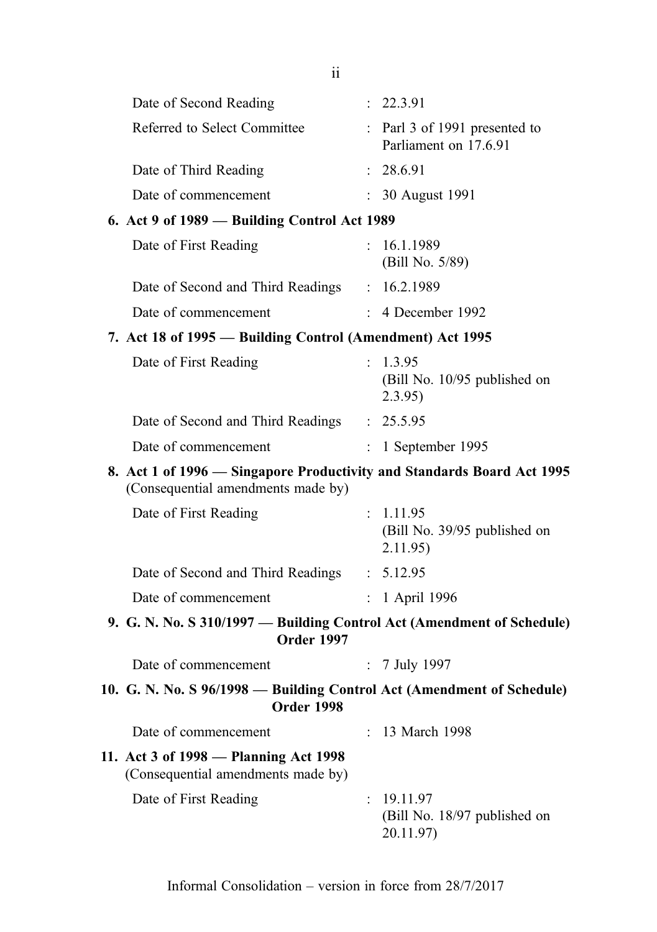|                        | ii                                                                          |                           |                                                                        |
|------------------------|-----------------------------------------------------------------------------|---------------------------|------------------------------------------------------------------------|
| Date of Second Reading |                                                                             |                           | : 22.3.91                                                              |
|                        | Referred to Select Committee                                                |                           | : Parl 3 of 1991 presented to<br>Parliament on 17.6.91                 |
| Date of Third Reading  |                                                                             |                           | : 28.6.91                                                              |
| Date of commencement   |                                                                             |                           | 30 August 1991                                                         |
|                        | 6. Act 9 of 1989 - Building Control Act 1989                                |                           |                                                                        |
| Date of First Reading  |                                                                             |                           | : 16.1.1989<br>(Bill No. 5/89)                                         |
|                        | Date of Second and Third Readings : 16.2.1989                               |                           |                                                                        |
| Date of commencement   |                                                                             |                           | $: 4$ December 1992                                                    |
|                        | 7. Act 18 of 1995 – Building Control (Amendment) Act 1995                   |                           |                                                                        |
| Date of First Reading  |                                                                             |                           | : 1.3.95<br>(Bill No. 10/95 published on<br>2.3.95)                    |
|                        | Date of Second and Third Readings : 25.5.95                                 |                           |                                                                        |
| Date of commencement   |                                                                             | $\mathbb{R}^{\mathbb{Z}}$ | 1 September 1995                                                       |
|                        | (Consequential amendments made by)                                          |                           | 8. Act 1 of 1996 – Singapore Productivity and Standards Board Act 1995 |
| Date of First Reading  |                                                                             |                           | : 1.11.95<br>(Bill No. 39/95 published on<br>2.11.95)                  |
|                        | Date of Second and Third Readings : 5.12.95                                 |                           |                                                                        |
| Date of commencement   |                                                                             |                           | : 1 April 1996                                                         |
|                        | <b>Order 1997</b>                                                           |                           | 9. G. N. No. S 310/1997 — Building Control Act (Amendment of Schedule) |
| Date of commencement   |                                                                             |                           | : 7 July 1997                                                          |
|                        | Order 1998                                                                  |                           | 10. G. N. No. S 96/1998 - Building Control Act (Amendment of Schedule) |
| Date of commencement   |                                                                             |                           | 13 March 1998                                                          |
|                        | 11. Act 3 of 1998 – Planning Act 1998<br>(Consequential amendments made by) |                           |                                                                        |
| Date of First Reading  |                                                                             | $\ddot{\phantom{0}}$      | 19.11.97<br>(Bill No. 18/97 published on<br>20.11.97)                  |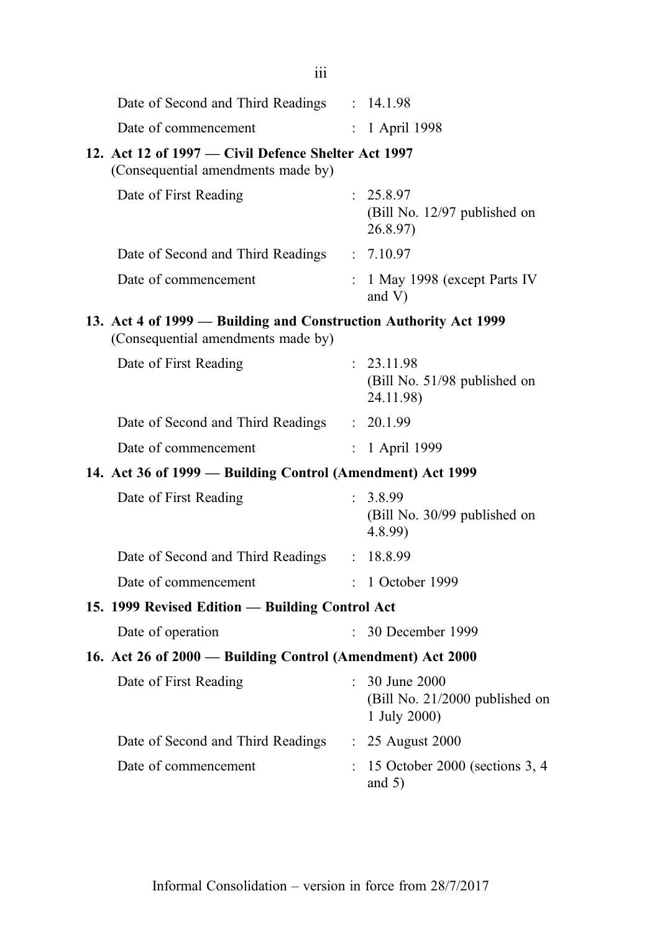| 111                                                                                                    |    |                                                                |
|--------------------------------------------------------------------------------------------------------|----|----------------------------------------------------------------|
| Date of Second and Third Readings : 14.1.98                                                            |    |                                                                |
| Date of commencement                                                                                   |    | : 1 April 1998                                                 |
| 12. Act 12 of 1997 – Civil Defence Shelter Act 1997<br>(Consequential amendments made by)              |    |                                                                |
| Date of First Reading                                                                                  |    | : 25.8.97<br>(Bill No. 12/97 published on<br>26.8.97           |
| Date of Second and Third Readings : 7.10.97                                                            |    |                                                                |
| Date of commencement                                                                                   |    | : 1 May 1998 (except Parts IV<br>and $V$ )                     |
| 13. Act 4 of 1999 — Building and Construction Authority Act 1999<br>(Consequential amendments made by) |    |                                                                |
| Date of First Reading                                                                                  |    | : 23.11.98<br>(Bill No. 51/98 published on<br>24.11.98)        |
| Date of Second and Third Readings : 20.1.99                                                            |    |                                                                |
| Date of commencement                                                                                   |    | : 1 April 1999                                                 |
| 14. Act 36 of 1999 - Building Control (Amendment) Act 1999                                             |    |                                                                |
| Date of First Reading                                                                                  |    | : 3.8.99<br>(Bill No. 30/99 published on<br>4.8.99             |
| Date of Second and Third Readings : 18.8.99                                                            |    |                                                                |
| Date of commencement                                                                                   |    | $: 1$ October 1999                                             |
| 15. 1999 Revised Edition - Building Control Act                                                        |    |                                                                |
| Date of operation                                                                                      | ÷  | 30 December 1999                                               |
| 16. Act 26 of 2000 - Building Control (Amendment) Act 2000                                             |    |                                                                |
| Date of First Reading                                                                                  | t. | 30 June 2000<br>(Bill No. 21/2000 published on<br>1 July 2000) |
| Date of Second and Third Readings                                                                      |    | : 25 August 2000                                               |
| Date of commencement                                                                                   |    | 15 October 2000 (sections 3, 4<br>and $5)$                     |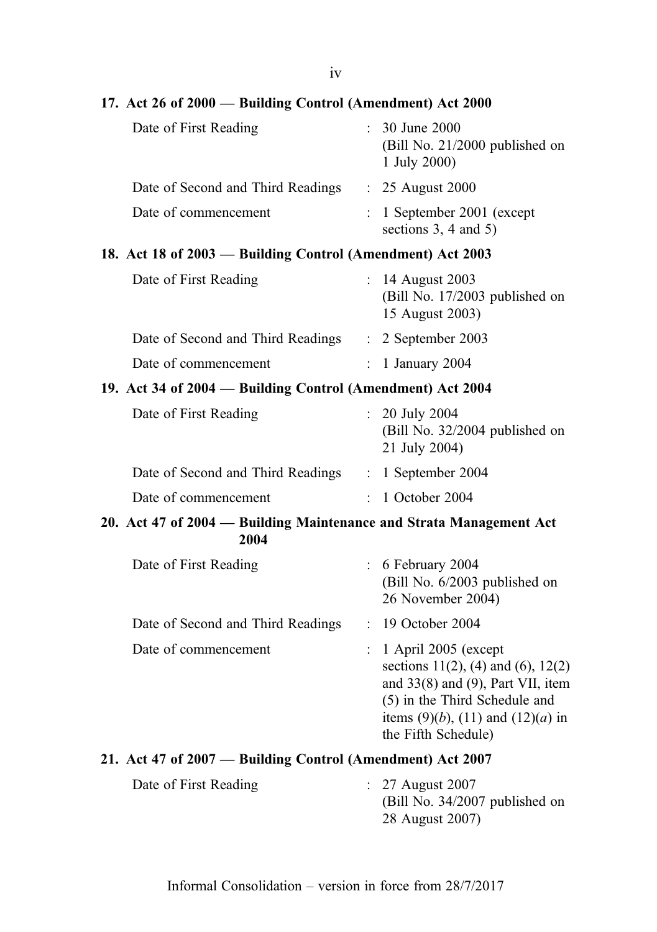| 17. Act 26 of 2000 - Building Control (Amendment) Act 2000                  |                           |                                                                                                                                                                                                                          |
|-----------------------------------------------------------------------------|---------------------------|--------------------------------------------------------------------------------------------------------------------------------------------------------------------------------------------------------------------------|
| Date of First Reading                                                       |                           | 30 June 2000<br>(Bill No. 21/2000 published on<br>1 July 2000)                                                                                                                                                           |
| Date of Second and Third Readings                                           |                           | : 25 August 2000                                                                                                                                                                                                         |
| Date of commencement                                                        |                           | 1 September 2001 (except<br>sections $3, 4$ and $5)$                                                                                                                                                                     |
| 18. Act 18 of 2003 – Building Control (Amendment) Act 2003                  |                           |                                                                                                                                                                                                                          |
| Date of First Reading                                                       |                           | : 14 August 2003<br>(Bill No. 17/2003 published on<br>15 August 2003)                                                                                                                                                    |
| Date of Second and Third Readings : 2 September 2003                        |                           |                                                                                                                                                                                                                          |
| Date of commencement                                                        | $\mathbb{R}^{\mathbb{Z}}$ | 1 January 2004                                                                                                                                                                                                           |
| 19. Act 34 of 2004 - Building Control (Amendment) Act 2004                  |                           |                                                                                                                                                                                                                          |
| Date of First Reading                                                       |                           | $: 20$ July 2004<br>(Bill No. 32/2004 published on<br>21 July 2004)                                                                                                                                                      |
| Date of Second and Third Readings : 1 September 2004                        |                           |                                                                                                                                                                                                                          |
| Date of commencement                                                        |                           | : 1 October 2004                                                                                                                                                                                                         |
| 20. Act 47 of 2004 - Building Maintenance and Strata Management Act<br>2004 |                           |                                                                                                                                                                                                                          |
| Date of First Reading                                                       |                           | $: 6$ February 2004<br>(Bill No. 6/2003 published on<br>26 November 2004)                                                                                                                                                |
| Date of Second and Third Readings                                           |                           | : 19 October 2004                                                                                                                                                                                                        |
| Date of commencement                                                        |                           | 1 April 2005 (except<br>sections $11(2)$ , (4) and (6), $12(2)$<br>and $33(8)$ and $(9)$ , Part VII, item<br>(5) in the Third Schedule and<br>items (9)( <i>b</i> ), (11) and (12)( <i>a</i> ) in<br>the Fifth Schedule) |
| 21. Act 47 of 2007 — Building Control (Amendment) Act 2007                  |                           |                                                                                                                                                                                                                          |
| Date of First Reading                                                       |                           | 27 August 2007<br>$(Bill No. 34/2007$ published on<br>28 August 2007)                                                                                                                                                    |

iv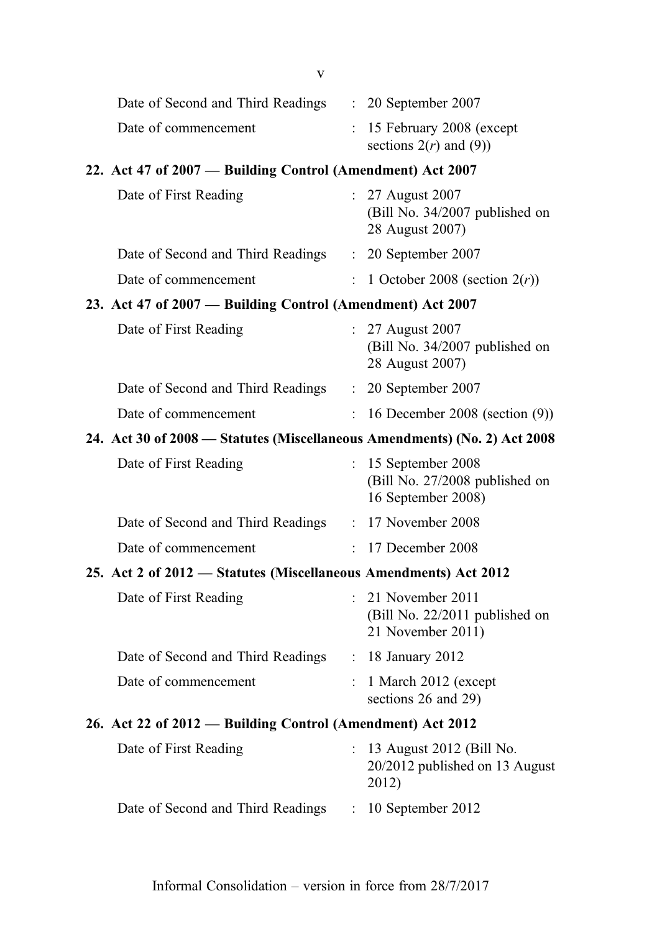| V                                                                         |                           |                                                                             |
|---------------------------------------------------------------------------|---------------------------|-----------------------------------------------------------------------------|
| Date of Second and Third Readings                                         |                           | $\therefore$ 20 September 2007                                              |
| Date of commencement                                                      |                           | $: 15$ February 2008 (except<br>sections $2(r)$ and (9))                    |
| 22. Act 47 of 2007 – Building Control (Amendment) Act 2007                |                           |                                                                             |
| Date of First Reading                                                     |                           | : 27 August 2007<br>(Bill No. 34/2007 published on<br>28 August 2007)       |
| Date of Second and Third Readings : 20 September 2007                     |                           |                                                                             |
| Date of commencement                                                      | $\mathbb{R}^{\mathbb{Z}}$ | 1 October 2008 (section $2(r)$ )                                            |
| 23. Act 47 of 2007 - Building Control (Amendment) Act 2007                |                           |                                                                             |
| Date of First Reading                                                     |                           | : 27 August 2007<br>(Bill No. 34/2007 published on<br>28 August 2007)       |
| Date of Second and Third Readings : 20 September 2007                     |                           |                                                                             |
| Date of commencement                                                      |                           | $: 16$ December 2008 (section $(9)$ )                                       |
| 24. Act 30 of 2008 - Statutes (Miscellaneous Amendments) (No. 2) Act 2008 |                           |                                                                             |
| Date of First Reading                                                     |                           | : 15 September 2008<br>(Bill No. 27/2008 published on<br>16 September 2008) |
| Date of Second and Third Readings : 17 November 2008                      |                           |                                                                             |
| Date of commencement                                                      |                           | : 17 December 2008                                                          |
| 25. Act 2 of 2012 - Statutes (Miscellaneous Amendments) Act 2012          |                           |                                                                             |
| Date of First Reading                                                     |                           | $: 21$ November 2011<br>(Bill No. 22/2011 published on<br>21 November 2011) |
| Date of Second and Third Readings : 18 January 2012                       |                           |                                                                             |
| Date of commencement                                                      |                           | 1 March 2012 (except<br>sections 26 and 29)                                 |
| 26. Act 22 of 2012 — Building Control (Amendment) Act 2012                |                           |                                                                             |
| Date of First Reading                                                     |                           | 13 August 2012 (Bill No.<br>20/2012 published on 13 August<br>2012)         |
| Date of Second and Third Readings                                         | $\mathbb{Z}^{\mathbb{Z}}$ | 10 September 2012                                                           |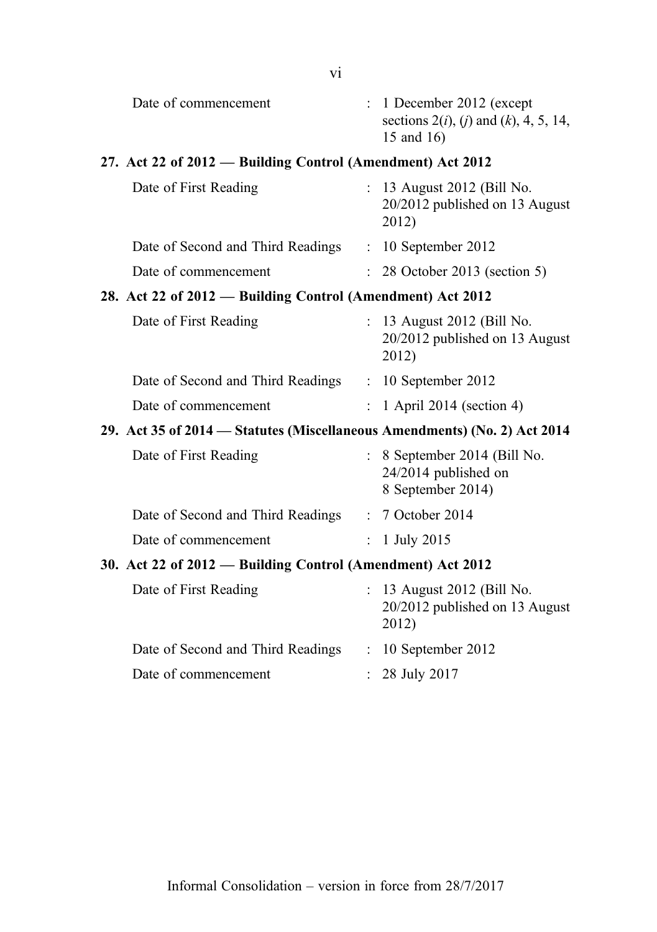| Date of commencement                                                      |                           | : 1 December 2012 (except                                                 |
|---------------------------------------------------------------------------|---------------------------|---------------------------------------------------------------------------|
|                                                                           |                           | sections $2(i)$ , $(i)$ and $(k)$ , 4, 5, 14,<br>15 and 16)               |
| 27. Act 22 of 2012 — Building Control (Amendment) Act 2012                |                           |                                                                           |
| Date of First Reading                                                     |                           | : 13 August 2012 (Bill No.<br>20/2012 published on 13 August<br>2012)     |
| Date of Second and Third Readings                                         |                           | $: 10$ September 2012                                                     |
| Date of commencement                                                      | $\mathcal{L}$             | 28 October 2013 (section 5)                                               |
| 28. Act 22 of 2012 - Building Control (Amendment) Act 2012                |                           |                                                                           |
| Date of First Reading                                                     |                           | : 13 August 2012 (Bill No.<br>20/2012 published on 13 August<br>2012)     |
| Date of Second and Third Readings : 10 September 2012                     |                           |                                                                           |
| Date of commencement                                                      |                           | $: 1$ April 2014 (section 4)                                              |
| 29. Act 35 of 2014 – Statutes (Miscellaneous Amendments) (No. 2) Act 2014 |                           |                                                                           |
| Date of First Reading                                                     |                           | : 8 September 2014 (Bill No.<br>24/2014 published on<br>8 September 2014) |
| Date of Second and Third Readings                                         |                           | : 7 October 2014                                                          |
| Date of commencement                                                      | $\mathbf{L}$              | 1 July 2015                                                               |
| 30. Act 22 of 2012 - Building Control (Amendment) Act 2012                |                           |                                                                           |
| Date of First Reading                                                     |                           | 13 August 2012 (Bill No.<br>20/2012 published on 13 August<br>2012)       |
| Date of Second and Third Readings                                         |                           | $: 10$ September 2012                                                     |
| Date of commencement                                                      | $\mathbb{R}^{\mathbb{Z}}$ | 28 July 2017                                                              |
|                                                                           |                           |                                                                           |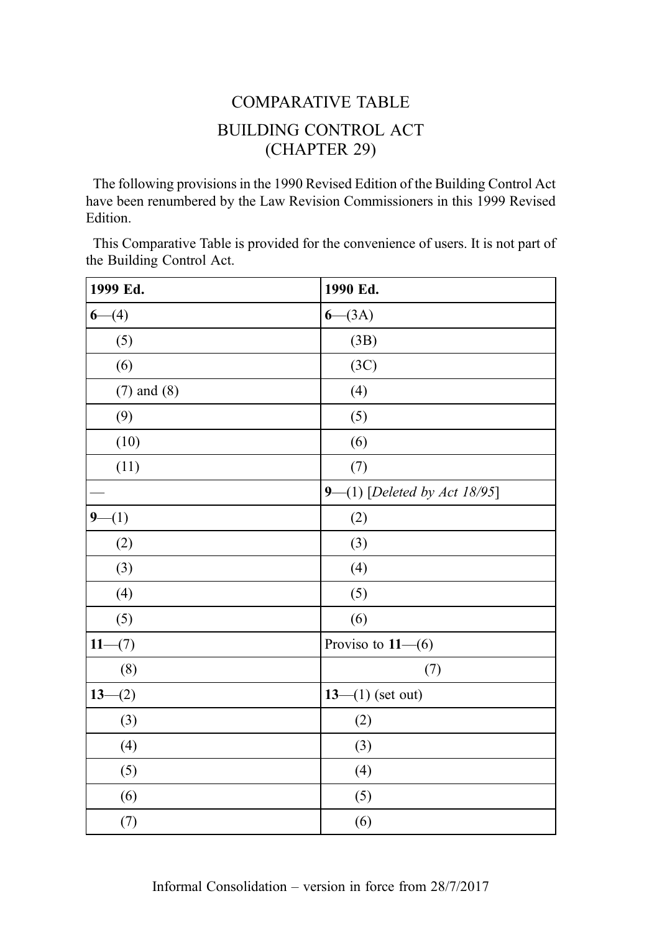## COMPARATIVE TABLE BUILDING CONTROL ACT (CHAPTER 29)

The following provisions in the 1990 Revised Edition of the Building Control Act have been renumbered by the Law Revision Commissioners in this 1999 Revised Edition.

This Comparative Table is provided for the convenience of users. It is not part of the Building Control Act.

| 1999 Ed.         | 1990 Ed.                     |
|------------------|------------------------------|
| $6-(4)$          | $6 - (3A)$                   |
| (5)              | (3B)                         |
| (6)              | (3C)                         |
| $(7)$ and $(8)$  | (4)                          |
| (9)              | (5)                          |
| (10)             | (6)                          |
| (11)             | (7)                          |
|                  | 9-(1) [Deleted by Act 18/95] |
| $9-(1)$          | (2)                          |
| (2)              | (3)                          |
| (3)              | (4)                          |
| (4)              | (5)                          |
| (5)              | (6)                          |
| $11-$<br>$-(7)$  | Proviso to $11-(6)$          |
| (8)              | (7)                          |
| $13-$<br>$- (2)$ | $13- (1)$ (set out)          |
| (3)              | (2)                          |
| (4)              | (3)                          |
| (5)              | (4)                          |
| (6)              | (5)                          |
| (7)              | (6)                          |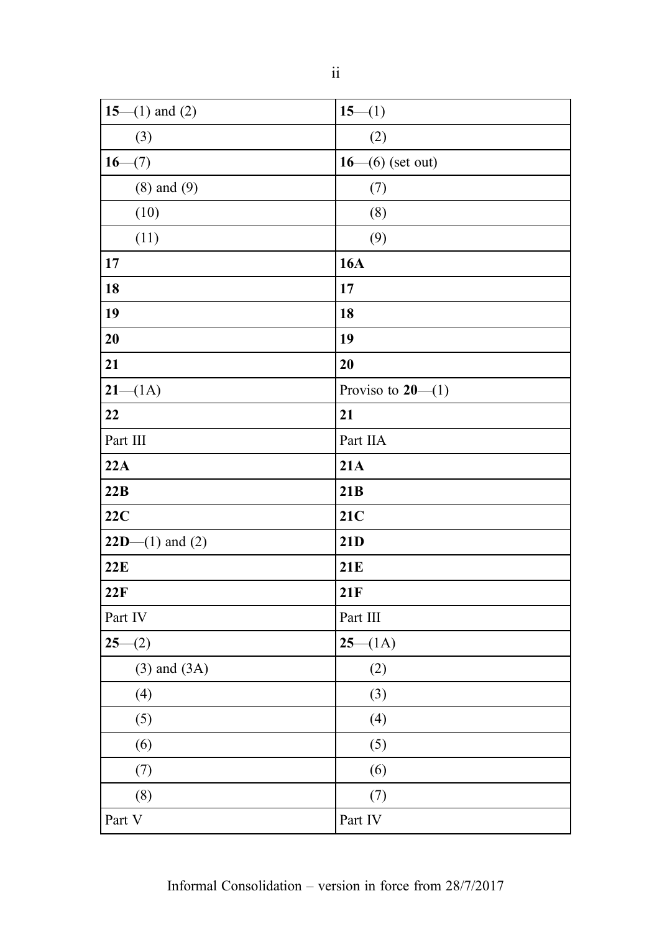| 15–(1) and (2)    | $15-(1)$            |
|-------------------|---------------------|
| (3)               | (2)                 |
| $16 - (7)$        | $16- (6)$ (set out) |
| $(8)$ and $(9)$   | (7)                 |
| (10)              | (8)                 |
| (11)              | (9)                 |
| 17                | <b>16A</b>          |
| 18                | 17                  |
| 19                | 18                  |
| 20                | 19                  |
| 21                | 20                  |
| $21 - (1A)$       | Proviso to $20-(1)$ |
| 22                | 21                  |
| Part III          | Part IIA            |
| 22A               | 21A                 |
| 22B               | 21B                 |
| 22C               | 21C                 |
| $22D-(1)$ and (2) | 21D                 |
| 22E               | 21E                 |
| 22F               | 21F                 |
| Part IV           | Part III            |
| $25-(2)$          | $25 - (1A)$         |
| $(3)$ and $(3A)$  | (2)                 |
| (4)               | (3)                 |
| (5)               | (4)                 |
| (6)               | (5)                 |
| (7)               | (6)                 |
| (8)               | (7)                 |
| Part V            | Part IV             |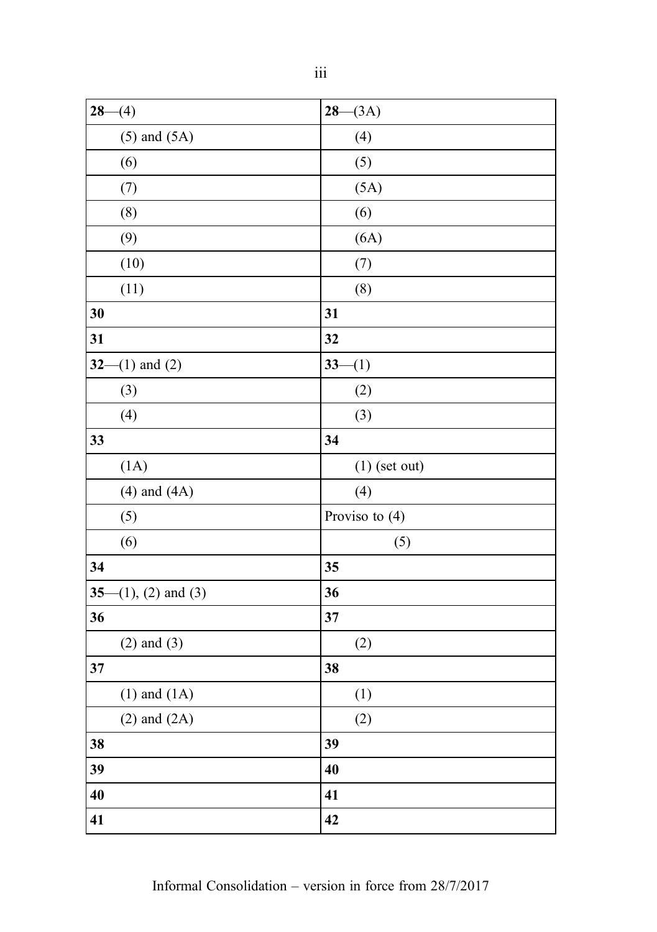| $28 - (4)$                     | $28 - (3A)$     |
|--------------------------------|-----------------|
| $(5)$ and $(5A)$               | (4)             |
| (6)                            | (5)             |
| (7)                            | (5A)            |
| (8)                            | (6)             |
| (9)                            | (6A)            |
| (10)                           | (7)             |
| (11)                           | (8)             |
| 30                             | 31              |
| 31                             | 32              |
| $32-$<br>$(1)$ and $(2)$       | $33-(1)$        |
| (3)                            | (2)             |
| (4)                            | (3)             |
| 33                             | 34              |
| (1A)                           | $(1)$ (set out) |
| $(4)$ and $(4A)$               | (4)             |
| (5)                            | Proviso to (4)  |
| (6)                            | (5)             |
| 34                             | 35              |
| $35 -$<br>$(1), (2)$ and $(3)$ | 36              |
| 36                             | 37              |
| $(2)$ and $(3)$                | (2)             |
| 37                             | 38              |
| $(1)$ and $(1A)$               | (1)             |
| $(2)$ and $(2A)$               | (2)             |
| 38                             | 39              |
| 39                             | 40              |
| 40                             | 41              |
| 41                             | 42              |